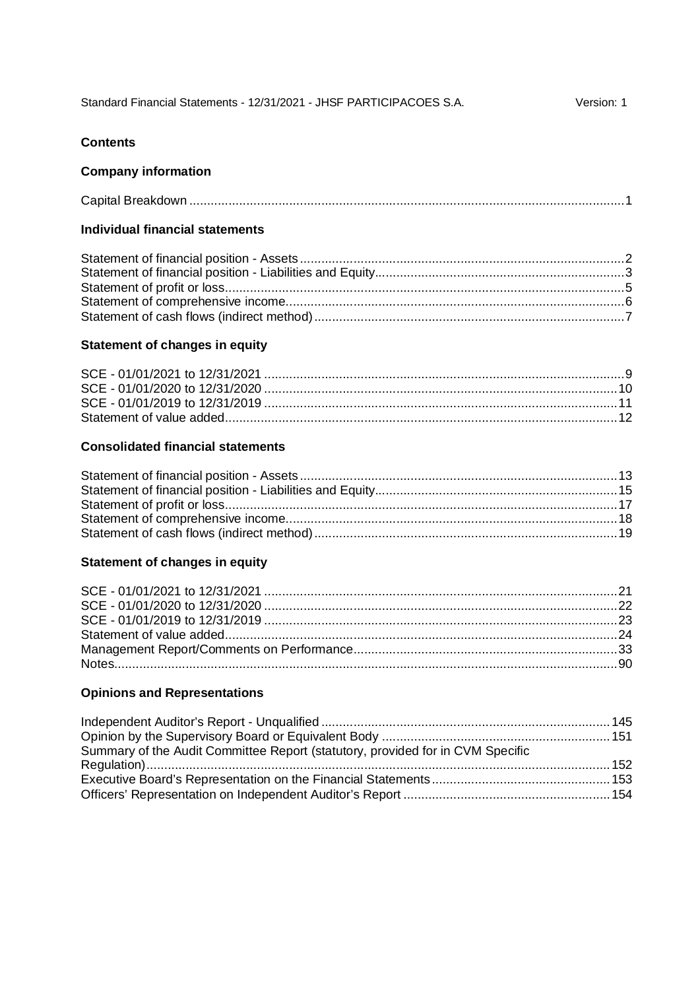| Standard Financial Statements - 12/31/2021 - JHSF PARTICIPACOES S.A. |  | Version: 1 |
|----------------------------------------------------------------------|--|------------|
|----------------------------------------------------------------------|--|------------|

#### **Contents**

#### **Company information**

#### **Individual financial statements**

#### **Statement of changes in equity**

#### **Consolidated financial statements**

#### **Statement of changes in equity**

#### **Opinions and Representations**

| Summary of the Audit Committee Report (statutory, provided for in CVM Specific |  |
|--------------------------------------------------------------------------------|--|
|                                                                                |  |
|                                                                                |  |
|                                                                                |  |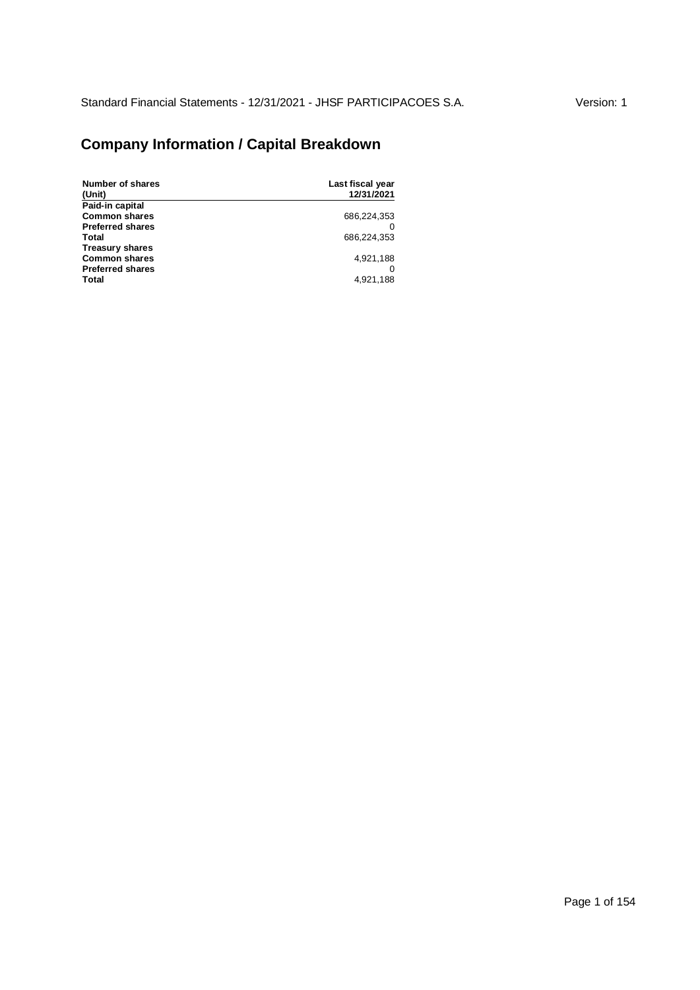# **Company Information / Capital Breakdown**

| <b>Number of shares</b><br>(Unit) | Last fiscal year<br>12/31/2021 |
|-----------------------------------|--------------------------------|
| Paid-in capital                   |                                |
| <b>Common shares</b>              | 686,224,353                    |
| <b>Preferred shares</b>           |                                |
| Total                             | 686.224.353                    |
| <b>Treasury shares</b>            |                                |
| <b>Common shares</b>              | 4,921,188                      |
| <b>Preferred shares</b>           |                                |
| Total                             | 4,921,188                      |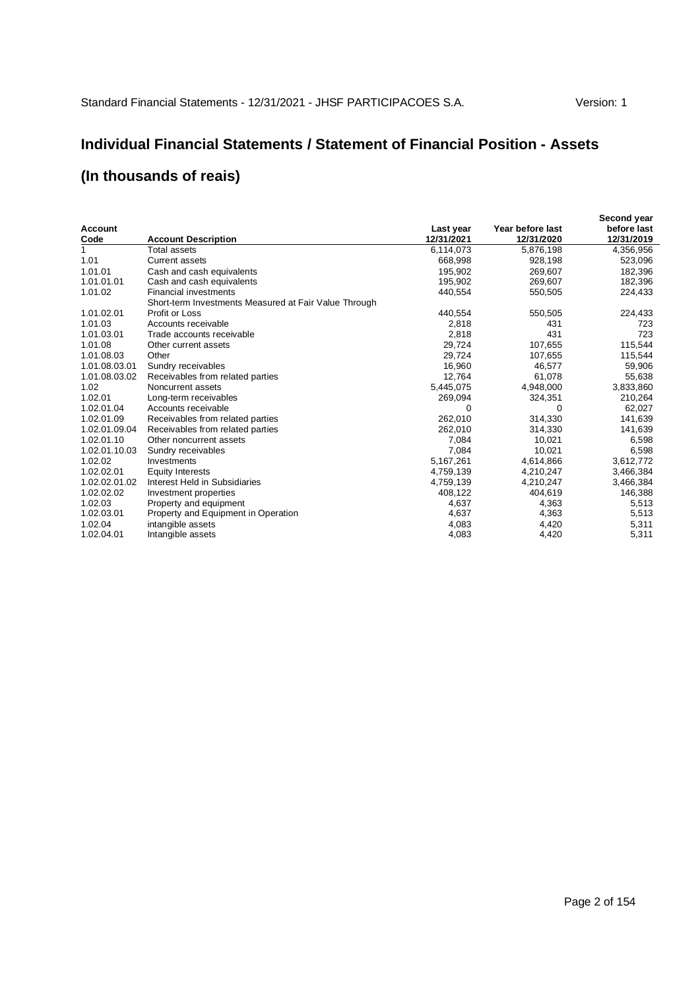## **Individual Financial Statements / Statement of Financial Position - Assets**

|                |                                                       |            |                  | Second year |
|----------------|-------------------------------------------------------|------------|------------------|-------------|
| <b>Account</b> |                                                       | Last year  | Year before last | before last |
| Code           | <b>Account Description</b>                            | 12/31/2021 | 12/31/2020       | 12/31/2019  |
| 1              | Total assets                                          | 6,114,073  | 5,876,198        | 4,356,956   |
| 1.01           | <b>Current assets</b>                                 | 668,998    | 928,198          | 523,096     |
| 1.01.01        | Cash and cash equivalents                             | 195,902    | 269,607          | 182,396     |
| 1.01.01.01     | Cash and cash equivalents                             | 195,902    | 269,607          | 182,396     |
| 1.01.02        | <b>Financial investments</b>                          | 440,554    | 550,505          | 224,433     |
|                | Short-term Investments Measured at Fair Value Through |            |                  |             |
| 1.01.02.01     | Profit or Loss                                        | 440,554    | 550,505          | 224,433     |
| 1.01.03        | Accounts receivable                                   | 2,818      | 431              | 723         |
| 1.01.03.01     | Trade accounts receivable                             | 2,818      | 431              | 723         |
| 1.01.08        | Other current assets                                  | 29,724     | 107,655          | 115,544     |
| 1.01.08.03     | Other                                                 | 29,724     | 107,655          | 115,544     |
| 1.01.08.03.01  | Sundry receivables                                    | 16,960     | 46,577           | 59,906      |
| 1.01.08.03.02  | Receivables from related parties                      | 12.764     | 61.078           | 55,638      |
| 1.02           | Noncurrent assets                                     | 5,445,075  | 4,948,000        | 3,833,860   |
| 1.02.01        | Long-term receivables                                 | 269,094    | 324,351          | 210,264     |
| 1.02.01.04     | Accounts receivable                                   | 0          | 0                | 62,027      |
| 1.02.01.09     | Receivables from related parties                      | 262.010    | 314,330          | 141,639     |
| 1.02.01.09.04  | Receivables from related parties                      | 262,010    | 314,330          | 141,639     |
| 1.02.01.10     | Other noncurrent assets                               | 7,084      | 10,021           | 6,598       |
| 1.02.01.10.03  | Sundry receivables                                    | 7,084      | 10,021           | 6,598       |
| 1.02.02        | Investments                                           | 5,167,261  | 4,614,866        | 3,612,772   |
| 1.02.02.01     | <b>Equity Interests</b>                               | 4,759,139  | 4,210,247        | 3,466,384   |
| 1.02.02.01.02  | Interest Held in Subsidiaries                         | 4,759,139  | 4,210,247        | 3,466,384   |
| 1.02.02.02     | Investment properties                                 | 408,122    | 404,619          | 146,388     |
| 1.02.03        | Property and equipment                                | 4,637      | 4,363            | 5,513       |
| 1.02.03.01     | Property and Equipment in Operation                   | 4,637      | 4,363            | 5,513       |
| 1.02.04        | intangible assets                                     | 4,083      | 4,420            | 5,311       |
| 1.02.04.01     | Intangible assets                                     | 4,083      | 4,420            | 5,311       |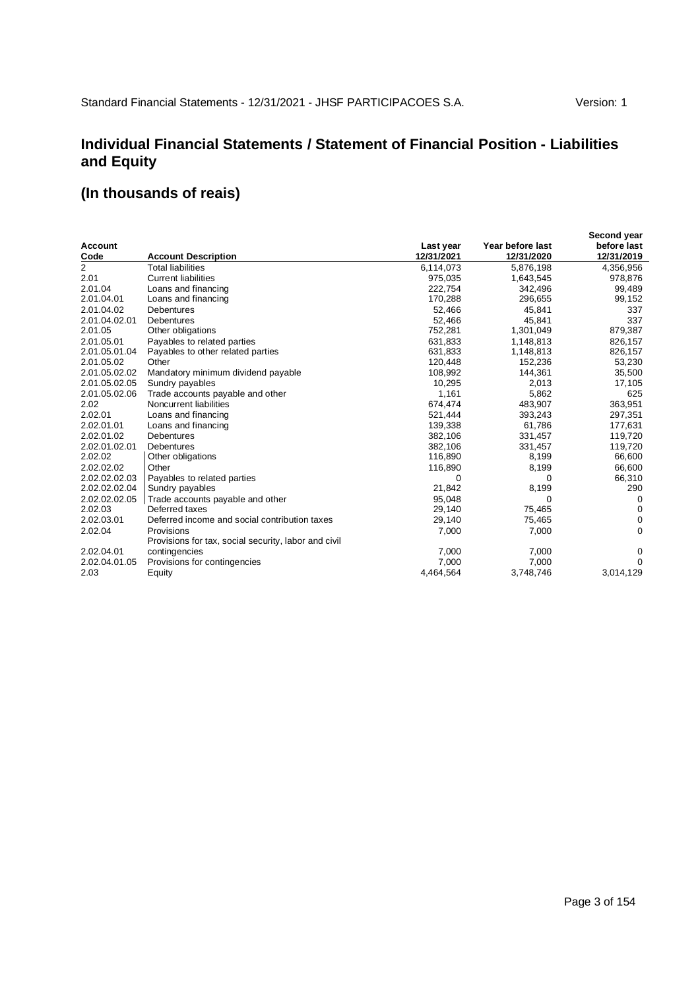### **Individual Financial Statements / Statement of Financial Position - Liabilities and Equity**

|                |                                                      |            |                  | Second year |
|----------------|------------------------------------------------------|------------|------------------|-------------|
| <b>Account</b> |                                                      | Last year  | Year before last | before last |
| Code           | <b>Account Description</b>                           | 12/31/2021 | 12/31/2020       | 12/31/2019  |
| $\overline{2}$ | <b>Total liabilities</b>                             | 6,114,073  | 5,876,198        | 4,356,956   |
| 2.01           | <b>Current liabilities</b>                           | 975,035    | 1,643,545        | 978,876     |
| 2.01.04        | Loans and financing                                  | 222,754    | 342,496          | 99,489      |
| 2.01.04.01     | Loans and financing                                  | 170,288    | 296,655          | 99,152      |
| 2.01.04.02     | <b>Debentures</b>                                    | 52,466     | 45,841           | 337         |
| 2.01.04.02.01  | <b>Debentures</b>                                    | 52,466     | 45,841           | 337         |
| 2.01.05        | Other obligations                                    | 752,281    | 1,301,049        | 879,387     |
| 2.01.05.01     | Payables to related parties                          | 631,833    | 1,148,813        | 826,157     |
| 2.01.05.01.04  | Payables to other related parties                    | 631,833    | 1,148,813        | 826,157     |
| 2.01.05.02     | Other                                                | 120,448    | 152,236          | 53,230      |
| 2.01.05.02.02  | Mandatory minimum dividend payable                   | 108,992    | 144,361          | 35,500      |
| 2.01.05.02.05  | Sundry payables                                      | 10,295     | 2,013            | 17,105      |
| 2.01.05.02.06  | Trade accounts payable and other                     | 1,161      | 5,862            | 625         |
| 2.02           | Noncurrent liabilities                               | 674,474    | 483,907          | 363,951     |
| 2.02.01        | Loans and financing                                  | 521,444    | 393,243          | 297,351     |
| 2.02.01.01     | Loans and financing                                  | 139,338    | 61,786           | 177,631     |
| 2.02.01.02     | <b>Debentures</b>                                    | 382,106    | 331,457          | 119,720     |
| 2.02.01.02.01  | Debentures                                           | 382,106    | 331,457          | 119,720     |
| 2.02.02        | Other obligations                                    | 116,890    | 8,199            | 66,600      |
| 2.02.02.02     | Other                                                | 116,890    | 8,199            | 66,600      |
| 2.02.02.02.03  | Payables to related parties                          | 0          | $\Omega$         | 66,310      |
| 2.02.02.02.04  | Sundry payables                                      | 21,842     | 8,199            | 290         |
| 2.02.02.02.05  | Trade accounts payable and other                     | 95,048     | 0                | 0           |
| 2.02.03        | Deferred taxes                                       | 29,140     | 75,465           | 0           |
| 2.02.03.01     | Deferred income and social contribution taxes        | 29,140     | 75,465           | 0           |
| 2.02.04        | Provisions                                           | 7,000      | 7,000            | $\Omega$    |
|                | Provisions for tax, social security, labor and civil |            |                  |             |
| 2.02.04.01     | contingencies                                        | 7,000      | 7,000            | 0           |
| 2.02.04.01.05  | Provisions for contingencies                         | 7,000      | 7,000            | $\Omega$    |
| 2.03           | Equity                                               | 4,464,564  | 3,748,746        | 3,014,129   |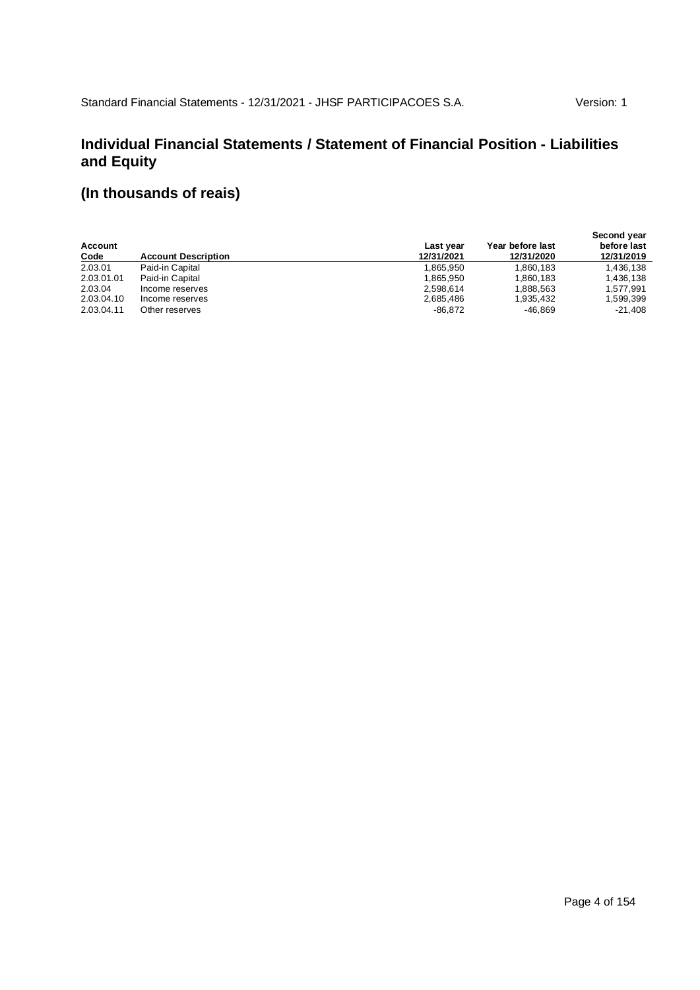### **Individual Financial Statements / Statement of Financial Position - Liabilities and Equity**

| Account<br>Code | <b>Account Description</b> | Last year<br>12/31/2021 | Year before last<br>12/31/2020 | Second year<br>before last<br>12/31/2019 |
|-----------------|----------------------------|-------------------------|--------------------------------|------------------------------------------|
| 2.03.01         | Paid-in Capital            | 1.865.950               | 1,860,183                      | 1,436,138                                |
| 2.03.01.01      | Paid-in Capital            | 1.865.950               | 1,860,183                      | 1,436,138                                |
| 2.03.04         | Income reserves            | 2.598.614               | 1,888,563                      | 1,577,991                                |
| 2.03.04.10      | Income reserves            | 2.685.486               | 1.935.432                      | 1,599,399                                |
| 2.03.04.11      | Other reserves             | $-86,872$               | -46.869                        | $-21.408$                                |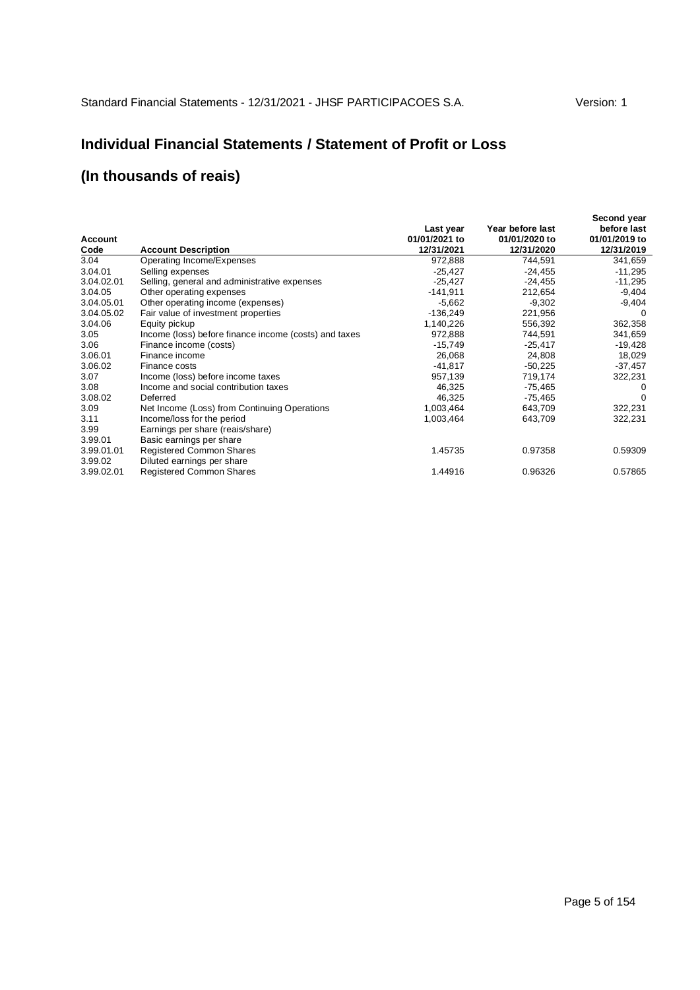### **Individual Financial Statements / Statement of Profit or Loss**

| Account<br>Code | <b>Account Description</b>                            | Last year<br>01/01/2021 to<br>12/31/2021 | Year before last<br>01/01/2020 to<br>12/31/2020 | Second year<br>before last<br>01/01/2019 to<br>12/31/2019 |
|-----------------|-------------------------------------------------------|------------------------------------------|-------------------------------------------------|-----------------------------------------------------------|
| 3.04            | Operating Income/Expenses                             | 972,888                                  | 744,591                                         | 341,659                                                   |
| 3.04.01         | Selling expenses                                      | $-25,427$                                | $-24,455$                                       | $-11,295$                                                 |
| 3.04.02.01      | Selling, general and administrative expenses          | $-25,427$                                | $-24,455$                                       | $-11,295$                                                 |
| 3.04.05         | Other operating expenses                              | $-141,911$                               | 212,654                                         | $-9,404$                                                  |
| 3.04.05.01      | Other operating income (expenses)                     | $-5,662$                                 | $-9,302$                                        | $-9,404$                                                  |
| 3.04.05.02      | Fair value of investment properties                   | $-136,249$                               | 221,956                                         | 0                                                         |
| 3.04.06         | Equity pickup                                         | 1,140,226                                | 556,392                                         | 362,358                                                   |
| 3.05            | Income (loss) before finance income (costs) and taxes | 972,888                                  | 744,591                                         | 341,659                                                   |
| 3.06            | Finance income (costs)                                | $-15,749$                                | $-25,417$                                       | $-19,428$                                                 |
| 3.06.01         | Finance income                                        | 26,068                                   | 24,808                                          | 18,029                                                    |
| 3.06.02         | Finance costs                                         | $-41,817$                                | $-50,225$                                       | $-37,457$                                                 |
| 3.07            | Income (loss) before income taxes                     | 957,139                                  | 719,174                                         | 322,231                                                   |
| 3.08            | Income and social contribution taxes                  | 46,325                                   | -75,465                                         | 0                                                         |
| 3.08.02         | Deferred                                              | 46,325                                   | $-75,465$                                       | 0                                                         |
| 3.09            | Net Income (Loss) from Continuing Operations          | 1,003,464                                | 643,709                                         | 322,231                                                   |
| 3.11            | Income/loss for the period                            | 1,003,464                                | 643,709                                         | 322,231                                                   |
| 3.99            | Earnings per share (reais/share)                      |                                          |                                                 |                                                           |
| 3.99.01         | Basic earnings per share                              |                                          |                                                 |                                                           |
| 3.99.01.01      | Registered Common Shares                              | 1.45735                                  | 0.97358                                         | 0.59309                                                   |
| 3.99.02         | Diluted earnings per share                            |                                          |                                                 |                                                           |
| 3.99.02.01      | <b>Registered Common Shares</b>                       | 1.44916                                  | 0.96326                                         | 0.57865                                                   |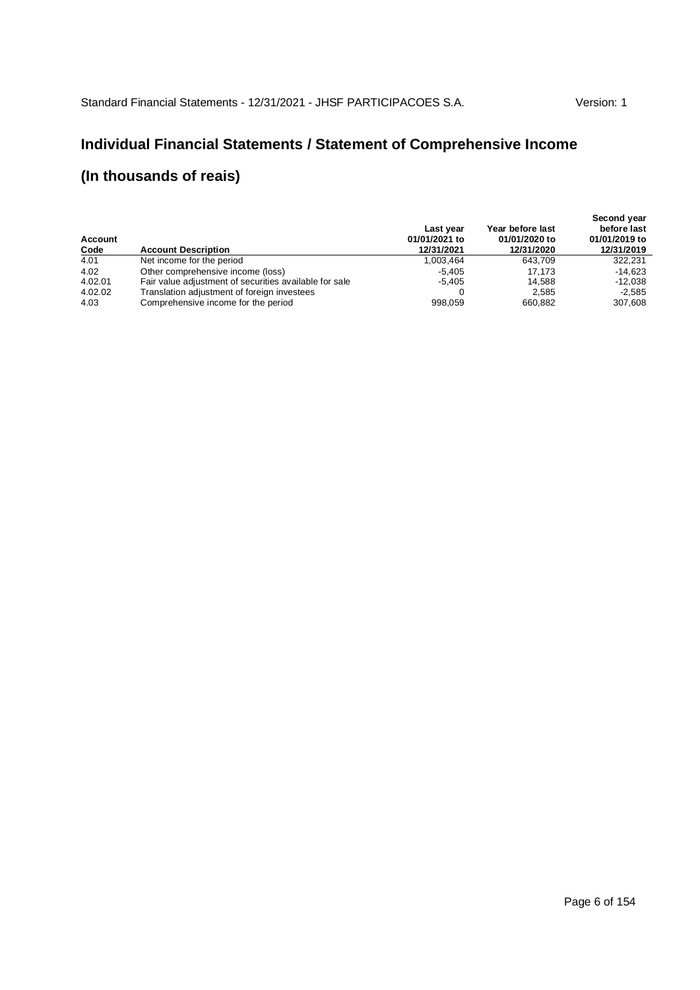# **Individual Financial Statements / Statement of Comprehensive Income**

| Account<br>Code | <b>Account Description</b>                             | Last year<br>01/01/2021 to<br>12/31/2021 | Year before last<br>01/01/2020 to<br>12/31/2020 | Second year<br>before last<br>01/01/2019 to<br>12/31/2019 |
|-----------------|--------------------------------------------------------|------------------------------------------|-------------------------------------------------|-----------------------------------------------------------|
| 4.01            | Net income for the period                              | 1.003.464                                | 643.709                                         | 322.231                                                   |
| 4.02            | Other comprehensive income (loss)                      | -5.405                                   | 17.173                                          | $-14.623$                                                 |
| 4.02.01         | Fair value adjustment of securities available for sale | $-5.405$                                 | 14.588                                          | $-12.038$                                                 |
| 4.02.02         | Translation adjustment of foreign investees            |                                          | 2.585                                           | $-2,585$                                                  |
| 4.03            | Comprehensive income for the period                    | 998.059                                  | 660,882                                         | 307,608                                                   |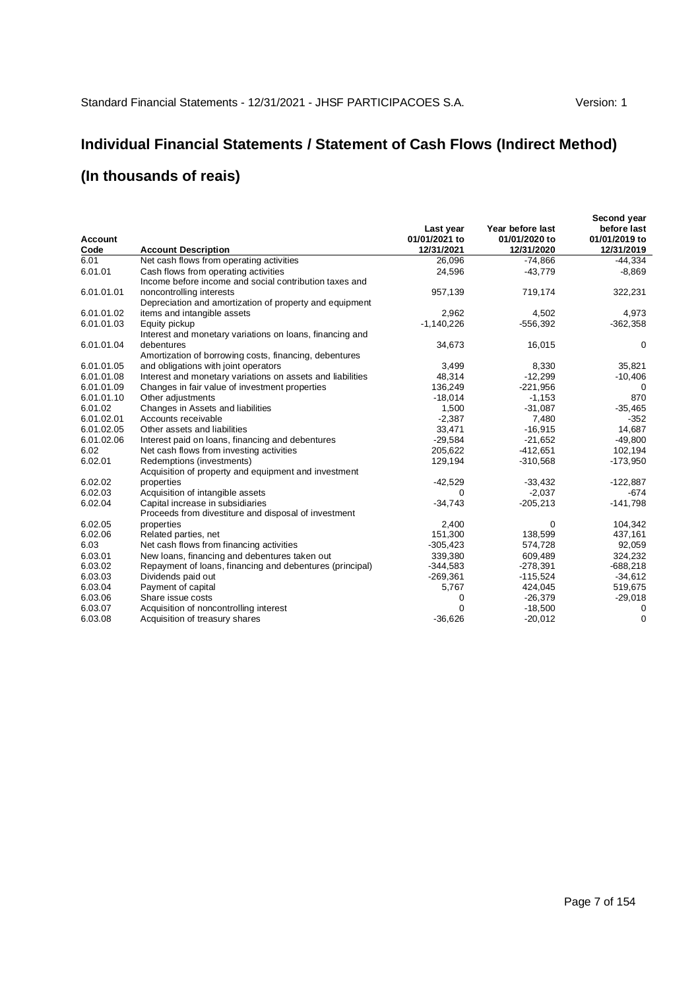# **Individual Financial Statements / Statement of Cash Flows (Indirect Method)**

| <b>Account</b><br>Code | <b>Account Description</b>                                                                     | Last year<br>01/01/2021 to<br>12/31/2021 | Year before last<br>01/01/2020 to<br>12/31/2020 | Second year<br>before last<br>01/01/2019 to<br>12/31/2019 |
|------------------------|------------------------------------------------------------------------------------------------|------------------------------------------|-------------------------------------------------|-----------------------------------------------------------|
| 6.01                   | Net cash flows from operating activities                                                       | 26,096                                   | $-74,866$                                       | $-44.334$                                                 |
| 6.01.01                | Cash flows from operating activities<br>Income before income and social contribution taxes and | 24,596                                   | $-43,779$                                       | $-8,869$                                                  |
| 6.01.01.01             | noncontrolling interests<br>Depreciation and amortization of property and equipment            | 957,139                                  | 719,174                                         | 322,231                                                   |
| 6.01.01.02             | items and intangible assets                                                                    | 2,962                                    | 4,502                                           | 4,973                                                     |
| 6.01.01.03             | Equity pickup<br>Interest and monetary variations on loans, financing and                      | $-1,140,226$                             | $-556.392$                                      | $-362,358$                                                |
| 6.01.01.04             | debentures<br>Amortization of borrowing costs, financing, debentures                           | 34,673                                   | 16,015                                          | 0                                                         |
| 6.01.01.05             | and obligations with joint operators                                                           | 3,499                                    | 8,330                                           | 35,821                                                    |
| 6.01.01.08             | Interest and monetary variations on assets and liabilities                                     | 48,314                                   | $-12,299$                                       | $-10,406$                                                 |
| 6.01.01.09             | Changes in fair value of investment properties                                                 | 136,249                                  | $-221,956$                                      | 0                                                         |
| 6.01.01.10             | Other adjustments                                                                              | $-18,014$                                | $-1,153$                                        | 870                                                       |
| 6.01.02                | Changes in Assets and liabilities                                                              | 1,500                                    | $-31,087$                                       | $-35,465$                                                 |
| 6.01.02.01             | Accounts receivable                                                                            | $-2,387$                                 | 7,480                                           | $-352$                                                    |
| 6.01.02.05             | Other assets and liabilities                                                                   | 33,471                                   | $-16.915$                                       | 14.687                                                    |
| 6.01.02.06             | Interest paid on loans, financing and debentures                                               | $-29,584$                                | $-21,652$                                       | $-49,800$                                                 |
| 6.02                   | Net cash flows from investing activities                                                       | 205,622                                  | $-412,651$                                      | 102,194                                                   |
| 6.02.01                | Redemptions (investments)<br>Acquisition of property and equipment and investment              | 129,194                                  | $-310,568$                                      | $-173,950$                                                |
| 6.02.02                | properties                                                                                     | $-42,529$                                | $-33.432$                                       | $-122,887$                                                |
| 6.02.03                | Acquisition of intangible assets                                                               | 0                                        | $-2,037$                                        | $-674$                                                    |
| 6.02.04                | Capital increase in subsidiaries<br>Proceeds from divestiture and disposal of investment       | $-34,743$                                | $-205,213$                                      | $-141,798$                                                |
| 6.02.05                | properties                                                                                     | 2,400                                    | 0                                               | 104,342                                                   |
| 6.02.06                | Related parties, net                                                                           | 151,300                                  | 138,599                                         | 437,161                                                   |
| 6.03                   | Net cash flows from financing activities                                                       | $-305,423$                               | 574,728                                         | 92,059                                                    |
| 6.03.01                | New loans, financing and debentures taken out                                                  | 339,380                                  | 609,489                                         | 324,232                                                   |
| 6.03.02                | Repayment of loans, financing and debentures (principal)                                       | $-344,583$                               | $-278,391$                                      | $-688,218$                                                |
| 6.03.03                | Dividends paid out                                                                             | $-269,361$                               | $-115,524$                                      | $-34,612$                                                 |
| 6.03.04                | Payment of capital                                                                             | 5,767                                    | 424,045                                         | 519,675                                                   |
| 6.03.06                | Share issue costs                                                                              | 0                                        | $-26,379$                                       | $-29,018$                                                 |
| 6.03.07                | Acquisition of noncontrolling interest                                                         | $\Omega$                                 | $-18,500$                                       | 0                                                         |
| 6.03.08                | Acquisition of treasury shares                                                                 | $-36.626$                                | $-20,012$                                       | $\Omega$                                                  |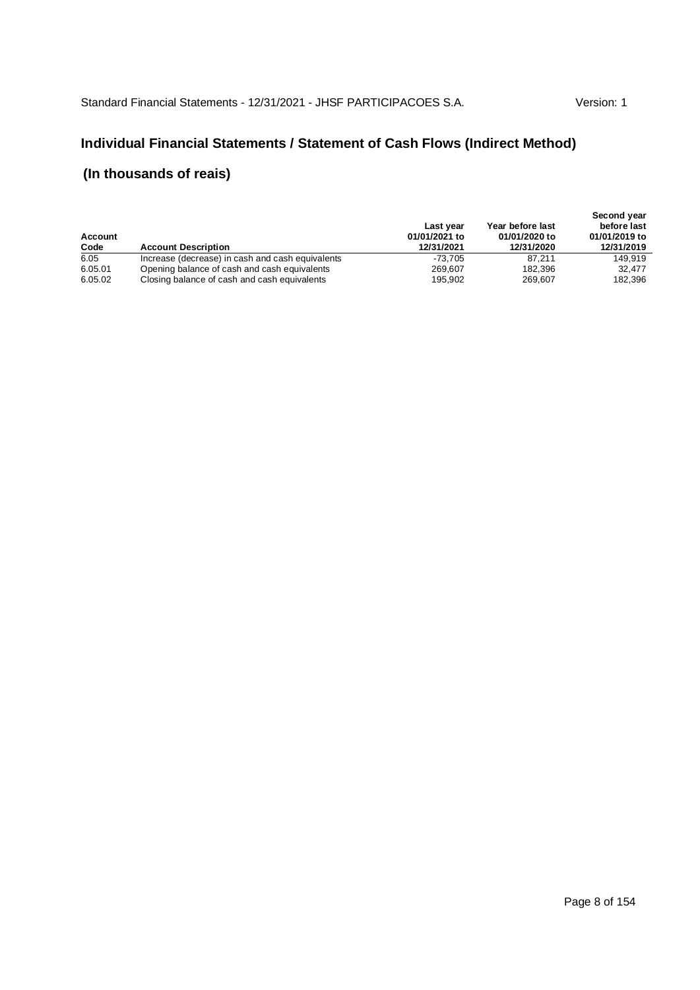#### **Individual Financial Statements / Statement of Cash Flows (Indirect Method)**

| Account<br>Code | <b>Account Description</b>                       | Last year<br>01/01/2021 to<br>12/31/2021 | Year before last<br>01/01/2020 to<br>12/31/2020 | Second year<br>before last<br>01/01/2019 to<br>12/31/2019 |
|-----------------|--------------------------------------------------|------------------------------------------|-------------------------------------------------|-----------------------------------------------------------|
| 6.05            | Increase (decrease) in cash and cash equivalents | -73.705                                  | 87.211                                          | 149.919                                                   |
| 6.05.01         | Opening balance of cash and cash equivalents     | 269.607                                  | 182,396                                         | 32,477                                                    |
| 6.05.02         | Closing balance of cash and cash equivalents     | 195.902                                  | 269.607                                         | 182,396                                                   |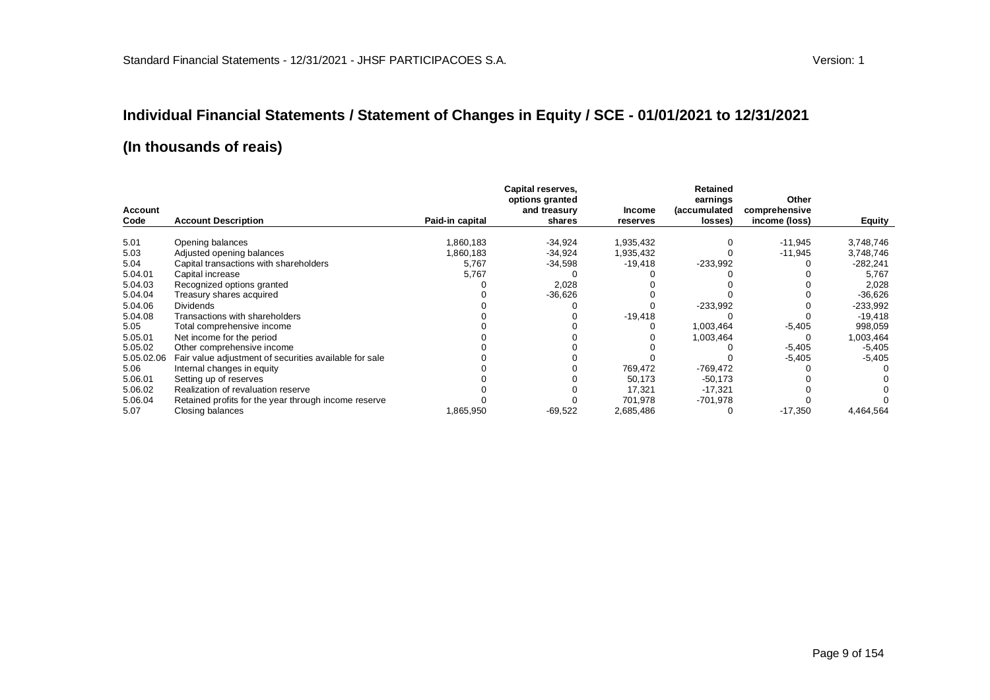#### **Individual Financial Statements / Statement of Changes in Equity / SCE - 01/01/2021 to 12/31/2021**

|                        |                                                        |                 | Capital reserves,<br>options granted |                    | <b>Retained</b><br>earnings | Other                          |            |
|------------------------|--------------------------------------------------------|-----------------|--------------------------------------|--------------------|-----------------------------|--------------------------------|------------|
| <b>Account</b><br>Code | <b>Account Description</b>                             | Paid-in capital | and treasury<br>shares               | Income<br>reserves | (accumulated<br>losses)     | comprehensive<br>income (loss) | Equity     |
|                        |                                                        |                 |                                      |                    |                             |                                |            |
| 5.01                   | Opening balances                                       | 1,860,183       | $-34,924$                            | 1,935,432          |                             | $-11,945$                      | 3,748,746  |
| 5.03                   | Adjusted opening balances                              | 1,860,183       | $-34,924$                            | 1,935,432          |                             | $-11,945$                      | 3,748,746  |
| 5.04                   | Capital transactions with shareholders                 | 5,767           | $-34,598$                            | $-19,418$          | $-233,992$                  |                                | $-282,241$ |
| 5.04.01                | Capital increase                                       | 5,767           |                                      |                    |                             |                                | 5,767      |
| 5.04.03                | Recognized options granted                             |                 | 2,028                                |                    |                             |                                | 2,028      |
| 5.04.04                | Treasury shares acquired                               |                 | $-36,626$                            |                    |                             |                                | $-36,626$  |
| 5.04.06                | <b>Dividends</b>                                       |                 |                                      |                    | $-233,992$                  |                                | $-233,992$ |
| 5.04.08                | Transactions with shareholders                         |                 |                                      | $-19,418$          |                             |                                | $-19,418$  |
| 5.05                   | Total comprehensive income                             |                 |                                      |                    | 1,003,464                   | $-5,405$                       | 998,059    |
| 5.05.01                | Net income for the period                              |                 |                                      |                    | 1,003,464                   | 0                              | 1,003,464  |
| 5.05.02                | Other comprehensive income                             |                 |                                      |                    |                             | $-5,405$                       | $-5,405$   |
| 5.05.02.06             | Fair value adjustment of securities available for sale |                 |                                      |                    |                             | $-5,405$                       | $-5,405$   |
| 5.06                   | Internal changes in equity                             |                 |                                      | 769,472            | -769,472                    |                                |            |
| 5.06.01                | Setting up of reserves                                 |                 |                                      | 50,173             | $-50,173$                   |                                |            |
| 5.06.02                | Realization of revaluation reserve                     |                 |                                      | 17.321             | $-17,321$                   |                                |            |
| 5.06.04                | Retained profits for the year through income reserve   |                 |                                      | 701,978            | $-701,978$                  |                                |            |
| 5.07                   | Closing balances                                       | 1,865,950       | $-69,522$                            | 2,685,486          |                             | $-17,350$                      | 4,464,564  |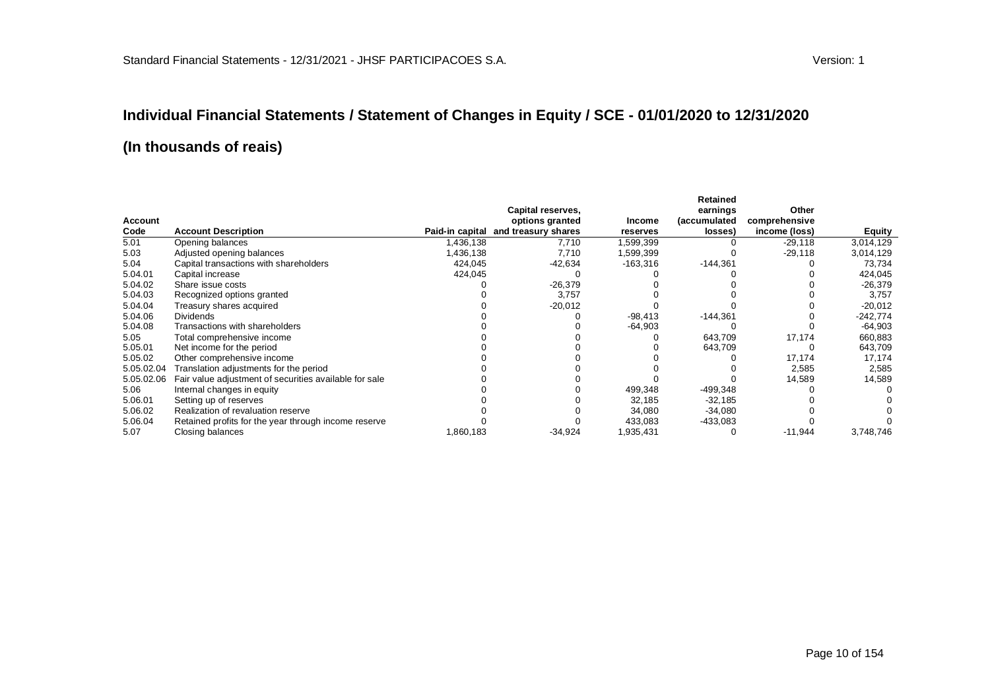# **Individual Financial Statements / Statement of Changes in Equity / SCE - 01/01/2020 to 12/31/2020**

|            |                                                        |                 | Capital reserves,   |            | Retained<br>earnings | Other         |            |
|------------|--------------------------------------------------------|-----------------|---------------------|------------|----------------------|---------------|------------|
| Account    |                                                        |                 | options granted     | Income     | (accumulated         | comprehensive |            |
| Code       | <b>Account Description</b>                             | Paid-in capital | and treasury shares | reserves   | losses)              | income (loss) | Equity     |
| 5.01       | Opening balances                                       | 1,436,138       | 7,710               | 1,599,399  |                      | $-29,118$     | 3,014,129  |
| 5.03       | Adjusted opening balances                              | 1,436,138       | 7,710               | 1,599,399  |                      | $-29,118$     | 3,014,129  |
| 5.04       | Capital transactions with shareholders                 | 424,045         | -42,634             | $-163,316$ | $-144,361$           |               | 73,734     |
| 5.04.01    | Capital increase                                       | 424,045         |                     |            |                      |               | 424,045    |
| 5.04.02    | Share issue costs                                      |                 | $-26,379$           |            |                      |               | -26,379    |
| 5.04.03    | Recognized options granted                             |                 | 3,757               |            |                      |               | 3,757      |
| 5.04.04    | Treasury shares acquired                               |                 | $-20,012$           |            |                      |               | $-20,012$  |
| 5.04.06    | <b>Dividends</b>                                       |                 |                     | $-98,413$  | $-144,361$           |               | $-242,774$ |
| 5.04.08    | Transactions with shareholders                         |                 |                     | $-64,903$  |                      |               | -64,903    |
| 5.05       | Total comprehensive income                             |                 |                     |            | 643,709              | 17,174        | 660,883    |
| 5.05.01    | Net income for the period                              |                 |                     |            | 643,709              |               | 643,709    |
| 5.05.02    | Other comprehensive income                             |                 |                     |            |                      | 17,174        | 17,174     |
| 5.05.02.04 | Translation adjustments for the period                 |                 |                     |            |                      | 2,585         | 2,585      |
| 5.05.02.06 | Fair value adjustment of securities available for sale |                 |                     |            |                      | 14,589        | 14,589     |
| 5.06       | Internal changes in equity                             |                 |                     | 499,348    | $-499,348$           |               |            |
| 5.06.01    | Setting up of reserves                                 |                 |                     | 32,185     | $-32,185$            |               |            |
| 5.06.02    | Realization of revaluation reserve                     |                 |                     | 34,080     | $-34,080$            |               |            |
| 5.06.04    | Retained profits for the year through income reserve   |                 |                     | 433,083    | $-433,083$           |               |            |
| 5.07       | Closing balances                                       | 1,860,183       | $-34,924$           | 1,935,431  |                      | $-11,944$     | 3,748,746  |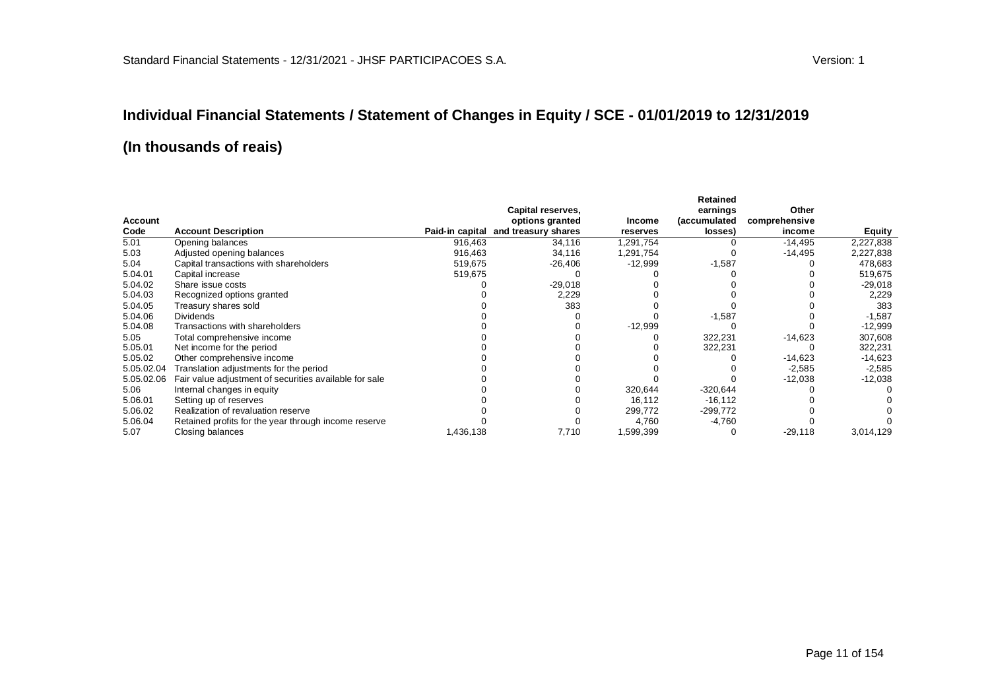# **Individual Financial Statements / Statement of Changes in Equity / SCE - 01/01/2019 to 12/31/2019**

|            |                                                        |           |                                     |           | Retained     |               |           |
|------------|--------------------------------------------------------|-----------|-------------------------------------|-----------|--------------|---------------|-----------|
|            |                                                        |           | Capital reserves,                   |           | earnings     | Other         |           |
| Account    |                                                        |           | options granted                     | Income    | (accumulated | comprehensive |           |
| Code       | <b>Account Description</b>                             |           | Paid-in capital and treasury shares | reserves  | losses)      | income        | Equity    |
| 5.01       | Opening balances                                       | 916,463   | 34,116                              | .291,754  |              | $-14,495$     | 2,227,838 |
| 5.03       | Adjusted opening balances                              | 916,463   | 34,116                              | .291,754  |              | $-14,495$     | 2,227,838 |
| 5.04       | Capital transactions with shareholders                 | 519,675   | $-26,406$                           | $-12,999$ | $-1,587$     |               | 478,683   |
| 5.04.01    | Capital increase                                       | 519,675   |                                     |           |              |               | 519,675   |
| 5.04.02    | Share issue costs                                      |           | $-29,018$                           |           |              |               | $-29,018$ |
| 5.04.03    | Recognized options granted                             |           | 2,229                               |           |              |               | 2,229     |
| 5.04.05    | Treasury shares sold                                   |           | 383                                 |           |              |               | 383       |
| 5.04.06    | <b>Dividends</b>                                       |           |                                     |           | $-1,587$     |               | $-1,587$  |
| 5.04.08    | Transactions with shareholders                         |           |                                     | $-12,999$ |              |               | $-12,999$ |
| 5.05       | Total comprehensive income                             |           |                                     |           | 322,231      | $-14,623$     | 307,608   |
| 5.05.01    | Net income for the period                              |           |                                     |           | 322,231      |               | 322,231   |
| 5.05.02    | Other comprehensive income                             |           |                                     |           |              | $-14,623$     | $-14,623$ |
| 5.05.02.04 | Translation adjustments for the period                 |           |                                     |           |              | $-2,585$      | $-2,585$  |
| 5.05.02.06 | Fair value adjustment of securities available for sale |           |                                     |           |              | $-12,038$     | $-12,038$ |
| 5.06       | Internal changes in equity                             |           |                                     | 320,644   | -320,644     |               |           |
| 5.06.01    | Setting up of reserves                                 |           |                                     | 16,112    | $-16, 112$   |               |           |
| 5.06.02    | Realization of revaluation reserve                     |           |                                     | 299,772   | $-299,772$   |               |           |
| 5.06.04    | Retained profits for the year through income reserve   |           |                                     | 4,760     | $-4,760$     |               |           |
| 5.07       | Closing balances                                       | 1,436,138 | 7,710                               | .599,399  |              | $-29,118$     | 3,014,129 |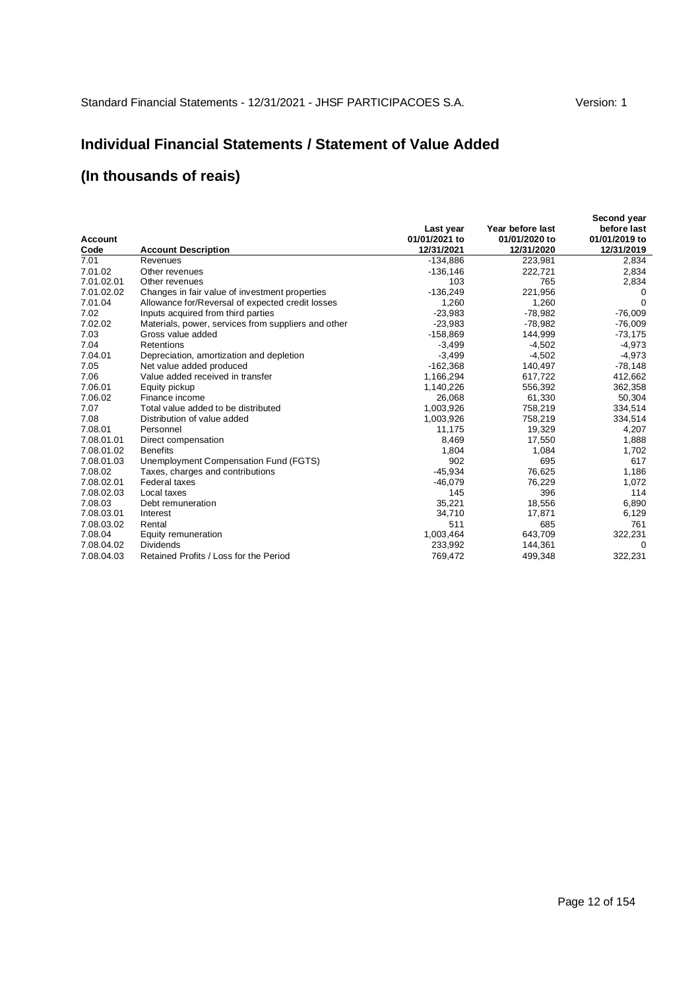### **Individual Financial Statements / Statement of Value Added**

| Account<br>Code | <b>Account Description</b>                          | Last year<br>01/01/2021 to<br>12/31/2021 | Year before last<br>01/01/2020 to<br>12/31/2020 | Second year<br>before last<br>01/01/2019 to<br>12/31/2019 |
|-----------------|-----------------------------------------------------|------------------------------------------|-------------------------------------------------|-----------------------------------------------------------|
| 7.01            | Revenues                                            | $-134.886$                               | 223,981                                         | 2,834                                                     |
| 7.01.02         | Other revenues                                      | $-136, 146$                              | 222,721                                         | 2,834                                                     |
| 7.01.02.01      | Other revenues                                      | 103                                      | 765                                             | 2,834                                                     |
| 7.01.02.02      | Changes in fair value of investment properties      | $-136.249$                               | 221,956                                         | 0                                                         |
| 7.01.04         | Allowance for/Reversal of expected credit losses    | 1,260                                    | 1,260                                           | 0                                                         |
| 7.02            | Inputs acquired from third parties                  | $-23,983$                                | $-78,982$                                       | $-76,009$                                                 |
| 7.02.02         | Materials, power, services from suppliers and other | $-23,983$                                | -78,982                                         | $-76,009$                                                 |
| 7.03            | Gross value added                                   | $-158,869$                               | 144,999                                         | $-73,175$                                                 |
| 7.04            | Retentions                                          | $-3,499$                                 | $-4.502$                                        | $-4.973$                                                  |
| 7.04.01         | Depreciation, amortization and depletion            | $-3,499$                                 | $-4,502$                                        | $-4,973$                                                  |
| 7.05            | Net value added produced                            | $-162,368$                               | 140,497                                         | $-78,148$                                                 |
| 7.06            | Value added received in transfer                    | 1,166,294                                | 617.722                                         | 412,662                                                   |
| 7.06.01         | Equity pickup                                       | 1,140,226                                | 556,392                                         | 362,358                                                   |
| 7.06.02         | Finance income                                      | 26.068                                   | 61,330                                          | 50,304                                                    |
| 7.07            | Total value added to be distributed                 | 1,003,926                                | 758,219                                         | 334,514                                                   |
| 7.08            | Distribution of value added                         | 1,003,926                                | 758,219                                         | 334,514                                                   |
| 7.08.01         | Personnel                                           | 11,175                                   | 19,329                                          | 4,207                                                     |
| 7.08.01.01      | Direct compensation                                 | 8,469                                    | 17,550                                          | 1,888                                                     |
| 7.08.01.02      | <b>Benefits</b>                                     | 1,804                                    | 1,084                                           | 1,702                                                     |
| 7.08.01.03      | Unemployment Compensation Fund (FGTS)               | 902                                      | 695                                             | 617                                                       |
| 7.08.02         | Taxes, charges and contributions                    | $-45,934$                                | 76,625                                          | 1,186                                                     |
| 7.08.02.01      | <b>Federal taxes</b>                                | $-46,079$                                | 76,229                                          | 1,072                                                     |
| 7.08.02.03      | Local taxes                                         | 145                                      | 396                                             | 114                                                       |
| 7.08.03         | Debt remuneration                                   | 35,221                                   | 18,556                                          | 6,890                                                     |
| 7.08.03.01      | Interest                                            | 34,710                                   | 17,871                                          | 6,129                                                     |
| 7.08.03.02      | Rental                                              | 511                                      | 685                                             | 761                                                       |
| 7.08.04         | Equity remuneration                                 | 1,003,464                                | 643,709                                         | 322,231                                                   |
| 7.08.04.02      | <b>Dividends</b>                                    | 233,992                                  | 144,361                                         | 0                                                         |
| 7.08.04.03      | Retained Profits / Loss for the Period              | 769,472                                  | 499,348                                         | 322,231                                                   |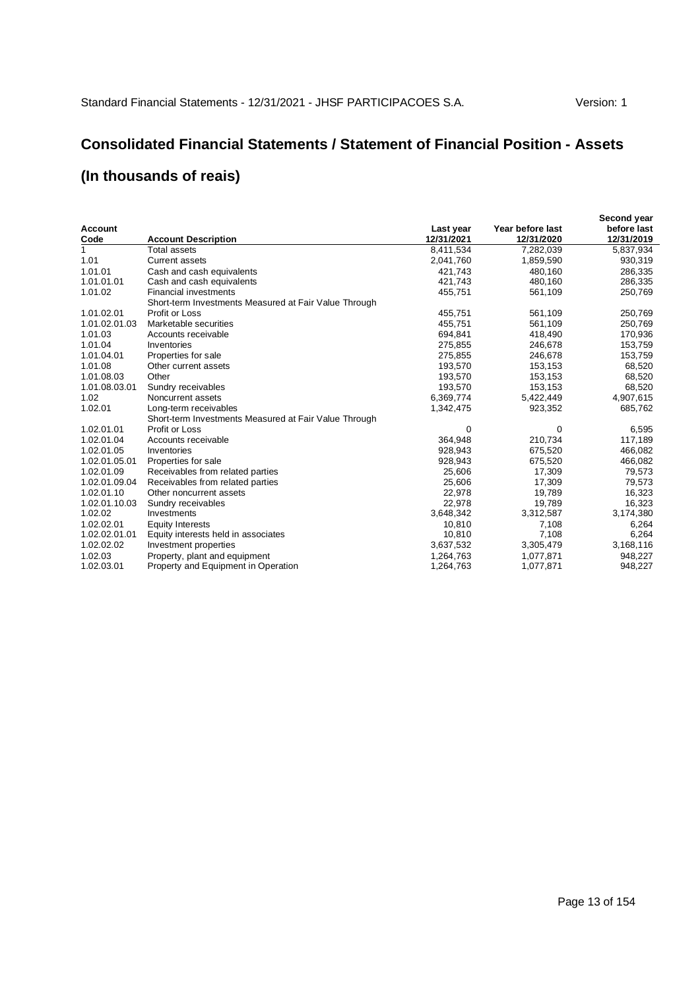# **Consolidated Financial Statements / Statement of Financial Position - Assets**

|                |                                                       |            |                  | Second year |
|----------------|-------------------------------------------------------|------------|------------------|-------------|
| <b>Account</b> |                                                       | Last year  | Year before last | before last |
| Code           | <b>Account Description</b>                            | 12/31/2021 | 12/31/2020       | 12/31/2019  |
| 1              | Total assets                                          | 8,411,534  | 7,282,039        | 5,837,934   |
| 1.01           | <b>Current assets</b>                                 | 2,041,760  | 1,859,590        | 930,319     |
| 1.01.01        | Cash and cash equivalents                             | 421,743    | 480,160          | 286,335     |
| 1.01.01.01     | Cash and cash equivalents                             | 421,743    | 480,160          | 286,335     |
| 1.01.02        | <b>Financial investments</b>                          | 455,751    | 561,109          | 250,769     |
|                | Short-term Investments Measured at Fair Value Through |            |                  |             |
| 1.01.02.01     | Profit or Loss                                        | 455,751    | 561,109          | 250,769     |
| 1.01.02.01.03  | Marketable securities                                 | 455,751    | 561,109          | 250,769     |
| 1.01.03        | Accounts receivable                                   | 694,841    | 418,490          | 170,936     |
| 1.01.04        | Inventories                                           | 275,855    | 246,678          | 153,759     |
| 1.01.04.01     | Properties for sale                                   | 275,855    | 246,678          | 153,759     |
| 1.01.08        | Other current assets                                  | 193,570    | 153,153          | 68,520      |
| 1.01.08.03     | Other                                                 | 193,570    | 153,153          | 68,520      |
| 1.01.08.03.01  | Sundry receivables                                    | 193,570    | 153,153          | 68,520      |
| 1.02           | Noncurrent assets                                     | 6,369,774  | 5,422,449        | 4,907,615   |
| 1.02.01        | Long-term receivables                                 | 1,342,475  | 923,352          | 685,762     |
|                | Short-term Investments Measured at Fair Value Through |            |                  |             |
| 1.02.01.01     | Profit or Loss                                        | 0          | 0                | 6,595       |
| 1.02.01.04     | Accounts receivable                                   | 364,948    | 210,734          | 117,189     |
| 1.02.01.05     | Inventories                                           | 928,943    | 675,520          | 466,082     |
| 1.02.01.05.01  | Properties for sale                                   | 928,943    | 675,520          | 466,082     |
| 1.02.01.09     | Receivables from related parties                      | 25,606     | 17,309           | 79,573      |
| 1.02.01.09.04  | Receivables from related parties                      | 25,606     | 17,309           | 79,573      |
| 1.02.01.10     | Other noncurrent assets                               | 22,978     | 19,789           | 16,323      |
| 1.02.01.10.03  | Sundry receivables                                    | 22,978     | 19,789           | 16,323      |
| 1.02.02        | Investments                                           | 3,648,342  | 3,312,587        | 3,174,380   |
| 1.02.02.01     | <b>Equity Interests</b>                               | 10,810     | 7,108            | 6,264       |
| 1.02.02.01.01  | Equity interests held in associates                   | 10,810     | 7,108            | 6,264       |
| 1.02.02.02     | Investment properties                                 | 3,637,532  | 3,305,479        | 3,168,116   |
| 1.02.03        | Property, plant and equipment                         | 1,264,763  | 1,077,871        | 948,227     |
| 1.02.03.01     | Property and Equipment in Operation                   | 1,264,763  | 1,077,871        | 948,227     |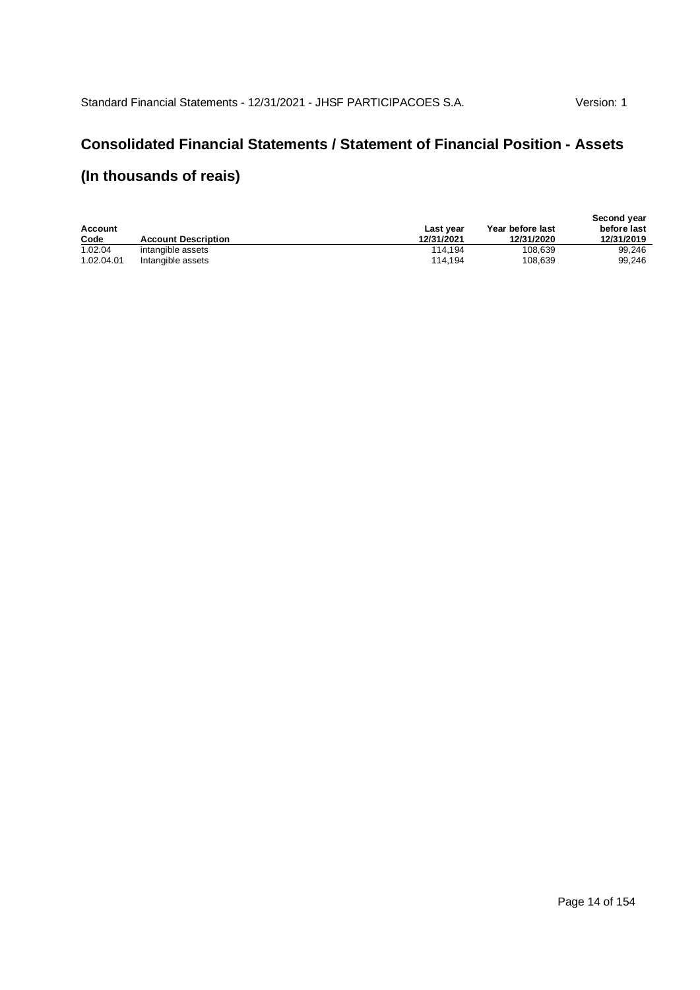## **Consolidated Financial Statements / Statement of Financial Position - Assets**

| Account    |                            | Last vear  | Year before last | Second year<br>before last |
|------------|----------------------------|------------|------------------|----------------------------|
| Code       | <b>Account Description</b> | 12/31/2021 | 12/31/2020       | 12/31/2019                 |
| 1.02.04    | intangible assets          | 114.194    | 108.639          | 99.246                     |
| 1.02.04.01 | Intangible assets          | 114.194    | 108.639          | 99.246                     |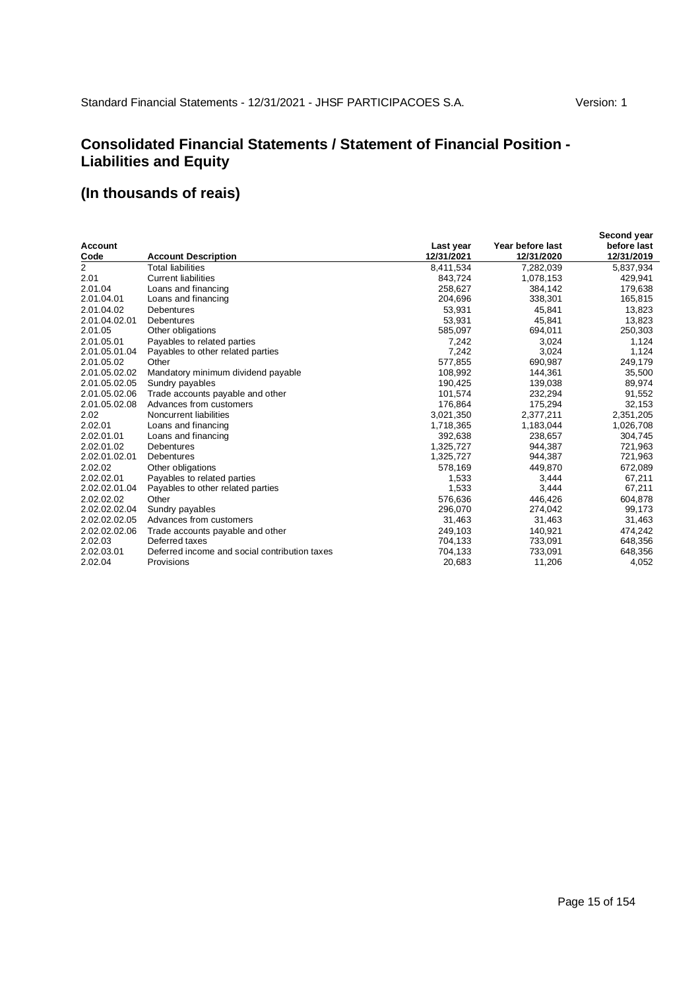### **Consolidated Financial Statements / Statement of Financial Position - Liabilities and Equity**

|                |                                               |            |                  | Second year |
|----------------|-----------------------------------------------|------------|------------------|-------------|
| Account        |                                               | Last year  | Year before last | before last |
| Code           | <b>Account Description</b>                    | 12/31/2021 | 12/31/2020       | 12/31/2019  |
| $\overline{2}$ | <b>Total liabilities</b>                      | 8,411,534  | 7,282,039        | 5,837,934   |
| 2.01           | <b>Current liabilities</b>                    | 843,724    | 1,078,153        | 429,941     |
| 2.01.04        | Loans and financing                           | 258,627    | 384,142          | 179,638     |
| 2.01.04.01     | Loans and financing                           | 204,696    | 338,301          | 165,815     |
| 2.01.04.02     | <b>Debentures</b>                             | 53,931     | 45,841           | 13,823      |
| 2.01.04.02.01  | <b>Debentures</b>                             | 53,931     | 45,841           | 13.823      |
| 2.01.05        | Other obligations                             | 585,097    | 694,011          | 250,303     |
| 2.01.05.01     | Payables to related parties                   | 7,242      | 3,024            | 1,124       |
| 2.01.05.01.04  | Payables to other related parties             | 7,242      | 3,024            | 1,124       |
| 2.01.05.02     | Other                                         | 577,855    | 690,987          | 249,179     |
| 2.01.05.02.02  | Mandatory minimum dividend payable            | 108,992    | 144,361          | 35,500      |
| 2.01.05.02.05  | Sundry payables                               | 190,425    | 139,038          | 89,974      |
| 2.01.05.02.06  | Trade accounts payable and other              | 101,574    | 232,294          | 91,552      |
| 2.01.05.02.08  | Advances from customers                       | 176.864    | 175,294          | 32,153      |
| 2.02           | Noncurrent liabilities                        | 3,021,350  | 2,377,211        | 2,351,205   |
| 2.02.01        | Loans and financing                           | 1,718,365  | 1,183,044        | 1,026,708   |
| 2.02.01.01     | Loans and financing                           | 392,638    | 238,657          | 304,745     |
| 2.02.01.02     | <b>Debentures</b>                             | 1,325,727  | 944,387          | 721,963     |
| 2.02.01.02.01  | <b>Debentures</b>                             | 1,325,727  | 944,387          | 721,963     |
| 2.02.02        | Other obligations                             | 578,169    | 449,870          | 672,089     |
| 2.02.02.01     | Payables to related parties                   | 1,533      | 3,444            | 67,211      |
| 2.02.02.01.04  | Payables to other related parties             | 1,533      | 3,444            | 67,211      |
| 2.02.02.02     | Other                                         | 576.636    | 446.426          | 604,878     |
| 2.02.02.02.04  | Sundry payables                               | 296,070    | 274,042          | 99,173      |
| 2.02.02.02.05  | Advances from customers                       | 31,463     | 31,463           | 31,463      |
| 2.02.02.02.06  | Trade accounts payable and other              | 249,103    | 140,921          | 474,242     |
| 2.02.03        | Deferred taxes                                | 704,133    | 733,091          | 648,356     |
| 2.02.03.01     | Deferred income and social contribution taxes | 704,133    | 733,091          | 648,356     |
| 2.02.04        | Provisions                                    | 20,683     | 11,206           | 4,052       |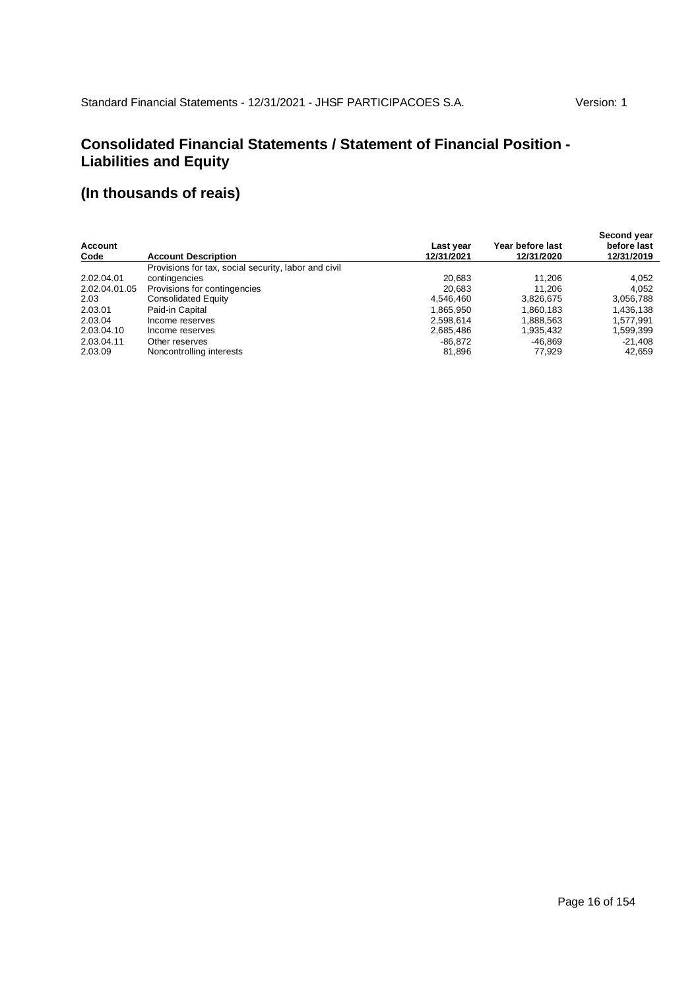### **Consolidated Financial Statements / Statement of Financial Position - Liabilities and Equity**

| <b>Account</b><br>Code | <b>Account Description</b>                           | Last year<br>12/31/2021 | Year before last<br>12/31/2020 | Second year<br>before last<br>12/31/2019 |
|------------------------|------------------------------------------------------|-------------------------|--------------------------------|------------------------------------------|
|                        | Provisions for tax, social security, labor and civil |                         |                                |                                          |
| 2.02.04.01             | contingencies                                        | 20.683                  | 11.206                         | 4,052                                    |
| 2.02.04.01.05          | Provisions for contingencies                         | 20.683                  | 11.206                         | 4.052                                    |
| 2.03                   | Consolidated Equity                                  | 4.546.460               | 3,826,675                      | 3,056,788                                |
| 2.03.01                | Paid-in Capital                                      | 1,865,950               | 1,860,183                      | 1,436,138                                |
| 2.03.04                | Income reserves                                      | 2,598,614               | 1,888,563                      | 1.577.991                                |
| 2.03.04.10             | Income reserves                                      | 2,685,486               | 1,935,432                      | 1,599,399                                |
| 2.03.04.11             | Other reserves                                       | $-86.872$               | $-46.869$                      | $-21.408$                                |
| 2.03.09                | Noncontrolling interests                             | 81,896                  | 77,929                         | 42,659                                   |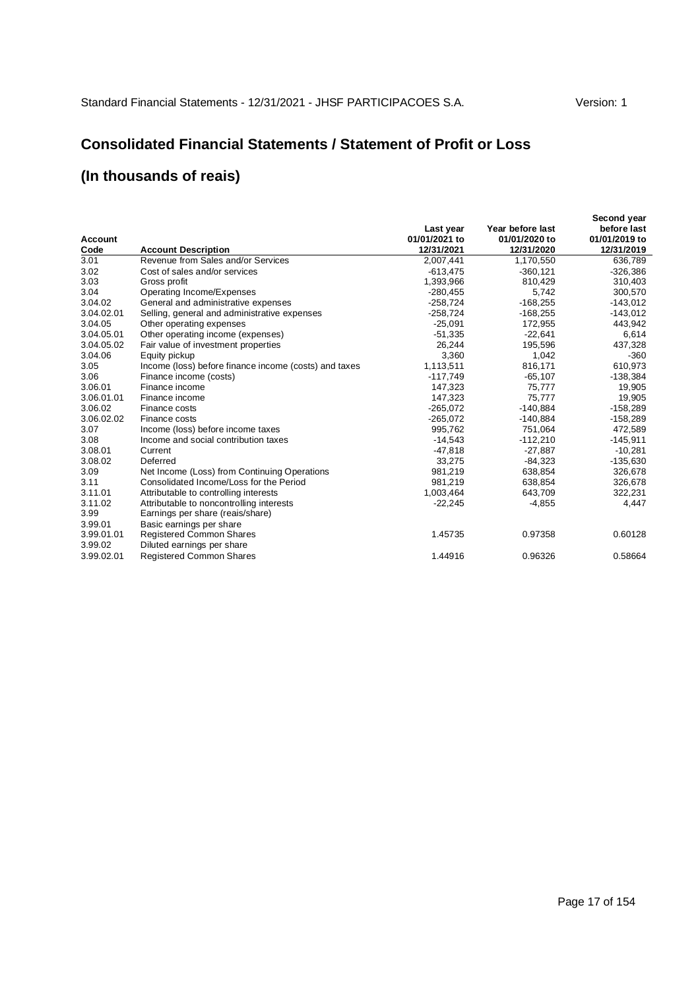## **Consolidated Financial Statements / Statement of Profit or Loss**

| Account<br>Code            | <b>Account Description</b>                                                                               | Last year<br>01/01/2021 to<br>12/31/2021 | Year before last<br>01/01/2020 to<br>12/31/2020 | Second year<br>before last<br>01/01/2019 to<br>12/31/2019 |
|----------------------------|----------------------------------------------------------------------------------------------------------|------------------------------------------|-------------------------------------------------|-----------------------------------------------------------|
| 3.01                       | Revenue from Sales and/or Services                                                                       | 2,007,441                                | 1,170,550                                       | 636,789                                                   |
| 3.02                       | Cost of sales and/or services                                                                            | $-613,475$                               | $-360, 121$                                     | $-326,386$                                                |
| 3.03                       | Gross profit                                                                                             | 1,393,966                                | 810,429                                         | 310,403                                                   |
| 3.04                       | Operating Income/Expenses                                                                                | $-280,455$                               | 5,742                                           | 300,570                                                   |
| 3.04.02                    | General and administrative expenses                                                                      | $-258,724$                               | $-168,255$                                      | $-143,012$                                                |
| 3.04.02.01                 | Selling, general and administrative expenses                                                             | $-258,724$                               | $-168,255$                                      | $-143,012$                                                |
| 3.04.05                    | Other operating expenses                                                                                 | $-25,091$                                | 172,955                                         | 443,942                                                   |
| 3.04.05.01                 | Other operating income (expenses)                                                                        | $-51,335$                                | $-22,641$                                       | 6,614                                                     |
| 3.04.05.02                 | Fair value of investment properties                                                                      | 26,244                                   | 195,596                                         | 437,328                                                   |
| 3.04.06                    | Equity pickup                                                                                            | 3,360                                    | 1,042                                           | $-360$                                                    |
| 3.05                       | Income (loss) before finance income (costs) and taxes                                                    | 1,113,511                                | 816,171                                         | 610,973                                                   |
| 3.06                       | Finance income (costs)                                                                                   | $-117,749$                               | $-65,107$                                       | $-138,384$                                                |
| 3.06.01                    | Finance income                                                                                           | 147,323                                  | 75,777                                          | 19,905                                                    |
| 3.06.01.01                 | Finance income                                                                                           | 147,323                                  | 75,777                                          | 19,905                                                    |
| 3.06.02                    | Finance costs                                                                                            | $-265,072$                               | $-140,884$                                      | $-158,289$                                                |
| 3.06.02.02                 | Finance costs                                                                                            | $-265,072$                               | $-140,884$                                      | $-158,289$                                                |
| 3.07                       | Income (loss) before income taxes                                                                        | 995,762                                  | 751,064                                         | 472,589                                                   |
| 3.08                       | Income and social contribution taxes                                                                     | $-14.543$                                | $-112,210$                                      | $-145,911$                                                |
| 3.08.01                    | Current                                                                                                  | -47,818                                  | $-27,887$                                       | $-10,281$                                                 |
| 3.08.02                    | Deferred                                                                                                 | 33,275                                   | $-84,323$                                       | $-135,630$                                                |
| 3.09                       | Net Income (Loss) from Continuing Operations                                                             | 981,219                                  | 638,854                                         | 326,678                                                   |
| 3.11                       | Consolidated Income/Loss for the Period                                                                  | 981,219                                  | 638,854                                         | 326,678                                                   |
| 3.11.01                    | Attributable to controlling interests                                                                    | 1,003,464                                | 643,709                                         | 322,231                                                   |
| 3.11.02<br>3.99<br>3.99.01 | Attributable to noncontrolling interests<br>Earnings per share (reais/share)<br>Basic earnings per share | $-22,245$                                | $-4,855$                                        | 4,447                                                     |
| 3.99.01.01<br>3.99.02      | Registered Common Shares<br>Diluted earnings per share                                                   | 1.45735                                  | 0.97358                                         | 0.60128                                                   |
| 3.99.02.01                 | <b>Registered Common Shares</b>                                                                          | 1.44916                                  | 0.96326                                         | 0.58664                                                   |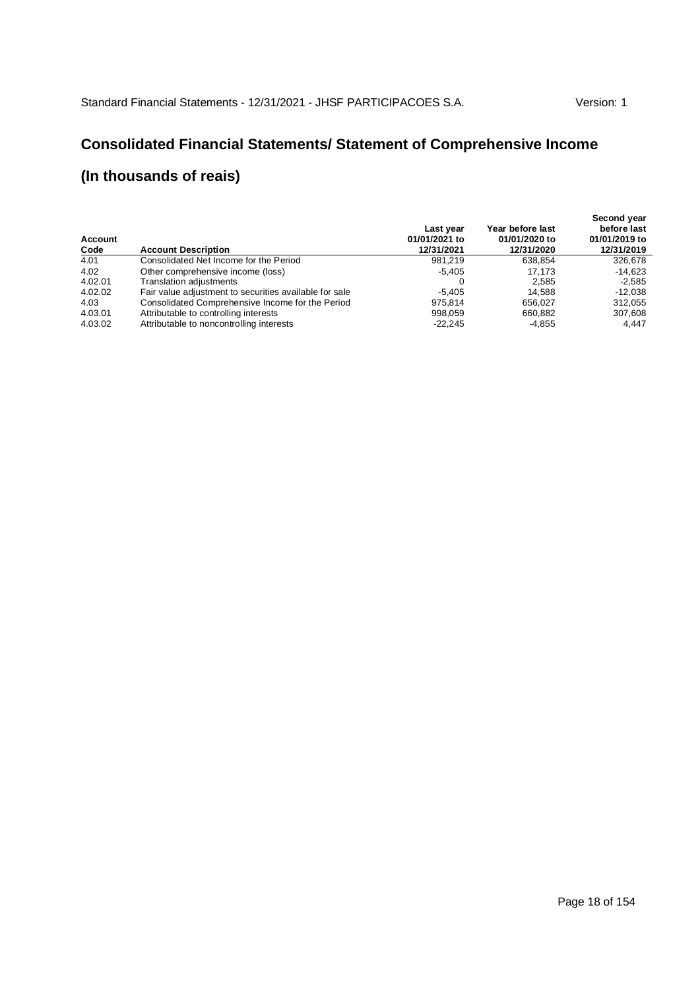# **Consolidated Financial Statements/ Statement of Comprehensive Income**

| Account<br>Code | <b>Account Description</b>                             | Last year<br>01/01/2021 to<br>12/31/2021 | Year before last<br>01/01/2020 to<br>12/31/2020 | Second year<br>before last<br>01/01/2019 to<br>12/31/2019 |
|-----------------|--------------------------------------------------------|------------------------------------------|-------------------------------------------------|-----------------------------------------------------------|
| 4.01            | Consolidated Net Income for the Period                 | 981.219                                  | 638.854                                         | 326,678                                                   |
| 4.02            | Other comprehensive income (loss)                      | $-5.405$                                 | 17.173                                          | -14.623                                                   |
| 4.02.01         | Translation adjustments                                |                                          | 2.585                                           | $-2.585$                                                  |
| 4.02.02         | Fair value adjustment to securities available for sale | $-5.405$                                 | 14.588                                          | $-12,038$                                                 |
| 4.03            | Consolidated Comprehensive Income for the Period       | 975.814                                  | 656.027                                         | 312.055                                                   |
| 4.03.01         | Attributable to controlling interests                  | 998.059                                  | 660.882                                         | 307,608                                                   |
| 4.03.02         | Attributable to noncontrolling interests               | $-22.245$                                | $-4.855$                                        | 4.447                                                     |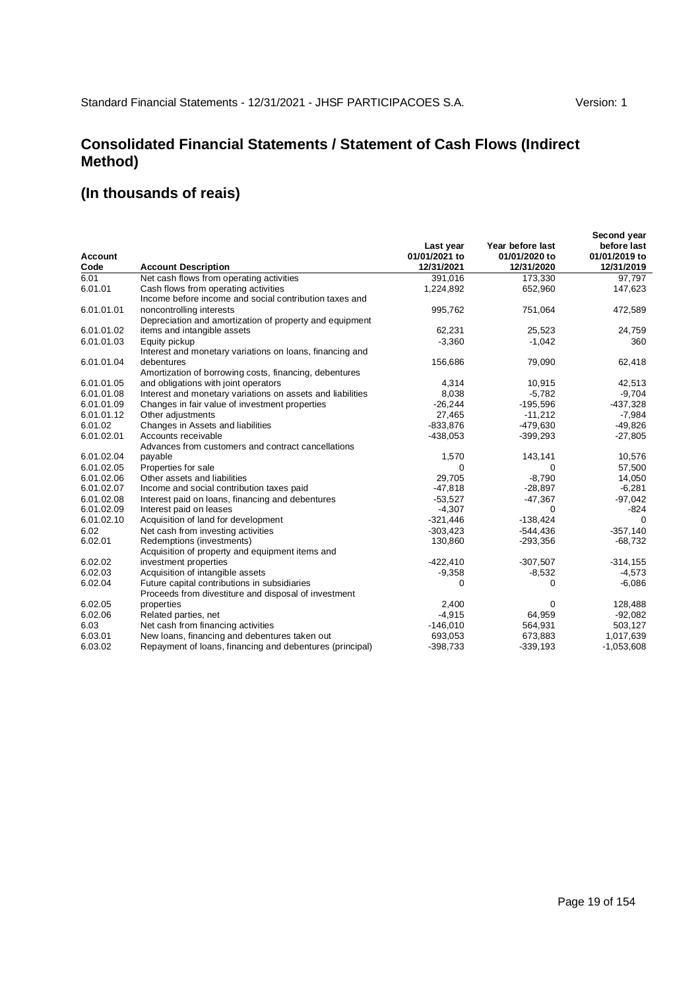# **Consolidated Financial Statements / Statement of Cash Flows (Indirect Method)**

|                |                                                            |               |                  | Second year   |
|----------------|------------------------------------------------------------|---------------|------------------|---------------|
|                |                                                            | Last year     | Year before last | before last   |
| <b>Account</b> |                                                            | 01/01/2021 to | 01/01/2020 to    | 01/01/2019 to |
| Code           | <b>Account Description</b>                                 | 12/31/2021    | 12/31/2020       | 12/31/2019    |
| 6.01           | Net cash flows from operating activities                   | 391,016       | 173,330          | 97,797        |
| 6.01.01        | Cash flows from operating activities                       | 1,224,892     | 652,960          | 147,623       |
|                | Income before income and social contribution taxes and     |               |                  |               |
| 6.01.01.01     | noncontrolling interests                                   | 995,762       | 751,064          | 472,589       |
|                | Depreciation and amortization of property and equipment    |               |                  |               |
| 6.01.01.02     | items and intangible assets                                | 62,231        | 25,523           | 24,759        |
| 6.01.01.03     | Equity pickup                                              | $-3,360$      | $-1,042$         | 360           |
|                | Interest and monetary variations on loans, financing and   |               |                  |               |
| 6.01.01.04     | debentures                                                 | 156,686       | 79,090           | 62,418        |
|                | Amortization of borrowing costs, financing, debentures     |               |                  |               |
| 6.01.01.05     | and obligations with joint operators                       | 4,314         | 10,915           | 42,513        |
| 6.01.01.08     | Interest and monetary variations on assets and liabilities | 8,038         | $-5,782$         | $-9,704$      |
| 6.01.01.09     | Changes in fair value of investment properties             | $-26,244$     | $-195,596$       | $-437,328$    |
| 6.01.01.12     | Other adjustments                                          | 27,465        | $-11,212$        | $-7,984$      |
| 6.01.02        | Changes in Assets and liabilities                          | $-833,876$    | $-479,630$       | $-49,826$     |
| 6.01.02.01     | Accounts receivable                                        | $-438,053$    | $-399,293$       | $-27,805$     |
|                | Advances from customers and contract cancellations         |               |                  |               |
| 6.01.02.04     | payable                                                    | 1,570         | 143,141          | 10,576        |
| 6.01.02.05     | Properties for sale                                        | 0             | 0                | 57,500        |
| 6.01.02.06     | Other assets and liabilities                               | 29.705        | $-8,790$         | 14,050        |
| 6.01.02.07     | Income and social contribution taxes paid                  | $-47,818$     | $-28,897$        | $-6,281$      |
| 6.01.02.08     | Interest paid on loans, financing and debentures           | $-53.527$     | $-47,367$        | $-97,042$     |
| 6.01.02.09     | Interest paid on leases                                    | $-4,307$      | 0                | $-824$        |
| 6.01.02.10     | Acquisition of land for development                        | $-321,446$    | $-138,424$       | $\Omega$      |
| 6.02           | Net cash from investing activities                         | $-303,423$    | $-544,436$       | $-357,140$    |
| 6.02.01        | Redemptions (investments)                                  | 130,860       | $-293,356$       | $-68,732$     |
|                | Acquisition of property and equipment items and            |               |                  |               |
| 6.02.02        | investment properties                                      | $-422,410$    | $-307,507$       | $-314, 155$   |
| 6.02.03        | Acquisition of intangible assets                           | $-9,358$      | $-8,532$         | $-4,573$      |
| 6.02.04        | Future capital contributions in subsidiaries               | $\Omega$      | 0                | $-6,086$      |
|                | Proceeds from divestiture and disposal of investment       |               |                  |               |
| 6.02.05        | properties                                                 | 2,400         | 0                | 128,488       |
| 6.02.06        | Related parties, net                                       | $-4,915$      | 64,959           | $-92,082$     |
| 6.03           | Net cash from financing activities                         | $-146,010$    | 564,931          | 503,127       |
| 6.03.01        | New loans, financing and debentures taken out              | 693,053       | 673,883          | 1,017,639     |
| 6.03.02        | Repayment of loans, financing and debentures (principal)   | $-398,733$    | $-339,193$       | $-1,053,608$  |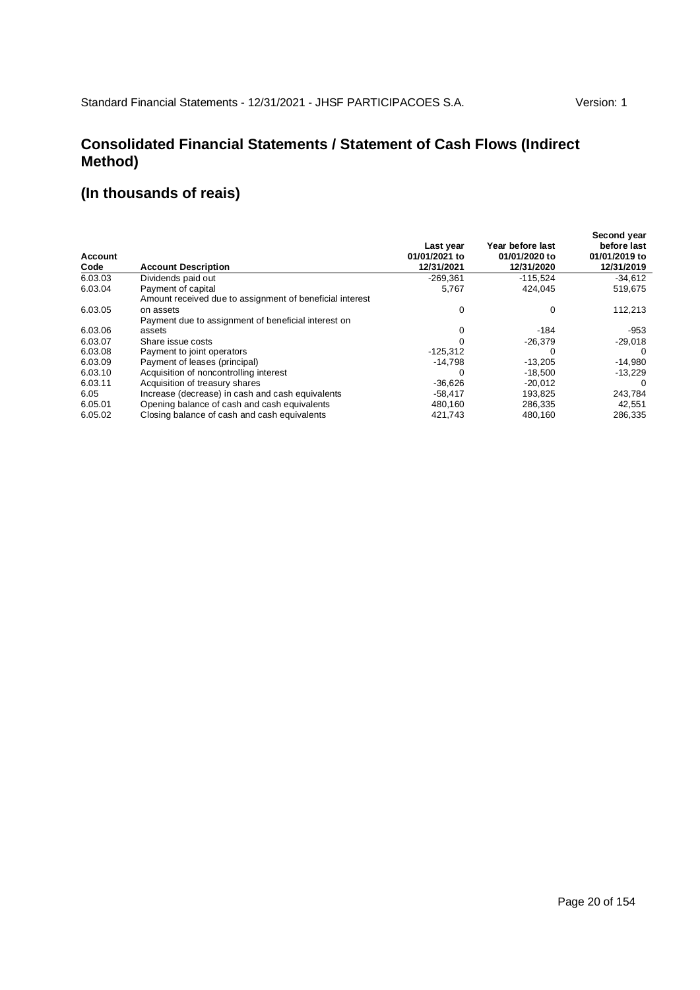### **Consolidated Financial Statements / Statement of Cash Flows (Indirect Method)**

| <b>Account</b><br>Code | <b>Account Description</b>                               | Last year<br>01/01/2021 to<br>12/31/2021 | Year before last<br>01/01/2020 to<br>12/31/2020 | Second year<br>before last<br>01/01/2019 to<br>12/31/2019 |
|------------------------|----------------------------------------------------------|------------------------------------------|-------------------------------------------------|-----------------------------------------------------------|
| 6.03.03                | Dividends paid out                                       | $-269,361$                               | $-115.524$                                      | $-34,612$                                                 |
| 6.03.04                | Payment of capital                                       | 5,767                                    | 424.045                                         | 519,675                                                   |
|                        | Amount received due to assignment of beneficial interest |                                          |                                                 |                                                           |
| 6.03.05                | on assets                                                | 0                                        | 0                                               | 112,213                                                   |
|                        | Payment due to assignment of beneficial interest on      |                                          |                                                 |                                                           |
| 6.03.06                | assets                                                   | 0                                        | -184                                            | $-953$                                                    |
| 6.03.07                | Share issue costs                                        |                                          | $-26,379$                                       | $-29,018$                                                 |
| 6.03.08                | Payment to joint operators                               | $-125,312$                               | $\Omega$                                        | $\Omega$                                                  |
| 6.03.09                | Payment of leases (principal)                            | $-14.798$                                | $-13,205$                                       | $-14,980$                                                 |
| 6.03.10                | Acquisition of noncontrolling interest                   | $\Omega$                                 | $-18,500$                                       | $-13,229$                                                 |
| 6.03.11                | Acquisition of treasury shares                           | $-36,626$                                | $-20.012$                                       | $\Omega$                                                  |
| 6.05                   | Increase (decrease) in cash and cash equivalents         | $-58.417$                                | 193,825                                         | 243,784                                                   |
| 6.05.01                | Opening balance of cash and cash equivalents             | 480,160                                  | 286,335                                         | 42,551                                                    |
| 6.05.02                | Closing balance of cash and cash equivalents             | 421,743                                  | 480,160                                         | 286,335                                                   |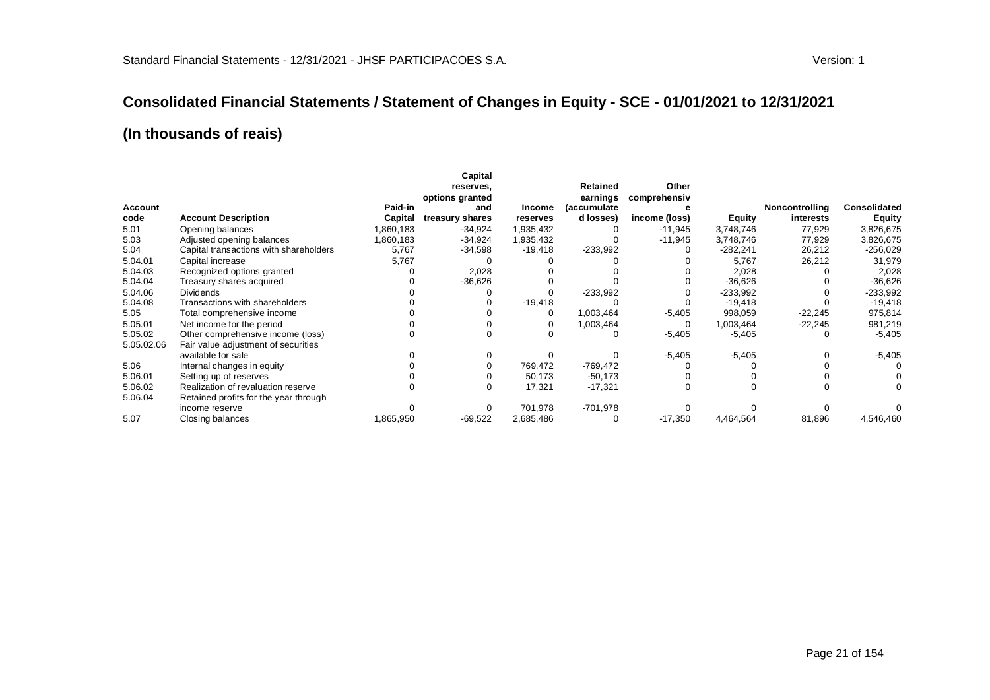#### **Consolidated Financial Statements / Statement of Changes in Equity - SCE - 01/01/2021 to 12/31/2021**

|                |                                        |           | Capital<br>reserves.   |               | <b>Retained</b>          | Other         |            |                |               |
|----------------|----------------------------------------|-----------|------------------------|---------------|--------------------------|---------------|------------|----------------|---------------|
| <b>Account</b> |                                        | Paid-in   | options granted<br>and | <b>Income</b> | earnings<br>(accumulate) | comprehensiv  |            | Noncontrolling | Consolidated  |
| code           | <b>Account Description</b>             | Capital   | treasury shares        | reserves      | d losses)                | income (loss) | Equity     | interests      | <b>Equity</b> |
| 5.01           | Opening balances                       | 860,183   | $-34.924$              | 1,935,432     |                          | $-11,945$     | 3,748,746  | 77,929         | 3,826,675     |
| 5.03           | Adjusted opening balances              | 1,860,183 | $-34,924$              | 1,935,432     |                          | $-11,945$     | 3,748,746  | 77,929         | 3,826,675     |
| 5.04           | Capital transactions with shareholders | 5,767     | -34,598                | $-19,418$     | $-233,992$               |               | $-282,241$ | 26,212         | $-256,029$    |
| 5.04.01        | Capital increase                       | 5,767     |                        |               |                          |               | 5,767      | 26,212         | 31,979        |
| 5.04.03        | Recognized options granted             |           | 2,028                  |               |                          |               | 2,028      |                | 2,028         |
| 5.04.04        | Treasury shares acquired               |           | $-36,626$              |               |                          |               | $-36,626$  |                | $-36,626$     |
| 5.04.06        | <b>Dividends</b>                       |           |                        |               | $-233,992$               |               | $-233,992$ |                | $-233,992$    |
| 5.04.08        | Transactions with shareholders         |           |                        | $-19,418$     |                          |               | $-19,418$  |                | $-19,418$     |
| 5.05           | Total comprehensive income             |           |                        | 0             | 1,003,464                | $-5,405$      | 998,059    | $-22,245$      | 975,814       |
| 5.05.01        | Net income for the period              |           |                        |               | 1,003,464                | 0             | 1,003,464  | $-22,245$      | 981,219       |
| 5.05.02        | Other comprehensive income (loss)      |           |                        |               | O                        | $-5,405$      | $-5,405$   | 0              | $-5,405$      |
| 5.05.02.06     | Fair value adjustment of securities    |           |                        |               |                          |               |            |                |               |
|                | available for sale                     |           |                        |               |                          | $-5,405$      | $-5,405$   |                | $-5,405$      |
| 5.06           | Internal changes in equity             |           |                        | 769,472       | $-769,472$               |               |            |                |               |
| 5.06.01        | Setting up of reserves                 |           |                        | 50,173        | $-50,173$                |               |            |                |               |
| 5.06.02        | Realization of revaluation reserve     |           |                        | 17,321        | $-17,321$                |               | 0          |                |               |
| 5.06.04        | Retained profits for the year through  |           |                        |               |                          |               |            |                |               |
|                | income reserve                         |           |                        | 701,978       | $-701,978$               |               |            |                |               |
| 5.07           | Closing balances                       | 1,865,950 | $-69,522$              | 2,685,486     | 0                        | $-17,350$     | 4,464,564  | 81,896         | 4,546,460     |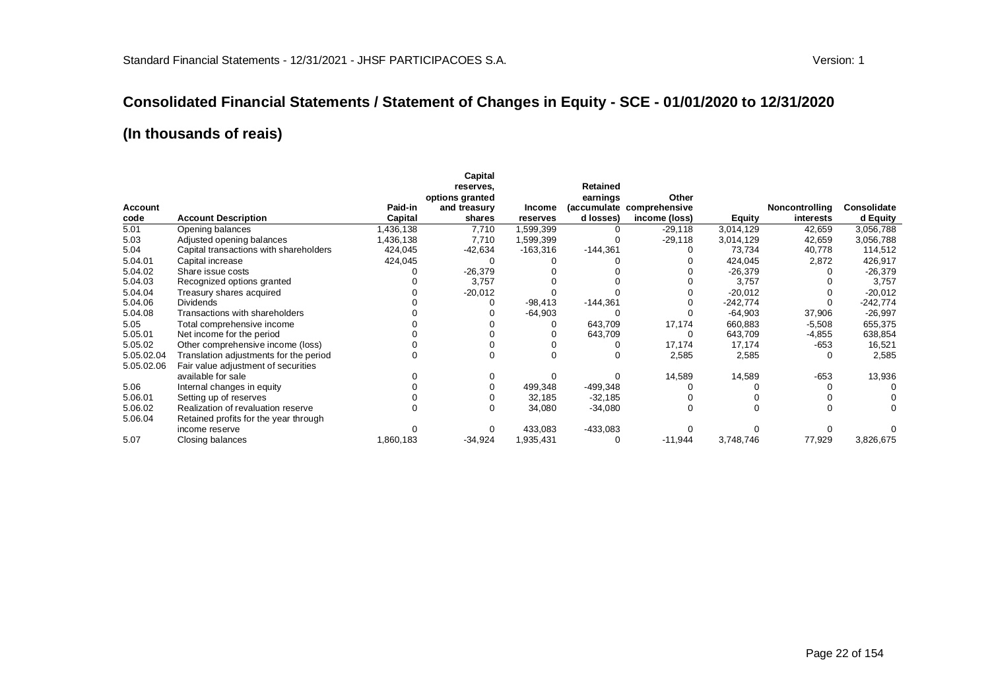#### **Consolidated Financial Statements / Statement of Changes in Equity - SCE - 01/01/2020 to 12/31/2020**

|                |                                        |           | Capital         |               |                 |               |               |                       |             |
|----------------|----------------------------------------|-----------|-----------------|---------------|-----------------|---------------|---------------|-----------------------|-------------|
|                |                                        |           | reserves,       |               | <b>Retained</b> |               |               |                       |             |
|                |                                        |           | options granted |               | earnings        | Other         |               |                       |             |
| <b>Account</b> |                                        | Paid-in   | and treasury    | <b>Income</b> | (accumulate     | comprehensive |               | <b>Noncontrolling</b> | Consolidate |
| code           | <b>Account Description</b>             | Capital   | shares          | reserves      | d losses)       | income (loss) | <b>Equity</b> | interests             | d Equity    |
| 5.01           | Opening balances                       | .436,138  | 7,710           | 1,599,399     |                 | $-29,118$     | 3,014,129     | 42,659                | 3,056,788   |
| 5.03           | Adjusted opening balances              | 1,436,138 | 7,710           | 1,599,399     |                 | $-29,118$     | 3,014,129     | 42,659                | 3,056,788   |
| 5.04           | Capital transactions with shareholders | 424,045   | -42,634         | $-163,316$    | $-144,361$      |               | 73,734        | 40,778                | 114,512     |
| 5.04.01        | Capital increase                       | 424,045   |                 |               |                 |               | 424,045       | 2,872                 | 426,917     |
| 5.04.02        | Share issue costs                      |           | $-26,379$       |               |                 |               | $-26,379$     |                       | $-26,379$   |
| 5.04.03        | Recognized options granted             |           | 3,757           |               |                 |               | 3,757         |                       | 3,757       |
| 5.04.04        | Treasury shares acquired               |           | $-20,012$       |               |                 |               | $-20,012$     |                       | $-20,012$   |
| 5.04.06        | <b>Dividends</b>                       |           |                 | $-98,413$     | $-144,361$      |               | $-242,774$    |                       | $-242,774$  |
| 5.04.08        | Transactions with shareholders         |           |                 | $-64,903$     |                 |               | $-64,903$     | 37,906                | $-26,997$   |
| 5.05           | Total comprehensive income             |           |                 |               | 643,709         | 17,174        | 660,883       | $-5,508$              | 655,375     |
| 5.05.01        | Net income for the period              |           |                 |               | 643,709         | C             | 643,709       | $-4,855$              | 638,854     |
| 5.05.02        | Other comprehensive income (loss)      |           |                 |               |                 | 17,174        | 17,174        | $-653$                | 16,521      |
| 5.05.02.04     | Translation adjustments for the period |           |                 |               |                 | 2,585         | 2,585         | 0                     | 2,585       |
| 5.05.02.06     | Fair value adjustment of securities    |           |                 |               |                 |               |               |                       |             |
|                | available for sale                     |           |                 |               |                 | 14,589        | 14,589        | $-653$                | 13,936      |
| 5.06           | Internal changes in equity             |           |                 | 499,348       | -499,348        |               |               |                       |             |
| 5.06.01        | Setting up of reserves                 |           |                 | 32,185        | $-32,185$       |               |               |                       |             |
| 5.06.02        | Realization of revaluation reserve     |           |                 | 34,080        | $-34,080$       |               |               |                       |             |
| 5.06.04        | Retained profits for the year through  |           |                 |               |                 |               |               |                       |             |
|                | income reserve                         |           |                 | 433,083       | $-433,083$      |               |               |                       |             |
| 5.07           | Closing balances                       | 1,860,183 | $-34,924$       | 1,935,431     | 0               | $-11,944$     | 3,748,746     | 77,929                | 3,826,675   |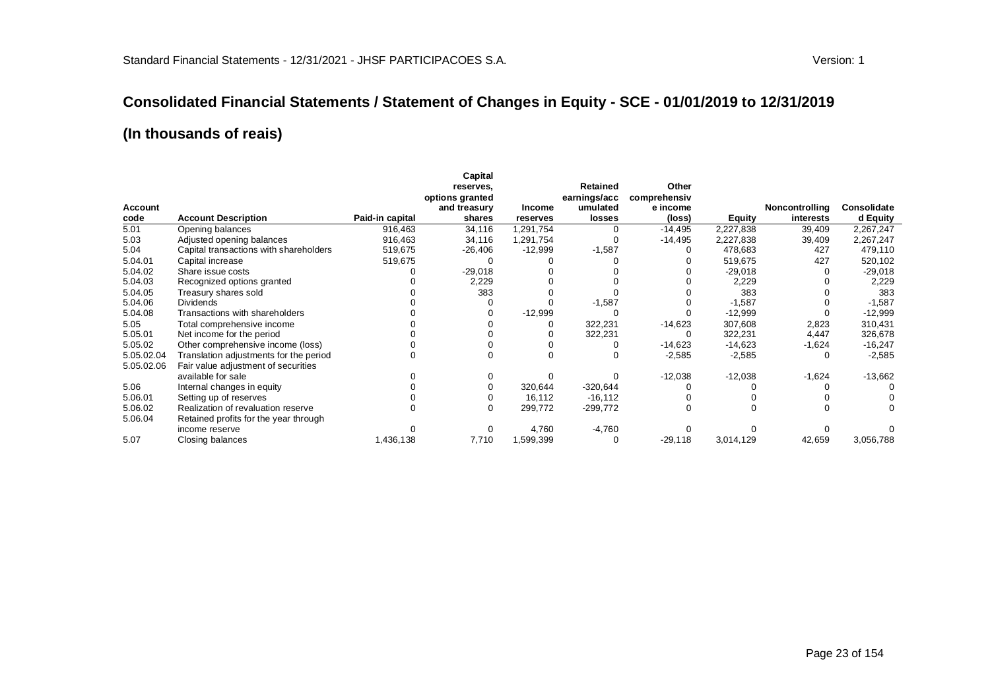#### **Consolidated Financial Statements / Statement of Changes in Equity - SCE - 01/01/2019 to 12/31/2019**

|            |                                        |                 | Capital         |           |              |              |               |                |             |
|------------|----------------------------------------|-----------------|-----------------|-----------|--------------|--------------|---------------|----------------|-------------|
|            |                                        |                 | reserves.       |           | Retained     | Other        |               |                |             |
|            |                                        |                 | options granted |           | earnings/acc | comprehensiv |               |                |             |
| Account    |                                        |                 | and treasury    | Income    | umulated     | e income     |               | Noncontrolling | Consolidate |
| code       | <b>Account Description</b>             | Paid-in capital | shares          | reserves  | losses       | (loss)       | <b>Equity</b> | interests      | d Equity    |
| 5.01       | Opening balances                       | 916,463         | 34,116          | 1,291,754 |              | $-14,495$    | 2,227,838     | 39,409         | 2,267,247   |
| 5.03       | Adjusted opening balances              | 916,463         | 34,116          | 1,291,754 |              | $-14,495$    | 2,227,838     | 39,409         | 2,267,247   |
| 5.04       | Capital transactions with shareholders | 519,675         | $-26,406$       | $-12,999$ | $-1,587$     |              | 478,683       | 427            | 479,110     |
| 5.04.01    | Capital increase                       | 519,675         |                 |           |              |              | 519,675       | 427            | 520,102     |
| 5.04.02    | Share issue costs                      |                 | $-29,018$       |           |              |              | $-29,018$     |                | $-29,018$   |
| 5.04.03    | Recognized options granted             |                 | 2,229           |           |              |              | 2,229         |                | 2,229       |
| 5.04.05    | Treasury shares sold                   |                 | 383             |           |              |              | 383           |                | 383         |
| 5.04.06    | <b>Dividends</b>                       |                 |                 |           | $-1,587$     |              | $-1,587$      |                | $-1,587$    |
| 5.04.08    | Transactions with shareholders         |                 |                 | $-12,999$ |              |              | $-12,999$     |                | $-12,999$   |
| 5.05       | Total comprehensive income             |                 |                 |           | 322,231      | $-14,623$    | 307,608       | 2,823          | 310,431     |
| 5.05.01    | Net income for the period              |                 |                 |           | 322,231      |              | 322,231       | 4,447          | 326,678     |
| 5.05.02    | Other comprehensive income (loss)      |                 |                 |           |              | $-14,623$    | $-14,623$     | $-1,624$       | $-16,247$   |
| 5.05.02.04 | Translation adjustments for the period |                 |                 |           |              | $-2,585$     | $-2,585$      |                | $-2,585$    |
| 5.05.02.06 | Fair value adjustment of securities    |                 |                 |           |              |              |               |                |             |
|            | available for sale                     |                 |                 |           |              | $-12,038$    | $-12,038$     | $-1,624$       | $-13,662$   |
| 5.06       | Internal changes in equity             |                 |                 | 320,644   | $-320,644$   |              |               |                |             |
| 5.06.01    | Setting up of reserves                 |                 |                 | 16,112    | $-16, 112$   |              |               |                |             |
| 5.06.02    | Realization of revaluation reserve     |                 |                 | 299,772   | $-299,772$   |              |               |                |             |
| 5.06.04    | Retained profits for the year through  |                 |                 |           |              |              |               |                |             |
|            | income reserve                         |                 |                 | 4,760     | $-4,760$     |              |               |                |             |
| 5.07       | Closing balances                       | 1,436,138       | 7,710           | 1,599,399 |              | $-29,118$    | 3,014,129     | 42,659         | 3,056,788   |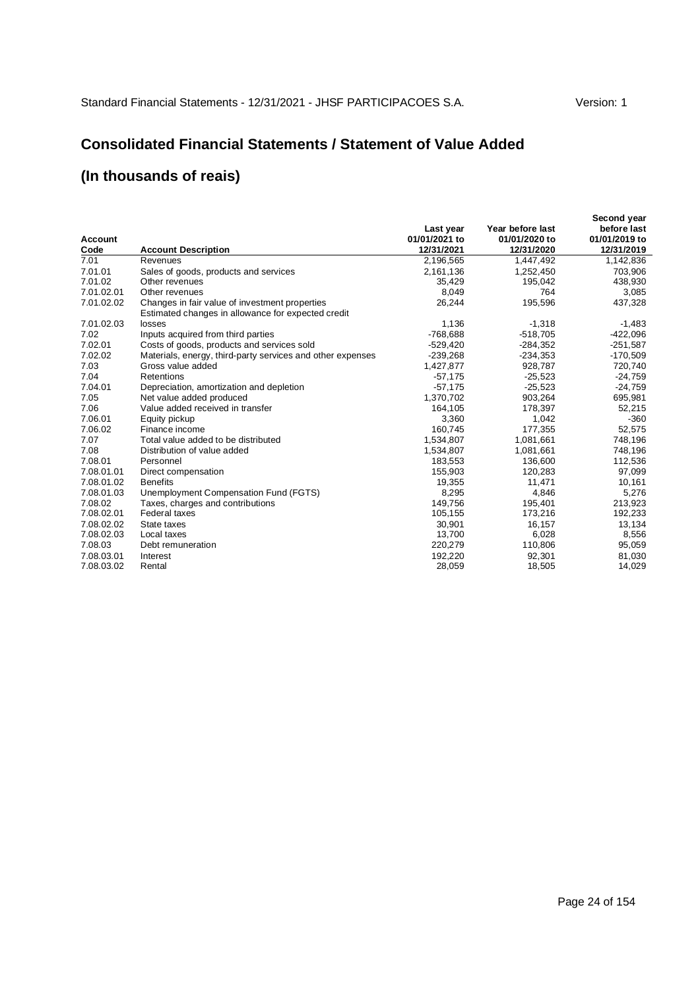### **Consolidated Financial Statements / Statement of Value Added**

| Account<br>Code | <b>Account Description</b>                                                                           | Last year<br>01/01/2021 to<br>12/31/2021 | Year before last<br>01/01/2020 to<br>12/31/2020 | Second year<br>before last<br>01/01/2019 to<br>12/31/2019 |
|-----------------|------------------------------------------------------------------------------------------------------|------------------------------------------|-------------------------------------------------|-----------------------------------------------------------|
| 7.01            | Revenues                                                                                             | 2,196,565                                | 1,447,492                                       | 1,142,836                                                 |
| 7.01.01         | Sales of goods, products and services                                                                | 2,161,136                                | 1,252,450                                       | 703,906                                                   |
| 7.01.02         | Other revenues                                                                                       | 35,429                                   | 195,042                                         | 438,930                                                   |
| 7.01.02.01      | Other revenues                                                                                       | 8,049                                    | 764                                             | 3,085                                                     |
| 7.01.02.02      | Changes in fair value of investment properties<br>Estimated changes in allowance for expected credit | 26,244                                   | 195,596                                         | 437,328                                                   |
| 7.01.02.03      | losses                                                                                               | 1,136                                    | $-1,318$                                        | $-1,483$                                                  |
| 7.02            | Inputs acquired from third parties                                                                   | $-768,688$                               | $-518,705$                                      | $-422,096$                                                |
| 7.02.01         | Costs of goods, products and services sold                                                           | $-529,420$                               | $-284,352$                                      | $-251,587$                                                |
| 7.02.02         | Materials, energy, third-party services and other expenses                                           | $-239,268$                               | $-234,353$                                      | $-170,509$                                                |
| 7.03            | Gross value added                                                                                    | 1,427,877                                | 928,787                                         | 720,740                                                   |
| 7.04            | Retentions                                                                                           | $-57,175$                                | $-25,523$                                       | $-24,759$                                                 |
| 7.04.01         | Depreciation, amortization and depletion                                                             | $-57,175$                                | $-25,523$                                       | $-24,759$                                                 |
| 7.05            | Net value added produced                                                                             | 1,370,702                                | 903,264                                         | 695,981                                                   |
| 7.06            | Value added received in transfer                                                                     | 164,105                                  | 178,397                                         | 52,215                                                    |
| 7.06.01         | Equity pickup                                                                                        | 3,360                                    | 1,042                                           | $-360$                                                    |
| 7.06.02         | Finance income                                                                                       | 160.745                                  | 177,355                                         | 52,575                                                    |
| 7.07            | Total value added to be distributed                                                                  | 1,534,807                                | 1,081,661                                       | 748,196                                                   |
| 7.08            | Distribution of value added                                                                          | 1,534,807                                | 1,081,661                                       | 748,196                                                   |
| 7.08.01         | Personnel                                                                                            | 183,553                                  | 136,600                                         | 112,536                                                   |
| 7.08.01.01      | Direct compensation                                                                                  | 155,903                                  | 120,283                                         | 97,099                                                    |
| 7.08.01.02      | <b>Benefits</b>                                                                                      | 19,355                                   | 11,471                                          | 10,161                                                    |
| 7.08.01.03      | Unemployment Compensation Fund (FGTS)                                                                | 8,295                                    | 4,846                                           | 5,276                                                     |
| 7.08.02         | Taxes, charges and contributions                                                                     | 149.756                                  | 195,401                                         | 213,923                                                   |
| 7.08.02.01      | Federal taxes                                                                                        | 105,155                                  | 173,216                                         | 192,233                                                   |
| 7.08.02.02      | State taxes                                                                                          | 30,901                                   | 16,157                                          | 13,134                                                    |
| 7.08.02.03      | Local taxes                                                                                          | 13,700                                   | 6,028                                           | 8,556                                                     |
| 7.08.03         | Debt remuneration                                                                                    | 220,279                                  | 110,806                                         | 95,059                                                    |
| 7.08.03.01      | Interest                                                                                             | 192,220                                  | 92,301                                          | 81,030                                                    |
| 7.08.03.02      | Rental                                                                                               | 28,059                                   | 18,505                                          | 14,029                                                    |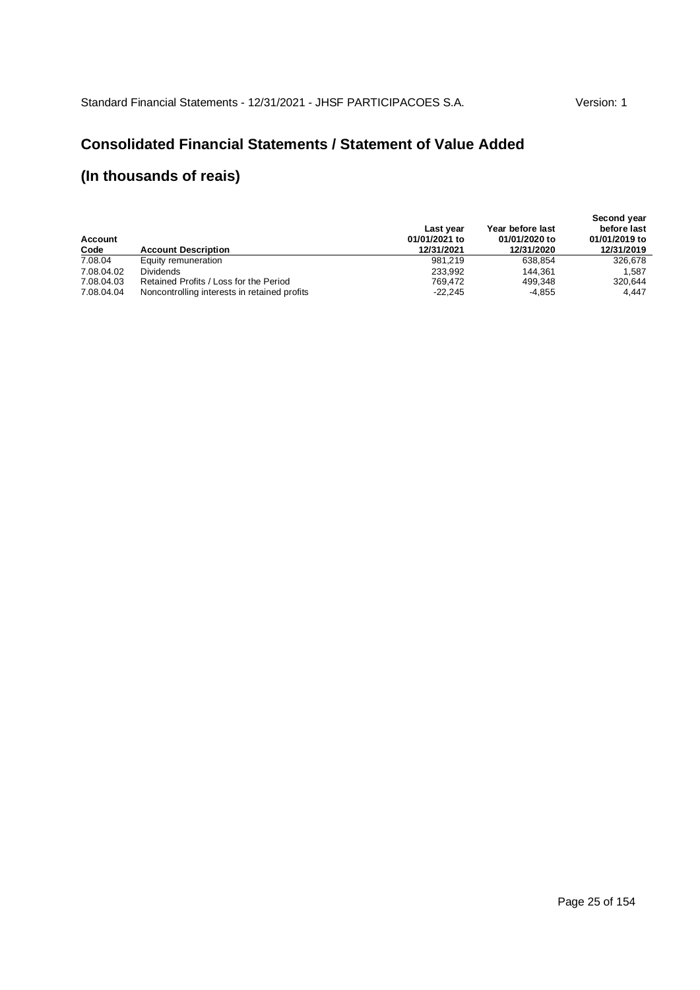### **Consolidated Financial Statements / Statement of Value Added**

| Account<br>Code | <b>Account Description</b>                   | Last year<br>01/01/2021 to<br>12/31/2021 | Year before last<br>01/01/2020 to<br>12/31/2020 | Second year<br>before last<br>01/01/2019 to<br>12/31/2019 |
|-----------------|----------------------------------------------|------------------------------------------|-------------------------------------------------|-----------------------------------------------------------|
| 7.08.04         | Equity remuneration                          | 981.219                                  | 638.854                                         | 326.678                                                   |
| 7.08.04.02      | <b>Dividends</b>                             | 233.992                                  | 144.361                                         | 1.587                                                     |
| 7.08.04.03      | Retained Profits / Loss for the Period       | 769.472                                  | 499.348                                         | 320.644                                                   |
| 7.08.04.04      | Noncontrolling interests in retained profits | $-22.245$                                | -4,855                                          | 4.447                                                     |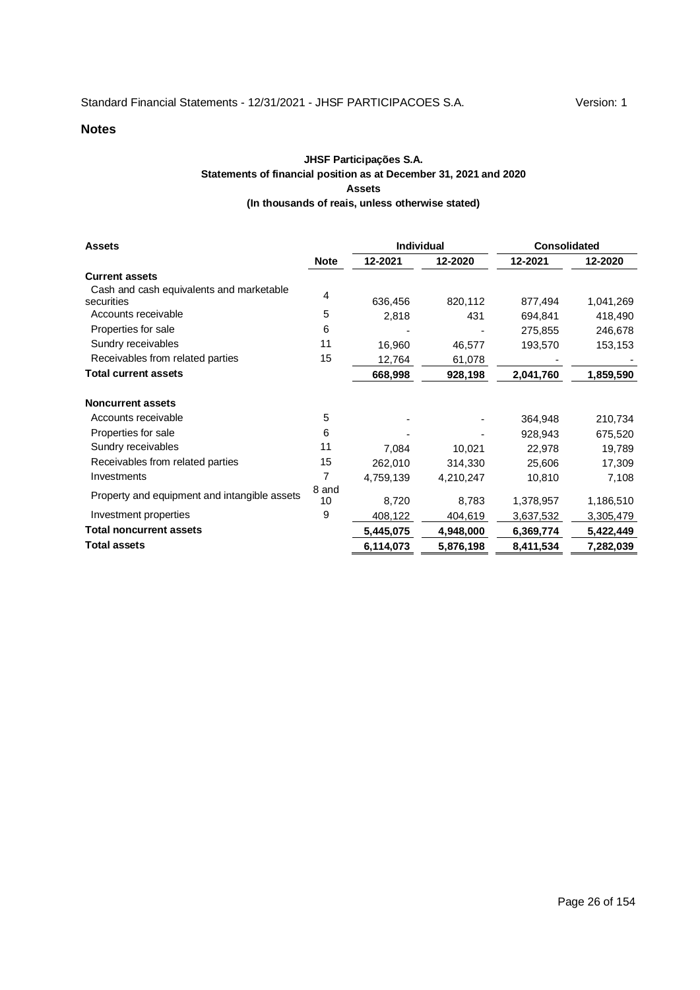#### **JHSF Participações S.A. Statements of financial position as at December 31, 2021 and 2020 Assets (In thousands of reais, unless otherwise stated)**

| <b>Assets</b>                                |             | <b>Individual</b> |           | <b>Consolidated</b> |           |  |
|----------------------------------------------|-------------|-------------------|-----------|---------------------|-----------|--|
|                                              | <b>Note</b> | 12-2021           | 12-2020   | 12-2021             | 12-2020   |  |
| <b>Current assets</b>                        |             |                   |           |                     |           |  |
| Cash and cash equivalents and marketable     | 4           |                   |           |                     |           |  |
| securities                                   |             | 636,456           | 820,112   | 877,494             | 1,041,269 |  |
| Accounts receivable                          | 5           | 2,818             | 431       | 694,841             | 418,490   |  |
| Properties for sale                          | 6           |                   |           | 275,855             | 246,678   |  |
| Sundry receivables                           | 11          | 16,960            | 46,577    | 193,570             | 153,153   |  |
| Receivables from related parties             | 15          | 12,764            | 61,078    |                     |           |  |
| <b>Total current assets</b>                  |             | 668,998           | 928,198   | 2,041,760           | 1,859,590 |  |
| <b>Noncurrent assets</b>                     |             |                   |           |                     |           |  |
| Accounts receivable                          | 5           |                   |           | 364,948             | 210,734   |  |
| Properties for sale                          | 6           |                   |           | 928,943             | 675,520   |  |
| Sundry receivables                           | 11          | 7,084             | 10,021    | 22,978              | 19,789    |  |
| Receivables from related parties             | 15          | 262,010           | 314,330   | 25,606              | 17,309    |  |
| Investments                                  | 7           | 4,759,139         | 4,210,247 | 10,810              | 7,108     |  |
| Property and equipment and intangible assets | 8 and<br>10 | 8,720             | 8,783     | 1,378,957           | 1,186,510 |  |
|                                              |             |                   |           |                     |           |  |
| Investment properties                        | 9           | 408,122           | 404,619   | 3,637,532           | 3,305,479 |  |
| <b>Total noncurrent assets</b>               |             | 5,445,075         | 4,948,000 | 6,369,774           | 5,422,449 |  |
| <b>Total assets</b>                          |             | 6,114,073         | 5,876,198 | 8,411,534           | 7,282,039 |  |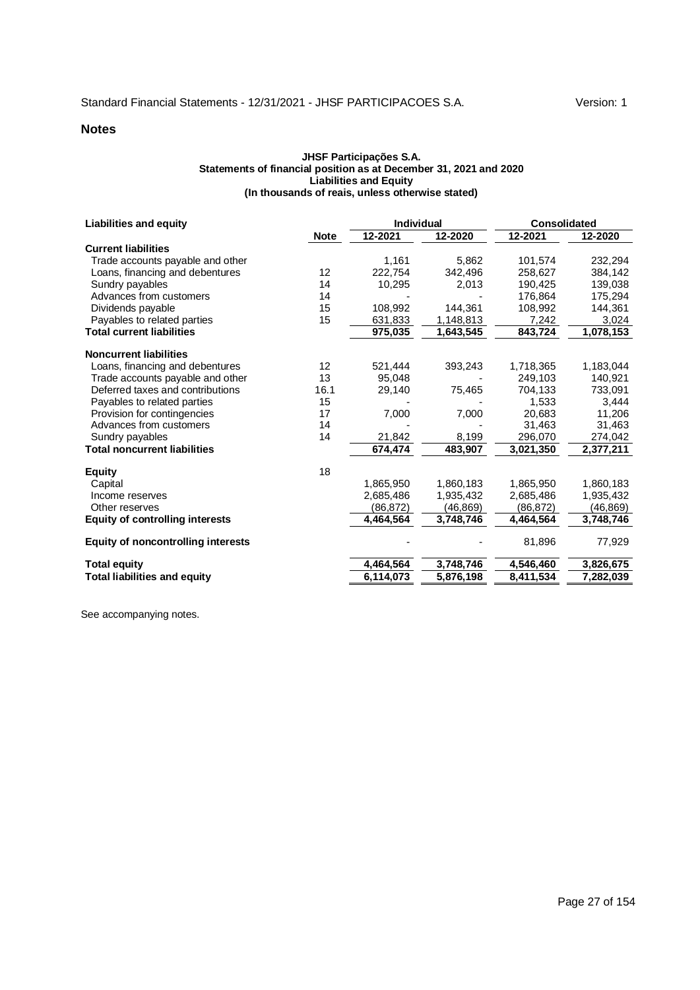#### **JHSF Participações S.A. Statements of financial position as at December 31, 2021 and 2020 Liabilities and Equity (In thousands of reais, unless otherwise stated)**

| <b>Liabilities and equity</b>             |             | <b>Individual</b> |           | <b>Consolidated</b> |           |
|-------------------------------------------|-------------|-------------------|-----------|---------------------|-----------|
|                                           | <b>Note</b> | 12-2021           | 12-2020   | $12 - 2021$         | 12-2020   |
| <b>Current liabilities</b>                |             |                   |           |                     |           |
| Trade accounts payable and other          |             | 1,161             | 5,862     | 101,574             | 232,294   |
| Loans, financing and debentures           | 12          | 222.754           | 342,496   | 258.627             | 384.142   |
| Sundry payables                           | 14          | 10,295            | 2,013     | 190,425             | 139,038   |
| Advances from customers                   | 14          |                   |           | 176,864             | 175,294   |
| Dividends payable                         | 15          | 108,992           | 144,361   | 108,992             | 144,361   |
| Payables to related parties               | 15          | 631,833           | 1,148,813 | 7,242               | 3,024     |
| <b>Total current liabilities</b>          |             | 975,035           | 1,643,545 | 843,724             | 1,078,153 |
| <b>Noncurrent liabilities</b>             |             |                   |           |                     |           |
| Loans, financing and debentures           | 12          | 521,444           | 393,243   | 1,718,365           | 1,183,044 |
| Trade accounts payable and other          | 13          | 95,048            |           | 249,103             | 140,921   |
| Deferred taxes and contributions          | 16.1        | 29,140            | 75,465    | 704,133             | 733,091   |
| Payables to related parties               | 15          |                   |           | 1,533               | 3,444     |
| Provision for contingencies               | 17          | 7,000             | 7,000     | 20,683              | 11,206    |
| Advances from customers                   | 14          |                   |           | 31.463              | 31,463    |
| Sundry payables                           | 14          | 21,842            | 8,199     | 296,070             | 274,042   |
| <b>Total noncurrent liabilities</b>       |             | 674,474           | 483,907   | 3,021,350           | 2,377,211 |
| <b>Equity</b>                             | 18          |                   |           |                     |           |
| Capital                                   |             | 1,865,950         | 1,860,183 | 1,865,950           | 1,860,183 |
| Income reserves                           |             | 2,685,486         | 1,935,432 | 2,685,486           | 1,935,432 |
| Other reserves                            |             | (86,872)          | (46, 869) | (86, 872)           | (46,869)  |
| <b>Equity of controlling interests</b>    |             | 4,464,564         | 3,748,746 | 4,464,564           | 3,748,746 |
| <b>Equity of noncontrolling interests</b> |             |                   |           | 81,896              | 77,929    |
| <b>Total equity</b>                       |             | 4,464,564         | 3,748,746 | 4,546,460           | 3,826,675 |
| <b>Total liabilities and equity</b>       |             | 6,114,073         | 5,876,198 | 8,411,534           | 7,282,039 |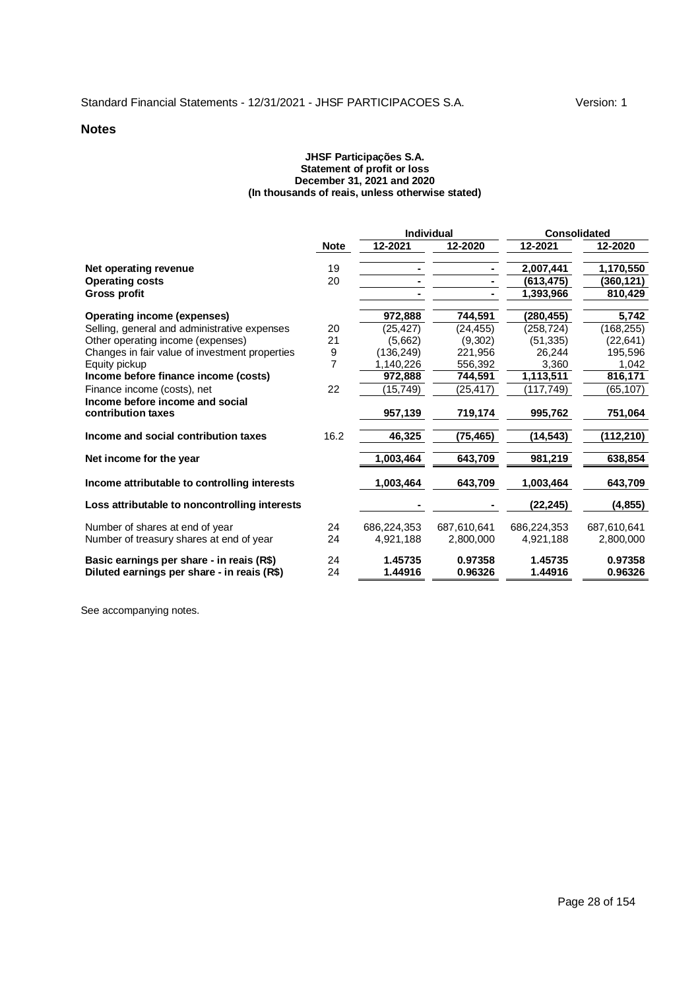#### **JHSF Participações S.A. Statement of profit or loss December 31, 2021 and 2020 (In thousands of reais, unless otherwise stated)**

|                                                                                          |                |                    | <b>Individual</b>  | <b>Consolidated</b> |                    |
|------------------------------------------------------------------------------------------|----------------|--------------------|--------------------|---------------------|--------------------|
|                                                                                          | <b>Note</b>    | 12-2021            | 12-2020            | 12-2021             | 12-2020            |
| Net operating revenue                                                                    | 19             |                    |                    | 2,007,441           | 1,170,550          |
| <b>Operating costs</b>                                                                   | 20             |                    |                    | (613.475)           | (360,121)          |
| Gross profit                                                                             |                |                    |                    | 1,393,966           | 810,429            |
| <b>Operating income (expenses)</b>                                                       |                | 972,888            | 744,591            | (280,455)           | 5,742              |
| Selling, general and administrative expenses                                             | 20             | (25,427)           | (24, 455)          | (258, 724)          | (168, 255)         |
| Other operating income (expenses)                                                        | 21             | (5,662)            | (9,302)            | (51, 335)           | (22, 641)          |
| Changes in fair value of investment properties                                           | 9              | (136, 249)         | 221,956            | 26,244              | 195,596            |
| Equity pickup                                                                            | $\overline{7}$ | 1,140,226          | 556,392            | 3,360               | 1,042              |
| Income before finance income (costs)                                                     |                | 972,888            | 744,591            | 1,113,511           | 816,171            |
| Finance income (costs), net                                                              | 22             | (15,749)           | (25, 417)          | (117,749)           | (65, 107)          |
| Income before income and social                                                          |                |                    |                    |                     |                    |
| contribution taxes                                                                       |                | 957,139            | 719,174            | 995,762             | 751,064            |
| Income and social contribution taxes                                                     | 16.2           | 46,325             | (75, 465)          | (14, 543)           | (112,210)          |
| Net income for the year                                                                  |                | 1,003,464          | 643,709            | 981,219             | 638,854            |
| Income attributable to controlling interests                                             |                | 1,003,464          | 643,709            | 1,003,464           | 643,709            |
| Loss attributable to noncontrolling interests                                            |                |                    |                    | (22, 245)           | (4, 855)           |
| Number of shares at end of year                                                          | 24             | 686.224.353        | 687.610.641        | 686.224.353         | 687.610.641        |
| Number of treasury shares at end of year                                                 | 24             | 4,921,188          | 2.800.000          | 4.921.188           | 2,800,000          |
| Basic earnings per share - in reais (R\$)<br>Diluted earnings per share - in reais (R\$) | 24<br>24       | 1.45735<br>1.44916 | 0.97358<br>0.96326 | 1.45735<br>1.44916  | 0.97358<br>0.96326 |
|                                                                                          |                |                    |                    |                     |                    |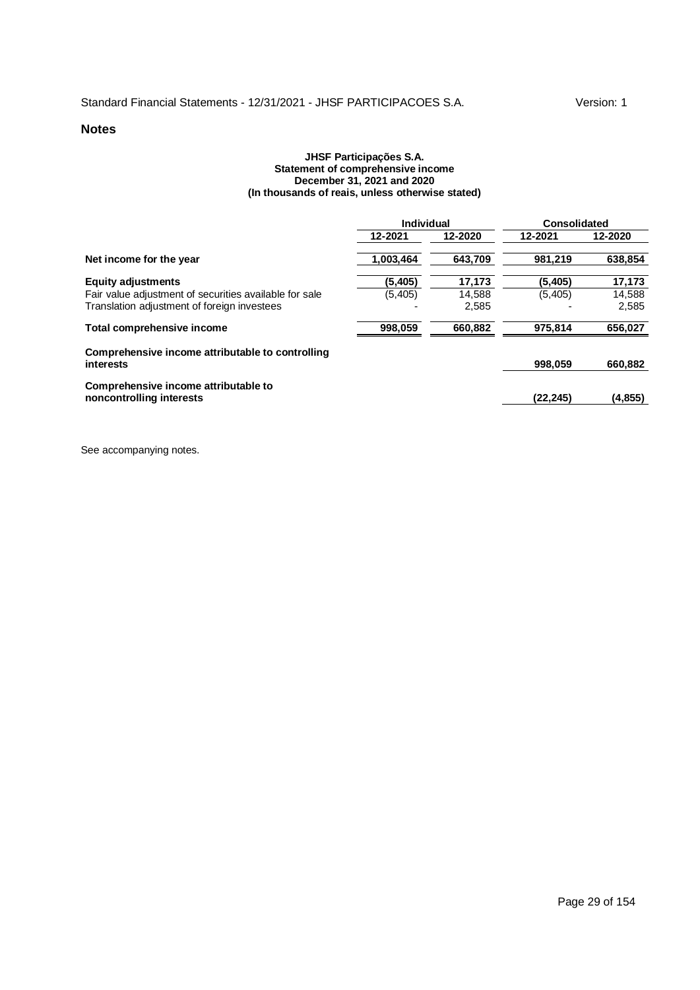#### **JHSF Participações S.A. Statement of comprehensive income December 31, 2021 and 2020 (In thousands of reais, unless otherwise stated)**

|                                                                  | Individual |         | Consolidated |          |
|------------------------------------------------------------------|------------|---------|--------------|----------|
|                                                                  | 12-2021    | 12-2020 | 12-2021      | 12-2020  |
| Net income for the year                                          | 1.003.464  | 643.709 | 981.219      | 638.854  |
| <b>Equity adjustments</b>                                        | (5, 405)   | 17,173  | (5.405)      | 17,173   |
| Fair value adjustment of securities available for sale           | (5,405)    | 14,588  | (5,405)      | 14,588   |
| Translation adjustment of foreign investees                      |            | 2,585   |              | 2,585    |
| Total comprehensive income                                       | 998.059    | 660.882 | 975.814      | 656,027  |
| Comprehensive income attributable to controlling<br>interests    |            |         | 998.059      | 660,882  |
| Comprehensive income attributable to<br>noncontrolling interests |            |         | (22, 245)    | (4, 855) |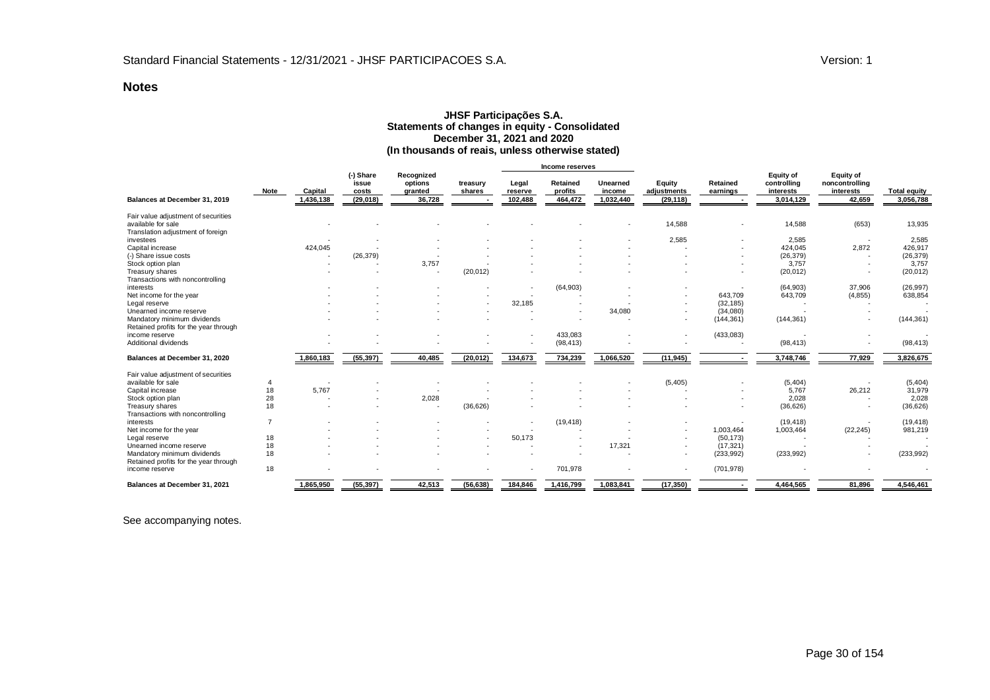#### **JHSF Participações S.A. Statements of changes in equity - Consolidated December 31, 2021 and 2020 (In thousands of reais, unless otherwise stated)**

|                                       |                      |                                          |                                            |                    |                             | Income reserves                |                                 |                                    |                          |                                                           |                                                           |                                  |
|---------------------------------------|----------------------|------------------------------------------|--------------------------------------------|--------------------|-----------------------------|--------------------------------|---------------------------------|------------------------------------|--------------------------|-----------------------------------------------------------|-----------------------------------------------------------|----------------------------------|
| Note<br>Balances at December 31, 2019 | Capital<br>1,436,138 | (-) Share<br>issue<br>costs<br>(29, 018) | Recognized<br>options<br>granted<br>36,728 | treasury<br>shares | Legal<br>reserve<br>102,488 | Retained<br>profits<br>464,472 | Unearned<br>income<br>1,032,440 | Equity<br>adjustments<br>(29, 118) | Retained<br>earnings     | <b>Equity of</b><br>controlling<br>interests<br>3,014,129 | <b>Equity of</b><br>noncontrolling<br>interests<br>42,659 | <b>Total equity</b><br>3,056,788 |
| Fair value adjustment of securities   |                      |                                          |                                            |                    |                             |                                |                                 |                                    |                          |                                                           |                                                           |                                  |
| available for sale                    |                      |                                          |                                            |                    |                             |                                |                                 | 14,588                             | $\overline{\phantom{a}}$ | 14,588                                                    | (653)                                                     | 13,935                           |
| Translation adjustment of foreign     |                      |                                          |                                            |                    |                             |                                |                                 |                                    |                          |                                                           |                                                           |                                  |
| investees                             |                      |                                          |                                            |                    |                             |                                |                                 | 2,585                              |                          | 2,585                                                     | $\overline{\phantom{a}}$                                  | 2,585                            |
| Capital increase                      | 424,045              |                                          |                                            |                    |                             |                                |                                 |                                    |                          | 424,045                                                   | 2,872                                                     | 426,917                          |
| (-) Share issue costs                 |                      | (26, 379)                                |                                            |                    |                             |                                |                                 |                                    |                          | (26, 379)                                                 |                                                           | (26, 379)                        |
| Stock option plan                     |                      |                                          | 3,757                                      |                    |                             |                                |                                 |                                    |                          | 3,757                                                     |                                                           | 3,757                            |
| Treasury shares                       |                      |                                          |                                            | (20, 012)          |                             |                                |                                 |                                    |                          | (20, 012)                                                 |                                                           | (20, 012)                        |
| Transactions with noncontrolling      |                      |                                          |                                            |                    |                             |                                |                                 |                                    |                          |                                                           |                                                           |                                  |
| interests                             |                      |                                          |                                            |                    |                             | (64,903)                       |                                 |                                    |                          | (64,903)                                                  | 37,906                                                    | (26, 997)                        |
| Net income for the year               |                      |                                          |                                            |                    |                             |                                |                                 |                                    | 643,709                  | 643,709                                                   | (4, 855)                                                  | 638,854                          |
| Legal reserve                         |                      |                                          |                                            |                    | 32,185                      |                                |                                 |                                    | (32, 185)                |                                                           |                                                           |                                  |
| Unearned income reserve               |                      |                                          |                                            |                    |                             |                                | 34,080                          |                                    | (34,080)                 |                                                           |                                                           |                                  |
| Mandatory minimum dividends           |                      |                                          |                                            |                    |                             |                                |                                 |                                    | (144, 361)               | (144, 361)                                                |                                                           | (144, 361)                       |
| Retained profits for the year through |                      |                                          |                                            |                    |                             |                                |                                 |                                    |                          |                                                           |                                                           |                                  |
| income reserve                        |                      |                                          |                                            |                    |                             | 433,083                        |                                 |                                    | (433, 083)               |                                                           |                                                           |                                  |
| Additional dividends                  |                      |                                          |                                            |                    |                             | (98, 413)                      |                                 |                                    |                          | (98, 413)                                                 |                                                           | (98, 413)                        |
| Balances at December 31, 2020         | 1,860,183            | (55, 397)                                | 40,485                                     | (20, 012)          | 134,673                     | 734,239                        | 1,066,520                       | (11, 945)                          |                          | 3,748,746                                                 | 77,929                                                    | 3,826,675                        |
| Fair value adjustment of securities   |                      |                                          |                                            |                    |                             |                                |                                 |                                    |                          |                                                           |                                                           |                                  |
| available for sale<br>4               |                      |                                          |                                            |                    |                             |                                |                                 | (5, 405)                           |                          | (5,404)                                                   |                                                           | (5,404)                          |
| 18<br>Capital increase                | 5,767                |                                          |                                            |                    |                             |                                |                                 |                                    |                          | 5,767                                                     | 26,212                                                    | 31,979                           |
| 28<br>Stock option plan               |                      |                                          | 2,028                                      |                    |                             |                                |                                 |                                    |                          | 2,028                                                     |                                                           | 2,028                            |
| 18<br>Treasury shares                 |                      |                                          |                                            | (36, 626)          |                             |                                |                                 |                                    |                          | (36, 626)                                                 |                                                           | (36, 626)                        |
| Transactions with noncontrolling      |                      |                                          |                                            |                    |                             |                                |                                 |                                    |                          |                                                           |                                                           |                                  |
| $\overline{7}$<br>interests           |                      |                                          |                                            |                    |                             | (19, 418)                      |                                 |                                    |                          | (19, 418)                                                 |                                                           | (19, 418)                        |
| Net income for the year               |                      |                                          |                                            |                    |                             |                                |                                 |                                    | 1,003,464                | 1,003,464                                                 | (22, 245)                                                 | 981,219                          |
| 18<br>Legal reserve                   |                      |                                          |                                            |                    | 50.173                      |                                |                                 |                                    | (50, 173)                |                                                           |                                                           |                                  |
| Unearned income reserve<br>18         |                      |                                          |                                            |                    |                             |                                | 17,321                          |                                    | (17, 321)                |                                                           |                                                           |                                  |
| 18<br>Mandatory minimum dividends     |                      |                                          |                                            |                    |                             |                                |                                 |                                    | (233, 992)               | (233,992)                                                 |                                                           | (233, 992)                       |
| Retained profits for the year through |                      |                                          |                                            |                    |                             |                                |                                 |                                    |                          |                                                           |                                                           |                                  |
| 18<br>income reserve                  |                      |                                          |                                            |                    |                             | 701,978                        |                                 |                                    | (701, 978)               |                                                           |                                                           |                                  |
| Balances at December 31, 2021         | 1,865,950            | (55, 397)                                | 42,513                                     | (56, 638)          | 184,846                     | 1,416,799                      | 1,083,841                       | (17, 350)                          |                          | 4,464,565                                                 | 81,896                                                    | 4,546,461                        |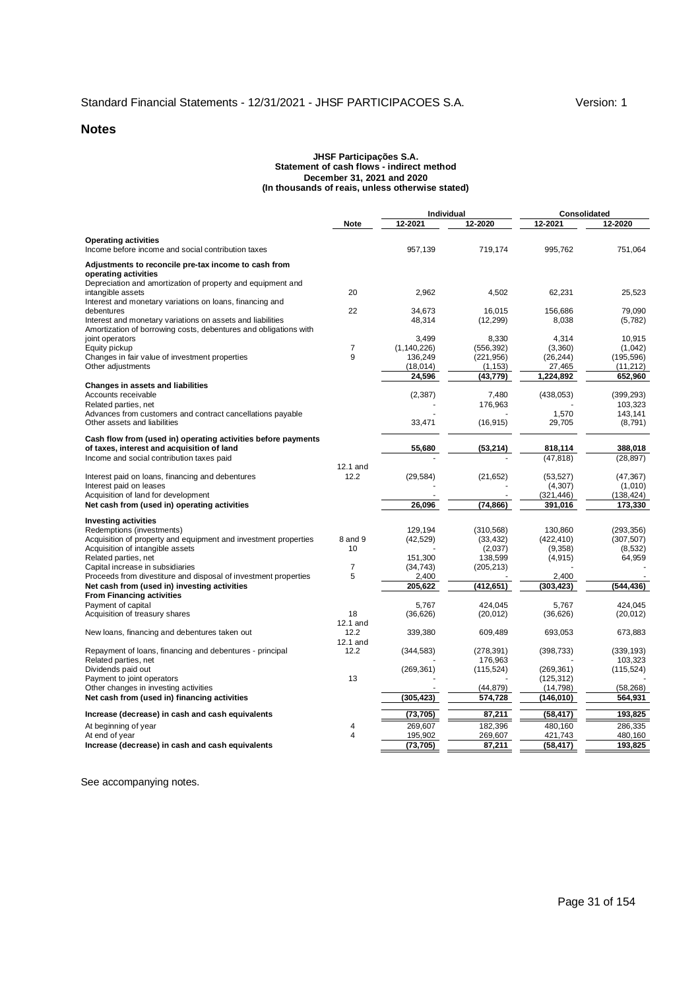#### **JHSF Participações S.A. Statement of cash flows - indirect method December 31, 2021 and 2020 (In thousands of reais, unless otherwise stated)**

|                                                                                                                                              |                     | <b>Individual</b>        |                          | <b>Consolidated</b>     |                       |
|----------------------------------------------------------------------------------------------------------------------------------------------|---------------------|--------------------------|--------------------------|-------------------------|-----------------------|
|                                                                                                                                              | <b>Note</b>         | 12-2021                  | 12-2020                  | 12-2021                 | 12-2020               |
| <b>Operating activities</b><br>Income before income and social contribution taxes                                                            |                     | 957,139                  | 719,174                  | 995.762                 | 751,064               |
| Adjustments to reconcile pre-tax income to cash from                                                                                         |                     |                          |                          |                         |                       |
| operating activities<br>Depreciation and amortization of property and equipment and<br>intangible assets                                     | 20                  | 2,962                    | 4,502                    | 62,231                  | 25,523                |
| Interest and monetary variations on loans, financing and                                                                                     |                     |                          |                          |                         |                       |
| debentures<br>Interest and monetary variations on assets and liabilities<br>Amortization of borrowing costs, debentures and obligations with | 22                  | 34.673<br>48,314         | 16.015<br>(12, 299)      | 156,686<br>8,038        | 79.090<br>(5, 782)    |
| joint operators                                                                                                                              |                     | 3,499                    | 8,330                    | 4,314                   | 10,915                |
| Equity pickup<br>Changes in fair value of investment properties                                                                              | $\overline{7}$<br>9 | (1, 140, 226)<br>136,249 | (556, 392)<br>(221, 956) | (3,360)<br>(26, 244)    | (1,042)<br>(195, 596) |
| Other adjustments                                                                                                                            |                     | (18,014)                 | (1, 153)                 | 27,465                  | (11, 212)             |
|                                                                                                                                              |                     | 24,596                   | (43, 779)                | 1,224,892               | 652,960               |
| <b>Changes in assets and liabilities</b>                                                                                                     |                     |                          |                          |                         |                       |
| Accounts receivable                                                                                                                          |                     | (2, 387)                 | 7,480                    | (438, 053)              | (399, 293)            |
| Related parties, net<br>Advances from customers and contract cancellations payable                                                           |                     |                          | 176,963                  | 1,570                   | 103.323<br>143,141    |
| Other assets and liabilities                                                                                                                 |                     | 33,471                   | (16, 915)                | 29,705                  | (8,791)               |
| Cash flow from (used in) operating activities before payments                                                                                |                     |                          |                          |                         |                       |
| of taxes, interest and acquisition of land<br>Income and social contribution taxes paid                                                      |                     | 55,680                   | (53, 214)                | 818,114<br>(47, 818)    | 388,018<br>(28, 897)  |
|                                                                                                                                              | 12.1 and            |                          |                          |                         |                       |
| Interest paid on loans, financing and debentures                                                                                             | 12.2                | (29, 584)                | (21, 652)                | (53, 527)               | (47, 367)             |
| Interest paid on leases                                                                                                                      |                     |                          |                          | (4, 307)                | (1,010)               |
| Acquisition of land for development                                                                                                          |                     |                          |                          | (321, 446)              | (138, 424)            |
| Net cash from (used in) operating activities                                                                                                 |                     | 26,096                   | (74, 866)                | 391,016                 | 173,330               |
| <b>Investing activities</b>                                                                                                                  |                     |                          |                          |                         |                       |
| Redemptions (investments)                                                                                                                    |                     | 129.194                  | (310.568)                | 130.860                 | (293.356)             |
| Acquisition of property and equipment and investment properties                                                                              | 8 and 9             | (42, 529)                | (33, 432)                | (422, 410)              | (307, 507)            |
| Acquisition of intangible assets                                                                                                             | 10                  | 151,300                  | (2,037)<br>138,599       | (9,358)                 | (8,532)               |
| Related parties, net<br>Capital increase in subsidiaries                                                                                     | $\overline{7}$      | (34, 743)                | (205, 213)               | (4, 915)                | 64,959                |
| Proceeds from divestiture and disposal of investment properties                                                                              | 5                   | 2,400                    |                          | 2,400                   |                       |
| Net cash from (used in) investing activities                                                                                                 |                     | 205,622                  | (412, 651)               | (303,423)               | (544,436)             |
| <b>From Financing activities</b>                                                                                                             |                     |                          |                          |                         |                       |
| Payment of capital                                                                                                                           |                     | 5.767                    | 424.045                  | 5.767                   | 424.045               |
| Acquisition of treasury shares                                                                                                               | 18<br>12.1 and      | (36, 626)                | (20, 012)                | (36, 626)               | (20, 012)             |
| New loans, financing and debentures taken out                                                                                                | 12.2<br>12.1 and    | 339,380                  | 609,489                  | 693,053                 | 673,883               |
| Repayment of loans, financing and debentures - principal                                                                                     | 12.2                | (344, 583)               | (278, 391)               | (398, 733)              | (339, 193)            |
| Related parties, net                                                                                                                         |                     |                          | 176,963                  |                         | 103,323               |
| Dividends paid out                                                                                                                           | 13                  | (269, 361)               | (115, 524)               | (269, 361)              | (115, 524)            |
| Payment to joint operators<br>Other changes in investing activities                                                                          |                     |                          | (44, 879)                | (125, 312)<br>(14, 798) | (58, 268)             |
| Net cash from (used in) financing activities                                                                                                 |                     | (305, 423)               | 574,728                  | (146,010)               | 564,931               |
| Increase (decrease) in cash and cash equivalents                                                                                             |                     | (73, 705)                | 87,211                   | (58, 417)               | 193,825               |
| At beginning of year                                                                                                                         | 4                   | 269,607                  | 182,396                  | 480.160                 | 286,335               |
| At end of year                                                                                                                               | $\overline{4}$      | 195,902                  | 269,607                  | 421,743                 | 480,160               |
| Increase (decrease) in cash and cash equivalents                                                                                             |                     | (73, 705)                | 87,211                   | (58, 417)               | 193,825               |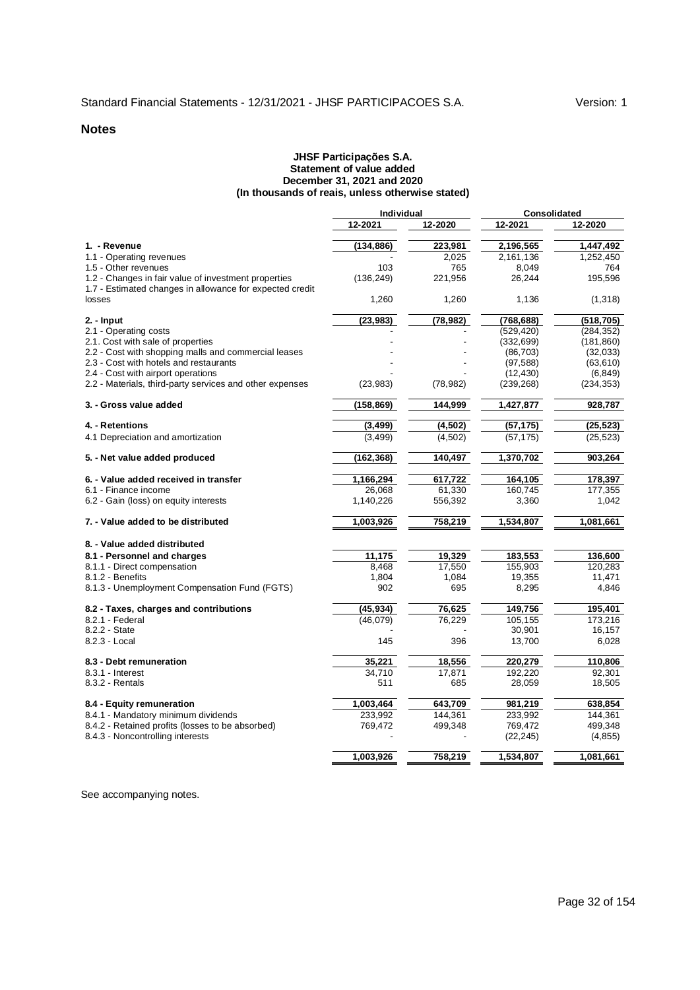#### **JHSF Participações S.A. Statement of value added December 31, 2021 and 2020 (In thousands of reais, unless otherwise stated)**

|                                                                                                                  | Individual |           | <b>Consolidated</b> |            |
|------------------------------------------------------------------------------------------------------------------|------------|-----------|---------------------|------------|
|                                                                                                                  | 12-2021    | 12-2020   | 12-2021             | 12-2020    |
| 1. - Revenue                                                                                                     | (134, 886) | 223,981   | 2,196,565           | 1,447,492  |
| 1.1 - Operating revenues                                                                                         |            | 2,025     | 2,161,136           | 1,252,450  |
| 1.5 - Other revenues                                                                                             | 103        | 765       | 8,049               | 764        |
| 1.2 - Changes in fair value of investment properties<br>1.7 - Estimated changes in allowance for expected credit | (136, 249) | 221,956   | 26,244              | 195,596    |
| losses                                                                                                           | 1,260      | 1,260     | 1,136               | (1,318)    |
| 2. - Input                                                                                                       | (23, 983)  | (78, 982) | (768, 688)          | (518,705)  |
| 2.1 - Operating costs                                                                                            |            |           | (529, 420)          | (284, 352) |
| 2.1. Cost with sale of properties                                                                                |            |           | (332, 699)          | (181, 860) |
| 2.2 - Cost with shopping malls and commercial leases                                                             |            |           | (86, 703)           | (32, 033)  |
| 2.3 - Cost with hotels and restaurants                                                                           |            |           | (97, 588)           | (63, 610)  |
| 2.4 - Cost with airport operations                                                                               |            |           | (12, 430)           | (6, 849)   |
| 2.2 - Materials, third-party services and other expenses                                                         | (23, 983)  | (78, 982) | (239, 268)          | (234, 353) |
| 3. - Gross value added                                                                                           | (158, 869) | 144,999   | 1,427,877           | 928,787    |
| 4. - Retentions                                                                                                  | (3, 499)   | (4, 502)  | (57, 175)           | (25, 523)  |
| 4.1 Depreciation and amortization                                                                                | (3, 499)   | (4, 502)  | (57, 175)           | (25, 523)  |
| 5. - Net value added produced                                                                                    | (162, 368) | 140,497   | 1,370,702           | 903,264    |
| 6. - Value added received in transfer                                                                            | 1,166,294  | 617,722   | 164,105             | 178,397    |
| 6.1 - Finance income                                                                                             | 26.068     | 61,330    | 160,745             | 177,355    |
| 6.2 - Gain (loss) on equity interests                                                                            | 1,140,226  | 556,392   | 3,360               | 1,042      |
| 7. - Value added to be distributed                                                                               | 1,003,926  | 758,219   | 1,534,807           | 1,081,661  |
| 8. - Value added distributed                                                                                     |            |           |                     |            |
| 8.1 - Personnel and charges                                                                                      | 11,175     | 19,329    | 183,553             | 136,600    |
| 8.1.1 - Direct compensation                                                                                      | 8.468      | 17.550    | 155.903             | 120.283    |
| 8.1.2 - Benefits                                                                                                 | 1,804      | 1,084     | 19,355              | 11.471     |
| 8.1.3 - Unemployment Compensation Fund (FGTS)                                                                    | 902        | 695       | 8,295               | 4,846      |
| 8.2 - Taxes, charges and contributions                                                                           | (45, 934)  | 76,625    | 149,756             | 195,401    |
| 8.2.1 - Federal                                                                                                  | (46,079)   | 76,229    | 105,155             | 173,216    |
| 8.2.2 - State                                                                                                    |            |           | 30,901              | 16,157     |
| 8.2.3 - Local                                                                                                    | 145        | 396       | 13,700              | 6,028      |
| 8.3 - Debt remuneration                                                                                          | 35,221     | 18,556    | 220,279             | 110,806    |
| $8.3.1 -$ Interest                                                                                               | 34.710     | 17.871    | 192.220             | 92.301     |
| $8.3.2 -$ Rentals                                                                                                | 511        | 685       | 28,059              | 18,505     |
| 8.4 - Equity remuneration                                                                                        | 1,003,464  | 643,709   | 981,219             | 638,854    |
| 8.4.1 - Mandatory minimum dividends                                                                              | 233,992    | 144,361   | 233,992             | 144,361    |
| 8.4.2 - Retained profits (losses to be absorbed)                                                                 | 769,472    | 499,348   | 769,472             | 499,348    |
| 8.4.3 - Noncontrolling interests                                                                                 |            |           | (22, 245)           | (4, 855)   |
|                                                                                                                  | 1,003,926  | 758.219   | 1,534,807           | 1,081,661  |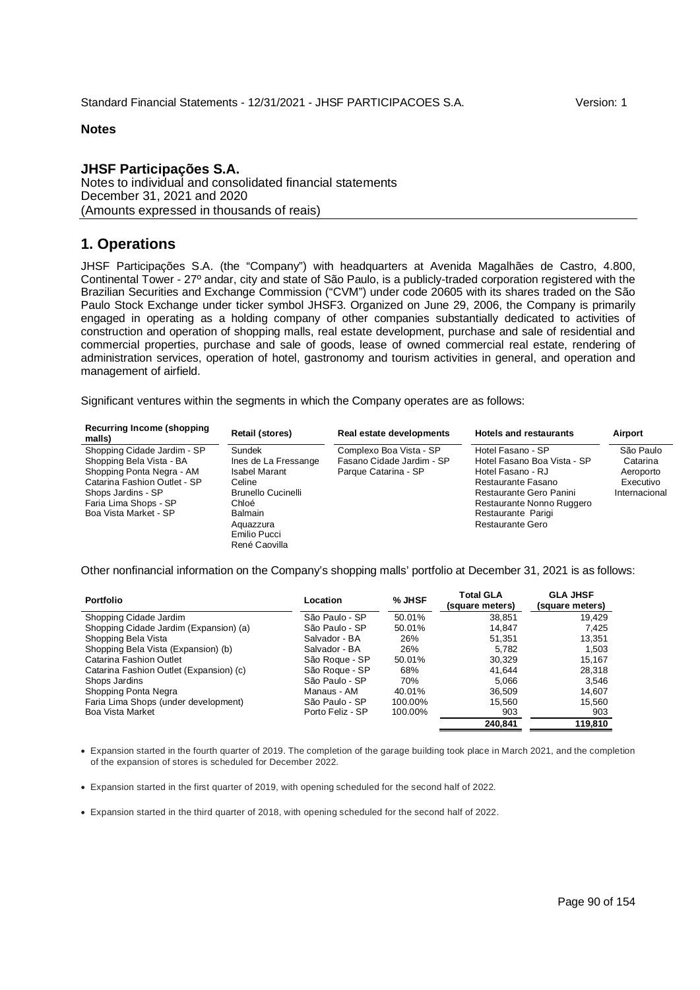#### **JHSF Participações S.A.**

Notes to individual and consolidated financial statements December 31, 2021 and 2020 (Amounts expressed in thousands of reais)

#### **1. Operations**

JHSF Participações S.A. (the "Company") with headquarters at Avenida Magalhães de Castro, 4.800, Continental Tower - 27º andar, city and state of São Paulo, is a publicly-traded corporation registered with the Brazilian Securities and Exchange Commission ("CVM") under code 20605 with its shares traded on the São Paulo Stock Exchange under ticker symbol JHSF3. Organized on June 29, 2006, the Company is primarily engaged in operating as a holding company of other companies substantially dedicated to activities of construction and operation of shopping malls, real estate development, purchase and sale of residential and commercial properties, purchase and sale of goods, lease of owned commercial real estate, rendering of administration services, operation of hotel, gastronomy and tourism activities in general, and operation and management of airfield.

Significant ventures within the segments in which the Company operates are as follows:

| Recurring Income (shopping)<br>malls)                                                                                                                                                        | <b>Retail (stores)</b>                                                                                                                                | Real estate developments                                                     | <b>Hotels and restaurants</b>                                                                                                                                                                 | Airport                                                          |
|----------------------------------------------------------------------------------------------------------------------------------------------------------------------------------------------|-------------------------------------------------------------------------------------------------------------------------------------------------------|------------------------------------------------------------------------------|-----------------------------------------------------------------------------------------------------------------------------------------------------------------------------------------------|------------------------------------------------------------------|
| Shopping Cidade Jardim - SP<br>Shopping Bela Vista - BA<br>Shopping Ponta Negra - AM<br>Catarina Fashion Outlet - SP<br>Shops Jardins - SP<br>Faria Lima Shops - SP<br>Boa Vista Market - SP | Sundek<br>Ines de La Fressange<br><b>Isabel Marant</b><br>Celine<br><b>Brunello Cucinelli</b><br>Chloé<br><b>Balmain</b><br>Aquazzura<br>Emilio Pucci | Complexo Boa Vista - SP<br>Fasano Cidade Jardim - SP<br>Parque Catarina - SP | Hotel Fasano - SP<br>Hotel Fasano Boa Vista - SP<br>Hotel Fasano - RJ<br>Restaurante Fasano<br>Restaurante Gero Panini<br>Restaurante Nonno Ruggero<br>Restaurante Parigi<br>Restaurante Gero | São Paulo<br>Catarina<br>Aeroporto<br>Executivo<br>Internacional |
|                                                                                                                                                                                              | René Caovilla                                                                                                                                         |                                                                              |                                                                                                                                                                                               |                                                                  |

Other nonfinancial information on the Company's shopping malls' portfolio at December 31, 2021 is as follows:

| <b>Portfolio</b>                        | Location         | $%$ JHSF | <b>Total GLA</b><br>(square meters) | <b>GLA JHSF</b><br>(square meters) |
|-----------------------------------------|------------------|----------|-------------------------------------|------------------------------------|
| Shopping Cidade Jardim                  | São Paulo - SP   | 50.01%   | 38.851                              | 19.429                             |
| Shopping Cidade Jardim (Expansion) (a)  | São Paulo - SP   | 50.01%   | 14.847                              | 7.425                              |
| Shopping Bela Vista                     | Salvador - BA    | 26%      | 51.351                              | 13,351                             |
| Shopping Bela Vista (Expansion) (b)     | Salvador - BA    | 26%      | 5.782                               | 1.503                              |
| Catarina Fashion Outlet                 | São Roque - SP   | 50.01%   | 30.329                              | 15,167                             |
| Catarina Fashion Outlet (Expansion) (c) | São Roque - SP   | 68%      | 41.644                              | 28,318                             |
| Shops Jardins                           | São Paulo - SP   | 70%      | 5.066                               | 3,546                              |
| Shopping Ponta Negra                    | Manaus - AM      | 40.01%   | 36.509                              | 14.607                             |
| Faria Lima Shops (under development)    | São Paulo - SP   | 100.00%  | 15.560                              | 15,560                             |
| Boa Vista Market                        | Porto Feliz - SP | 100.00%  | 903                                 | 903                                |
|                                         |                  |          | 240.841                             | 119,810                            |

 Expansion started in the fourth quarter of 2019. The completion of the garage building took place in March 2021, and the completion of the expansion of stores is scheduled for December 2022.

- Expansion started in the first quarter of 2019, with opening scheduled for the second half of 2022.
- Expansion started in the third quarter of 2018, with opening scheduled for the second half of 2022.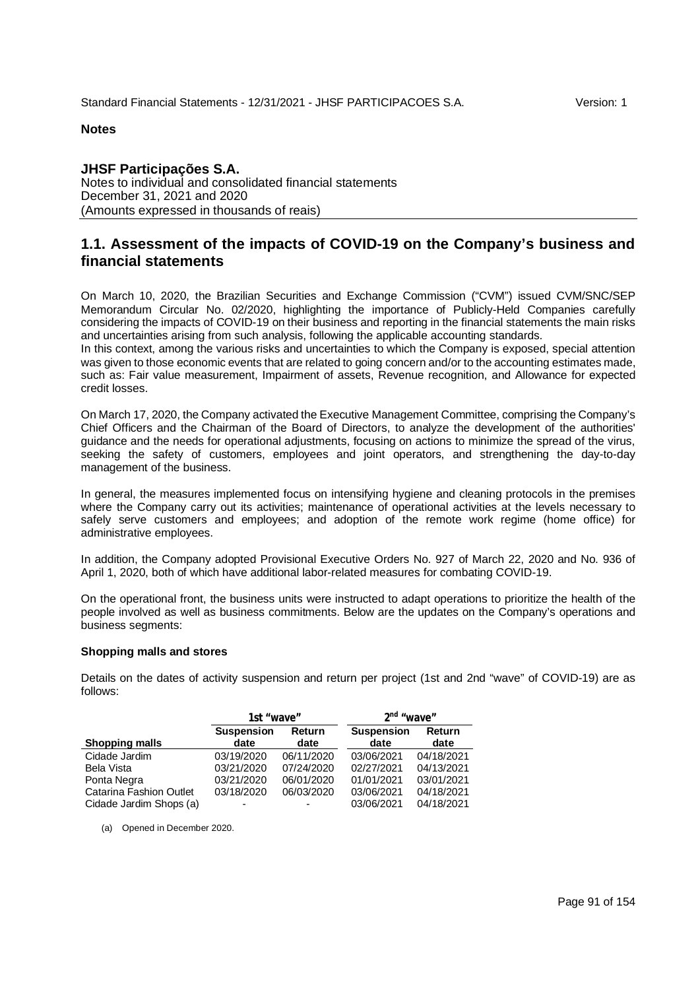#### **JHSF Participações S.A.**

Notes to individual and consolidated financial statements December 31, 2021 and 2020 (Amounts expressed in thousands of reais)

#### **1.1. Assessment of the impacts of COVID-19 on the Company's business and financial statements**

On March 10, 2020, the Brazilian Securities and Exchange Commission ("CVM") issued CVM/SNC/SEP Memorandum Circular No. 02/2020, highlighting the importance of Publicly-Held Companies carefully considering the impacts of COVID-19 on their business and reporting in the financial statements the main risks and uncertainties arising from such analysis, following the applicable accounting standards.

In this context, among the various risks and uncertainties to which the Company is exposed, special attention was given to those economic events that are related to going concern and/or to the accounting estimates made, such as: Fair value measurement, Impairment of assets, Revenue recognition, and Allowance for expected credit losses.

On March 17, 2020, the Company activated the Executive Management Committee, comprising the Company's Chief Officers and the Chairman of the Board of Directors, to analyze the development of the authorities' guidance and the needs for operational adjustments, focusing on actions to minimize the spread of the virus, seeking the safety of customers, employees and joint operators, and strengthening the day-to-day management of the business.

In general, the measures implemented focus on intensifying hygiene and cleaning protocols in the premises where the Company carry out its activities; maintenance of operational activities at the levels necessary to safely serve customers and employees; and adoption of the remote work regime (home office) for administrative employees.

In addition, the Company adopted Provisional Executive Orders No. 927 of March 22, 2020 and No. 936 of April 1, 2020, both of which have additional labor-related measures for combating COVID-19.

On the operational front, the business units were instructed to adapt operations to prioritize the health of the people involved as well as business commitments. Below are the updates on the Company's operations and business segments:

#### **Shopping malls and stores**

Details on the dates of activity suspension and return per project (1st and 2nd "wave" of COVID-19) are as follows:

|                         | 1st "wave"                |                | 2 <sup>nd</sup> "wave"    |                |
|-------------------------|---------------------------|----------------|---------------------------|----------------|
| <b>Shopping malls</b>   | <b>Suspension</b><br>date | Return<br>date | <b>Suspension</b><br>date | Return<br>date |
| Cidade Jardim           | 03/19/2020                | 06/11/2020     | 03/06/2021                | 04/18/2021     |
| Bela Vista              | 03/21/2020                | 07/24/2020     | 02/27/2021                | 04/13/2021     |
| Ponta Negra             | 03/21/2020                | 06/01/2020     | 01/01/2021                | 03/01/2021     |
| Catarina Fashion Outlet | 03/18/2020                | 06/03/2020     | 03/06/2021                | 04/18/2021     |
| Cidade Jardim Shops (a) |                           |                | 03/06/2021                | 04/18/2021     |

(a) Opened in December 2020.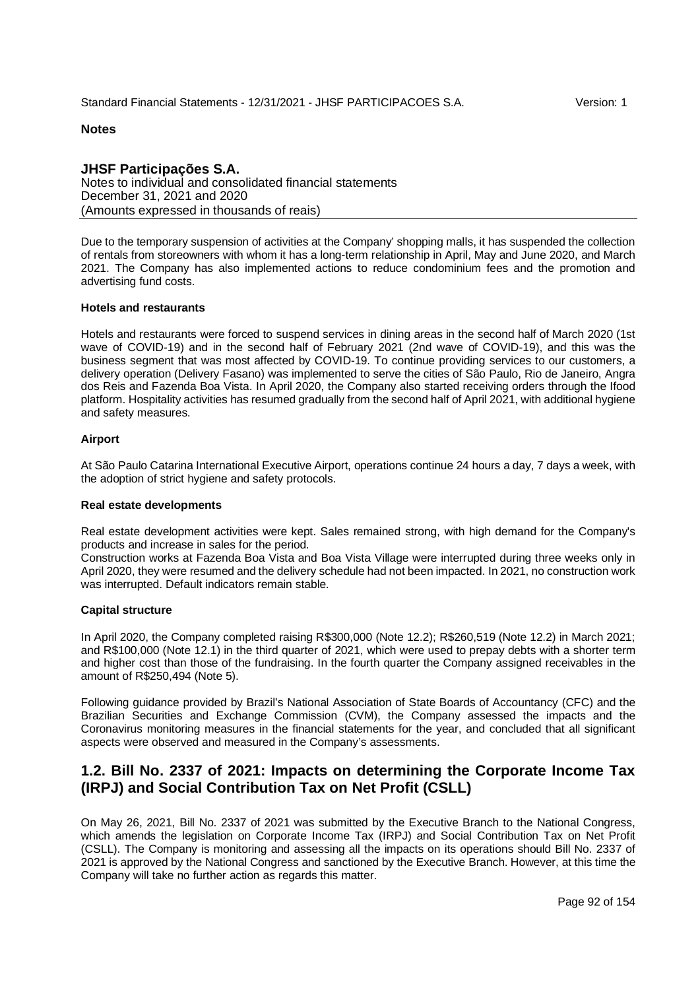#### **JHSF Participações S.A.**

Notes to individual and consolidated financial statements December 31, 2021 and 2020 (Amounts expressed in thousands of reais)

Due to the temporary suspension of activities at the Company' shopping malls, it has suspended the collection of rentals from storeowners with whom it has a long-term relationship in April, May and June 2020, and March 2021. The Company has also implemented actions to reduce condominium fees and the promotion and advertising fund costs.

#### **Hotels and restaurants**

Hotels and restaurants were forced to suspend services in dining areas in the second half of March 2020 (1st wave of COVID-19) and in the second half of February 2021 (2nd wave of COVID-19), and this was the business segment that was most affected by COVID-19. To continue providing services to our customers, a delivery operation (Delivery Fasano) was implemented to serve the cities of São Paulo, Rio de Janeiro, Angra dos Reis and Fazenda Boa Vista. In April 2020, the Company also started receiving orders through the Ifood platform. Hospitality activities has resumed gradually from the second half of April 2021, with additional hygiene and safety measures.

#### **Airport**

At São Paulo Catarina International Executive Airport, operations continue 24 hours a day, 7 days a week, with the adoption of strict hygiene and safety protocols.

#### **Real estate developments**

Real estate development activities were kept. Sales remained strong, with high demand for the Company's products and increase in sales for the period.

Construction works at Fazenda Boa Vista and Boa Vista Village were interrupted during three weeks only in April 2020, they were resumed and the delivery schedule had not been impacted. In 2021, no construction work was interrupted. Default indicators remain stable.

#### **Capital structure**

In April 2020, the Company completed raising R\$300,000 (Note 12.2); R\$260,519 (Note 12.2) in March 2021; and R\$100,000 (Note 12.1) in the third quarter of 2021, which were used to prepay debts with a shorter term and higher cost than those of the fundraising. In the fourth quarter the Company assigned receivables in the amount of R\$250,494 (Note 5).

Following guidance provided by Brazil's National Association of State Boards of Accountancy (CFC) and the Brazilian Securities and Exchange Commission (CVM), the Company assessed the impacts and the Coronavirus monitoring measures in the financial statements for the year, and concluded that all significant aspects were observed and measured in the Company's assessments.

#### **1.2. Bill No. 2337 of 2021: Impacts on determining the Corporate Income Tax (IRPJ) and Social Contribution Tax on Net Profit (CSLL)**

On May 26, 2021, Bill No. 2337 of 2021 was submitted by the Executive Branch to the National Congress, which amends the legislation on Corporate Income Tax (IRPJ) and Social Contribution Tax on Net Profit (CSLL). The Company is monitoring and assessing all the impacts on its operations should Bill No. 2337 of 2021 is approved by the National Congress and sanctioned by the Executive Branch. However, at this time the Company will take no further action as regards this matter.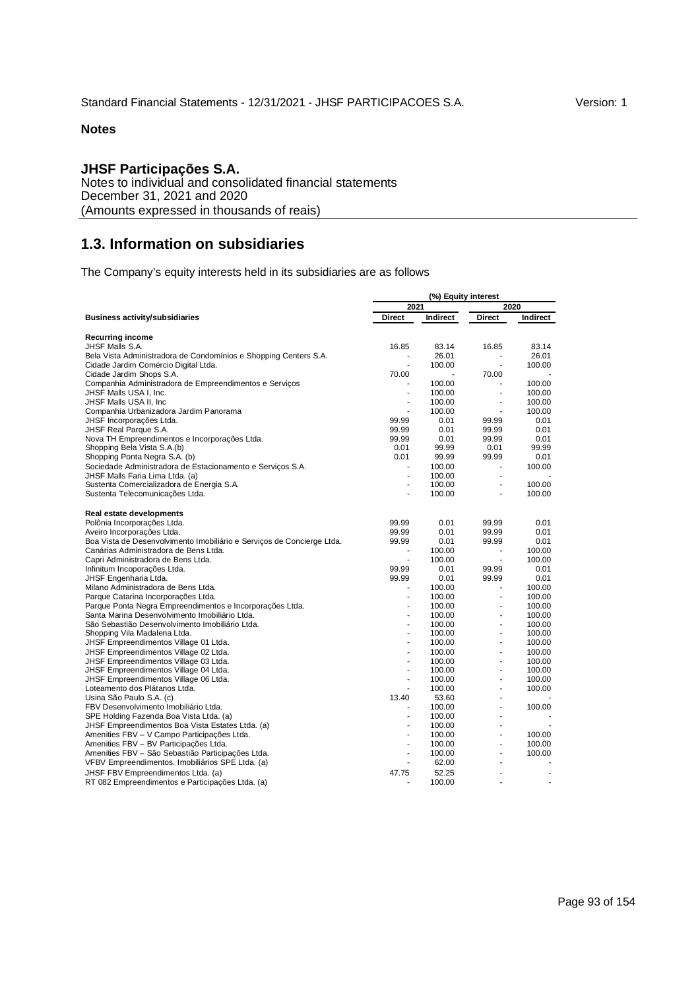## **JHSF Participações S.A.**

Notes to individual and consolidated financial statements December 31, 2021 and 2020 (Amounts expressed in thousands of reais)

# **1.3. Information on subsidiaries**

The Company's equity interests held in its subsidiaries are as follows

|                                                                                | (%) Equity interest |                  |                          |                  |  |
|--------------------------------------------------------------------------------|---------------------|------------------|--------------------------|------------------|--|
|                                                                                | 2021                |                  | 2020                     |                  |  |
| <b>Business activity/subsidiaries</b>                                          | <b>Direct</b>       | Indirect         | Direct                   | Indirect         |  |
| <b>Recurring income</b>                                                        |                     |                  |                          |                  |  |
| JHSF Malls S.A.                                                                | 16.85               | 83.14            | 16.85                    | 83.14            |  |
| Bela Vista Administradora de Condomínios e Shopping Centers S.A.               | ×.                  | 26.01            | ÷.                       | 26.01            |  |
| Cidade Jardim Comércio Digital Ltda.                                           | $\sim$              | 100.00           | $\sim$                   | 100.00           |  |
| Cidade Jardim Shops S.A.                                                       | 70.00               |                  | 70.00                    |                  |  |
| Companhia Administradora de Empreendimentos e Servicos                         |                     | 100.00           |                          | 100.00           |  |
| JHSF Malls USA I, Inc.                                                         | ä,                  | 100.00           | ÷.                       | 100.00           |  |
| JHSF Malls USA II, Inc                                                         | ÷,                  | 100.00           | $\overline{\phantom{a}}$ | 100.00           |  |
| Companhia Urbanizadora Jardim Panorama                                         | ä,                  | 100.00           | ÷,                       | 100.00           |  |
| JHSF Incorporações Ltda.                                                       | 99.99               | 0.01             | 99.99                    | 0.01             |  |
| JHSF Real Parque S.A.                                                          | 99.99               | 0.01             | 99.99                    | 0.01             |  |
| Nova TH Empreendimentos e Incorporações Ltda.                                  | 99.99               | 0.01             | 99.99                    | 0.01             |  |
| Shopping Bela Vista S.A.(b)                                                    | 0.01                | 99.99            | 0.01                     | 99.99            |  |
| Shopping Ponta Negra S.A. (b)                                                  | 0.01                | 99.99            | 99.99                    | 0.01             |  |
| Sociedade Administradora de Estacionamento e Servicos S.A.                     |                     | 100.00           |                          | 100.00           |  |
| JHSF Malls Faria Lima Ltda. (a)                                                | ä,                  | 100.00           | ä,                       |                  |  |
| Sustenta Comercializadora de Energia S.A.                                      | $\sim$              | 100.00           | ×                        | 100.00           |  |
| Sustenta Telecomunicações Ltda.                                                | ä,                  | 100.00           |                          | 100.00           |  |
| Real estate developments                                                       |                     |                  |                          |                  |  |
| Polônia Incorporações Ltda.                                                    | 99.99               | 0.01             | 99.99                    | 0.01             |  |
| Aveiro Incorporações Ltda.                                                     | 99.99               | 0.01             | 99.99                    | 0.01             |  |
| Boa Vista de Desenvolvimento Imobiliário e Serviços de Concierge Ltda.         | 99.99               | 0.01             | 99.99                    | 0.01             |  |
| Canárias Administradora de Bens Ltda.                                          |                     | 100.00           | ÷,                       | 100.00           |  |
| Capri Administradora de Bens Ltda.                                             | $\overline{a}$      | 100.00           | ÷.                       | 100.00           |  |
| Infinitum Incoporações Ltda.                                                   | 99.99               | 0.01             | 99.99                    | 0.01             |  |
| JHSF Engenharia Ltda.                                                          | 99.99               | 0.01             | 99.99                    | 0.01             |  |
| Milano Administradora de Bens Ltda.                                            |                     | 100.00           |                          | 100.00           |  |
| Parque Catarina Incorporações Ltda.                                            | $\blacksquare$      | 100.00           | ä,                       | 100.00           |  |
| Parque Ponta Negra Empreendimentos e Incorporações Ltda.                       | ä,                  | 100.00           | ä,                       | 100.00           |  |
| Santa Marina Desenvolvimento Imobiliário Ltda.                                 | ä,                  | 100.00           | ä,                       | 100.00           |  |
| São Sebastião Desenvolvimento Imobiliário Ltda.                                | ä,<br>L,            | 100.00           | ä,<br>ä,                 | 100.00<br>100.00 |  |
| Shopping Vila Madalena Ltda.                                                   | ä,                  | 100.00           | ä,                       |                  |  |
| JHSF Empreendimentos Village 01 Ltda.                                          | ÷,                  | 100.00           | $\overline{a}$           | 100.00           |  |
| JHSF Empreendimentos Village 02 Ltda.                                          |                     | 100.00           | ÷.                       | 100.00           |  |
| JHSF Empreendimentos Village 03 Ltda.                                          | ä,<br>÷,            | 100.00           | ä,                       | 100.00<br>100.00 |  |
| JHSF Empreendimentos Village 04 Ltda.<br>JHSF Empreendimentos Village 06 Ltda. | ä,                  | 100.00<br>100.00 | L.                       | 100.00           |  |
| Loteamento dos Plátanos Ltda.                                                  | ٠                   | 100.00           | ä,                       | 100.00           |  |
| Usina São Paulo S.A. (c)                                                       | 13.40               | 53.60            | ×                        |                  |  |
| FBV Desenvolvimento Imobiliário Ltda.                                          |                     | 100.00           |                          | 100.00           |  |
| SPE Holding Fazenda Boa Vista Ltda. (a)                                        | ä,                  | 100.00           | ä,                       |                  |  |
| JHSF Empreendimentos Boa Vista Estates Ltda. (a)                               | ä,                  | 100.00           | ÷.                       |                  |  |
| Amenities FBV - V Campo Participações Ltda.                                    | ä,                  | 100.00           | ÷.                       | 100.00           |  |
| Amenities FBV - BV Participações Ltda.                                         | ä,                  | 100.00           | Ĭ.                       | 100.00           |  |
| Amenities FBV - São Sebastião Participações Ltda.                              | ä,                  | 100.00           | ÷.                       | 100.00           |  |
| VFBV Empreendimentos. Imobiliários SPE Ltda. (a)                               | L,                  | 62.00            |                          |                  |  |
|                                                                                |                     | 52.25            |                          |                  |  |
| JHSF FBV Empreendimentos Ltda. (a)                                             | 47.75               | 100.00           |                          |                  |  |
| RT 082 Empreendimentos e Participações Ltda. (a)                               |                     |                  |                          |                  |  |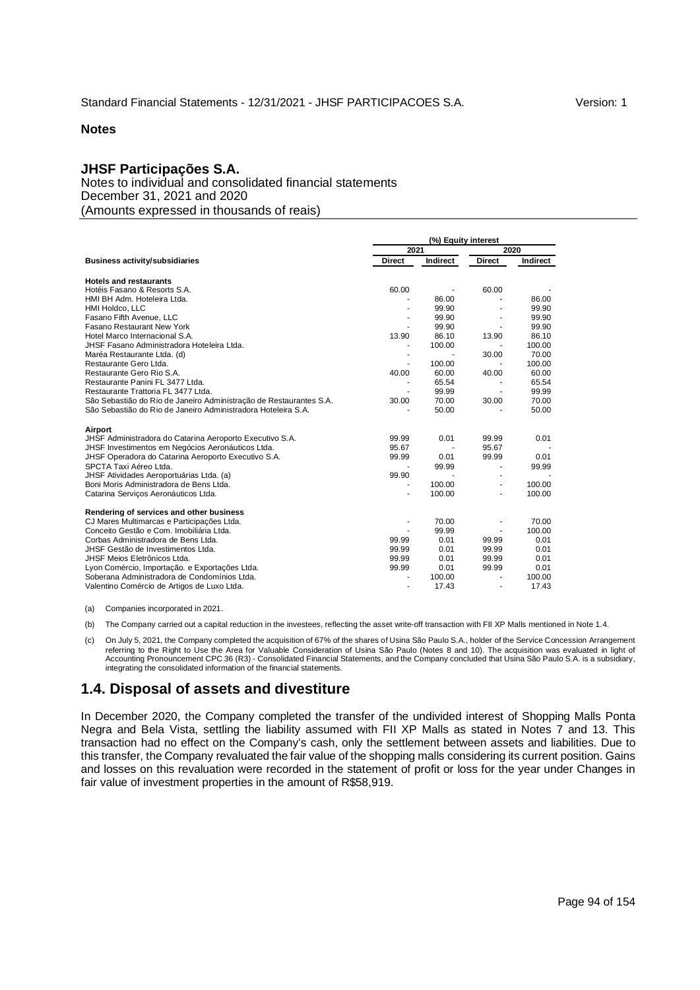## **JHSF Participações S.A.**

Notes to individual and consolidated financial statements December 31, 2021 and 2020 (Amounts expressed in thousands of reais)

|                                                                    | (%) Equity interest      |          |               |          |  |
|--------------------------------------------------------------------|--------------------------|----------|---------------|----------|--|
|                                                                    | 2021                     |          |               | 2020     |  |
| <b>Business activity/subsidiaries</b>                              | <b>Direct</b>            | Indirect | <b>Direct</b> | Indirect |  |
| <b>Hotels and restaurants</b>                                      |                          |          |               |          |  |
| Hotéis Fasano & Resorts S.A.                                       | 60.00                    |          | 60.00         |          |  |
| HMI BH Adm. Hoteleira Ltda.                                        |                          | 86.00    |               | 86.00    |  |
| HMI Holdco, LLC                                                    |                          | 99.90    |               | 99.90    |  |
| Fasano Fifth Avenue, LLC                                           |                          | 99.90    |               | 99.90    |  |
| Fasano Restaurant New York                                         |                          | 99.90    |               | 99.90    |  |
| Hotel Marco Internacional S.A.                                     | 13.90                    | 86.10    | 13.90         | 86.10    |  |
| JHSF Fasano Administradora Hoteleira Ltda.                         |                          | 100.00   |               | 100.00   |  |
| Maréa Restaurante Ltda. (d)                                        | ÷                        |          | 30.00         | 70.00    |  |
| Restaurante Gero Ltda.                                             | $\overline{\phantom{a}}$ | 100.00   |               | 100.00   |  |
| Restaurante Gero Rio S.A.                                          | 40.00                    | 60.00    | 40.00         | 60.00    |  |
| Restaurante Panini FL 3477 Ltda.                                   |                          | 65.54    |               | 65.54    |  |
| Restaurante Trattoria FL 3477 Ltda.                                |                          | 99.99    |               | 99.99    |  |
| São Sebastião do Rio de Janeiro Administração de Restaurantes S.A. | 30.00                    | 70.00    | 30.00         | 70.00    |  |
| São Sebastião do Rio de Janeiro Administradora Hoteleira S.A.      |                          | 50.00    |               | 50.00    |  |
| Airport                                                            |                          |          |               |          |  |
| JHSF Administradora do Catarina Aeroporto Executivo S.A.           | 99.99                    | 0.01     | 99.99         | 0.01     |  |
| JHSF Investimentos em Negócios Aeronáuticos Ltda.                  | 95.67                    |          | 95.67         |          |  |
| JHSF Operadora do Catarina Aeroporto Executivo S.A.                | 99.99                    | 0.01     | 99.99         | 0.01     |  |
| SPCTA Taxi Aéreo Ltda.                                             |                          | 99.99    |               | 99.99    |  |
| JHSF Atividades Aeroportuárias Ltda. (a)                           | 99.90                    |          |               |          |  |
| Boni Moris Administradora de Bens Ltda.                            |                          | 100.00   |               | 100.00   |  |
| Catarina Serviços Aeronáuticos Ltda.                               | ÷.                       | 100.00   |               | 100.00   |  |
| Rendering of services and other business                           |                          |          |               |          |  |
| CJ Mares Multimarcas e Participações Ltda.                         | ٠                        | 70.00    |               | 70.00    |  |
| Conceito Gestão e Com. Imobiliária Ltda.                           |                          | 99.99    |               | 100.00   |  |
| Corbas Administradora de Bens Ltda.                                | 99.99                    | 0.01     | 99.99         | 0.01     |  |
| JHSF Gestão de Investimentos Ltda.                                 | 99.99                    | 0.01     | 99.99         | 0.01     |  |
| JHSF Meios Eletrônicos Ltda.                                       | 99.99                    | 0.01     | 99.99         | 0.01     |  |
| Lyon Comércio, Importação. e Exportações Ltda.                     | 99.99                    | 0.01     | 99.99         | 0.01     |  |
| Soberana Administradora de Condomínios Ltda.                       |                          | 100.00   |               | 100.00   |  |
| Valentino Comércio de Artigos de Luxo Ltda.                        |                          | 17.43    | ÷             | 17.43    |  |
|                                                                    |                          |          |               |          |  |

(a) Companies incorporated in 2021.

(b) The Company carried out a capital reduction in the investees, reflecting the asset write-off transaction with FII XP Malls mentioned in Note 1.4.

(c) On July 5, 2021, the Company completed the acquisition of 67% of the shares of Usina São Paulo S.A., holder of the Service Concession Arrangement referring to the Right to Use the Area for Valuable Consideration of Usina São Paulo (Notes 8 and 10). The acquisition was evaluated in light of Accounting Pronouncement CPC 36 (R3) - Consolidated Financial Statements, and the Company concluded that Usina São Paulo S.A. is a subsidiary, integrating the consolidated information of the financial statements.

# **1.4. Disposal of assets and divestiture**

In December 2020, the Company completed the transfer of the undivided interest of Shopping Malls Ponta Negra and Bela Vista, settling the liability assumed with FII XP Malls as stated in Notes 7 and 13. This transaction had no effect on the Company's cash, only the settlement between assets and liabilities. Due to this transfer, the Company revaluated the fair value of the shopping malls considering its current position. Gains and losses on this revaluation were recorded in the statement of profit or loss for the year under Changes in fair value of investment properties in the amount of R\$58,919.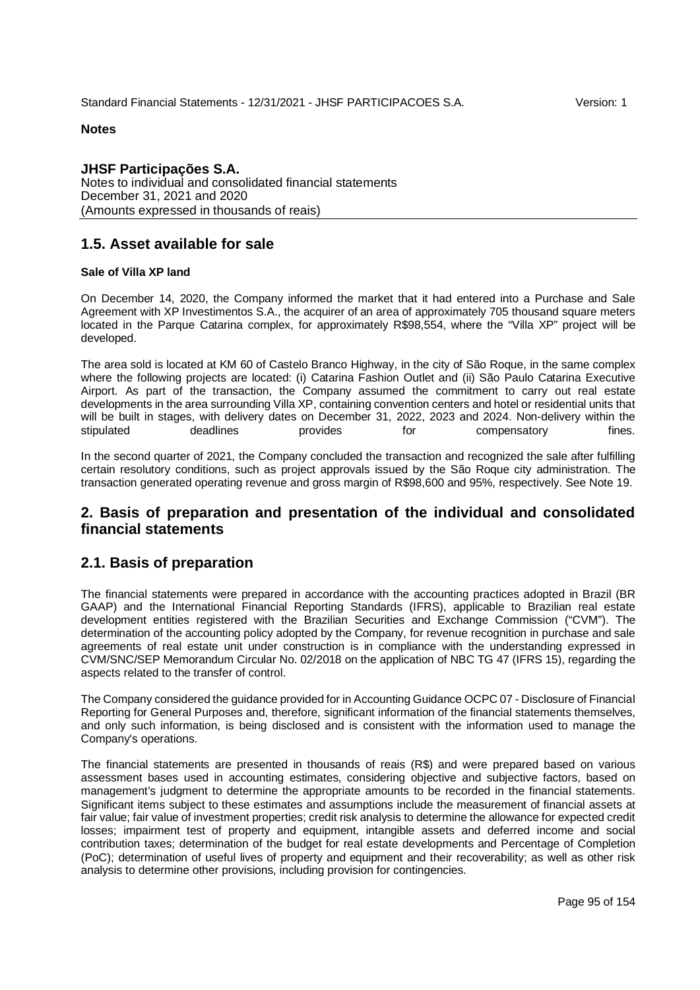## **JHSF Participações S.A.**

Notes to individual and consolidated financial statements December 31, 2021 and 2020 (Amounts expressed in thousands of reais)

# **1.5. Asset available for sale**

## **Sale of Villa XP land**

On December 14, 2020, the Company informed the market that it had entered into a Purchase and Sale Agreement with XP Investimentos S.A., the acquirer of an area of approximately 705 thousand square meters located in the Parque Catarina complex, for approximately R\$98,554, where the "Villa XP" project will be developed.

The area sold is located at KM 60 of Castelo Branco Highway, in the city of São Roque, in the same complex where the following projects are located: (i) Catarina Fashion Outlet and (ii) São Paulo Catarina Executive Airport. As part of the transaction, the Company assumed the commitment to carry out real estate developments in the area surrounding Villa XP, containing convention centers and hotel or residential units that will be built in stages, with delivery dates on December 31, 2022, 2023 and 2024. Non-delivery within the stipulated deadlines provides fines. provides for compensatory fines.

In the second quarter of 2021, the Company concluded the transaction and recognized the sale after fulfilling certain resolutory conditions, such as project approvals issued by the São Roque city administration. The transaction generated operating revenue and gross margin of R\$98,600 and 95%, respectively. See Note 19.

# **2. Basis of preparation and presentation of the individual and consolidated financial statements**

# **2.1. Basis of preparation**

The financial statements were prepared in accordance with the accounting practices adopted in Brazil (BR GAAP) and the International Financial Reporting Standards (IFRS), applicable to Brazilian real estate development entities registered with the Brazilian Securities and Exchange Commission ("CVM"). The determination of the accounting policy adopted by the Company, for revenue recognition in purchase and sale agreements of real estate unit under construction is in compliance with the understanding expressed in CVM/SNC/SEP Memorandum Circular No. 02/2018 on the application of NBC TG 47 (IFRS 15), regarding the aspects related to the transfer of control.

The Company considered the guidance provided for in Accounting Guidance OCPC 07 - Disclosure of Financial Reporting for General Purposes and, therefore, significant information of the financial statements themselves, and only such information, is being disclosed and is consistent with the information used to manage the Company's operations.

The financial statements are presented in thousands of reais (R\$) and were prepared based on various assessment bases used in accounting estimates, considering objective and subjective factors, based on management's judgment to determine the appropriate amounts to be recorded in the financial statements. Significant items subject to these estimates and assumptions include the measurement of financial assets at fair value; fair value of investment properties; credit risk analysis to determine the allowance for expected credit losses; impairment test of property and equipment, intangible assets and deferred income and social contribution taxes; determination of the budget for real estate developments and Percentage of Completion (PoC); determination of useful lives of property and equipment and their recoverability; as well as other risk analysis to determine other provisions, including provision for contingencies.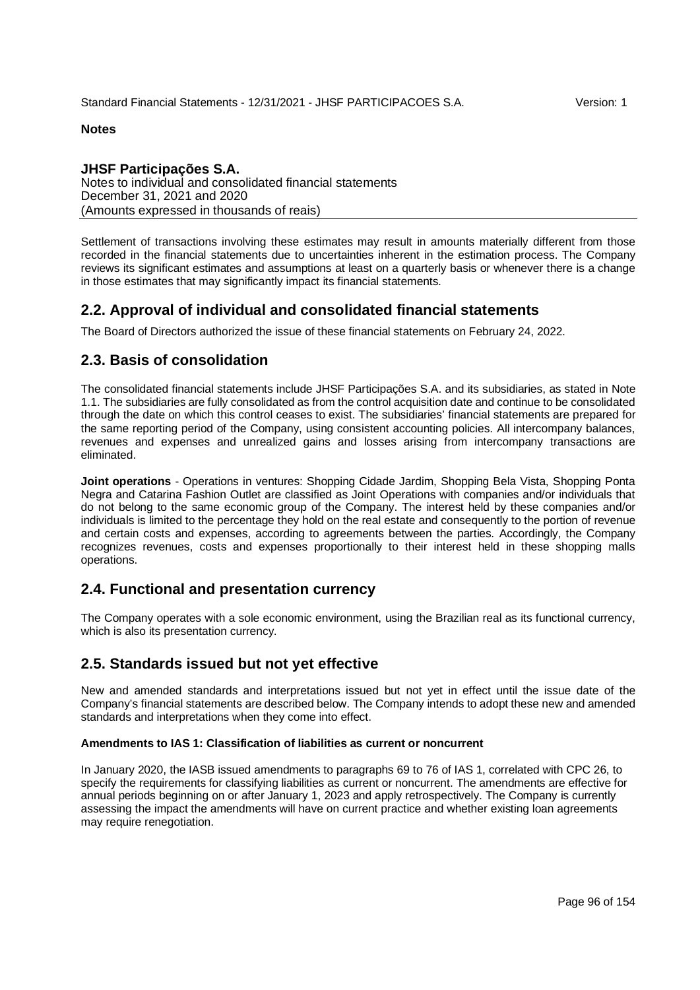## **JHSF Participações S.A.**

Notes to individual and consolidated financial statements December 31, 2021 and 2020 (Amounts expressed in thousands of reais)

Settlement of transactions involving these estimates may result in amounts materially different from those recorded in the financial statements due to uncertainties inherent in the estimation process. The Company reviews its significant estimates and assumptions at least on a quarterly basis or whenever there is a change in those estimates that may significantly impact its financial statements.

# **2.2. Approval of individual and consolidated financial statements**

The Board of Directors authorized the issue of these financial statements on February 24, 2022.

# **2.3. Basis of consolidation**

The consolidated financial statements include JHSF Participações S.A. and its subsidiaries, as stated in Note 1.1. The subsidiaries are fully consolidated as from the control acquisition date and continue to be consolidated through the date on which this control ceases to exist. The subsidiaries' financial statements are prepared for the same reporting period of the Company, using consistent accounting policies. All intercompany balances, revenues and expenses and unrealized gains and losses arising from intercompany transactions are eliminated.

**Joint operations** - Operations in ventures: Shopping Cidade Jardim, Shopping Bela Vista, Shopping Ponta Negra and Catarina Fashion Outlet are classified as Joint Operations with companies and/or individuals that do not belong to the same economic group of the Company. The interest held by these companies and/or individuals is limited to the percentage they hold on the real estate and consequently to the portion of revenue and certain costs and expenses, according to agreements between the parties. Accordingly, the Company recognizes revenues, costs and expenses proportionally to their interest held in these shopping malls operations.

# **2.4. Functional and presentation currency**

The Company operates with a sole economic environment, using the Brazilian real as its functional currency, which is also its presentation currency.

# **2.5. Standards issued but not yet effective**

New and amended standards and interpretations issued but not yet in effect until the issue date of the Company's financial statements are described below. The Company intends to adopt these new and amended standards and interpretations when they come into effect.

## **Amendments to IAS 1: Classification of liabilities as current or noncurrent**

In January 2020, the IASB issued amendments to paragraphs 69 to 76 of IAS 1, correlated with CPC 26, to specify the requirements for classifying liabilities as current or noncurrent. The amendments are effective for annual periods beginning on or after January 1, 2023 and apply retrospectively. The Company is currently assessing the impact the amendments will have on current practice and whether existing loan agreements may require renegotiation.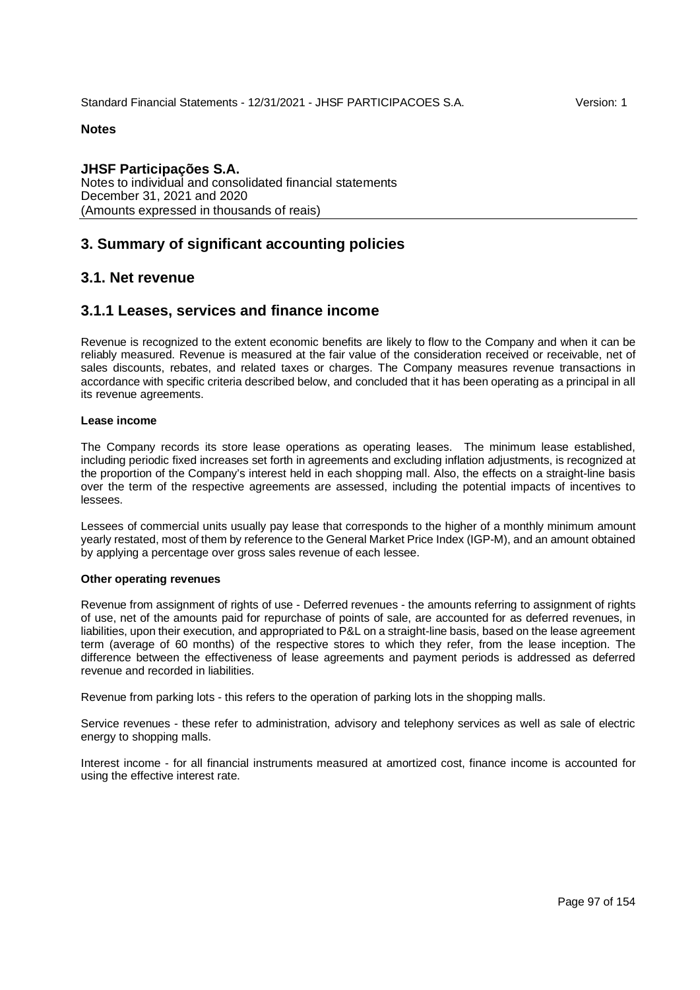**JHSF Participações S.A.** Notes to individual and consolidated financial statements December 31, 2021 and 2020 (Amounts expressed in thousands of reais)

# **3. Summary of significant accounting policies**

# **3.1. Net revenue**

# **3.1.1 Leases, services and finance income**

Revenue is recognized to the extent economic benefits are likely to flow to the Company and when it can be reliably measured. Revenue is measured at the fair value of the consideration received or receivable, net of sales discounts, rebates, and related taxes or charges. The Company measures revenue transactions in accordance with specific criteria described below, and concluded that it has been operating as a principal in all its revenue agreements.

#### **Lease income**

The Company records its store lease operations as operating leases. The minimum lease established, including periodic fixed increases set forth in agreements and excluding inflation adjustments, is recognized at the proportion of the Company's interest held in each shopping mall. Also, the effects on a straight-line basis over the term of the respective agreements are assessed, including the potential impacts of incentives to lessees.

Lessees of commercial units usually pay lease that corresponds to the higher of a monthly minimum amount yearly restated, most of them by reference to the General Market Price Index (IGP-M), and an amount obtained by applying a percentage over gross sales revenue of each lessee.

#### **Other operating revenues**

Revenue from assignment of rights of use - Deferred revenues - the amounts referring to assignment of rights of use, net of the amounts paid for repurchase of points of sale, are accounted for as deferred revenues, in liabilities, upon their execution, and appropriated to P&L on a straight-line basis, based on the lease agreement term (average of 60 months) of the respective stores to which they refer, from the lease inception. The difference between the effectiveness of lease agreements and payment periods is addressed as deferred revenue and recorded in liabilities.

Revenue from parking lots - this refers to the operation of parking lots in the shopping malls.

Service revenues - these refer to administration, advisory and telephony services as well as sale of electric energy to shopping malls.

Interest income - for all financial instruments measured at amortized cost, finance income is accounted for using the effective interest rate.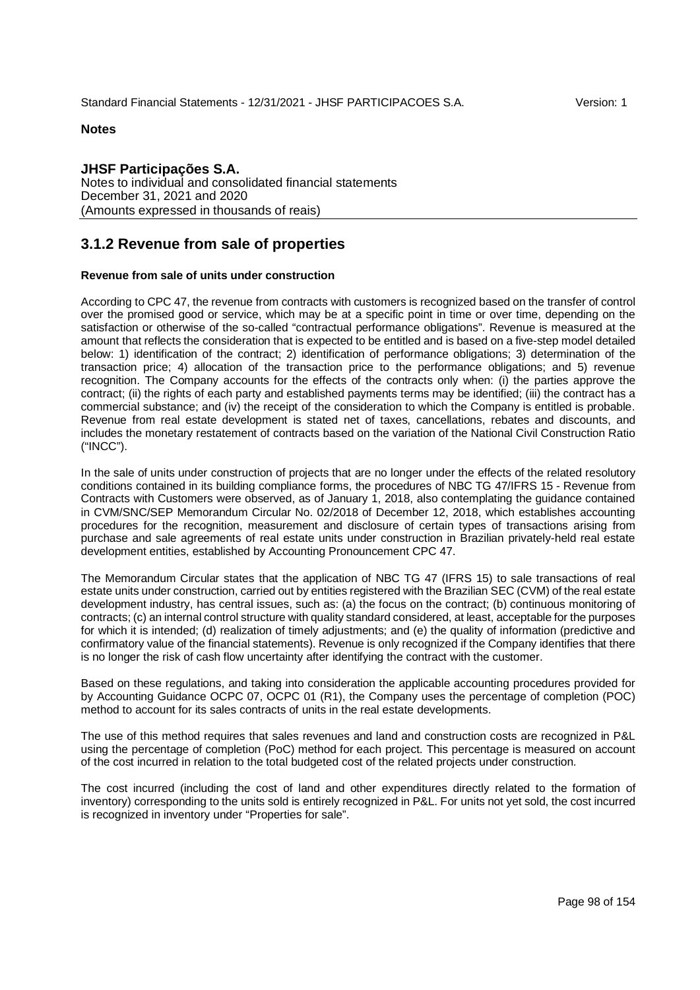**JHSF Participações S.A.** Notes to individual and consolidated financial statements December 31, 2021 and 2020 (Amounts expressed in thousands of reais)

# **3.1.2 Revenue from sale of properties**

#### **Revenue from sale of units under construction**

According to CPC 47, the revenue from contracts with customers is recognized based on the transfer of control over the promised good or service, which may be at a specific point in time or over time, depending on the satisfaction or otherwise of the so-called "contractual performance obligations". Revenue is measured at the amount that reflects the consideration that is expected to be entitled and is based on a five-step model detailed below: 1) identification of the contract; 2) identification of performance obligations; 3) determination of the transaction price; 4) allocation of the transaction price to the performance obligations; and 5) revenue recognition. The Company accounts for the effects of the contracts only when: (i) the parties approve the contract; (ii) the rights of each party and established payments terms may be identified; (iii) the contract has a commercial substance; and (iv) the receipt of the consideration to which the Company is entitled is probable. Revenue from real estate development is stated net of taxes, cancellations, rebates and discounts, and includes the monetary restatement of contracts based on the variation of the National Civil Construction Ratio ("INCC").

In the sale of units under construction of projects that are no longer under the effects of the related resolutory conditions contained in its building compliance forms, the procedures of NBC TG 47/IFRS 15 - Revenue from Contracts with Customers were observed, as of January 1, 2018, also contemplating the guidance contained in CVM/SNC/SEP Memorandum Circular No. 02/2018 of December 12, 2018, which establishes accounting procedures for the recognition, measurement and disclosure of certain types of transactions arising from purchase and sale agreements of real estate units under construction in Brazilian privately-held real estate development entities, established by Accounting Pronouncement CPC 47.

The Memorandum Circular states that the application of NBC TG 47 (IFRS 15) to sale transactions of real estate units under construction, carried out by entities registered with the Brazilian SEC (CVM) of the real estate development industry, has central issues, such as: (a) the focus on the contract; (b) continuous monitoring of contracts; (c) an internal control structure with quality standard considered, at least, acceptable for the purposes for which it is intended; (d) realization of timely adjustments; and (e) the quality of information (predictive and confirmatory value of the financial statements). Revenue is only recognized if the Company identifies that there is no longer the risk of cash flow uncertainty after identifying the contract with the customer.

Based on these regulations, and taking into consideration the applicable accounting procedures provided for by Accounting Guidance OCPC 07, OCPC 01 (R1), the Company uses the percentage of completion (POC) method to account for its sales contracts of units in the real estate developments.

The use of this method requires that sales revenues and land and construction costs are recognized in P&L using the percentage of completion (PoC) method for each project. This percentage is measured on account of the cost incurred in relation to the total budgeted cost of the related projects under construction.

The cost incurred (including the cost of land and other expenditures directly related to the formation of inventory) corresponding to the units sold is entirely recognized in P&L. For units not yet sold, the cost incurred is recognized in inventory under "Properties for sale".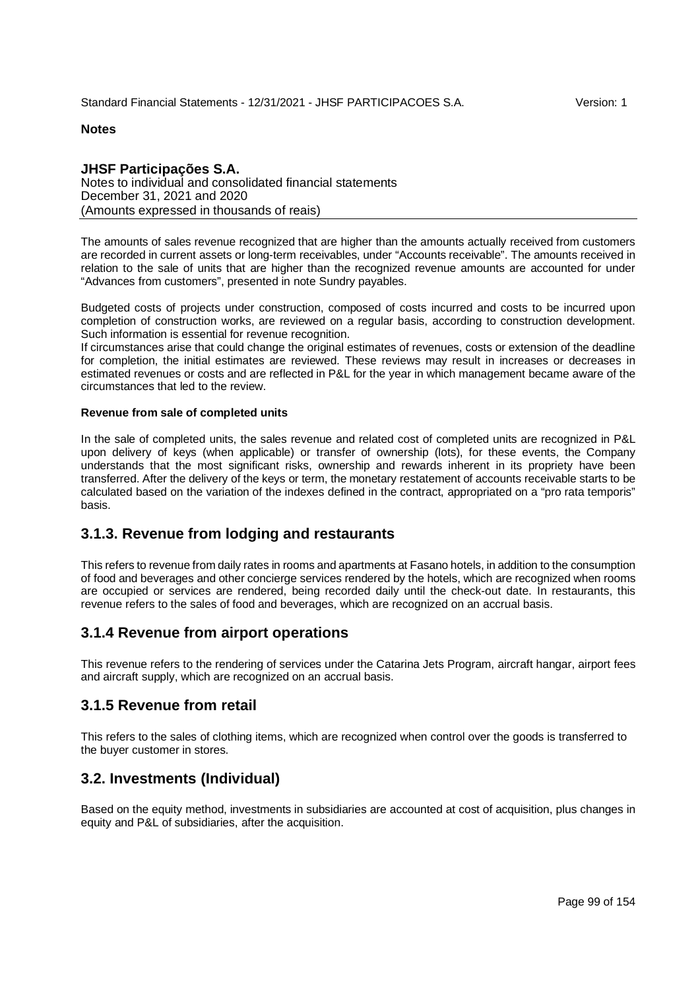## **JHSF Participações S.A.**

Notes to individual and consolidated financial statements December 31, 2021 and 2020 (Amounts expressed in thousands of reais)

The amounts of sales revenue recognized that are higher than the amounts actually received from customers are recorded in current assets or long-term receivables, under "Accounts receivable". The amounts received in relation to the sale of units that are higher than the recognized revenue amounts are accounted for under "Advances from customers", presented in note Sundry payables.

Budgeted costs of projects under construction, composed of costs incurred and costs to be incurred upon completion of construction works, are reviewed on a regular basis, according to construction development. Such information is essential for revenue recognition.

If circumstances arise that could change the original estimates of revenues, costs or extension of the deadline for completion, the initial estimates are reviewed. These reviews may result in increases or decreases in estimated revenues or costs and are reflected in P&L for the year in which management became aware of the circumstances that led to the review.

#### **Revenue from sale of completed units**

In the sale of completed units, the sales revenue and related cost of completed units are recognized in P&L upon delivery of keys (when applicable) or transfer of ownership (lots), for these events, the Company understands that the most significant risks, ownership and rewards inherent in its propriety have been transferred. After the delivery of the keys or term, the monetary restatement of accounts receivable starts to be calculated based on the variation of the indexes defined in the contract, appropriated on a "pro rata temporis" basis.

# **3.1.3. Revenue from lodging and restaurants**

This refers to revenue from daily rates in rooms and apartments at Fasano hotels, in addition to the consumption of food and beverages and other concierge services rendered by the hotels, which are recognized when rooms are occupied or services are rendered, being recorded daily until the check-out date. In restaurants, this revenue refers to the sales of food and beverages, which are recognized on an accrual basis.

# **3.1.4 Revenue from airport operations**

This revenue refers to the rendering of services under the Catarina Jets Program, aircraft hangar, airport fees and aircraft supply, which are recognized on an accrual basis.

# **3.1.5 Revenue from retail**

This refers to the sales of clothing items, which are recognized when control over the goods is transferred to the buyer customer in stores.

# **3.2. Investments (Individual)**

Based on the equity method, investments in subsidiaries are accounted at cost of acquisition, plus changes in equity and P&L of subsidiaries, after the acquisition.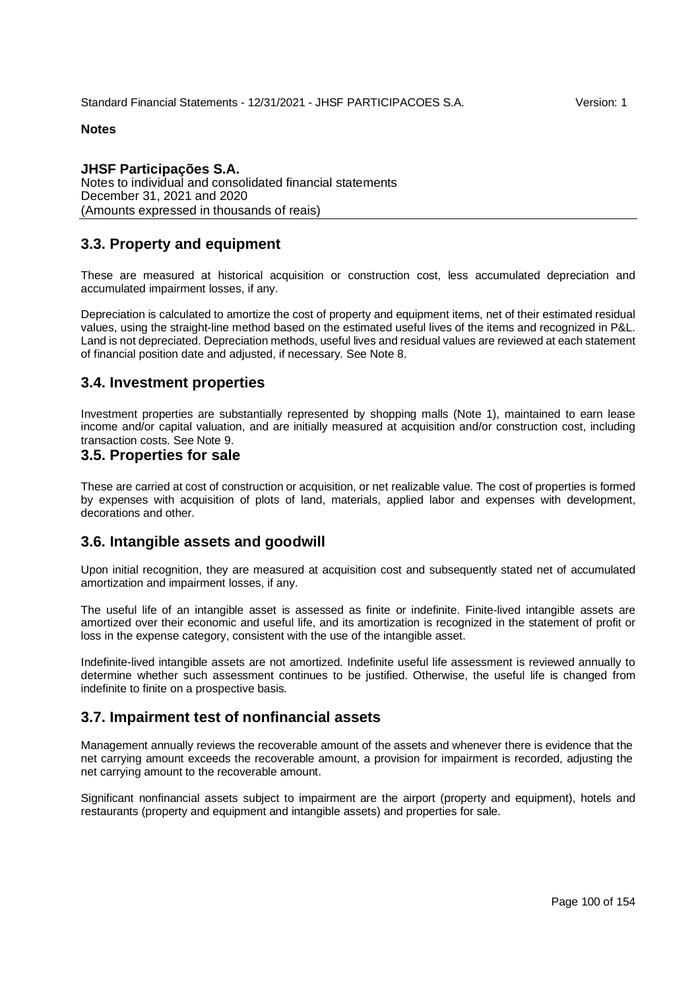## **JHSF Participações S.A.**

Notes to individual and consolidated financial statements December 31, 2021 and 2020 (Amounts expressed in thousands of reais)

# **3.3. Property and equipment**

These are measured at historical acquisition or construction cost, less accumulated depreciation and accumulated impairment losses, if any.

Depreciation is calculated to amortize the cost of property and equipment items, net of their estimated residual values, using the straight-line method based on the estimated useful lives of the items and recognized in P&L. Land is not depreciated. Depreciation methods, useful lives and residual values are reviewed at each statement of financial position date and adjusted, if necessary. See Note 8.

# **3.4. Investment properties**

Investment properties are substantially represented by shopping malls (Note 1), maintained to earn lease income and/or capital valuation, and are initially measured at acquisition and/or construction cost, including transaction costs. See Note 9.

## **3.5. Properties for sale**

These are carried at cost of construction or acquisition, or net realizable value. The cost of properties is formed by expenses with acquisition of plots of land, materials, applied labor and expenses with development, decorations and other.

## **3.6. Intangible assets and goodwill**

Upon initial recognition, they are measured at acquisition cost and subsequently stated net of accumulated amortization and impairment losses, if any.

The useful life of an intangible asset is assessed as finite or indefinite. Finite-lived intangible assets are amortized over their economic and useful life, and its amortization is recognized in the statement of profit or loss in the expense category, consistent with the use of the intangible asset.

Indefinite-lived intangible assets are not amortized. Indefinite useful life assessment is reviewed annually to determine whether such assessment continues to be justified. Otherwise, the useful life is changed from indefinite to finite on a prospective basis.

# **3.7. Impairment test of nonfinancial assets**

Management annually reviews the recoverable amount of the assets and whenever there is evidence that the net carrying amount exceeds the recoverable amount, a provision for impairment is recorded, adjusting the net carrying amount to the recoverable amount.

Significant nonfinancial assets subject to impairment are the airport (property and equipment), hotels and restaurants (property and equipment and intangible assets) and properties for sale.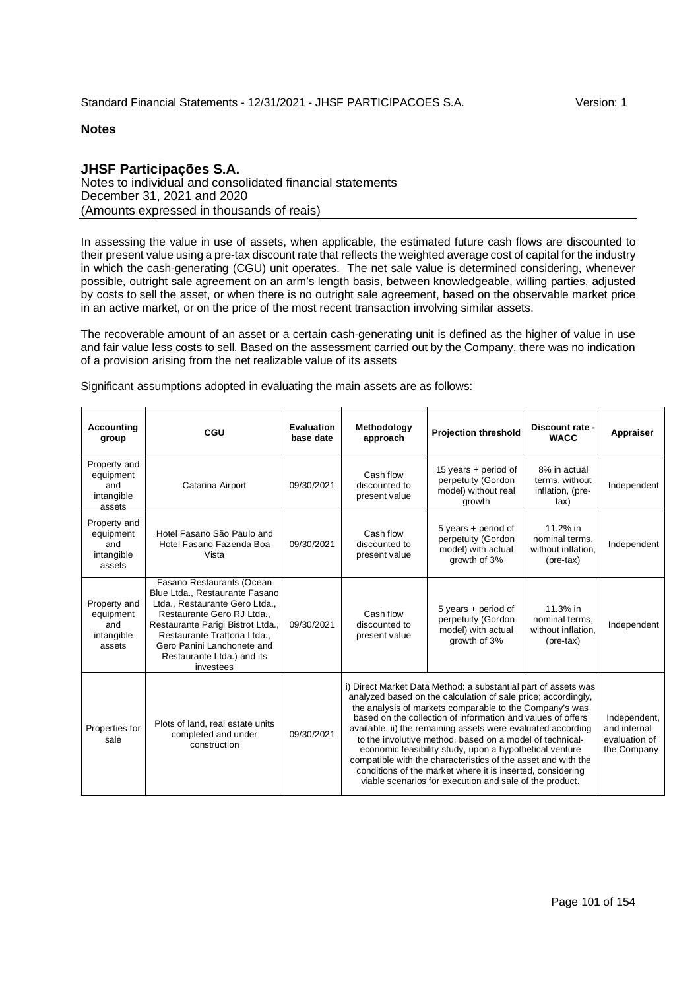## **JHSF Participações S.A.**

Notes to individual and consolidated financial statements December 31, 2021 and 2020 (Amounts expressed in thousands of reais)

In assessing the value in use of assets, when applicable, the estimated future cash flows are discounted to their present value using a pre-tax discount rate that reflects the weighted average cost of capital for the industry in which the cash-generating (CGU) unit operates. The net sale value is determined considering, whenever possible, outright sale agreement on an arm's length basis, between knowledgeable, willing parties, adjusted by costs to sell the asset, or when there is no outright sale agreement, based on the observable market price in an active market, or on the price of the most recent transaction involving similar assets.

The recoverable amount of an asset or a certain cash-generating unit is defined as the higher of value in use and fair value less costs to sell. Based on the assessment carried out by the Company, there was no indication of a provision arising from the net realizable value of its assets

| <b>Accounting</b><br>group                               | CGU                                                                                                                                                                                                                                                                     | Evaluation<br>base date | Methodology<br><b>Projection threshold</b><br>approach                                                                                                                                                                                                                                                                                                                                                                                                                                                                                                                                                                                     |                                                                                                                         | Discount rate -<br><b>WACC</b>                                         | Appraiser   |
|----------------------------------------------------------|-------------------------------------------------------------------------------------------------------------------------------------------------------------------------------------------------------------------------------------------------------------------------|-------------------------|--------------------------------------------------------------------------------------------------------------------------------------------------------------------------------------------------------------------------------------------------------------------------------------------------------------------------------------------------------------------------------------------------------------------------------------------------------------------------------------------------------------------------------------------------------------------------------------------------------------------------------------------|-------------------------------------------------------------------------------------------------------------------------|------------------------------------------------------------------------|-------------|
| Property and<br>equipment<br>and<br>intangible<br>assets | Catarina Airport                                                                                                                                                                                                                                                        | 09/30/2021              | Cash flow<br>discounted to<br>present value                                                                                                                                                                                                                                                                                                                                                                                                                                                                                                                                                                                                | 15 years + period of<br>perpetuity (Gordon<br>model) without real<br>growth                                             | 8% in actual<br>terms, without<br>inflation, (pre-<br>tax)             | Independent |
| Property and<br>equipment<br>and<br>intangible<br>assets | Hotel Fasano São Paulo and<br>Hotel Fasano Fazenda Boa<br>Vista                                                                                                                                                                                                         | 09/30/2021              | Cash flow<br>discounted to<br>present value                                                                                                                                                                                                                                                                                                                                                                                                                                                                                                                                                                                                | 5 years + period of<br>nominal terms.<br>perpetuity (Gordon<br>model) with actual<br>without inflation.<br>growth of 3% |                                                                        | Independent |
| Property and<br>equipment<br>and<br>intangible<br>assets | Fasano Restaurants (Ocean<br>Blue Ltda., Restaurante Fasano<br>Ltda., Restaurante Gero Ltda.,<br>Restaurante Gero RJ Ltda<br>Restaurante Parigi Bistrot Ltda.,<br>Restaurante Trattoria Ltda.,<br>Gero Panini Lanchonete and<br>Restaurante Ltda.) and its<br>investees | 09/30/2021              | Cash flow<br>discounted to<br>present value                                                                                                                                                                                                                                                                                                                                                                                                                                                                                                                                                                                                | 5 years + period of<br>perpetuity (Gordon<br>model) with actual<br>growth of 3%                                         | 11.3% in<br>nominal terms.<br>without inflation.<br>$(\text{pre-tax})$ | Independent |
| Properties for<br>sale                                   | Plots of land, real estate units<br>completed and under<br>construction                                                                                                                                                                                                 | 09/30/2021              | i) Direct Market Data Method: a substantial part of assets was<br>analyzed based on the calculation of sale price; accordingly,<br>the analysis of markets comparable to the Company's was<br>based on the collection of information and values of offers<br>available. ii) the remaining assets were evaluated according<br>to the involutive method, based on a model of technical-<br>economic feasibility study, upon a hypothetical venture<br>compatible with the characteristics of the asset and with the<br>conditions of the market where it is inserted, considering<br>viable scenarios for execution and sale of the product. | Independent,<br>and internal<br>evaluation of<br>the Company                                                            |                                                                        |             |

Significant assumptions adopted in evaluating the main assets are as follows: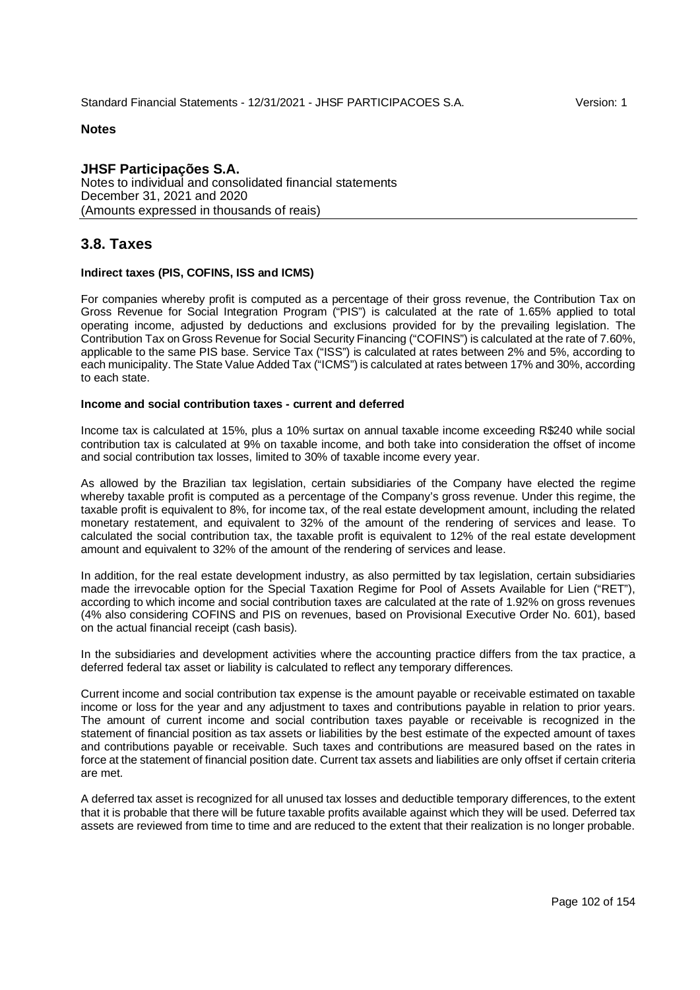**JHSF Participações S.A.** Notes to individual and consolidated financial statements December 31, 2021 and 2020 (Amounts expressed in thousands of reais)

# **3.8. Taxes**

#### **Indirect taxes (PIS, COFINS, ISS and ICMS)**

For companies whereby profit is computed as a percentage of their gross revenue, the Contribution Tax on Gross Revenue for Social Integration Program ("PIS") is calculated at the rate of 1.65% applied to total operating income, adjusted by deductions and exclusions provided for by the prevailing legislation. The Contribution Tax on Gross Revenue for Social Security Financing ("COFINS") is calculated at the rate of 7.60%, applicable to the same PIS base. Service Tax ("ISS") is calculated at rates between 2% and 5%, according to each municipality. The State Value Added Tax ("ICMS") is calculated at rates between 17% and 30%, according to each state.

## **Income and social contribution taxes - current and deferred**

Income tax is calculated at 15%, plus a 10% surtax on annual taxable income exceeding R\$240 while social contribution tax is calculated at 9% on taxable income, and both take into consideration the offset of income and social contribution tax losses, limited to 30% of taxable income every year.

As allowed by the Brazilian tax legislation, certain subsidiaries of the Company have elected the regime whereby taxable profit is computed as a percentage of the Company's gross revenue. Under this regime, the taxable profit is equivalent to 8%, for income tax, of the real estate development amount, including the related monetary restatement, and equivalent to 32% of the amount of the rendering of services and lease. To calculated the social contribution tax, the taxable profit is equivalent to 12% of the real estate development amount and equivalent to 32% of the amount of the rendering of services and lease.

In addition, for the real estate development industry, as also permitted by tax legislation, certain subsidiaries made the irrevocable option for the Special Taxation Regime for Pool of Assets Available for Lien ("RET"), according to which income and social contribution taxes are calculated at the rate of 1.92% on gross revenues (4% also considering COFINS and PIS on revenues, based on Provisional Executive Order No. 601), based on the actual financial receipt (cash basis).

In the subsidiaries and development activities where the accounting practice differs from the tax practice, a deferred federal tax asset or liability is calculated to reflect any temporary differences.

Current income and social contribution tax expense is the amount payable or receivable estimated on taxable income or loss for the year and any adjustment to taxes and contributions payable in relation to prior years. The amount of current income and social contribution taxes payable or receivable is recognized in the statement of financial position as tax assets or liabilities by the best estimate of the expected amount of taxes and contributions payable or receivable. Such taxes and contributions are measured based on the rates in force at the statement of financial position date. Current tax assets and liabilities are only offset if certain criteria are met.

A deferred tax asset is recognized for all unused tax losses and deductible temporary differences, to the extent that it is probable that there will be future taxable profits available against which they will be used. Deferred tax assets are reviewed from time to time and are reduced to the extent that their realization is no longer probable.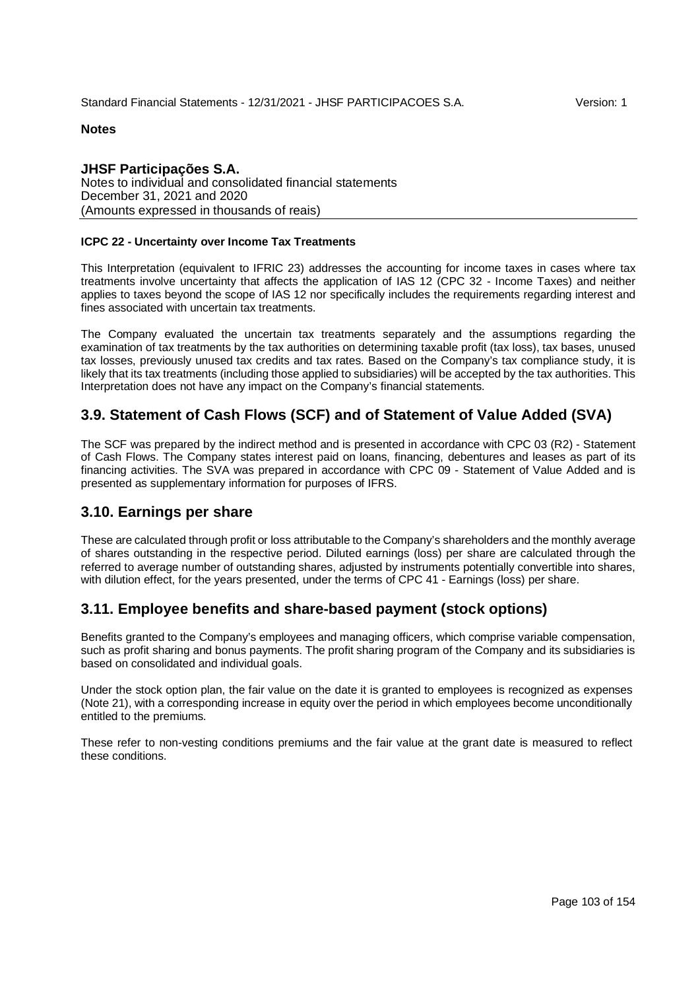## **JHSF Participações S.A.** Notes to individual and consolidated financial statements December 31, 2021 and 2020 (Amounts expressed in thousands of reais)

## **ICPC 22 - Uncertainty over Income Tax Treatments**

This Interpretation (equivalent to IFRIC 23) addresses the accounting for income taxes in cases where tax treatments involve uncertainty that affects the application of IAS 12 (CPC 32 - Income Taxes) and neither applies to taxes beyond the scope of IAS 12 nor specifically includes the requirements regarding interest and fines associated with uncertain tax treatments.

The Company evaluated the uncertain tax treatments separately and the assumptions regarding the examination of tax treatments by the tax authorities on determining taxable profit (tax loss), tax bases, unused tax losses, previously unused tax credits and tax rates. Based on the Company's tax compliance study, it is likely that its tax treatments (including those applied to subsidiaries) will be accepted by the tax authorities. This Interpretation does not have any impact on the Company's financial statements.

# **3.9. Statement of Cash Flows (SCF) and of Statement of Value Added (SVA)**

The SCF was prepared by the indirect method and is presented in accordance with CPC 03 (R2) - Statement of Cash Flows. The Company states interest paid on loans, financing, debentures and leases as part of its financing activities. The SVA was prepared in accordance with CPC 09 - Statement of Value Added and is presented as supplementary information for purposes of IFRS.

## **3.10. Earnings per share**

These are calculated through profit or loss attributable to the Company's shareholders and the monthly average of shares outstanding in the respective period. Diluted earnings (loss) per share are calculated through the referred to average number of outstanding shares, adjusted by instruments potentially convertible into shares, with dilution effect, for the years presented, under the terms of CPC 41 - Earnings (loss) per share.

# **3.11. Employee benefits and share-based payment (stock options)**

Benefits granted to the Company's employees and managing officers, which comprise variable compensation, such as profit sharing and bonus payments. The profit sharing program of the Company and its subsidiaries is based on consolidated and individual goals.

Under the stock option plan, the fair value on the date it is granted to employees is recognized as expenses (Note 21), with a corresponding increase in equity over the period in which employees become unconditionally entitled to the premiums.

These refer to non-vesting conditions premiums and the fair value at the grant date is measured to reflect these conditions.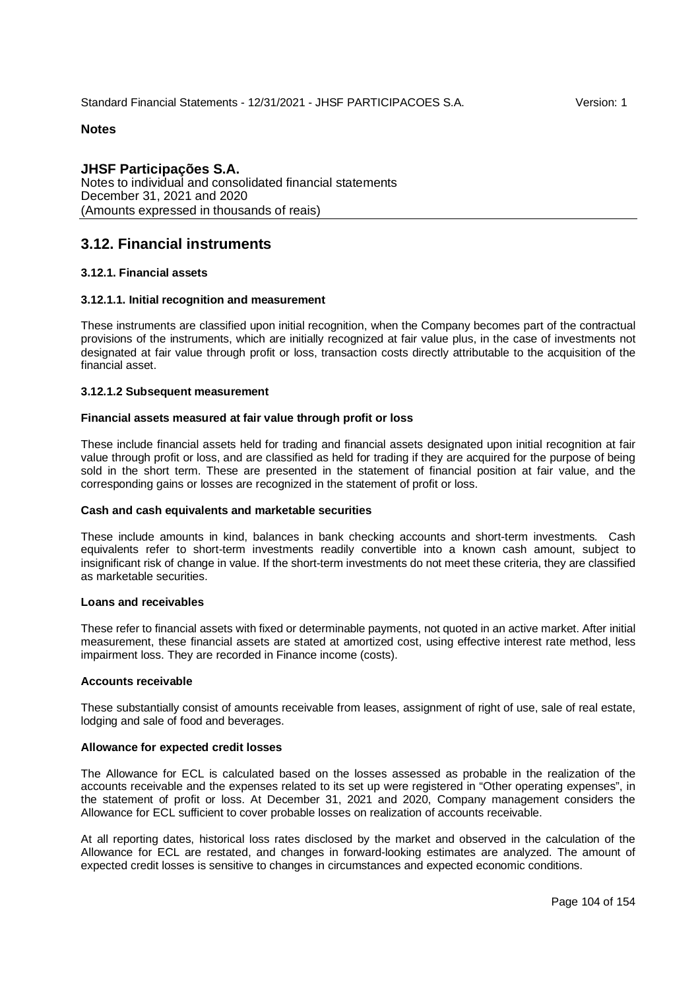**JHSF Participações S.A.** Notes to individual and consolidated financial statements December 31, 2021 and 2020 (Amounts expressed in thousands of reais)

# **3.12. Financial instruments**

## **3.12.1. Financial assets**

## **3.12.1.1. Initial recognition and measurement**

These instruments are classified upon initial recognition, when the Company becomes part of the contractual provisions of the instruments, which are initially recognized at fair value plus, in the case of investments not designated at fair value through profit or loss, transaction costs directly attributable to the acquisition of the financial asset.

#### **3.12.1.2 Subsequent measurement**

#### **Financial assets measured at fair value through profit or loss**

These include financial assets held for trading and financial assets designated upon initial recognition at fair value through profit or loss, and are classified as held for trading if they are acquired for the purpose of being sold in the short term. These are presented in the statement of financial position at fair value, and the corresponding gains or losses are recognized in the statement of profit or loss.

#### **Cash and cash equivalents and marketable securities**

These include amounts in kind, balances in bank checking accounts and short-term investments. Cash equivalents refer to short-term investments readily convertible into a known cash amount, subject to insignificant risk of change in value. If the short-term investments do not meet these criteria, they are classified as marketable securities.

#### **Loans and receivables**

These refer to financial assets with fixed or determinable payments, not quoted in an active market. After initial measurement, these financial assets are stated at amortized cost, using effective interest rate method, less impairment loss. They are recorded in Finance income (costs).

#### **Accounts receivable**

These substantially consist of amounts receivable from leases, assignment of right of use, sale of real estate, lodging and sale of food and beverages.

#### **Allowance for expected credit losses**

The Allowance for ECL is calculated based on the losses assessed as probable in the realization of the accounts receivable and the expenses related to its set up were registered in "Other operating expenses", in the statement of profit or loss. At December 31, 2021 and 2020, Company management considers the Allowance for ECL sufficient to cover probable losses on realization of accounts receivable.

At all reporting dates, historical loss rates disclosed by the market and observed in the calculation of the Allowance for ECL are restated, and changes in forward-looking estimates are analyzed. The amount of expected credit losses is sensitive to changes in circumstances and expected economic conditions.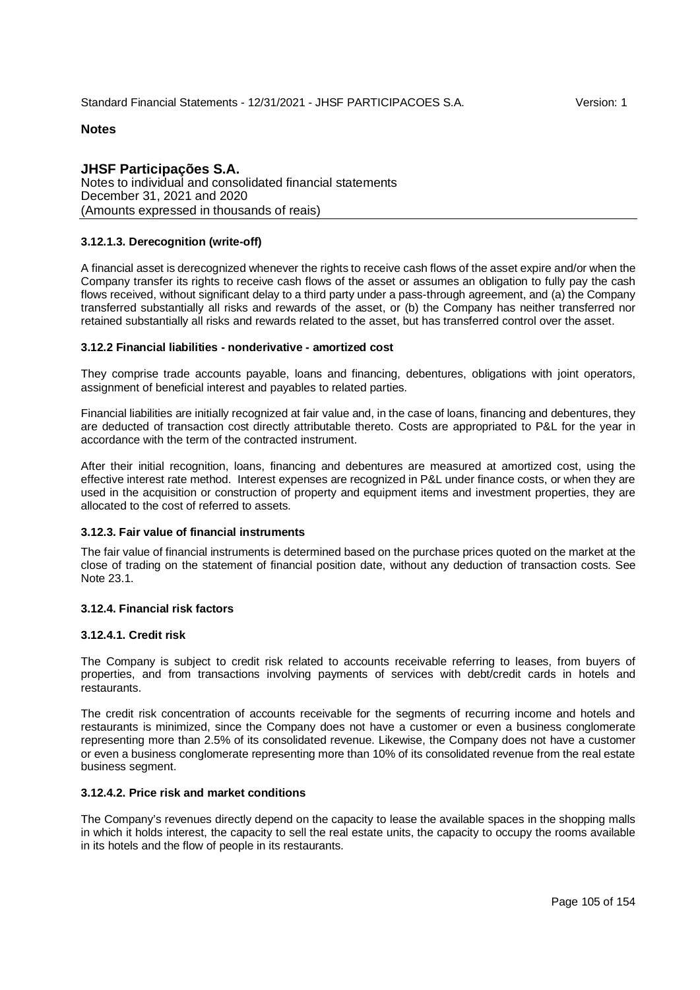**JHSF Participações S.A.** Notes to individual and consolidated financial statements December 31, 2021 and 2020 (Amounts expressed in thousands of reais)

## **3.12.1.3. Derecognition (write-off)**

A financial asset is derecognized whenever the rights to receive cash flows of the asset expire and/or when the Company transfer its rights to receive cash flows of the asset or assumes an obligation to fully pay the cash flows received, without significant delay to a third party under a pass-through agreement, and (a) the Company transferred substantially all risks and rewards of the asset, or (b) the Company has neither transferred nor retained substantially all risks and rewards related to the asset, but has transferred control over the asset.

#### **3.12.2 Financial liabilities - nonderivative - amortized cost**

They comprise trade accounts payable, loans and financing, debentures, obligations with joint operators, assignment of beneficial interest and payables to related parties.

Financial liabilities are initially recognized at fair value and, in the case of loans, financing and debentures, they are deducted of transaction cost directly attributable thereto. Costs are appropriated to P&L for the year in accordance with the term of the contracted instrument.

After their initial recognition, loans, financing and debentures are measured at amortized cost, using the effective interest rate method. Interest expenses are recognized in P&L under finance costs, or when they are used in the acquisition or construction of property and equipment items and investment properties, they are allocated to the cost of referred to assets.

## **3.12.3. Fair value of financial instruments**

The fair value of financial instruments is determined based on the purchase prices quoted on the market at the close of trading on the statement of financial position date, without any deduction of transaction costs. See Note 23.1.

#### **3.12.4. Financial risk factors**

#### **3.12.4.1. Credit risk**

The Company is subject to credit risk related to accounts receivable referring to leases, from buyers of properties, and from transactions involving payments of services with debt/credit cards in hotels and restaurants.

The credit risk concentration of accounts receivable for the segments of recurring income and hotels and restaurants is minimized, since the Company does not have a customer or even a business conglomerate representing more than 2.5% of its consolidated revenue. Likewise, the Company does not have a customer or even a business conglomerate representing more than 10% of its consolidated revenue from the real estate business segment.

## **3.12.4.2. Price risk and market conditions**

The Company's revenues directly depend on the capacity to lease the available spaces in the shopping malls in which it holds interest, the capacity to sell the real estate units, the capacity to occupy the rooms available in its hotels and the flow of people in its restaurants.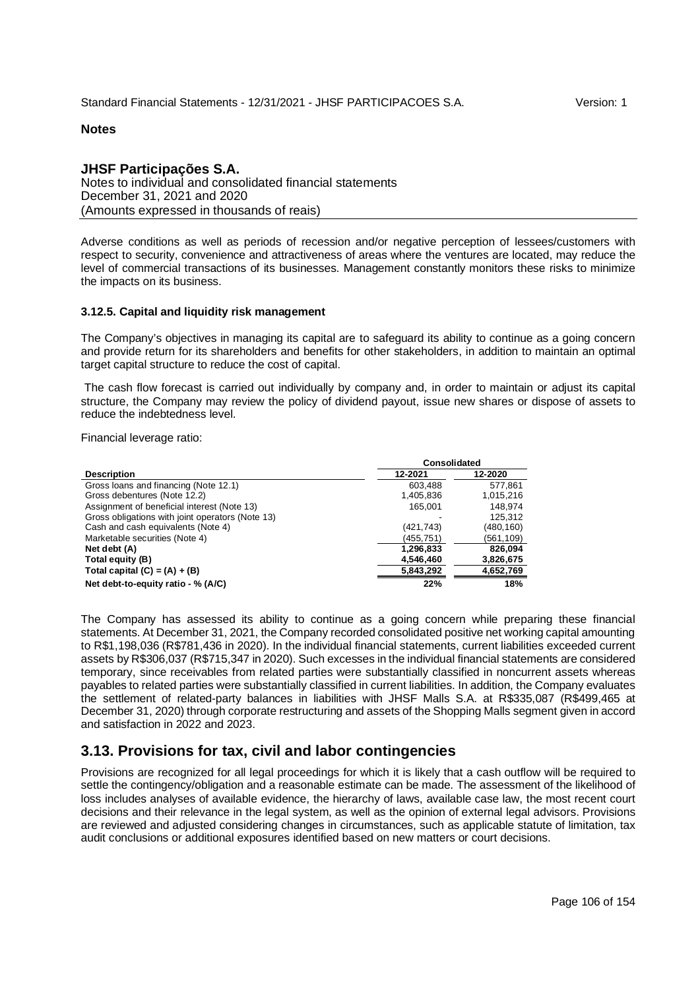## **JHSF Participações S.A.** Notes to individual and consolidated financial statements December 31, 2021 and 2020 (Amounts expressed in thousands of reais)

Adverse conditions as well as periods of recession and/or negative perception of lessees/customers with respect to security, convenience and attractiveness of areas where the ventures are located, may reduce the level of commercial transactions of its businesses. Management constantly monitors these risks to minimize the impacts on its business.

#### **3.12.5. Capital and liquidity risk management**

The Company's objectives in managing its capital are to safeguard its ability to continue as a going concern and provide return for its shareholders and benefits for other stakeholders, in addition to maintain an optimal target capital structure to reduce the cost of capital.

 The cash flow forecast is carried out individually by company and, in order to maintain or adjust its capital structure, the Company may review the policy of dividend payout, issue new shares or dispose of assets to reduce the indebtedness level.

Financial leverage ratio:

|                                                  | <b>Consolidated</b> |           |  |
|--------------------------------------------------|---------------------|-----------|--|
| <b>Description</b>                               | 12-2021             | 12-2020   |  |
| Gross loans and financing (Note 12.1)            | 603.488             | 577.861   |  |
| Gross debentures (Note 12.2)                     | 1,405,836           | 1,015,216 |  |
| Assignment of beneficial interest (Note 13)      | 165.001             | 148.974   |  |
| Gross obligations with joint operators (Note 13) |                     | 125.312   |  |
| Cash and cash equivalents (Note 4)               | (421,743)           | (480,160) |  |
| Marketable securities (Note 4)                   | (455,751)           | (561,109) |  |
| Net debt (A)                                     | 1,296,833           | 826,094   |  |
| Total equity (B)                                 | 4,546,460           | 3,826,675 |  |
| Total capital $(C) = (A) + (B)$                  | 5,843,292           | 4,652,769 |  |
| Net debt-to-equity ratio - % (A/C)               | 22%                 | 18%       |  |

The Company has assessed its ability to continue as a going concern while preparing these financial statements. At December 31, 2021, the Company recorded consolidated positive net working capital amounting to R\$1,198,036 (R\$781,436 in 2020). In the individual financial statements, current liabilities exceeded current assets by R\$306,037 (R\$715,347 in 2020). Such excesses in the individual financial statements are considered temporary, since receivables from related parties were substantially classified in noncurrent assets whereas payables to related parties were substantially classified in current liabilities. In addition, the Company evaluates the settlement of related-party balances in liabilities with JHSF Malls S.A. at R\$335,087 (R\$499,465 at December 31, 2020) through corporate restructuring and assets of the Shopping Malls segment given in accord and satisfaction in 2022 and 2023.

# **3.13. Provisions for tax, civil and labor contingencies**

Provisions are recognized for all legal proceedings for which it is likely that a cash outflow will be required to settle the contingency/obligation and a reasonable estimate can be made. The assessment of the likelihood of loss includes analyses of available evidence, the hierarchy of laws, available case law, the most recent court decisions and their relevance in the legal system, as well as the opinion of external legal advisors. Provisions are reviewed and adjusted considering changes in circumstances, such as applicable statute of limitation, tax audit conclusions or additional exposures identified based on new matters or court decisions.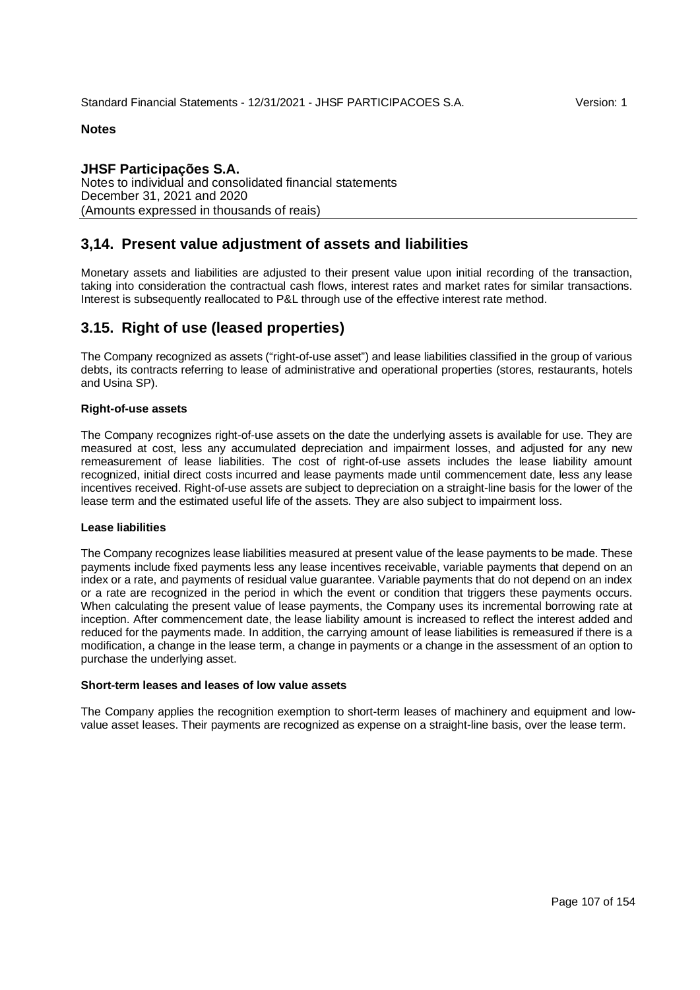## **JHSF Participações S.A.** Notes to individual and consolidated financial statements December 31, 2021 and 2020 (Amounts expressed in thousands of reais)

# **3,14. Present value adjustment of assets and liabilities**

Monetary assets and liabilities are adjusted to their present value upon initial recording of the transaction, taking into consideration the contractual cash flows, interest rates and market rates for similar transactions. Interest is subsequently reallocated to P&L through use of the effective interest rate method.

# **3.15. Right of use (leased properties)**

The Company recognized as assets ("right-of-use asset") and lease liabilities classified in the group of various debts, its contracts referring to lease of administrative and operational properties (stores, restaurants, hotels and Usina SP).

#### **Right-of-use assets**

The Company recognizes right-of-use assets on the date the underlying assets is available for use. They are measured at cost, less any accumulated depreciation and impairment losses, and adjusted for any new remeasurement of lease liabilities. The cost of right-of-use assets includes the lease liability amount recognized, initial direct costs incurred and lease payments made until commencement date, less any lease incentives received. Right-of-use assets are subject to depreciation on a straight-line basis for the lower of the lease term and the estimated useful life of the assets. They are also subject to impairment loss.

#### **Lease liabilities**

The Company recognizes lease liabilities measured at present value of the lease payments to be made. These payments include fixed payments less any lease incentives receivable, variable payments that depend on an index or a rate, and payments of residual value guarantee. Variable payments that do not depend on an index or a rate are recognized in the period in which the event or condition that triggers these payments occurs. When calculating the present value of lease payments, the Company uses its incremental borrowing rate at inception. After commencement date, the lease liability amount is increased to reflect the interest added and reduced for the payments made. In addition, the carrying amount of lease liabilities is remeasured if there is a modification, a change in the lease term, a change in payments or a change in the assessment of an option to purchase the underlying asset.

#### **Short-term leases and leases of low value assets**

The Company applies the recognition exemption to short-term leases of machinery and equipment and lowvalue asset leases. Their payments are recognized as expense on a straight-line basis, over the lease term.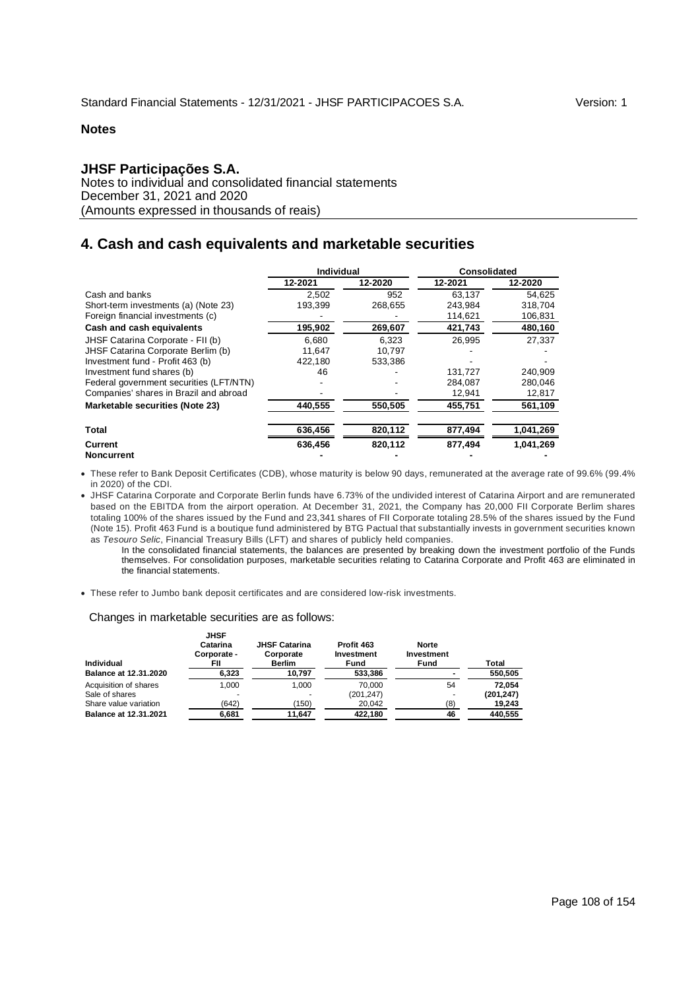## **JHSF Participações S.A.**

Notes to individual and consolidated financial statements December 31, 2021 and 2020 (Amounts expressed in thousands of reais)

# **4. Cash and cash equivalents and marketable securities**

|                                         | Individual |         | Consolidated |           |
|-----------------------------------------|------------|---------|--------------|-----------|
|                                         | 12-2021    | 12-2020 | 12-2021      | 12-2020   |
| Cash and banks                          | 2.502      | 952     | 63.137       | 54,625    |
| Short-term investments (a) (Note 23)    | 193.399    | 268,655 | 243.984      | 318.704   |
| Foreign financial investments (c)       |            |         | 114,621      | 106,831   |
| Cash and cash equivalents               | 195,902    | 269,607 | 421.743      | 480,160   |
| JHSF Catarina Corporate - FII (b)       | 6.680      | 6.323   | 26.995       | 27,337    |
| JHSF Catarina Corporate Berlim (b)      | 11.647     | 10.797  |              |           |
| Investment fund - Profit 463 (b)        | 422,180    | 533.386 |              |           |
| Investment fund shares (b)              | 46         |         | 131.727      | 240.909   |
| Federal government securities (LFT/NTN) |            |         | 284.087      | 280,046   |
| Companies' shares in Brazil and abroad  |            |         | 12,941       | 12,817    |
| Marketable securities (Note 23)         | 440,555    | 550,505 | 455,751      | 561,109   |
| <b>Total</b>                            | 636,456    | 820,112 | 877,494      | 1,041,269 |
| Current                                 | 636.456    | 820.112 | 877.494      | 1.041.269 |

**Noncurrent** 

 These refer to Bank Deposit Certificates (CDB), whose maturity is below 90 days, remunerated at the average rate of 99.6% (99.4% in 2020) of the CDI.

 JHSF Catarina Corporate and Corporate Berlin funds have 6.73% of the undivided interest of Catarina Airport and are remunerated based on the EBITDA from the airport operation. At December 31, 2021, the Company has 20,000 FII Corporate Berlim shares totaling 100% of the shares issued by the Fund and 23,341 shares of FII Corporate totaling 28.5% of the shares issued by the Fund (Note 15). Profit 463 Fund is a boutique fund administered by BTG Pactual that substantially invests in government securities known as *Tesouro Selic*, Financial Treasury Bills (LFT) and shares of publicly held companies.

In the consolidated financial statements, the balances are presented by breaking down the investment portfolio of the Funds themselves. For consolidation purposes, marketable securities relating to Catarina Corporate and Profit 463 are eliminated in the financial statements.

These refer to Jumbo bank deposit certificates and are considered low-risk investments.

#### Changes in marketable securities are as follows: **JHSF**

| Individual            | JHSF<br>Catarina<br>Corporate -<br>FII | <b>JHSF Catarina</b><br>Corporate<br><b>Berlim</b> | Profit 463<br>Investment<br>Fund | <b>Norte</b><br>Investment<br>Fund | Total      |
|-----------------------|----------------------------------------|----------------------------------------------------|----------------------------------|------------------------------------|------------|
| Balance at 12.31.2020 | 6,323                                  | 10,797                                             | 533,386                          |                                    | 550,505    |
| Acquisition of shares | 1.000                                  | 1.000                                              | 70.000                           | 54                                 | 72.054     |
| Sale of shares        |                                        | ٠                                                  | (201, 247)                       |                                    | (201, 247) |
| Share value variation | (642)                                  | (150)                                              | 20,042                           | (8)                                | 19,243     |
| Balance at 12.31.2021 | 6.681                                  | 11.647                                             | 422.180                          | 46                                 | 440.555    |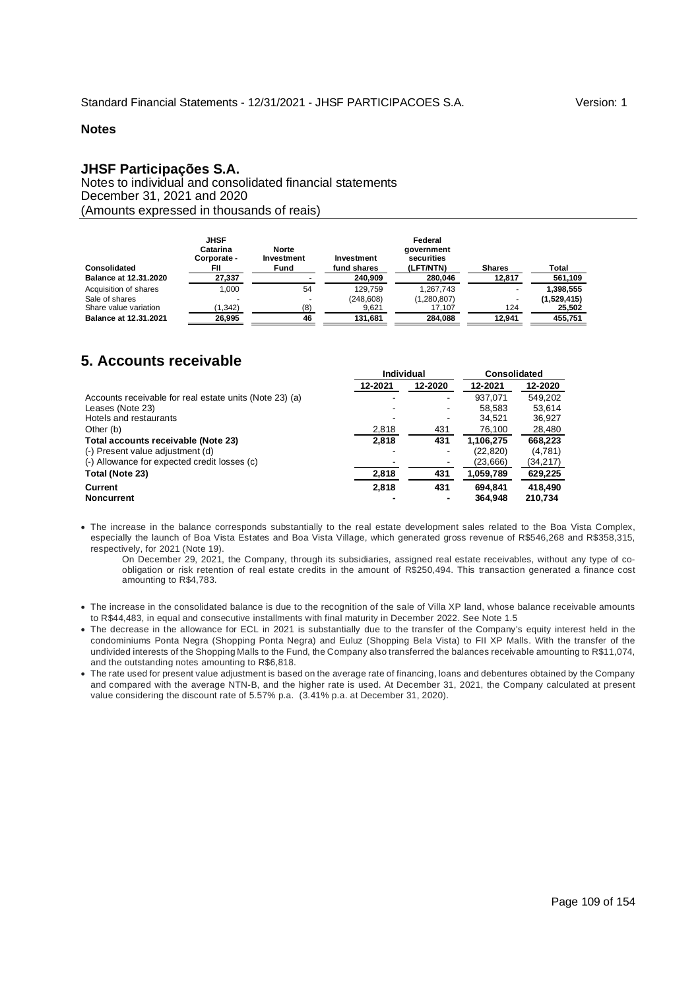## **JHSF Participações S.A.**

Notes to individual and consolidated financial statements December 31, 2021 and 2020 (Amounts expressed in thousands of reais)

| Consolidated          | JHSF<br>Catarina<br>Corporate -<br>FII | <b>Norte</b><br>Investment<br>Fund | Investment<br>fund shares | Federal<br>government<br>securities<br>(LFT/NTN) | <b>Shares</b> | Total       |
|-----------------------|----------------------------------------|------------------------------------|---------------------------|--------------------------------------------------|---------------|-------------|
| Balance at 12.31.2020 | 27,337                                 |                                    | 240,909                   | 280,046                                          | 12,817        | 561,109     |
| Acquisition of shares | 1.000                                  | 54                                 | 129.759                   | 1.267.743                                        |               | 1,398,555   |
| Sale of shares        |                                        |                                    | (248.608)                 | (1,280,807)                                      |               | (1,529,415) |
| Share value variation | (1.342)                                | (8)                                | 9.621                     | 17.107                                           | 124           | 25,502      |
| Balance at 12.31.2021 | 26,995                                 | 46                                 | 131,681                   | 284.088                                          | 12.941        | 455.751     |

# **5. Accounts receivable**

|                                                         | <b>Individual</b> |         |           | <b>Consolidated</b> |  |  |
|---------------------------------------------------------|-------------------|---------|-----------|---------------------|--|--|
|                                                         | 12-2021           | 12-2020 | 12-2021   | 12-2020             |  |  |
| Accounts receivable for real estate units (Note 23) (a) |                   | ۰.      | 937.071   | 549.202             |  |  |
| Leases (Note 23)                                        |                   |         | 58,583    | 53,614              |  |  |
| Hotels and restaurants                                  |                   |         | 34.521    | 36,927              |  |  |
| Other (b)                                               | 2,818             | 431     | 76,100    | 28,480              |  |  |
| Total accounts receivable (Note 23)                     | 2,818             | 431     | 1.106.275 | 668,223             |  |  |
| (-) Present value adjustment (d)                        |                   |         | (22, 820) | (4,781)             |  |  |
| (-) Allowance for expected credit losses (c)            |                   |         | (23,666)  | (34, 217)           |  |  |
| Total (Note 23)                                         | 2,818             | 431     | 1,059,789 | 629,225             |  |  |
| Current                                                 | 2,818             | 431     | 694.841   | 418.490             |  |  |
| <b>Noncurrent</b>                                       |                   |         | 364.948   | 210.734             |  |  |

 The increase in the balance corresponds substantially to the real estate development sales related to the Boa Vista Complex, especially the launch of Boa Vista Estates and Boa Vista Village, which generated gross revenue of R\$546,268 and R\$358,315, respectively, for 2021 (Note 19).

On December 29, 2021, the Company, through its subsidiaries, assigned real estate receivables, without any type of coobligation or risk retention of real estate credits in the amount of R\$250,494. This transaction generated a finance cost amounting to R\$4,783.

- The increase in the consolidated balance is due to the recognition of the sale of Villa XP land, whose balance receivable amounts to R\$44,483, in equal and consecutive installments with final maturity in December 2022. See Note 1.5
- The decrease in the allowance for ECL in 2021 is substantially due to the transfer of the Company's equity interest held in the condominiums Ponta Negra (Shopping Ponta Negra) and Euluz (Shopping Bela Vista) to FII XP Malls. With the transfer of the undivided interests of the Shopping Malls to the Fund, the Company also transferred the balances receivable amounting to R\$11,074, and the outstanding notes amounting to R\$6,818.
- The rate used for present value adjustment is based on the average rate of financing, loans and debentures obtained by the Company and compared with the average NTN-B, and the higher rate is used. At December 31, 2021, the Company calculated at present value considering the discount rate of 5.57% p.a. (3.41% p.a. at December 31, 2020).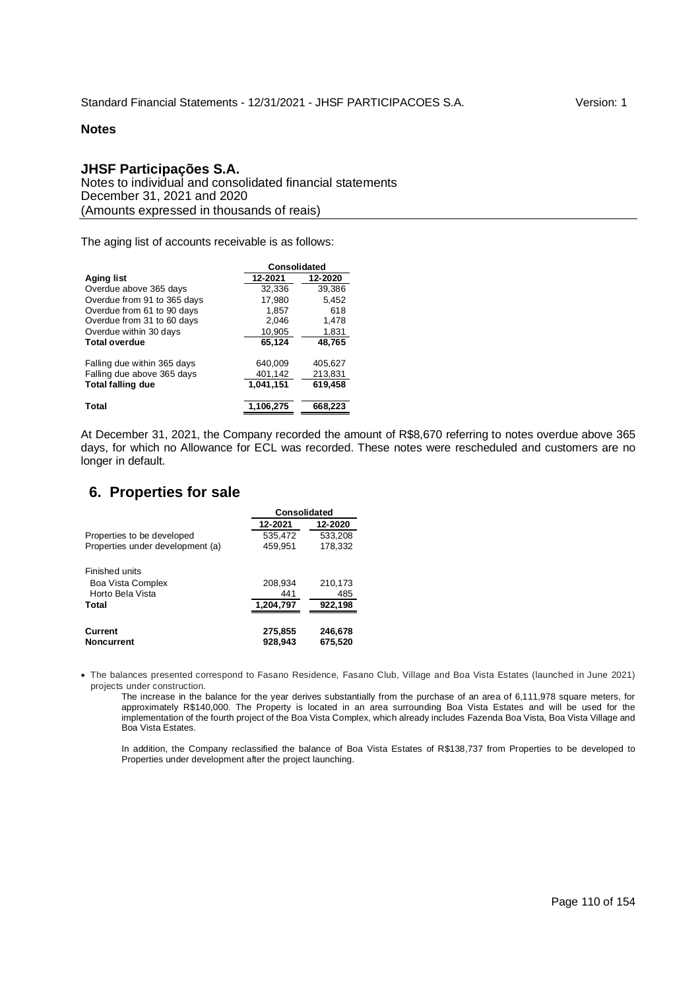## **JHSF Participações S.A.**

Notes to individual and consolidated financial statements December 31, 2021 and 2020 (Amounts expressed in thousands of reais)

The aging list of accounts receivable is as follows:

|                             | <b>Consolidated</b> |         |  |  |  |
|-----------------------------|---------------------|---------|--|--|--|
| <b>Aging list</b>           | 12-2021             | 12-2020 |  |  |  |
| Overdue above 365 days      | 32,336              | 39,386  |  |  |  |
| Overdue from 91 to 365 days | 17.980              | 5.452   |  |  |  |
| Overdue from 61 to 90 days  | 1.857               | 618     |  |  |  |
| Overdue from 31 to 60 days  | 2,046               | 1,478   |  |  |  |
| Overdue within 30 days      | 10,905              | 1,831   |  |  |  |
| <b>Total overdue</b>        | 65,124              | 48,765  |  |  |  |
| Falling due within 365 days | 640.009             | 405.627 |  |  |  |
| Falling due above 365 days  | 401,142             | 213.831 |  |  |  |
| <b>Total falling due</b>    | 1,041,151           | 619.458 |  |  |  |
| Total                       | 1,106,275           | 668,223 |  |  |  |

At December 31, 2021, the Company recorded the amount of R\$8,670 referring to notes overdue above 365 days, for which no Allowance for ECL was recorded. These notes were rescheduled and customers are no longer in default.

# **6. Properties for sale**

|                                  | <b>Consolidated</b> |         |  |  |
|----------------------------------|---------------------|---------|--|--|
|                                  | 12-2021             | 12-2020 |  |  |
| Properties to be developed       | 535,472             | 533,208 |  |  |
| Properties under development (a) | 459.951             | 178.332 |  |  |
| Finished units                   |                     |         |  |  |
| Boa Vista Complex                | 208,934             | 210,173 |  |  |
| Horto Bela Vista                 | 441                 | 485     |  |  |
| Total                            | 1,204,797           | 922,198 |  |  |
|                                  |                     |         |  |  |
| <b>Current</b>                   | 275,855             | 246,678 |  |  |
| <b>Noncurrent</b>                | 928,943             | 675,520 |  |  |

 The balances presented correspond to Fasano Residence, Fasano Club, Village and Boa Vista Estates (launched in June 2021) projects under construction.

The increase in the balance for the year derives substantially from the purchase of an area of 6,111,978 square meters, for approximately R\$140,000. The Property is located in an area surrounding Boa Vista Estates and will be used for the implementation of the fourth project of the Boa Vista Complex, which already includes Fazenda Boa Vista, Boa Vista Village and Boa Vista Estates.

In addition, the Company reclassified the balance of Boa Vista Estates of R\$138,737 from Properties to be developed to Properties under development after the project launching.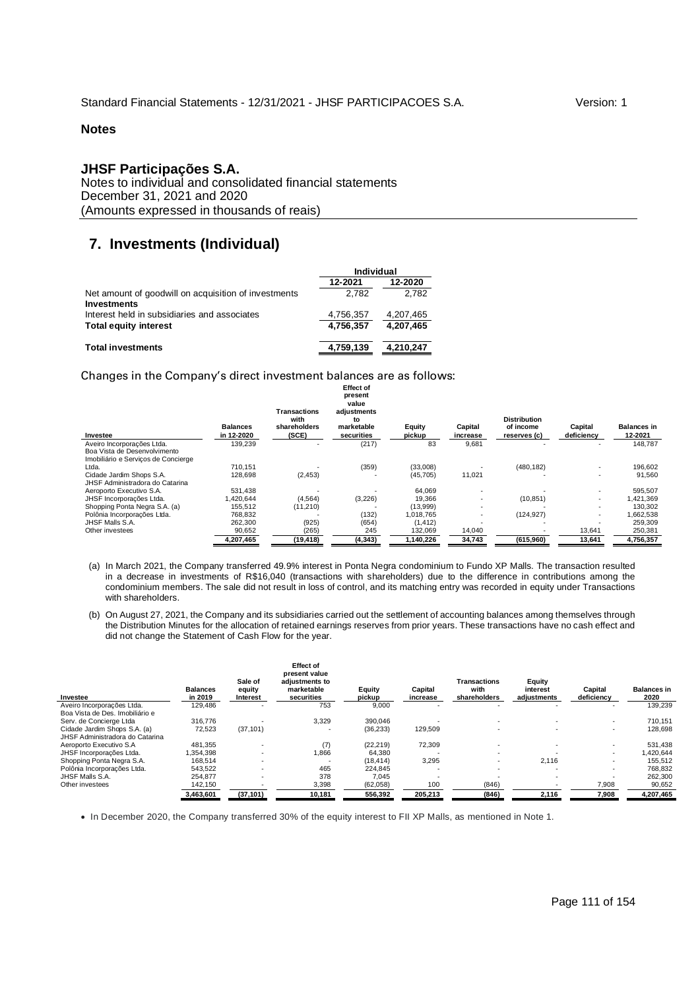## **JHSF Participações S.A.**

Notes to individual and consolidated financial statements December 31, 2021 and 2020 (Amounts expressed in thousands of reais)

# **7. Investments (Individual)**

|                                                                            | Individual |           |  |
|----------------------------------------------------------------------------|------------|-----------|--|
|                                                                            | 12-2021    | 12-2020   |  |
| Net amount of goodwill on acquisition of investments<br><b>Investments</b> | 2.782      | 2.782     |  |
| Interest held in subsidiaries and associates                               | 4,756,357  | 4,207,465 |  |
| <b>Total equity interest</b>                                               | 4.756.357  | 4,207,465 |  |
| <b>Total investments</b>                                                   | 4,759,139  | 4,210,247 |  |

Changes in the Company's direct investment balances are as follows:

| Investee                                                            | <b>Balances</b><br>in 12-2020 | <b>Transactions</b><br>with<br>shareholders<br>(SCE) | <b>Effect of</b><br>present<br>value<br>adiustments<br>to<br>marketable<br>securities | Equity<br>pickup | Capital<br>increase | <b>Distribution</b><br>of income<br>reserves (c) | Capital<br>deficiency | <b>Balances in</b><br>12-2021 |
|---------------------------------------------------------------------|-------------------------------|------------------------------------------------------|---------------------------------------------------------------------------------------|------------------|---------------------|--------------------------------------------------|-----------------------|-------------------------------|
| Aveiro Incorporações Ltda.                                          | 139,239                       | $\overline{\phantom{a}}$                             | (217)                                                                                 | 83               | 9,681               |                                                  |                       | 148.787                       |
| Boa Vista de Desenvolvimento<br>Imobiliário e Servicos de Concierge |                               |                                                      |                                                                                       |                  |                     |                                                  |                       |                               |
| Ltda.                                                               | 710.151                       |                                                      | (359)                                                                                 | (33,008)         |                     | (480, 182)                                       |                       | 196,602                       |
| Cidade Jardim Shops S.A.<br>JHSF Administradora do Catarina         | 128,698                       | (2, 453)                                             |                                                                                       | (45, 705)        | 11,021              |                                                  |                       | 91.560                        |
| Aeroporto Executivo S.A.                                            | 531.438                       |                                                      |                                                                                       | 64,069           |                     |                                                  |                       | 595,507                       |
| JHSF Incorporações Ltda.                                            | 1,420,644                     | (4, 564)                                             | (3,226)                                                                               | 19,366           |                     | (10, 851)                                        | -                     | 1,421,369                     |
| Shopping Ponta Negra S.A. (a)                                       | 155,512                       | (11, 210)                                            |                                                                                       | (13,999)         |                     |                                                  | -                     | 130.302                       |
| Polônia Incorporações Ltda.                                         | 768.832                       |                                                      | (132)                                                                                 | 1.018.765        |                     | (124, 927)                                       | -                     | 1.662.538                     |
| JHSF Malls S.A.                                                     | 262.300                       | (925)                                                | (654)                                                                                 | (1, 412)         |                     |                                                  |                       | 259.309                       |
| Other investees                                                     | 90,652                        | (265)                                                | 245                                                                                   | 132,069          | 14,040              |                                                  | 13,641                | 250,381                       |
|                                                                     | 4,207,465                     | (19,418)                                             | (4, 343)                                                                              | 1,140,226        | 34,743              | (615,960)                                        | 13,641                | 4,756,357                     |

- (a) In March 2021, the Company transferred 49.9% interest in Ponta Negra condominium to Fundo XP Malls. The transaction resulted in a decrease in investments of R\$16,040 (transactions with shareholders) due to the difference in contributions among the condominium members. The sale did not result in loss of control, and its matching entry was recorded in equity under Transactions with shareholders.
- (b) On August 27, 2021, the Company and its subsidiaries carried out the settlement of accounting balances among themselves through the Distribution Minutes for the allocation of retained earnings reserves from prior years. These transactions have no cash effect and did not change the Statement of Cash Flow for the year.

| Investee                        | <b>Balances</b><br>in 2019 | Sale of<br>equity<br>Interest | <b>Effect of</b><br>present value<br>adjustments to<br>marketable<br>securities | Equity<br>pickup | Capital<br>increase | Transactions<br>with<br>shareholders | Equity<br>interest<br>adiustments | Capital<br>deficiency    | <b>Balances in</b><br>2020 |
|---------------------------------|----------------------------|-------------------------------|---------------------------------------------------------------------------------|------------------|---------------------|--------------------------------------|-----------------------------------|--------------------------|----------------------------|
| Aveiro Incorporações Ltda.      | 129.486                    |                               | 753                                                                             | 9.000            |                     |                                      |                                   |                          | 139.239                    |
| Boa Vista de Des. Imobiliário e |                            |                               |                                                                                 |                  |                     |                                      |                                   |                          |                            |
| Serv. de Concierge Ltda         | 316,776                    |                               | 3,329                                                                           | 390.046          |                     | $\sim$                               | ٠                                 | $\sim$                   | 710.151                    |
| Cidade Jardim Shops S.A. (a)    | 72,523                     | (37, 101)                     | ٠                                                                               | (36, 233)        | 129,509             |                                      | -                                 | $\overline{\phantom{a}}$ | 128.698                    |
| JHSF Administradora do Catarina |                            |                               |                                                                                 |                  |                     |                                      |                                   |                          |                            |
| Aeroporto Executivo S.A         | 481.355                    |                               | (7)                                                                             | (22, 219)        | 72,309              |                                      | $\overline{\phantom{0}}$          | $\sim$                   | 531.438                    |
| JHSF Incorporações Ltda.        | 1.354.398                  |                               | 1.866                                                                           | 64.380           |                     |                                      |                                   | $\overline{\phantom{a}}$ | 1.420.644                  |
| Shopping Ponta Negra S.A.       | 168.514                    | $\sim$                        |                                                                                 | (18.414)         | 3,295               | $\overline{\phantom{a}}$             | 2.116                             | $\sim$                   | 155.512                    |
| Polônia Incorporações Ltda.     | 543.522                    |                               | 465                                                                             | 224.845          |                     | $\sim$                               | $\overline{\phantom{0}}$          | $\overline{\phantom{a}}$ | 768.832                    |
| JHSF Malls S.A.                 | 254.877                    |                               | 378                                                                             | 7.045            |                     |                                      | $\overline{\phantom{0}}$          | $\overline{\phantom{a}}$ | 262,300                    |
| Other investees                 | 142,150                    |                               | 3,398                                                                           | (62,058)         | 100                 | (846)                                |                                   | 7,908                    | 90,652                     |
|                                 | 3.463.601                  | (37.101)                      | 10.181                                                                          | 556.392          | 205.213             | (846)                                | 2.116                             | 7,908                    | 4,207,465                  |

In December 2020, the Company transferred 30% of the equity interest to FII XP Malls, as mentioned in Note 1.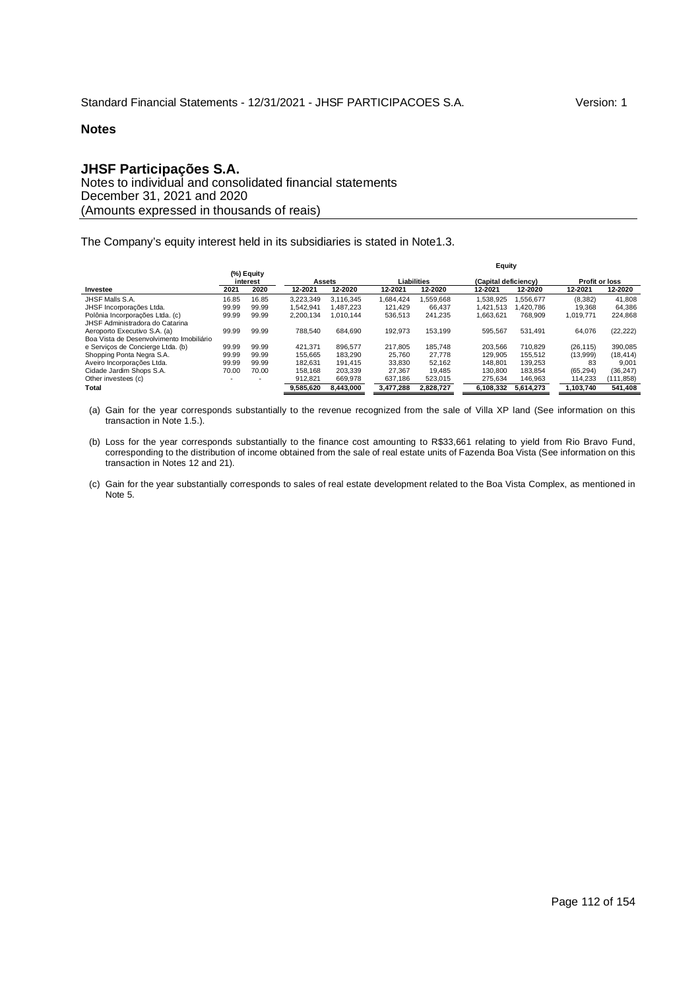## **JHSF Participações S.A.**

Notes to individual and consolidated financial statements December 31, 2021 and 2020 (Amounts expressed in thousands of reais)

The Company's equity interest held in its subsidiaries is stated in Note1.3.

|                                          |       |                        |           |           |             |           | Equity               |           |                       |            |
|------------------------------------------|-------|------------------------|-----------|-----------|-------------|-----------|----------------------|-----------|-----------------------|------------|
|                                          |       | (%) Equity<br>interest | Assets    |           | Liabilities |           | (Capital deficiency) |           | <b>Profit or loss</b> |            |
| Investee                                 | 2021  | 2020                   | 12-2021   | 12-2020   | 12-2021     | 12-2020   | 12-2021              | 12-2020   | 12-2021               | 12-2020    |
| JHSF Malls S.A.                          | 16.85 | 16.85                  | 3.223.349 | 3.116.345 | 1.684.424   | .559.668  | 1.538.925            | .556.677  | (8,382)               | 41,808     |
| JHSF Incorporações Ltda.                 | 99.99 | 99.99                  | 1.542.941 | 1.487.223 | 121.429     | 66.437    | 1.421.513            | .420.786  | 19.368                | 64,386     |
| Polônia Incorporações Ltda. (c)          | 99.99 | 99.99                  | 2.200.134 | 1.010.144 | 536,513     | 241.235   | 1.663.621            | 768.909   | 1.019.771             | 224.868    |
| JHSF Administradora do Catarina          |       |                        |           |           |             |           |                      |           |                       |            |
| Aeroporto Executivo S.A. (a)             | 99.99 | 99.99                  | 788.540   | 684.690   | 192.973     | 153.199   | 595.567              | 531.491   | 64.076                | (22, 222)  |
| Boa Vista de Desenvolvimento Imobiliário |       |                        |           |           |             |           |                      |           |                       |            |
| e Serviços de Concierge Ltda. (b)        | 99.99 | 99.99                  | 421.371   | 896.577   | 217.805     | 185.748   | 203.566              | 710.829   | (26, 115)             | 390,085    |
| Shopping Ponta Negra S.A.                | 99.99 | 99.99                  | 155.665   | 183.290   | 25.760      | 27.778    | 129.905              | 155.512   | (13,999)              | (18, 414)  |
| Aveiro Incorporações Ltda.               | 99.99 | 99.99                  | 182.631   | 191.415   | 33.830      | 52.162    | 148.801              | 139.253   | 83                    | 9,001      |
| Cidade Jardim Shops S.A.                 | 70.00 | 70.00                  | 158.168   | 203.339   | 27.367      | 19.485    | 130,800              | 183.854   | (65.294)              | (36, 247)  |
| Other investees (c)                      |       |                        | 912.821   | 669.978   | 637.186     | 523,015   | 275.634              | 146.963   | 114,233               | (111, 858) |
| Total                                    |       |                        | 9.585.620 | 8.443.000 | 3.477.288   | 2.828.727 | 6.108.332            | 5.614.273 | 1.103.740             | 541,408    |

(a) Gain for the year corresponds substantially to the revenue recognized from the sale of Villa XP land (See information on this transaction in Note 1.5.).

(b) Loss for the year corresponds substantially to the finance cost amounting to R\$33,661 relating to yield from Rio Bravo Fund, corresponding to the distribution of income obtained from the sale of real estate units of Fazenda Boa Vista (See information on this transaction in Notes 12 and 21).

(c) Gain for the year substantially corresponds to sales of real estate development related to the Boa Vista Complex, as mentioned in Note 5.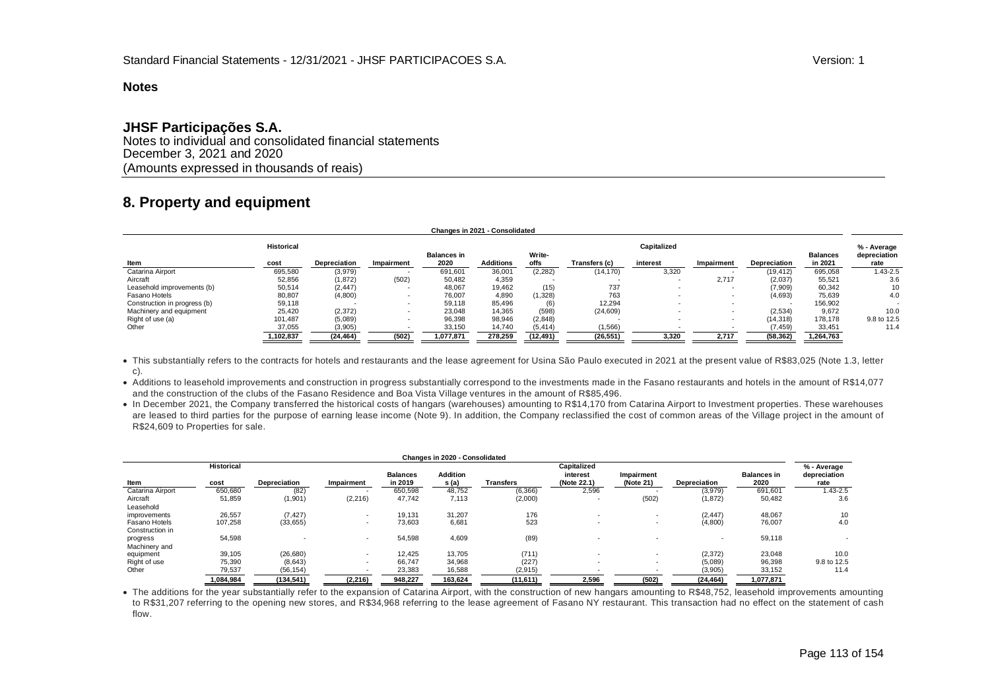## **JHSF Participações S.A.**

Notes to individual and consolidated financial statements December 3, 2021 and 2020 (Amounts expressed in thousands of reais)

# **8. Property and equipment**

|                              |                   |              |                          |                    | Changes in 2021 - Consolidated |           |               |             |                          |                     |                 |                             |
|------------------------------|-------------------|--------------|--------------------------|--------------------|--------------------------------|-----------|---------------|-------------|--------------------------|---------------------|-----------------|-----------------------------|
|                              | <b>Historical</b> |              |                          | <b>Balances in</b> |                                | Write-    |               | Capitalized |                          |                     | <b>Balances</b> | % - Average<br>depreciation |
| Item                         | cost              | Depreciation | Impairment               | 2020               | <b>Additions</b>               | offs      | Transfers (c) | interest    | Impairment               | <b>Depreciation</b> | in 2021         | rate                        |
| Catarina Airport             | 695,580           | (3,979)      |                          | 691,601            | 36,001                         | (2, 282)  | (14, 170)     | 3,320       |                          | (19, 412)           | 695,058         | $.43 - 2.5$                 |
| Aircraft                     | 52,856            | (1, 872)     | (502)                    | 50,482             | 4,359                          |           |               |             | 2,717                    | (2,037)             | 55,521          | 3.6                         |
| Leasehold improvements (b)   | 50,514            | (2, 447)     |                          | 48,067             | 19,462                         | (15)      | 737           |             | $\overline{\phantom{a}}$ | (7,909)             | 60,342          | 10                          |
| Fasano Hotels                | 80,807            | (4,800)      |                          | 76,007             | 4.890                          | (1,328)   | 763           |             | $\overline{\phantom{a}}$ | (4,693)             | 75,639          | 4.0                         |
| Construction in progress (b) | 59,118            |              |                          | 59.118             | 85.496                         | (6)       | 12.294        |             | $\overline{\phantom{a}}$ |                     | 156,902         |                             |
| Machinery and equipment      | 25,420            | (2,372)      |                          | 23,048             | 14,365                         | (598)     | (24, 609)     |             | $\overline{\phantom{a}}$ | (2,534)             | 9,672           | 10.0                        |
| Right of use (a)             | 101,487           | (5,089)      | $\overline{\phantom{a}}$ | 96,398             | 98,946                         | (2,848)   |               | $\sim$      | $\overline{\phantom{a}}$ | (14, 318)           | 178.178         | 9.8 to 12.5                 |
| Other                        | 37,055            | (3,905)      |                          | 33,150             | 14,740                         | (5, 414)  | (1,566)       |             |                          | (7, 459)            | 33,451          | 11.4                        |
|                              | 1,102,837         | (24, 464)    | (502)                    | 1,077,871          | 278,259                        | (12, 491) | (26, 551)     | 3,320       | 2,717                    | (58, 362)           | 1,264,763       |                             |

• This substantially refers to the contracts for hotels and restaurants and the lease agreement for Usina São Paulo executed in 2021 at the present value of R\$83,025 (Note 1.3, letter c).

 Additions to leasehold improvements and construction in progress substantially correspond to the investments made in the Fasano restaurants and hotels in the amount of R\$14,077 and the construction of the clubs of the Fasano Residence and Boa Vista Village ventures in the amount of R\$85,496.

• In December 2021, the Company transferred the historical costs of hangars (warehouses) amounting to R\$14,170 from Catarina Airport to Investment properties. These warehouses are leased to third parties for the purpose of earning lease income (Note 9). In addition, the Company reclassified the cost of common areas of the Village project in the amount of R\$24,609 to Properties for sale.

|                                  |                   |                          |            |                            | Changes in 2020 - Consolidated |           |                         |                          |                          |                            |                      |
|----------------------------------|-------------------|--------------------------|------------|----------------------------|--------------------------------|-----------|-------------------------|--------------------------|--------------------------|----------------------------|----------------------|
|                                  | <b>Historical</b> |                          |            |                            |                                |           | Capitalized             |                          |                          |                            | % - Average          |
| Item                             | cost              | Depreciation             | Impairment | <b>Balances</b><br>in 2019 | <b>Addition</b><br>s (a)       | Transfers | interest<br>(Note 22.1) | Impairment<br>(Note 21)  | Depreciation             | <b>Balances in</b><br>2020 | depreciation<br>rate |
| Catarina Airport                 | 650,680           | (82)                     |            | 650,598                    | 48.752                         | (6, 366)  | 2,596                   |                          | (3,979)                  | 691,601                    | $1.43 - 2.5$         |
| Aircraft<br>Leasehold            | 51,859            | (1,901)                  | (2, 216)   | 47,742                     | 7,113                          | (2,000)   |                         | (502)                    | (1, 872)                 | 50,482                     | 3.6                  |
| improvements                     | 26,557            | (7, 427)                 |            | 19,131                     | 31,207                         | 176       |                         | $\overline{\phantom{a}}$ | (2, 447)                 | 48,067                     | 10                   |
| Fasano Hotels<br>Construction in | 107,258           | (33, 655)                |            | 73,603                     | 6,681                          | 523       |                         | $\overline{\phantom{a}}$ | (4,800)                  | 76,007                     | 4.0                  |
| progress<br>Machinery and        | 54,598            | $\overline{\phantom{a}}$ |            | 54,598                     | 4,609                          | (89)      |                         | $\overline{\phantom{a}}$ | $\overline{\phantom{a}}$ | 59,118                     |                      |
| equipment                        | 39,105            | (26, 680)                |            | 12.425                     | 13.705                         | (711)     |                         | $\overline{\phantom{a}}$ | (2, 372)                 | 23,048                     | 10.0                 |
| Right of use                     | 75,390            | (8,643)                  |            | 66.747                     | 34,968                         | (227)     |                         | $\overline{\phantom{a}}$ | (5,089)                  | 96,398                     | 9.8 to 12.5          |
| Other                            | 79,537            | (56, 154)                |            | 23,383                     | 16,588                         | (2,915)   |                         |                          | (3,905)                  | 33,152                     | 11.4                 |
|                                  | 1.084.984         | (134, 541)               | (2, 216)   | 948.227                    | 163.624                        | (11,611)  | 2,596                   | (502)                    | (24, 464)                | 1,077,871                  |                      |

 The additions for the year substantially refer to the expansion of Catarina Airport, with the construction of new hangars amounting to R\$48,752, leasehold improvements amounting to R\$31,207 referring to the opening new stores, and R\$34,968 referring to the lease agreement of Fasano NY restaurant. This transaction had no effect on the statement of cash flow.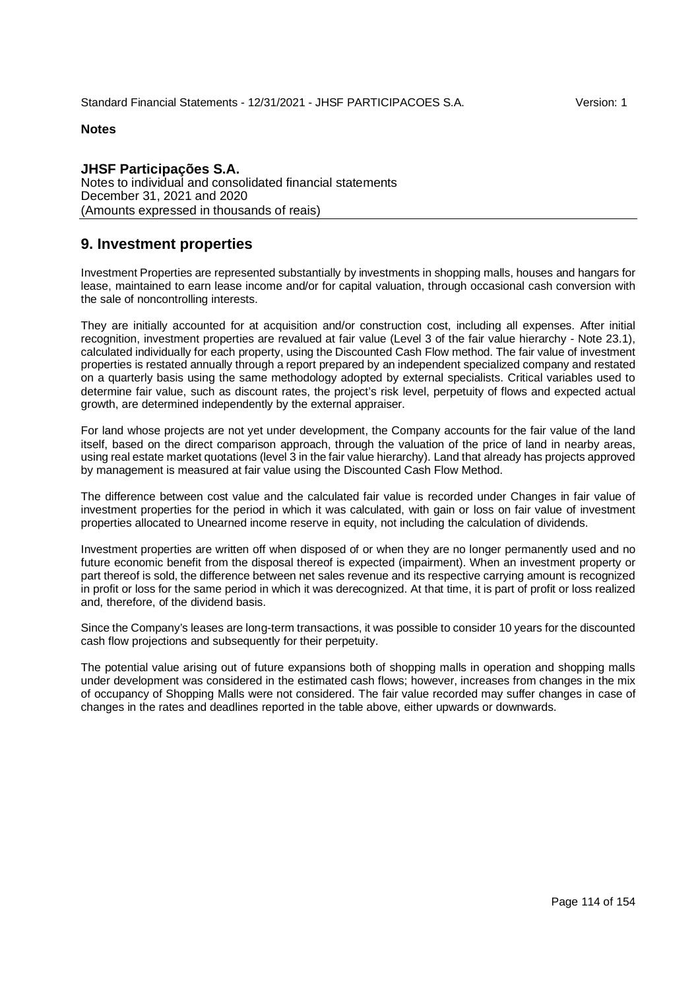## **JHSF Participações S.A.** Notes to individual and consolidated financial statements December 31, 2021 and 2020 (Amounts expressed in thousands of reais)

# **9. Investment properties**

Investment Properties are represented substantially by investments in shopping malls, houses and hangars for lease, maintained to earn lease income and/or for capital valuation, through occasional cash conversion with the sale of noncontrolling interests.

They are initially accounted for at acquisition and/or construction cost, including all expenses. After initial recognition, investment properties are revalued at fair value (Level 3 of the fair value hierarchy - Note 23.1), calculated individually for each property, using the Discounted Cash Flow method. The fair value of investment properties is restated annually through a report prepared by an independent specialized company and restated on a quarterly basis using the same methodology adopted by external specialists. Critical variables used to determine fair value, such as discount rates, the project's risk level, perpetuity of flows and expected actual growth, are determined independently by the external appraiser.

For land whose projects are not yet under development, the Company accounts for the fair value of the land itself, based on the direct comparison approach, through the valuation of the price of land in nearby areas, using real estate market quotations (level 3 in the fair value hierarchy). Land that already has projects approved by management is measured at fair value using the Discounted Cash Flow Method.

The difference between cost value and the calculated fair value is recorded under Changes in fair value of investment properties for the period in which it was calculated, with gain or loss on fair value of investment properties allocated to Unearned income reserve in equity, not including the calculation of dividends.

Investment properties are written off when disposed of or when they are no longer permanently used and no future economic benefit from the disposal thereof is expected (impairment). When an investment property or part thereof is sold, the difference between net sales revenue and its respective carrying amount is recognized in profit or loss for the same period in which it was derecognized. At that time, it is part of profit or loss realized and, therefore, of the dividend basis.

Since the Company's leases are long-term transactions, it was possible to consider 10 years for the discounted cash flow projections and subsequently for their perpetuity.

The potential value arising out of future expansions both of shopping malls in operation and shopping malls under development was considered in the estimated cash flows; however, increases from changes in the mix of occupancy of Shopping Malls were not considered. The fair value recorded may suffer changes in case of changes in the rates and deadlines reported in the table above, either upwards or downwards.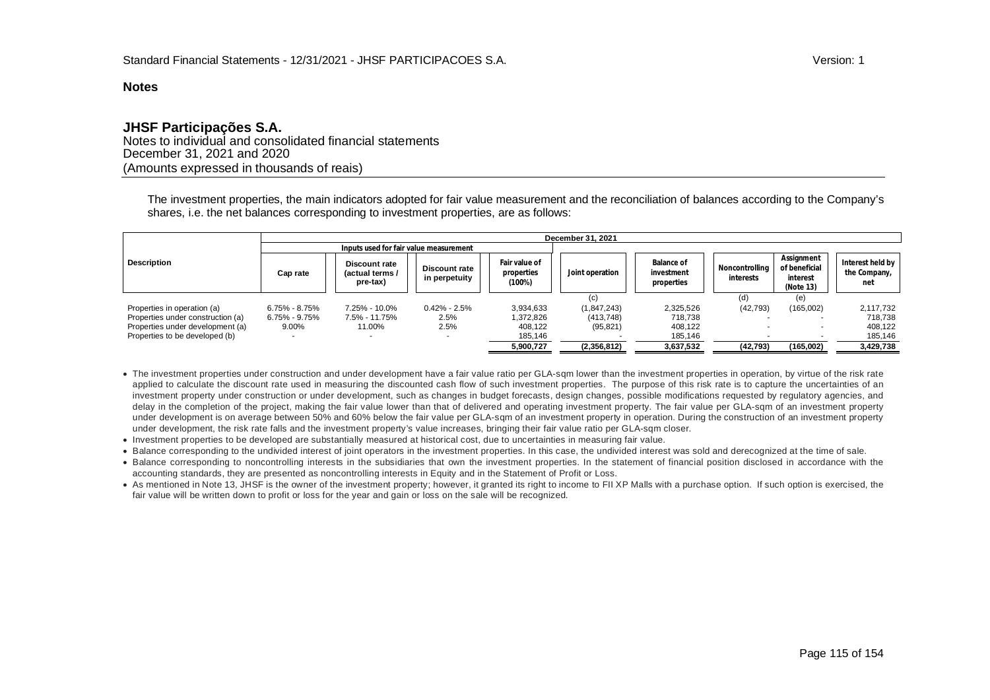## **JHSF Participações S.A.**

Notes to individual and consolidated financial statements December 31, 2021 and 2020 (Amounts expressed in thousands of reais)

The investment properties, the main indicators adopted for fair value measurement and the reconciliation of balances according to the Company's shares, i.e. the net balances corresponding to investment properties, are as follows:

|                                   |                                        | December 31, 2021                            |                                |                                       |                 |                                        |                             |                                                      |                                         |  |  |
|-----------------------------------|----------------------------------------|----------------------------------------------|--------------------------------|---------------------------------------|-----------------|----------------------------------------|-----------------------------|------------------------------------------------------|-----------------------------------------|--|--|
|                                   | Inputs used for fair value measurement |                                              |                                |                                       |                 |                                        |                             |                                                      |                                         |  |  |
| <b>Description</b>                | Cap rate                               | Discount rate<br>(actual terms /<br>pre-tax) | Discount rate<br>in perpetuity | Fair value of<br>properties<br>(100%) | Joint operation | Balance of<br>investment<br>properties | Noncontrolling<br>interests | Assignment<br>of beneficial<br>interest<br>(Note 13) | Interest held by<br>the Company,<br>net |  |  |
|                                   |                                        |                                              |                                |                                       | (c)             |                                        | (d)                         | (e)                                                  |                                         |  |  |
| Properties in operation (a)       | $6.75\% - 8.75\%$                      | 7.25% - 10.0%                                | $0.42\% - 2.5\%$               | 3,934,633                             | (1, 847, 243)   | 2,325,526                              | (42, 793)                   | (165,002)                                            | 2,117,732                               |  |  |
| Properties under construction (a) | $6.75\% - 9.75\%$                      | 7.5% - 11.75%                                | 2.5%                           | 1,372,826                             | (413, 748)      | 718.738                                |                             |                                                      | 718.738                                 |  |  |
| Properties under development (a)  | 9.00%                                  | 11.00%                                       | 2.5%                           | 408.122                               | (95, 821)       | 408.122                                |                             |                                                      | 408.122                                 |  |  |
| Properties to be developed (b)    |                                        |                                              |                                | 185,146                               |                 | 185,146                                |                             |                                                      | 185,146                                 |  |  |
|                                   |                                        |                                              |                                | 5,900,727                             | (2,356,812)     | 3,637,532                              | (42, 793)                   | (165,002)                                            | 3,429,738                               |  |  |

- The investment properties under construction and under development have a fair value ratio per GLA-sqm lower than the investment properties in operation, by virtue of the risk rate applied to calculate the discount rate used in measuring the discounted cash flow of such investment properties. The purpose of this risk rate is to capture the uncertainties of an investment property under construction or under development, such as changes in budget forecasts, design changes, possible modifications requested by regulatory agencies, and delay in the completion of the project, making the fair value lower than that of delivered and operating investment property. The fair value per GLA-sqm of an investment property under development is on average between 50% and 60% below the fair value per GLA-sqm of an investment property in operation. During the construction of an investment property under development, the risk rate falls and the investment property's value increases, bringing their fair value ratio per GLA-sqm closer.
- Investment properties to be developed are substantially measured at historical cost, due to uncertainties in measuring fair value.
- Balance corresponding to the undivided interest of joint operators in the investment properties. In this case, the undivided interest was sold and derecognized at the time of sale.
- Balance corresponding to noncontrolling interests in the subsidiaries that own the investment properties. In the statement of financial position disclosed in accordance with the accounting standards, they are presented as noncontrolling interests in Equity and in the Statement of Profit or Loss.
- As mentioned in Note 13, JHSF is the owner of the investment property; however, it granted its right to income to FII XP Malls with a purchase option. If such option is exercised, the fair value will be written down to profit or loss for the year and gain or loss on the sale will be recognized.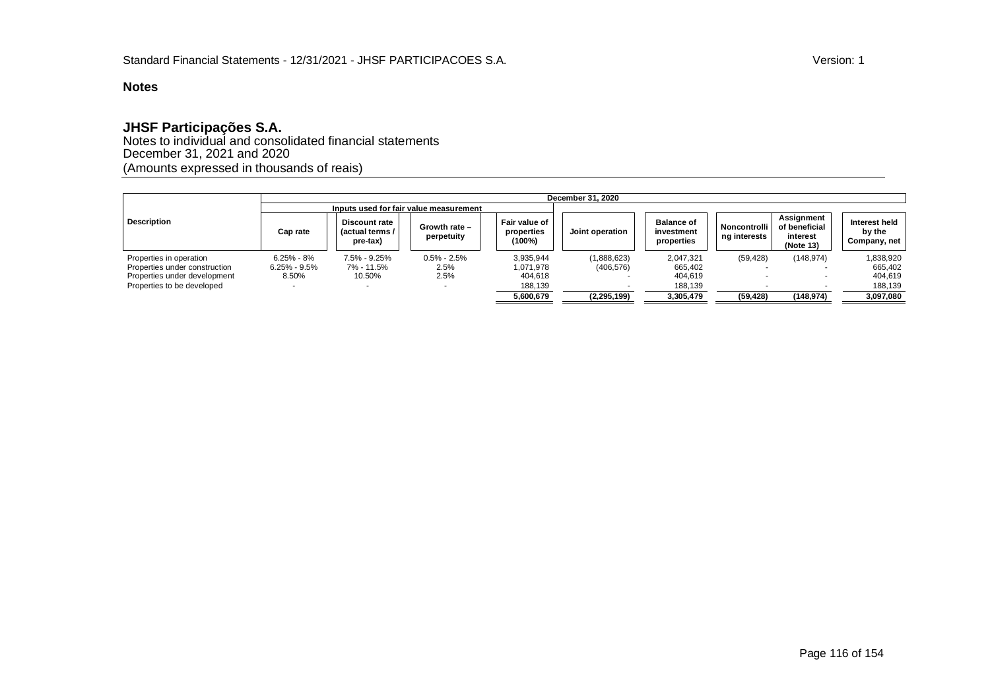# **JHSF Participações S.A.**

Notes to individual and consolidated financial statements December 31, 2021 and 2020 (Amounts expressed in thousands of reais)

|                               |                  |                                                     |                                        |                                       | December 31, 2020 |                                               |                              |                                                             |                                         |
|-------------------------------|------------------|-----------------------------------------------------|----------------------------------------|---------------------------------------|-------------------|-----------------------------------------------|------------------------------|-------------------------------------------------------------|-----------------------------------------|
|                               |                  |                                                     | Inputs used for fair value measurement |                                       |                   |                                               |                              |                                                             |                                         |
| <b>Description</b>            | Cap rate         | <b>Discount rate</b><br>(actual terms /<br>pre-tax) | Growth rate -<br>perpetuity            | Fair value of<br>properties<br>(100%) | Joint operation   | <b>Balance of</b><br>investment<br>properties | Noncontrolli<br>ng interests | <b>Assignment</b><br>of beneficial<br>interest<br>(Note 13) | Interest held<br>by the<br>Company, net |
| Properties in operation       | $6.25\% - 8\%$   | 7.5% - 9.25%                                        | $0.5\% - 2.5\%$                        | 3.935.944                             | (1,888,623)       | 2,047,321                                     | (59, 428)                    | (148, 974)                                                  | 1,838,920                               |
| Properties under construction | $6.25\% - 9.5\%$ | 7% - 11.5%                                          | 2.5%                                   | 1,071,978                             | (406, 576)        | 665.402                                       |                              |                                                             | 665.402                                 |
| Properties under development  | 8.50%            | 10.50%                                              | 2.5%                                   | 404.618                               |                   | 404.619                                       |                              |                                                             | 404,619                                 |
| Properties to be developed    |                  |                                                     |                                        | 188,139                               |                   | 188.139                                       |                              |                                                             | 188,139                                 |
|                               |                  |                                                     |                                        | 5,600,679                             | (2, 295, 199)     | 3,305,479                                     | (59, 428)                    | (148, 974)                                                  | 3,097,080                               |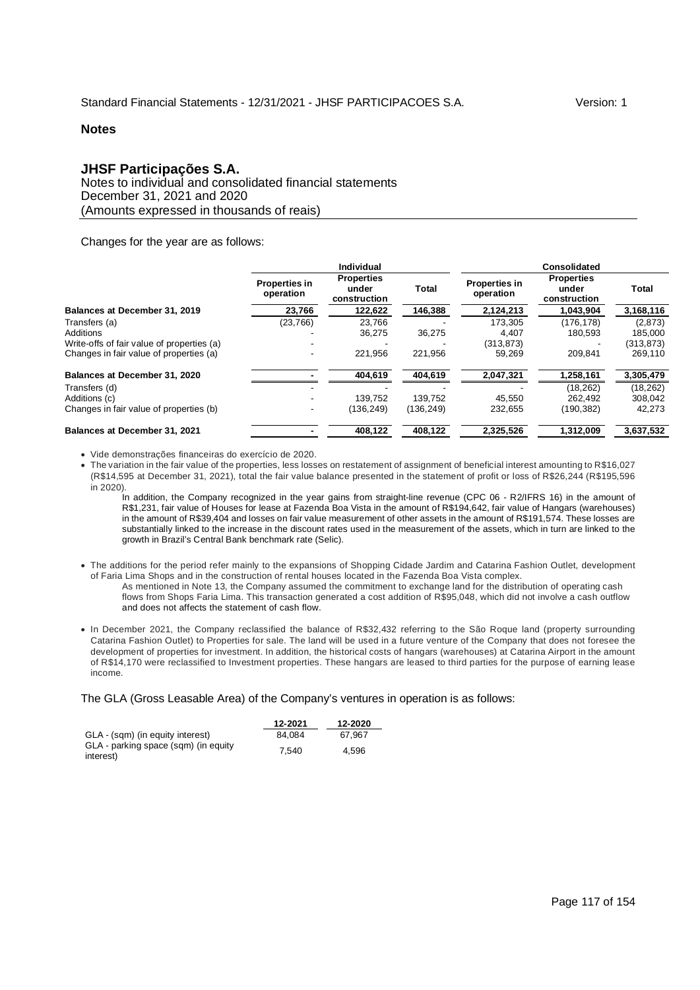# **JHSF Participações S.A.**

Notes to individual and consolidated financial statements December 31, 2021 and 2020 (Amounts expressed in thousands of reais)

Changes for the year are as follows:

|                                            | Individual                        |                                            |              | <b>Consolidated</b>        |                                            |           |  |
|--------------------------------------------|-----------------------------------|--------------------------------------------|--------------|----------------------------|--------------------------------------------|-----------|--|
|                                            | <b>Properties in</b><br>operation | <b>Properties</b><br>under<br>construction | <b>Total</b> | Properties in<br>operation | <b>Properties</b><br>under<br>construction | Total     |  |
| Balances at December 31, 2019              | 23,766                            | 122,622                                    | 146,388      | 2,124,213                  | 1,043,904                                  | 3,168,116 |  |
| Transfers (a)                              | (23, 766)                         | 23.766                                     |              | 173.305                    | (176,178)                                  | (2,873)   |  |
| <b>Additions</b>                           |                                   | 36.275                                     | 36.275       | 4,407                      | 180.593                                    | 185,000   |  |
| Write-offs of fair value of properties (a) |                                   |                                            |              | (313, 873)                 |                                            | (313,873) |  |
| Changes in fair value of properties (a)    |                                   | 221.956                                    | 221.956      | 59.269                     | 209.841                                    | 269,110   |  |
| Balances at December 31, 2020              |                                   | 404,619                                    | 404,619      | 2,047,321                  | 1,258,161                                  | 3,305,479 |  |
| Transfers (d)                              |                                   |                                            |              |                            | (18, 262)                                  | (18, 262) |  |
| Additions (c)                              |                                   | 139.752                                    | 139.752      | 45,550                     | 262.492                                    | 308,042   |  |
| Changes in fair value of properties (b)    |                                   | (136.249)                                  | (136, 249)   | 232,655                    | (190,382)                                  | 42,273    |  |
| Balances at December 31, 2021              |                                   | 408,122                                    | 408,122      | 2,325,526                  | 1,312,009                                  | 3,637,532 |  |

Vide demonstrações financeiras do exercício de 2020.

 The variation in the fair value of the properties, less losses on restatement of assignment of beneficial interest amounting to R\$16,027 (R\$14,595 at December 31, 2021), total the fair value balance presented in the statement of profit or loss of R\$26,244 (R\$195,596 in 2020).

In addition, the Company recognized in the year gains from straight-line revenue (CPC 06 - R2/IFRS 16) in the amount of R\$1,231, fair value of Houses for lease at Fazenda Boa Vista in the amount of R\$194,642, fair value of Hangars (warehouses) in the amount of R\$39,404 and losses on fair value measurement of other assets in the amount of R\$191,574. These losses are substantially linked to the increase in the discount rates used in the measurement of the assets, which in turn are linked to the growth in Brazil's Central Bank benchmark rate (Selic).

 The additions for the period refer mainly to the expansions of Shopping Cidade Jardim and Catarina Fashion Outlet, development of Faria Lima Shops and in the construction of rental houses located in the Fazenda Boa Vista complex.

As mentioned in Note 13, the Company assumed the commitment to exchange land for the distribution of operating cash flows from Shops Faria Lima. This transaction generated a cost addition of R\$95,048, which did not involve a cash outflow and does not affects the statement of cash flow.

• In December 2021, the Company reclassified the balance of R\$32,432 referring to the São Roque land (property surrounding Catarina Fashion Outlet) to Properties for sale. The land will be used in a future venture of the Company that does not foresee the development of properties for investment. In addition, the historical costs of hangars (warehouses) at Catarina Airport in the amount of R\$14,170 were reclassified to Investment properties. These hangars are leased to third parties for the purpose of earning lease income.

#### The GLA (Gross Leasable Area) of the Company's ventures in operation is as follows:

|                                                   | 12-2021 | 12-2020 |
|---------------------------------------------------|---------|---------|
| GLA - (sqm) (in equity interest)                  | 84.084  | 67.967  |
| GLA - parking space (sqm) (in equity<br>interest) | 7.540   | 4.596   |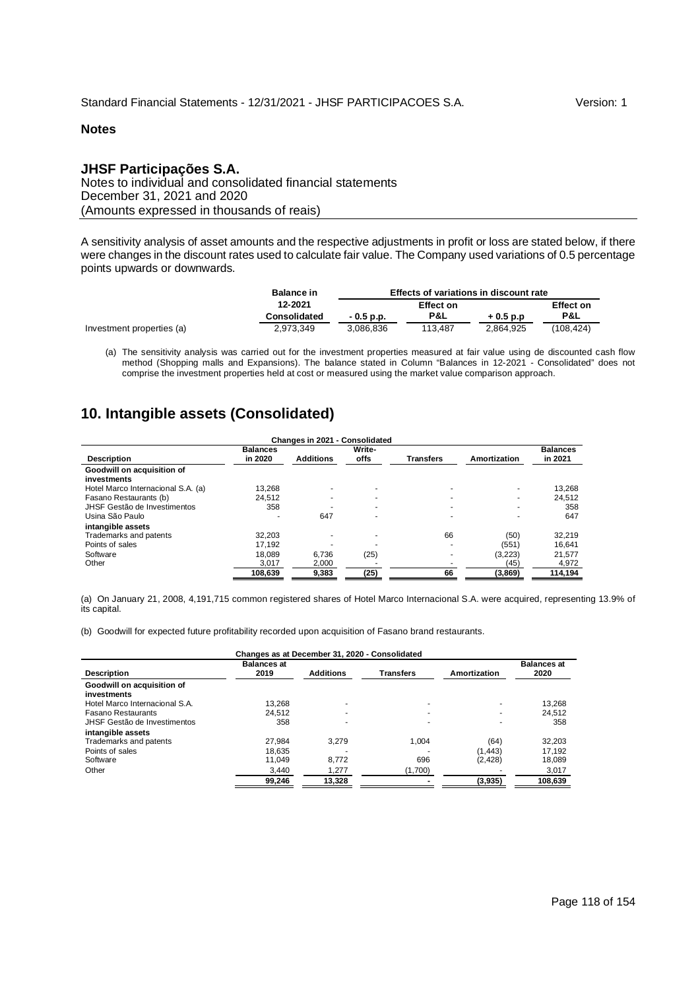## **JHSF Participações S.A.**

Notes to individual and consolidated financial statements December 31, 2021 and 2020 (Amounts expressed in thousands of reais)

A sensitivity analysis of asset amounts and the respective adjustments in profit or loss are stated below, if there were changes in the discount rates used to calculate fair value. The Company used variations of 0.5 percentage points upwards or downwards.

|                           | <b>Balance in</b>   | Effects of variations in discount rate |         |                  |           |  |  |
|---------------------------|---------------------|----------------------------------------|---------|------------------|-----------|--|--|
|                           | 12-2021             |                                        |         | <b>Effect on</b> |           |  |  |
|                           | <b>Consolidated</b> | $-0.5$ p.p.                            | P&L     | $+0.5 p.p$       | P&L       |  |  |
| Investment properties (a) | 2.973.349           | 3.086.836                              | 113.487 | 2.864.925        | (108.424) |  |  |

(a) The sensitivity analysis was carried out for the investment properties measured at fair value using de discounted cash flow method (Shopping malls and Expansions). The balance stated in Column "Balances in 12-2021 - Consolidated" does not comprise the investment properties held at cost or measured using the market value comparison approach.

# **10. Intangible assets (Consolidated)**

|                                    |                 | Changes in 2021 - Consolidated |        |           |              |                 |
|------------------------------------|-----------------|--------------------------------|--------|-----------|--------------|-----------------|
|                                    | <b>Balances</b> |                                | Write- |           |              | <b>Balances</b> |
| <b>Description</b>                 | in 2020         | <b>Additions</b>               | offs   | Transters | Amortization | in 2021         |
| Goodwill on acquisition of         |                 |                                |        |           |              |                 |
| investments                        |                 |                                |        |           |              |                 |
| Hotel Marco Internacional S.A. (a) | 13.268          |                                |        |           |              | 13.268          |
| Fasano Restaurants (b)             | 24.512          |                                |        |           |              | 24.512          |
| JHSF Gestão de Investimentos       | 358             |                                |        |           |              | 358             |
| Usina São Paulo                    |                 | 647                            |        |           |              | 647             |
| intangible assets                  |                 |                                |        |           |              |                 |
| Trademarks and patents             | 32.203          |                                |        | 66        | (50)         | 32.219          |
| Points of sales                    | 17.192          |                                |        |           | (551)        | 16.641          |
| Software                           | 18.089          | 6.736                          | (25)   |           | (3,223)      | 21.577          |
| Other                              | 3.017           | 2.000                          |        |           | (45)         | 4,972           |
|                                    | 108.639         | 9,383                          | (25)   | 66        | (3,869)      | 114.194         |

(a) On January 21, 2008, 4,191,715 common registered shares of Hotel Marco Internacional S.A. were acquired, representing 13.9% of its capital.

(b) Goodwill for expected future profitability recorded upon acquisition of Fasano brand restaurants.

|                                           |                            |                  | Changes as at December 31, 2020 - Consolidated |                |                            |
|-------------------------------------------|----------------------------|------------------|------------------------------------------------|----------------|----------------------------|
| <b>Description</b>                        | <b>Balances at</b><br>2019 | <b>Additions</b> | Transfers                                      | Amortization   | <b>Balances at</b><br>2020 |
| Goodwill on acquisition of<br>investments |                            |                  |                                                |                |                            |
| Hotel Marco Internacional S.A.            | 13.268                     | ۰                |                                                | $\overline{a}$ | 13.268                     |
| <b>Fasano Restaurants</b>                 | 24.512                     | ۰                |                                                |                | 24.512                     |
| JHSF Gestão de Investimentos              | 358                        |                  |                                                |                | 358                        |
| intangible assets                         |                            |                  |                                                |                |                            |
| Trademarks and patents                    | 27.984                     | 3.279            | 1.004                                          | (64)           | 32.203                     |
| Points of sales                           | 18.635                     |                  |                                                | (1.443)        | 17.192                     |
| Software                                  | 11.049                     | 8.772            | 696                                            | (2, 428)       | 18.089                     |
| Other                                     | 3.440                      | 1.277            | (1,700)                                        |                | 3,017                      |
|                                           | 99,246                     | 13,328           |                                                | (3,935)        | 108,639                    |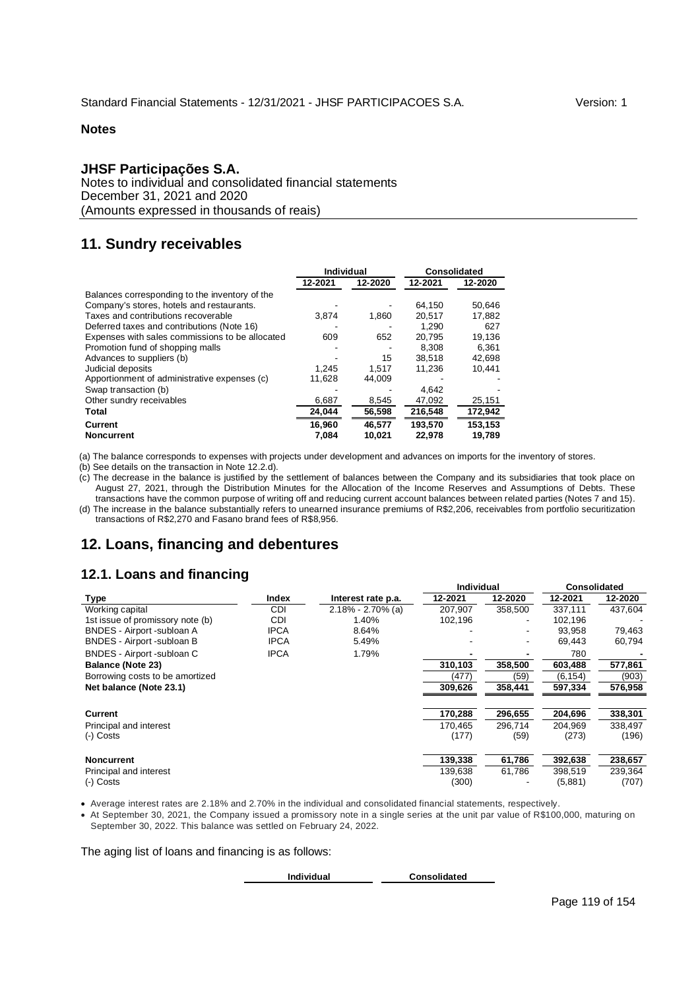## **JHSF Participações S.A.**

Notes to individual and consolidated financial statements December 31, 2021 and 2020 (Amounts expressed in thousands of reais)

# **11. Sundry receivables**

|                                                 | Individual |         |         | Consolidated |
|-------------------------------------------------|------------|---------|---------|--------------|
|                                                 | 12-2021    | 12-2020 | 12-2021 | 12-2020      |
| Balances corresponding to the inventory of the  |            |         |         |              |
| Company's stores, hotels and restaurants.       |            |         | 64.150  | 50.646       |
| Taxes and contributions recoverable             | 3.874      | 1,860   | 20,517  | 17,882       |
| Deferred taxes and contributions (Note 16)      |            |         | 1.290   | 627          |
| Expenses with sales commissions to be allocated | 609        | 652     | 20.795  | 19.136       |
| Promotion fund of shopping malls                |            |         | 8.308   | 6,361        |
| Advances to suppliers (b)                       |            | 15      | 38.518  | 42.698       |
| Judicial deposits                               | 1.245      | 1,517   | 11.236  | 10.441       |
| Apportionment of administrative expenses (c)    | 11,628     | 44,009  |         |              |
| Swap transaction (b)                            |            |         | 4.642   |              |
| Other sundry receivables                        | 6,687      | 8,545   | 47,092  | 25,151       |
| Total                                           | 24,044     | 56,598  | 216,548 | 172,942      |
| Current                                         | 16.960     | 46.577  | 193.570 | 153,153      |
| <b>Noncurrent</b>                               | 7.084      | 10.021  | 22,978  | 19,789       |

(a) The balance corresponds to expenses with projects under development and advances on imports for the inventory of stores.

(b) See details on the transaction in Note 12.2.d).

(c) The decrease in the balance is justified by the settlement of balances between the Company and its subsidiaries that took place on August 27, 2021, through the Distribution Minutes for the Allocation of the Income Reserves and Assumptions of Debts. These transactions have the common purpose of writing off and reducing current account balances between related parties (Notes 7 and 15). (d) The increase in the balance substantially refers to unearned insurance premiums of R\$2,206, receivables from portfolio securitization transactions of R\$2,270 and Fasano brand fees of R\$8,956.

# **12. Loans, financing and debentures**

# **12.1. Loans and financing**

|                                  | ້           |                       | Individual |         | Consolidated |         |
|----------------------------------|-------------|-----------------------|------------|---------|--------------|---------|
| Type                             | Index       | Interest rate p.a.    | 12-2021    | 12-2020 | 12-2021      | 12-2020 |
| Working capital                  | <b>CDI</b>  | $2.18\% - 2.70\%$ (a) | 207.907    | 358,500 | 337.111      | 437,604 |
| 1st issue of promissory note (b) | <b>CDI</b>  | 1.40%                 | 102,196    |         | 102.196      |         |
| BNDES - Airport -subloan A       | <b>IPCA</b> | 8.64%                 |            |         | 93.958       | 79,463  |
| BNDES - Airport -subloan B       | <b>IPCA</b> | 5.49%                 |            |         | 69.443       | 60,794  |
| BNDES - Airport -subloan C       | <b>IPCA</b> | 1.79%                 | -          |         | 780          |         |
| <b>Balance (Note 23)</b>         |             |                       | 310,103    | 358,500 | 603,488      | 577,861 |
| Borrowing costs to be amortized  |             |                       | (477)      | (59)    | (6, 154)     | (903)   |
| Net balance (Note 23.1)          |             |                       | 309,626    | 358,441 | 597,334      | 576,958 |
|                                  |             |                       |            |         |              |         |
| <b>Current</b>                   |             |                       | 170,288    | 296,655 | 204,696      | 338,301 |
| Principal and interest           |             |                       | 170.465    | 296,714 | 204.969      | 338,497 |
| $(-)$ Costs                      |             |                       | (177)      | (59)    | (273)        | (196)   |
|                                  |             |                       |            |         |              |         |
| <b>Noncurrent</b>                |             |                       | 139,338    | 61,786  | 392,638      | 238,657 |
| Principal and interest           |             |                       | 139,638    | 61,786  | 398,519      | 239,364 |
| (-) Costs                        |             |                       | (300)      |         | (5,881)      | (707)   |

Average interest rates are 2.18% and 2.70% in the individual and consolidated financial statements, respectively.

 At September 30, 2021, the Company issued a promissory note in a single series at the unit par value of R\$100,000, maturing on September 30, 2022. This balance was settled on February 24, 2022.

The aging list of loans and financing is as follows:

**Individual Consolidated**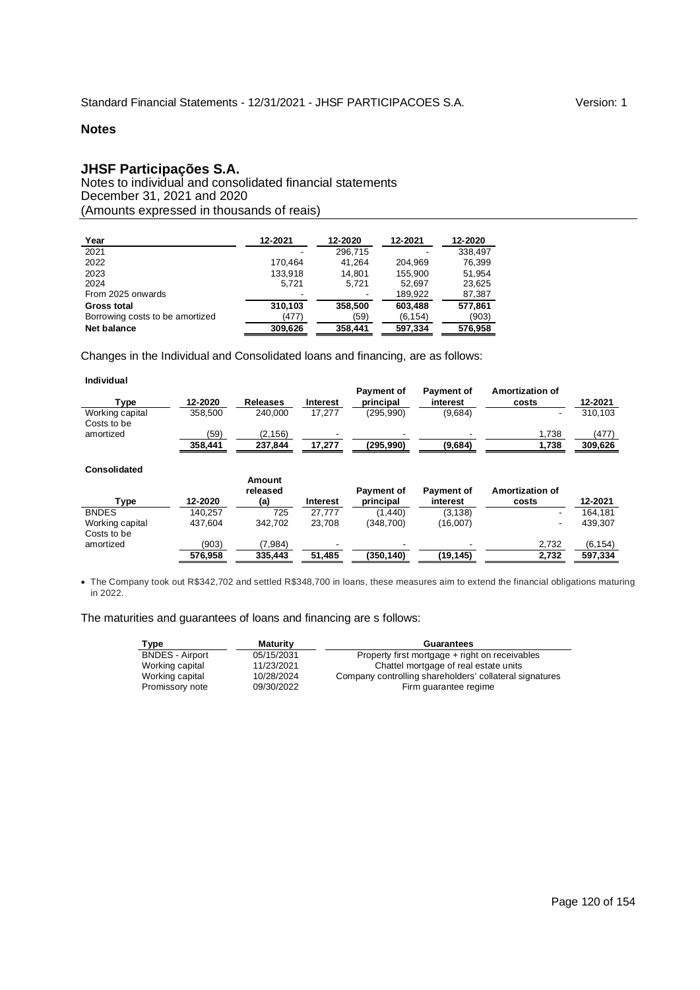## **JHSF Participações S.A.**

Notes to individual and consolidated financial statements December 31, 2021 and 2020 (Amounts expressed in thousands of reais)

| Year                            | 12-2021 | 12-2020 | 12-2021  | 12-2020 |
|---------------------------------|---------|---------|----------|---------|
| 2021                            |         | 296,715 |          | 338.497 |
| 2022                            | 170.464 | 41.264  | 204.969  | 76,399  |
| 2023                            | 133.918 | 14.801  | 155.900  | 51.954  |
| 2024                            | 5.721   | 5.721   | 52.697   | 23,625  |
| From 2025 onwards               |         |         | 189,922  | 87,387  |
| Gross total                     | 310.103 | 358,500 | 603,488  | 577.861 |
| Borrowing costs to be amortized | (477)   | (59)    | (6, 154) | (903)   |
| Net balance                     | 309.626 | 358.441 | 597.334  | 576,958 |

Changes in the Individual and Consolidated loans and financing, are as follows:

#### **Individual**

l,

| $r_{VDE}$       | 12-2020 | Releases | Interest                 | <b>Payment of</b><br>principal | <b>Payment of</b><br>interest | Amortization of<br>costs | 12-2021 |
|-----------------|---------|----------|--------------------------|--------------------------------|-------------------------------|--------------------------|---------|
| Working capital | 358.500 | 240.000  | 17.277                   | (295.990)                      | (9.684)                       |                          | 310.103 |
| Costs to be     |         |          |                          |                                |                               |                          |         |
| amortized       | (59     | (2, 156) | $\overline{\phantom{a}}$ | -                              |                               | 1.738                    | (477)   |
|                 | 358.441 | 237.844  | 17.277                   | (295.990)                      | (9,684)                       | 1.738                    | 309.626 |

# **Consolidated Consolidated**

| Туре            | 12-2020 | Amount<br>released<br>(a) | <b>Interest</b> | Payment of<br>principal | Payment of<br>interest | Amortization of<br>costs | 12-2021 |
|-----------------|---------|---------------------------|-----------------|-------------------------|------------------------|--------------------------|---------|
| <b>BNDES</b>    | 140.257 | 725                       | 27.777          | (1.440)                 | (3, 138)               |                          | 164.181 |
| Working capital | 437.604 | 342.702                   | 23,708          | (348,700)               | (16,007)               | ۰                        | 439,307 |
| Costs to be     |         |                           |                 |                         |                        |                          |         |
| amortized       | (903)   | (7,984)                   |                 |                         |                        | 2,732                    | (6.154) |
|                 | 576.958 | 335,443                   | 51.485          | (350.140)               | (19, 145)              | 2.732                    | 597.334 |

 The Company took out R\$342,702 and settled R\$348,700 in loans, these measures aim to extend the financial obligations maturing in 2022.

## The maturities and guarantees of loans and financing are s follows:

| Type                   | <b>Maturity</b> | Guarantees                                              |
|------------------------|-----------------|---------------------------------------------------------|
| <b>BNDES - Airport</b> | 05/15/2031      | Property first mortgage + right on receivables          |
| Working capital        | 11/23/2021      | Chattel mortgage of real estate units                   |
| Working capital        | 10/28/2024      | Company controlling shareholders' collateral signatures |
| Promissory note        | 09/30/2022      | Firm quarantee regime                                   |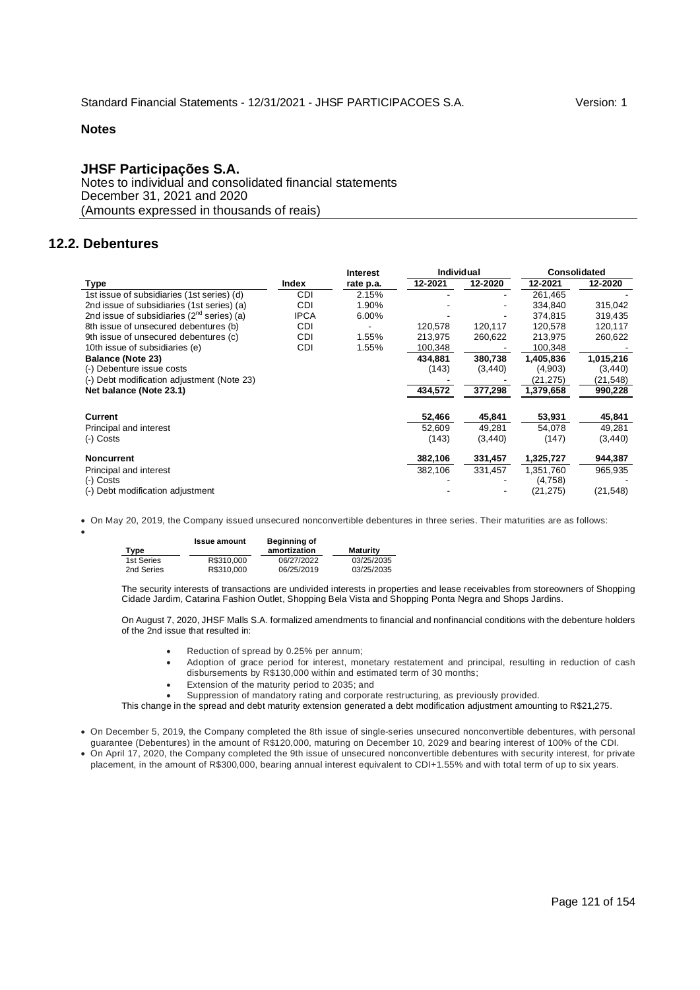## **JHSF Participações S.A.**

Notes to individual and consolidated financial statements December 31, 2021 and 2020 (Amounts expressed in thousands of reais)

## **12.2. Debentures**

 $\bullet$ 

|                                                        | <b>Interest</b> |           | <b>Individual</b> |          | <b>Consolidated</b> |           |
|--------------------------------------------------------|-----------------|-----------|-------------------|----------|---------------------|-----------|
| Type                                                   | Index           | rate p.a. | 12-2021           | 12-2020  | 12-2021             | 12-2020   |
| 1st issue of subsidiaries (1st series) (d)             | CDI             | 2.15%     |                   |          | 261,465             |           |
| 2nd issue of subsidiaries (1st series) (a)             | CDI             | 1.90%     |                   |          | 334,840             | 315,042   |
| 2nd issue of subsidiaries (2 <sup>nd</sup> series) (a) | <b>IPCA</b>     | 6.00%     |                   | ٠        | 374,815             | 319,435   |
| 8th issue of unsecured debentures (b)                  | CDI             |           | 120,578           | 120,117  | 120,578             | 120,117   |
| 9th issue of unsecured debentures (c)                  | CDI             | 1.55%     | 213,975           | 260,622  | 213,975             | 260,622   |
| 10th issue of subsidiaries (e)                         | CDI             | 1.55%     | 100,348           |          | 100,348             |           |
| <b>Balance (Note 23)</b>                               |                 |           | 434,881           | 380,738  | 1,405,836           | 1,015,216 |
| (-) Debenture issue costs                              |                 |           | (143)             | (3, 440) | (4,903)             | (3, 440)  |
| (-) Debt modification adjustment (Note 23)             |                 |           |                   |          | (21,275)            | (21,548)  |
| Net balance (Note 23.1)                                |                 |           | 434,572           | 377,298  | 1,379,658           | 990,228   |
|                                                        |                 |           |                   |          |                     |           |
| Current                                                |                 |           | 52,466            | 45,841   | 53,931              | 45,841    |
| Principal and interest                                 |                 |           | 52,609            | 49,281   | 54,078              | 49,281    |
| (-) Costs                                              |                 |           | (143)             | (3, 440) | (147)               | (3, 440)  |
| <b>Noncurrent</b>                                      |                 |           | 382,106           | 331,457  | 1,325,727           | 944,387   |
| Principal and interest                                 |                 |           | 382,106           | 331,457  | 1,351,760           | 965,935   |
| (-) Costs                                              |                 |           |                   |          | (4,758)             |           |
| (-) Debt modification adjustment                       |                 |           |                   |          | (21, 275)           | (21, 548) |

On May 20, 2019, the Company issued unsecured nonconvertible debentures in three series. Their maturities are as follows:

|            | <b>Issue amount</b> | Beginning of |            |
|------------|---------------------|--------------|------------|
| Type       |                     | amortization | Maturity   |
| 1st Series | R\$310,000          | 06/27/2022   | 03/25/2035 |
| 2nd Series | R\$310,000          | 06/25/2019   | 03/25/2035 |

The security interests of transactions are undivided interests in properties and lease receivables from storeowners of Shopping Cidade Jardim, Catarina Fashion Outlet, Shopping Bela Vista and Shopping Ponta Negra and Shops Jardins.

On August 7, 2020, JHSF Malls S.A. formalized amendments to financial and nonfinancial conditions with the debenture holders of the 2nd issue that resulted in:

- Reduction of spread by 0.25% per annum;
- Adoption of grace period for interest, monetary restatement and principal, resulting in reduction of cash disbursements by R\$130,000 within and estimated term of 30 months;
- Extension of the maturity period to 2035; and
- Suppression of mandatory rating and corporate restructuring, as previously provided.

This change in the spread and debt maturity extension generated a debt modification adjustment amounting to R\$21,275.

- On December 5, 2019, the Company completed the 8th issue of single-series unsecured nonconvertible debentures, with personal guarantee (Debentures) in the amount of R\$120,000, maturing on December 10, 2029 and bearing interest of 100% of the CDI.
- On April 17, 2020, the Company completed the 9th issue of unsecured nonconvertible debentures with security interest, for private placement, in the amount of R\$300,000, bearing annual interest equivalent to CDI+1.55% and with total term of up to six years.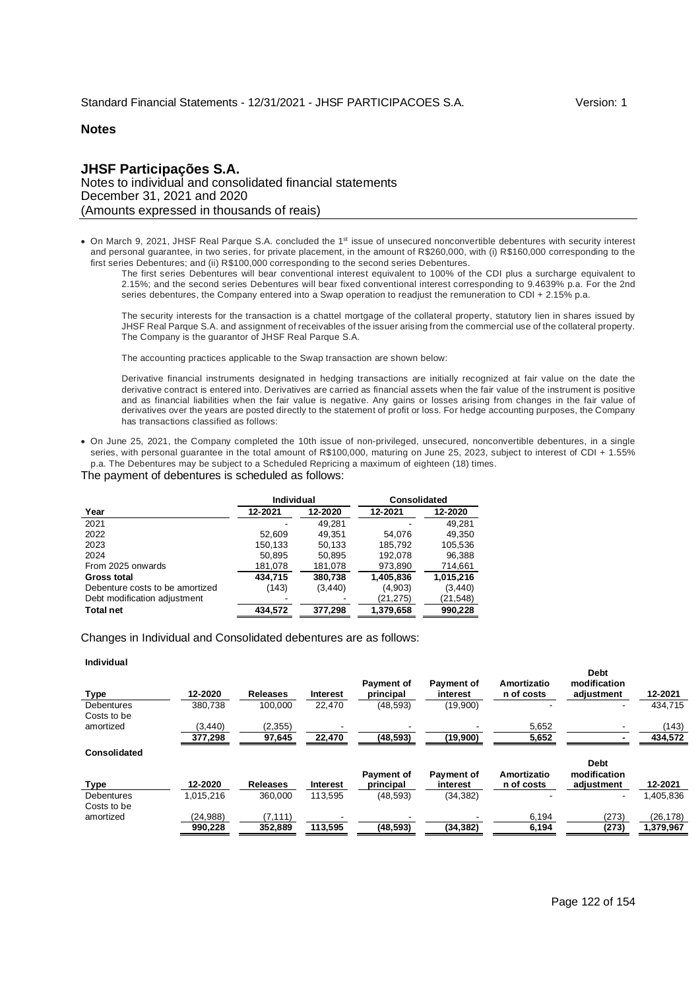## **JHSF Participações S.A.** Notes to individual and consolidated financial statements December 31, 2021 and 2020 (Amounts expressed in thousands of reais)

• On March 9, 2021, JHSF Real Parque S.A. concluded the 1<sup>st</sup> issue of unsecured nonconvertible debentures with security interest and personal guarantee, in two series, for private placement, in the amount of R\$260,000, with (i) R\$160,000 corresponding to the first series Debentures; and (ii) R\$100,000 corresponding to the second series Debentures.

The first series Debentures will bear conventional interest equivalent to 100% of the CDI plus a surcharge equivalent to 2.15%; and the second series Debentures will bear fixed conventional interest corresponding to 9.4639% p.a. For the 2nd series debentures, the Company entered into a Swap operation to readjust the remuneration to CDI + 2.15% p.a.

The security interests for the transaction is a chattel mortgage of the collateral property, statutory lien in shares issued by JHSF Real Parque S.A. and assignment of receivables of the issuer arising from the commercial use of the collateral property. The Company is the guarantor of JHSF Real Parque S.A.

The accounting practices applicable to the Swap transaction are shown below:

Derivative financial instruments designated in hedging transactions are initially recognized at fair value on the date the derivative contract is entered into. Derivatives are carried as financial assets when the fair value of the instrument is positive and as financial liabilities when the fair value is negative. Any gains or losses arising from changes in the fair value of derivatives over the years are posted directly to the statement of profit or loss. For hedge accounting purposes, the Company has transactions classified as follows:

 On June 25, 2021, the Company completed the 10th issue of non-privileged, unsecured, nonconvertible debentures, in a single series, with personal guarantee in the total amount of R\$100,000, maturing on June 25, 2023, subject to interest of CDI + 1.55% p.a. The Debentures may be subject to a Scheduled Repricing a maximum of eighteen (18) times.

#### The payment of debentures is scheduled as follows:

|                                 | <b>Individual</b> |          | <b>Consolidated</b> |           |  |
|---------------------------------|-------------------|----------|---------------------|-----------|--|
| Year                            | 12-2021           | 12-2020  | 12-2021             | 12-2020   |  |
| 2021                            |                   | 49.281   |                     | 49.281    |  |
| 2022                            | 52.609            | 49.351   | 54.076              | 49,350    |  |
| 2023                            | 150,133           | 50.133   | 185.792             | 105,536   |  |
| 2024                            | 50,895            | 50,895   | 192.078             | 96,388    |  |
| From 2025 onwards               | 181,078           | 181,078  | 973,890             | 714,661   |  |
| Gross total                     | 434.715           | 380.738  | 1,405,836           | 1,015,216 |  |
| Debenture costs to be amortized | (143)             | (3, 440) | (4,903)             | (3, 440)  |  |
| Debt modification adjustment    |                   |          | (21, 275)           | (21,548)  |  |
| <b>Total net</b>                | 434.572           | 377.298  | 1.379.658           | 990.228   |  |

Changes in Individual and Consolidated debentures are as follows:

#### **Individual**

| <b>Type</b>       | 12-2020   | <b>Releases</b> | Interest        | <b>Payment of</b><br>principal | <b>Payment of</b><br>interest | Amortizatio<br>n of costs | modification<br>adjustment  | 12-2021   |
|-------------------|-----------|-----------------|-----------------|--------------------------------|-------------------------------|---------------------------|-----------------------------|-----------|
| <b>Debentures</b> | 380.738   | 100.000         | 22.470          | (48, 593)                      | (19,900)                      |                           |                             | 434.715   |
| Costs to be       |           |                 |                 |                                |                               |                           |                             |           |
| amortized         | (3, 440)  | (2,355)         |                 |                                |                               | 5,652                     |                             | (143)     |
|                   | 377,298   | 97,645          | 22,470          | (48, 593)                      | (19,900)                      | 5,652                     |                             | 434,572   |
| Consolidated      |           |                 |                 |                                |                               |                           |                             |           |
|                   |           |                 |                 | <b>Payment of</b>              | <b>Payment of</b>             | Amortizatio               | <b>Debt</b><br>modification |           |
| <b>Type</b>       | 12-2020   | <b>Releases</b> | <b>Interest</b> | principal                      | interest                      | n of costs                | adiustment                  | 12-2021   |
| <b>Debentures</b> | 1,015,216 | 360.000         | 113,595         | (48, 593)                      | (34, 382)                     |                           |                             | 405,836.  |
| Costs to be       |           |                 |                 |                                |                               |                           |                             |           |
| amortized         | (24, 988) | (7.111)         |                 |                                |                               | 6.194                     | (273)                       | (26,178)  |
|                   | 990,228   | 352,889         | 113,595         | (48, 593)                      | (34, 382)                     | 6,194                     | (273)                       | 1,379,967 |

**Debt**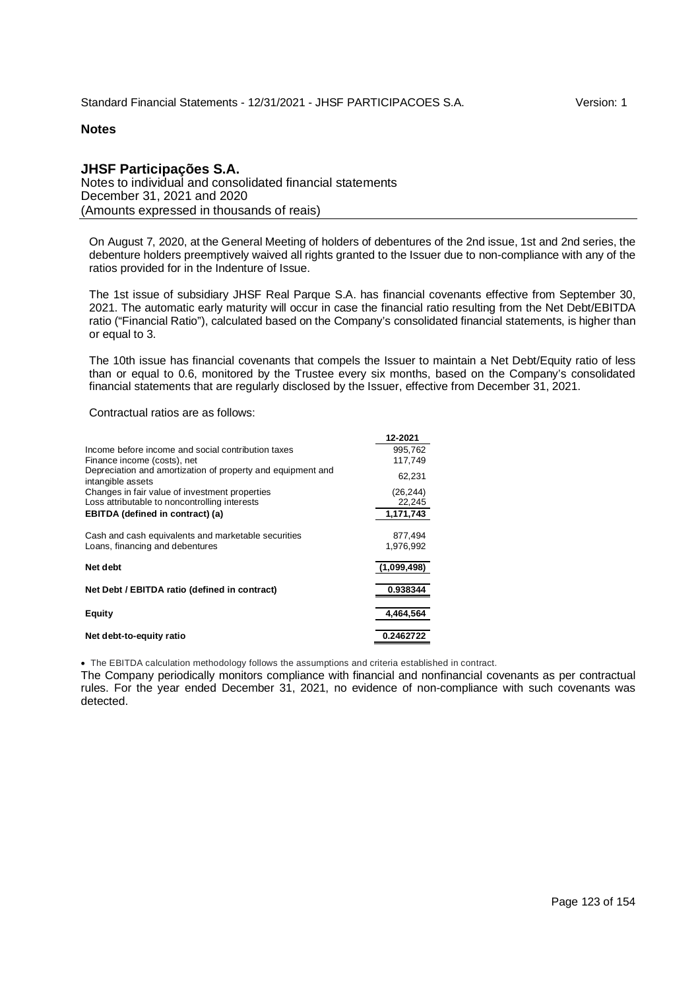## **JHSF Participações S.A.**

Notes to individual and consolidated financial statements December 31, 2021 and 2020 (Amounts expressed in thousands of reais)

On August 7, 2020, at the General Meeting of holders of debentures of the 2nd issue, 1st and 2nd series, the debenture holders preemptively waived all rights granted to the Issuer due to non-compliance with any of the ratios provided for in the Indenture of Issue.

The 1st issue of subsidiary JHSF Real Parque S.A. has financial covenants effective from September 30, 2021. The automatic early maturity will occur in case the financial ratio resulting from the Net Debt/EBITDA ratio ("Financial Ratio"), calculated based on the Company's consolidated financial statements, is higher than or equal to 3.

The 10th issue has financial covenants that compels the Issuer to maintain a Net Debt/Equity ratio of less than or equal to 0.6, monitored by the Trustee every six months, based on the Company's consolidated financial statements that are regularly disclosed by the Issuer, effective from December 31, 2021.

**12-2021**

Contractual ratios are as follows:

|                                                                                                 | 14-40A I             |
|-------------------------------------------------------------------------------------------------|----------------------|
| Income before income and social contribution taxes<br>Finance income (costs), net               | 995,762<br>117.749   |
| Depreciation and amortization of property and equipment and<br>intangible assets                | 62,231               |
| Changes in fair value of investment properties<br>Loss attributable to noncontrolling interests | (26, 244)<br>22,245  |
| <b>EBITDA</b> (defined in contract) (a)                                                         | 1,171,743            |
| Cash and cash equivalents and marketable securities<br>Loans, financing and debentures          | 877.494<br>1,976,992 |
| Net debt                                                                                        | (1,099,498)          |
| Net Debt / EBITDA ratio (defined in contract)                                                   | 0.938344             |
| Equity                                                                                          | 4,464,564            |
| Net debt-to-equity ratio                                                                        | 0.2462722            |

The EBITDA calculation methodology follows the assumptions and criteria established in contract.

The Company periodically monitors compliance with financial and nonfinancial covenants as per contractual rules. For the year ended December 31, 2021, no evidence of non-compliance with such covenants was detected.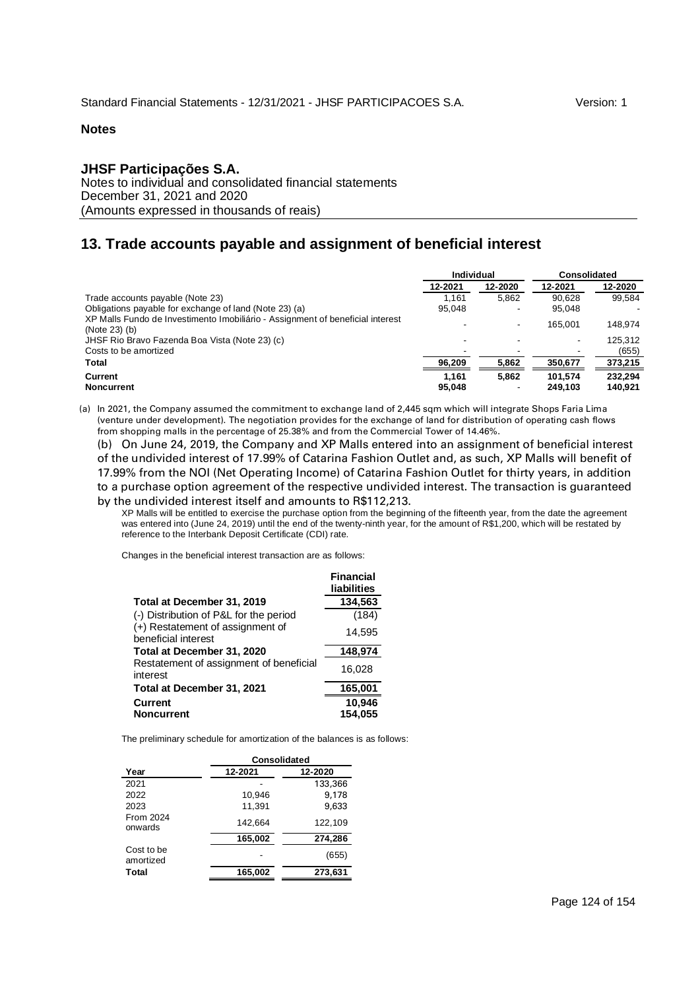## **JHSF Participações S.A.**

Notes to individual and consolidated financial statements December 31, 2021 and 2020 (Amounts expressed in thousands of reais)

# **13. Trade accounts payable and assignment of beneficial interest**

|                                                                                                 | Individual      |                | Consolidated       |                    |
|-------------------------------------------------------------------------------------------------|-----------------|----------------|--------------------|--------------------|
|                                                                                                 | 12-2021         | 12-2020        | 12-2021            | 12-2020            |
| Trade accounts payable (Note 23)                                                                | 1.161           | 5.862          | 90.628             | 99.584             |
| Obligations payable for exchange of land (Note 23) (a)                                          | 95.048          |                | 95.048             |                    |
| XP Malls Fundo de Investimento Imobiliário - Assignment of beneficial interest<br>(Note 23) (b) |                 | $\blacksquare$ | 165.001            | 148.974            |
| JHSF Rio Bravo Fazenda Boa Vista (Note 23) (c)                                                  |                 |                |                    | 125.312            |
| Costs to be amortized                                                                           |                 |                |                    | (655)              |
| Total                                                                                           | 96,209          | 5,862          | 350,677            | 373,215            |
| Current<br><b>Noncurrent</b>                                                                    | 1.161<br>95,048 | 5.862          | 101.574<br>249.103 | 232.294<br>140,921 |

(a) In 2021, the Company assumed the commitment to exchange land of 2,445 sqm which will integrate Shops Faria Lima (venture under development). The negotiation provides for the exchange of land for distribution of operating cash flows from shopping malls in the percentage of 25.38% and from the Commercial Tower of 14.46%.

(b) On June 24, 2019, the Company and XP Malls entered into an assignment of beneficial interest of the undivided interest of 17.99% of Catarina Fashion Outlet and, as such, XP Malls will benefit of 17.99% from the NOI (Net Operating Income) of Catarina Fashion Outlet for thirty years, in addition to a purchase option agreement of the respective undivided interest. The transaction is guaranteed by the undivided interest itself and amounts to R\$112,213.

XP Malls will be entitled to exercise the purchase option from the beginning of the fifteenth year, from the date the agreement was entered into (June 24, 2019) until the end of the twenty-ninth year, for the amount of R\$1,200, which will be restated by reference to the Interbank Deposit Certificate (CDI) rate.

Changes in the beneficial interest transaction are as follows:

|                                                         | <b>Financial</b><br>liabilities |
|---------------------------------------------------------|---------------------------------|
| Total at December 31, 2019                              | 134,563                         |
| (-) Distribution of P&L for the period                  | (184)                           |
| (+) Restatement of assignment of<br>beneficial interest | 14,595                          |
| Total at December 31, 2020                              | 148,974                         |
| Restatement of assignment of beneficial<br>interest     | 16,028                          |
| Total at December 31, 2021                              | 165,001                         |
| <b>Current</b>                                          | 10,946                          |
| <b>Noncurrent</b>                                       | 154,055                         |

The preliminary schedule for amortization of the balances is as follows:

|                         | Consolidated |         |  |  |  |
|-------------------------|--------------|---------|--|--|--|
| Year                    | 12-2021      | 12-2020 |  |  |  |
| 2021                    |              | 133,366 |  |  |  |
| 2022                    | 10,946       | 9,178   |  |  |  |
| 2023                    | 11,391       | 9,633   |  |  |  |
| From 2024<br>onwards    | 142.664      | 122.109 |  |  |  |
|                         | 165,002      | 274,286 |  |  |  |
| Cost to be<br>amortized |              | (655)   |  |  |  |
| Total                   | 165,002      | 273,631 |  |  |  |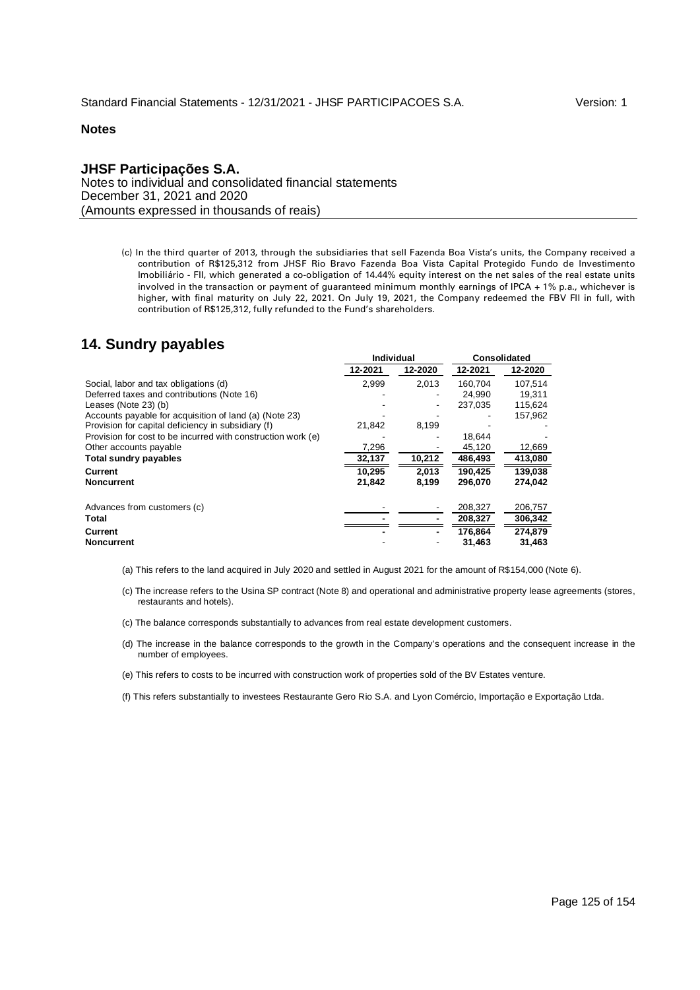## **JHSF Participações S.A.** Notes to individual and consolidated financial statements December 31, 2021 and 2020 (Amounts expressed in thousands of reais)

(c) In the third quarter of 2013, through the subsidiaries that sell Fazenda Boa Vista's units, the Company received a contribution of R\$125,312 from JHSF Rio Bravo Fazenda Boa Vista Capital Protegido Fundo de Investimento Imobiliário - FII, which generated a co-obligation of 14.44% equity interest on the net sales of the real estate units involved in the transaction or payment of guaranteed minimum monthly earnings of IPCA + 1% p.a., whichever is higher, with final maturity on July 22, 2021. On July 19, 2021, the Company redeemed the FBV FII in full, with contribution of R\$125,312, fully refunded to the Fund's shareholders.

# **14. Sundry payables**

|                                                              | Individual |         | <b>Consolidated</b> |         |  |
|--------------------------------------------------------------|------------|---------|---------------------|---------|--|
|                                                              | 12-2021    | 12-2020 | 12-2021             | 12-2020 |  |
| Social, labor and tax obligations (d)                        | 2.999      | 2.013   | 160.704             | 107,514 |  |
| Deferred taxes and contributions (Note 16)                   |            |         | 24.990              | 19,311  |  |
| Leases (Note 23) (b)                                         |            |         | 237,035             | 115,624 |  |
| Accounts payable for acquisition of land (a) (Note 23)       |            |         |                     | 157,962 |  |
| Provision for capital deficiency in subsidiary (f)           | 21,842     | 8,199   |                     |         |  |
| Provision for cost to be incurred with construction work (e) |            |         | 18.644              |         |  |
| Other accounts payable                                       | 7,296      |         | 45,120              | 12,669  |  |
| <b>Total sundry payables</b>                                 | 32,137     | 10,212  | 486,493             | 413,080 |  |
| Current                                                      | 10.295     | 2.013   | 190.425             | 139.038 |  |
| <b>Noncurrent</b>                                            | 21,842     | 8,199   | 296.070             | 274,042 |  |
| Advances from customers (c)                                  |            |         | 208,327             | 206,757 |  |
| Total                                                        |            |         | 208,327             | 306,342 |  |
| <b>Current</b>                                               |            |         | 176.864             | 274.879 |  |
| <b>Noncurrent</b>                                            |            |         | 31,463              | 31,463  |  |

- (a) This refers to the land acquired in July 2020 and settled in August 2021 for the amount of R\$154,000 (Note 6).
- (c) The increase refers to the Usina SP contract (Note 8) and operational and administrative property lease agreements (stores, restaurants and hotels).
- (c) The balance corresponds substantially to advances from real estate development customers.
- (d) The increase in the balance corresponds to the growth in the Company's operations and the consequent increase in the number of employees.
- (e) This refers to costs to be incurred with construction work of properties sold of the BV Estates venture.
- (f) This refers substantially to investees Restaurante Gero Rio S.A. and Lyon Comércio, Importação e Exportação Ltda.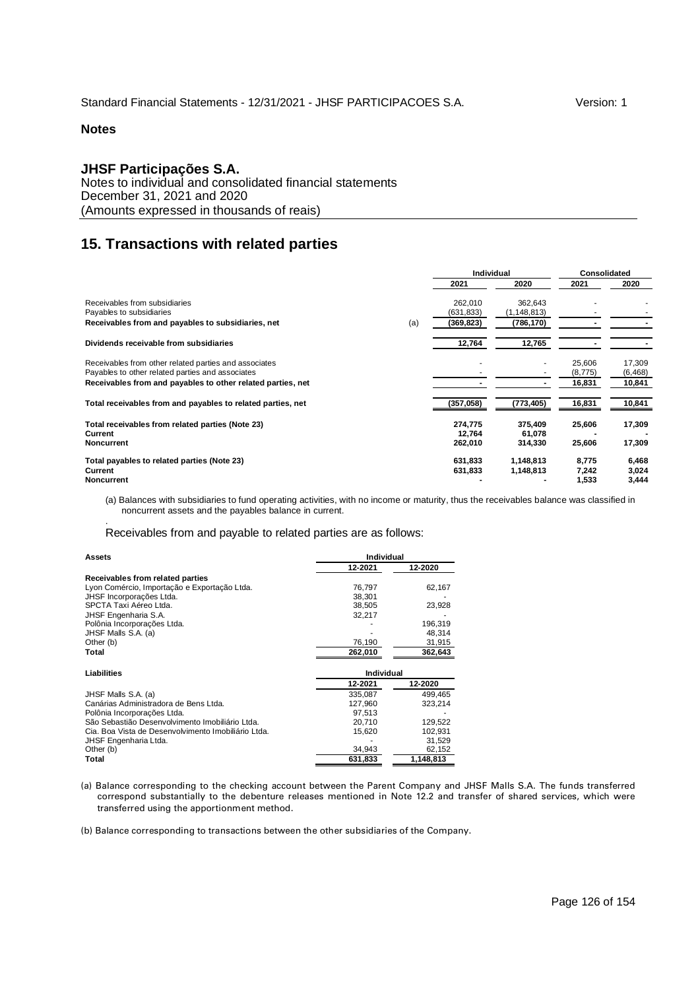.

## **JHSF Participações S.A.**

Notes to individual and consolidated financial statements December 31, 2021 and 2020 (Amounts expressed in thousands of reais)

# **15. Transactions with related parties**

|                                                             |     | <b>Individual</b> |               | <b>Consolidated</b> |          |
|-------------------------------------------------------------|-----|-------------------|---------------|---------------------|----------|
|                                                             |     | 2021              | 2020          | 2021                | 2020     |
| Receivables from subsidiaries                               |     | 262,010           | 362,643       |                     |          |
| Payables to subsidiaries                                    |     | (631, 833)        | (1, 148, 813) |                     |          |
| Receivables from and payables to subsidiaries, net          | (a) | (369, 823)        | (786,170)     |                     |          |
| Dividends receivable from subsidiaries                      |     | 12,764            | 12,765        |                     |          |
| Receivables from other related parties and associates       |     |                   |               | 25,606              | 17,309   |
| Payables to other related parties and associates            |     |                   |               | (8, 775)            | (6, 468) |
| Receivables from and payables to other related parties, net |     |                   |               | 16,831              | 10,841   |
| Total receivables from and payables to related parties, net |     | (357,058)         | (773,405)     | 16,831              | 10,841   |
| Total receivables from related parties (Note 23)            |     | 274,775           | 375,409       | 25,606              | 17,309   |
| Current                                                     |     | 12,764            | 61,078        |                     |          |
| <b>Noncurrent</b>                                           |     | 262,010           | 314,330       | 25,606              | 17,309   |
| Total payables to related parties (Note 23)                 |     | 631.833           | 1,148,813     | 8,775               | 6,468    |
| Current                                                     |     | 631,833           | 1,148,813     | 7,242               | 3,024    |
| Noncurrent                                                  |     |                   |               | 1,533               | 3,444    |

(a) Balances with subsidiaries to fund operating activities, with no income or maturity, thus the receivables balance was classified in noncurrent assets and the payables balance in current.

Receivables from and payable to related parties are as follows:

| <b>Individual</b><br><b>Assets</b>                  |            |           |  |  |
|-----------------------------------------------------|------------|-----------|--|--|
|                                                     | 12-2021    | 12-2020   |  |  |
| Receivables from related parties                    |            |           |  |  |
| Lyon Comércio, Importação e Exportação Ltda.        | 76,797     | 62,167    |  |  |
| JHSF Incorporações Ltda.                            | 38.301     |           |  |  |
| SPCTA Taxi Aéreo Ltda.                              | 38,505     | 23,928    |  |  |
| <b>JHSF Engenharia S.A.</b>                         | 32,217     |           |  |  |
| Polônia Incorporações Ltda.                         |            | 196,319   |  |  |
| JHSF Malls S.A. (a)                                 |            | 48,314    |  |  |
| Other (b)                                           | 76,190     | 31,915    |  |  |
| Total                                               | 262,010    | 362,643   |  |  |
|                                                     |            |           |  |  |
| Liabilities                                         | Individual |           |  |  |
|                                                     | 12-2021    | 12-2020   |  |  |
| JHSF Malls S.A. (a)                                 | 335,087    | 499,465   |  |  |
| Canárias Administradora de Bens Ltda.               | 127,960    | 323,214   |  |  |
| Polônia Incorporações Ltda.                         | 97.513     |           |  |  |
| São Sebastião Desenvolvimento Imobiliário Ltda.     | 20.710     | 129,522   |  |  |
| Cia. Boa Vista de Desenvolvimento Imobiliário Ltda. | 15,620     | 102,931   |  |  |
| JHSF Engenharia Ltda.                               |            | 31,529    |  |  |
| Other (b)                                           | 34,943     | 62,152    |  |  |
| Total                                               | 631,833    | 1,148,813 |  |  |

(a) Balance corresponding to the checking account between the Parent Company and JHSF Malls S.A. The funds transferred correspond substantially to the debenture releases mentioned in Note 12.2 and transfer of shared services, which were transferred using the apportionment method.

(b) Balance corresponding to transactions between the other subsidiaries of the Company.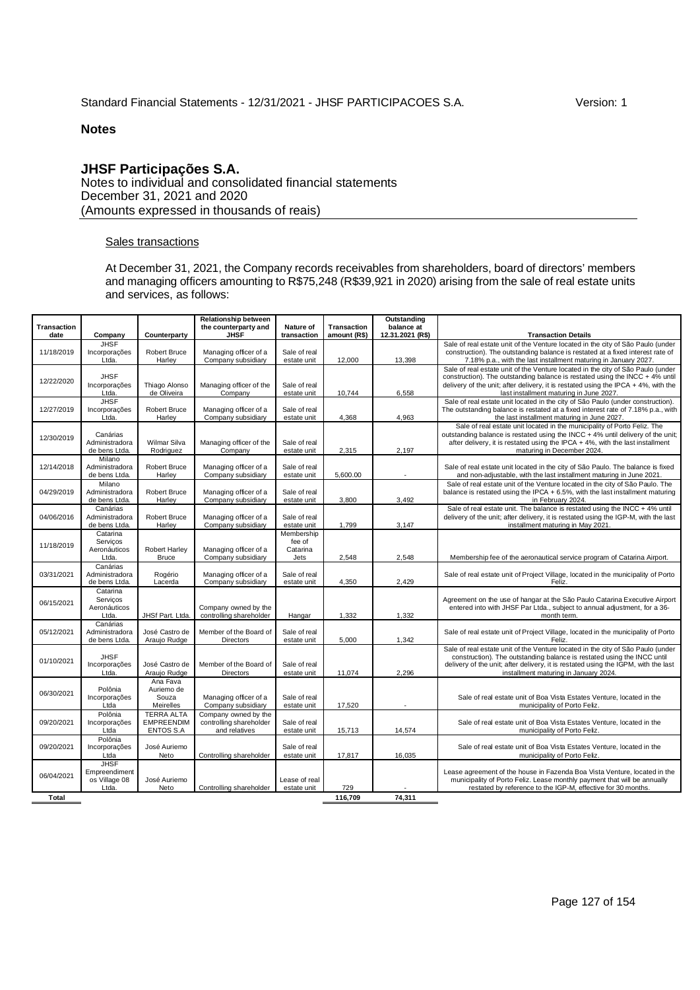# **JHSF Participações S.A.**

Notes to individual and consolidated financial statements December 31, 2021 and 2020 (Amounts expressed in thousands of reais)

## Sales transactions

At December 31, 2021, the Company records receivables from shareholders, board of directors' members and managing officers amounting to R\$75,248 (R\$39,921 in 2020) arising from the sale of real estate units and services, as follows:

| Transaction |                                                        |                                                            | <b>Relationship between</b><br>the counterparty and              | Nature of                                  | Transaction     | Outstanding<br>balance at |                                                                                                                                                                                                                                                                                           |
|-------------|--------------------------------------------------------|------------------------------------------------------------|------------------------------------------------------------------|--------------------------------------------|-----------------|---------------------------|-------------------------------------------------------------------------------------------------------------------------------------------------------------------------------------------------------------------------------------------------------------------------------------------|
| date        | Company                                                | Counterparty                                               | <b>JHSF</b>                                                      | transaction                                | amount (R\$)    | 12.31.2021 (R\$)          | <b>Transaction Details</b>                                                                                                                                                                                                                                                                |
|             | <b>JHSF</b>                                            |                                                            |                                                                  |                                            |                 |                           | Sale of real estate unit of the Venture located in the city of São Paulo (under                                                                                                                                                                                                           |
| 11/18/2019  | Incorporações<br>Ltda.                                 | <b>Robert Bruce</b><br>Harley                              | Managing officer of a<br>Company subsidiary                      | Sale of real<br>estate unit                | 12,000          | 13,398                    | construction). The outstanding balance is restated at a fixed interest rate of<br>7.18% p.a., with the last installment maturing in January 2027.                                                                                                                                         |
| 12/22/2020  | <b>JHSF</b><br>Incorporações                           | Thiago Alonso                                              | Managing officer of the                                          | Sale of real                               |                 |                           | Sale of real estate unit of the Venture located in the city of São Paulo (under<br>construction). The outstanding balance is restated using the INCC $+4\%$ until<br>delivery of the unit; after delivery, it is restated using the IPCA $+4\%$ , with the                                |
| 12/27/2019  | Ltda.<br><b>JHSF</b><br>Incorporações<br>Ltda.         | de Oliveira<br><b>Robert Bruce</b><br>Harley               | Company<br>Managing officer of a<br>Company subsidiary           | estate unit<br>Sale of real<br>estate unit | 10,744<br>4,368 | 6,558<br>4,963            | last installment maturing in June 2027.<br>Sale of real estate unit located in the city of São Paulo (under construction).<br>The outstanding balance is restated at a fixed interest rate of 7.18% p.a., with<br>the last installment maturing in June 2027.                             |
| 12/30/2019  | Canárias<br>Administradora<br>de bens Ltda.            | Wilmar Silva<br>Rodriguez                                  | Managing officer of the<br>Company                               | Sale of real<br>estate unit                | 2,315           | 2,197                     | Sale of real estate unit located in the municipality of Porto Feliz. The<br>outstanding balance is restated using the INCC + 4% until delivery of the unit;<br>after delivery, it is restated using the IPCA + 4%, with the last installment<br>maturing in December 2024.                |
| 12/14/2018  | Milano<br>Administradora<br>de bens Ltda.              | Robert Bruce<br>Harlev                                     | Managing officer of a<br>Company subsidiary                      | Sale of real<br>estate unit                | 5.600.00        | $\sim$                    | Sale of real estate unit located in the city of São Paulo. The balance is fixed<br>and non-adjustable, with the last installment maturing in June 2021.                                                                                                                                   |
| 04/29/2019  | Milano<br>Administradora<br>de bens Ltda.              | <b>Robert Bruce</b><br>Harley                              | Managing officer of a<br>Company subsidiary                      | Sale of real<br>estate unit                | 3,800           | 3,492                     | Sale of real estate unit of the Venture located in the city of São Paulo. The<br>balance is restated using the IPCA $+ 6.5$ %, with the last installment maturing<br>in February 2024.                                                                                                    |
| 04/06/2016  | Canárias<br>Administradora<br>de bens Ltda.            | <b>Robert Bruce</b><br>Harley                              | Managing officer of a<br>Company subsidiary                      | Sale of real<br>estate unit                | 1,799           | 3,147                     | Sale of real estate unit. The balance is restated using the INCC + 4% until<br>delivery of the unit; after delivery, it is restated using the IGP-M, with the last<br>installment maturing in May 2021.                                                                                   |
| 11/18/2019  | Catarina<br>Serviços<br>Aeronáuticos<br>Ltda.          | <b>Robert Harley</b><br><b>Bruce</b>                       | Managing officer of a<br>Company subsidiary                      | Membership<br>fee of<br>Catarina<br>Jets   | 2,548           | 2,548                     | Membership fee of the aeronautical service program of Catarina Airport.                                                                                                                                                                                                                   |
| 03/31/2021  | Canárias<br>Administradora<br>de bens Ltda.            | Rogério<br>Lacerda                                         | Managing officer of a<br>Company subsidiary                      | Sale of real<br>estate unit                | 4,350           | 2.429                     | Sale of real estate unit of Project Village, located in the municipality of Porto<br>Feliz.                                                                                                                                                                                               |
| 06/15/2021  | Catarina<br>Serviços<br>Aeronáuticos<br>Ltda.          | JHSf Part. Ltda.                                           | Company owned by the<br>controlling shareholder                  | Hangar                                     | 1,332           | 1,332                     | Agreement on the use of hangar at the São Paulo Catarina Executive Airport<br>entered into with JHSF Par Ltda., subject to annual adjustment, for a 36-<br>month term.                                                                                                                    |
| 05/12/2021  | Canárias<br>Administradora<br>de bens Ltda.            | José Castro de<br>Araujo Rudge                             | Member of the Board of<br>Directors                              | Sale of real<br>estate unit                | 5,000           | 1,342                     | Sale of real estate unit of Project Village, located in the municipality of Porto<br>Feliz.                                                                                                                                                                                               |
| 01/10/2021  | <b>JHSF</b><br>Incorporações<br>Ltda.                  | José Castro de<br>Araujo Rudge                             | Member of the Board of<br><b>Directors</b>                       | Sale of real<br>estate unit                | 11.074          | 2.296                     | Sale of real estate unit of the Venture located in the city of São Paulo (under<br>construction). The outstanding balance is restated using the INCC until<br>delivery of the unit; after delivery, it is restated using the IGPM, with the last<br>installment maturing in January 2024. |
| 06/30/2021  | Polônia<br>Incorporações<br>Ltda                       | Ana Fava<br>Auriemo de<br>Souza<br>Meirelles               | Managing officer of a<br>Company subsidiary                      | Sale of real<br>estate unit                | 17,520          |                           | Sale of real estate unit of Boa Vista Estates Venture, located in the<br>municipality of Porto Feliz.                                                                                                                                                                                     |
| 09/20/2021  | Polônia<br>Incorporações<br>Ltda                       | <b>TERRA ALTA</b><br><b>EMPREENDIM</b><br><b>ENTOS S.A</b> | Company owned by the<br>controlling shareholder<br>and relatives | Sale of real<br>estate unit                | 15,713          | 14,574                    | Sale of real estate unit of Boa Vista Estates Venture, located in the<br>municipality of Porto Feliz.                                                                                                                                                                                     |
| 09/20/2021  | Polônia<br>Incorporações<br>Ltda                       | José Auriemo<br>Neto                                       | Controlling shareholder                                          | Sale of real<br>estate unit                | 17,817          | 16,035                    | Sale of real estate unit of Boa Vista Estates Venture, located in the<br>municipality of Porto Feliz.                                                                                                                                                                                     |
| 06/04/2021  | <b>JHSF</b><br>Empreendiment<br>os Village 08<br>Ltda. | José Auriemo<br>Neto                                       | Controlling shareholder                                          | Lease of real<br>estate unit               | 729             |                           | Lease agreement of the house in Fazenda Boa Vista Venture, located in the<br>municipality of Porto Feliz. Lease monthly payment that will be annually<br>restated by reference to the IGP-M, effective for 30 months.                                                                     |
| Total       |                                                        |                                                            |                                                                  |                                            | 116,709         | 74,311                    |                                                                                                                                                                                                                                                                                           |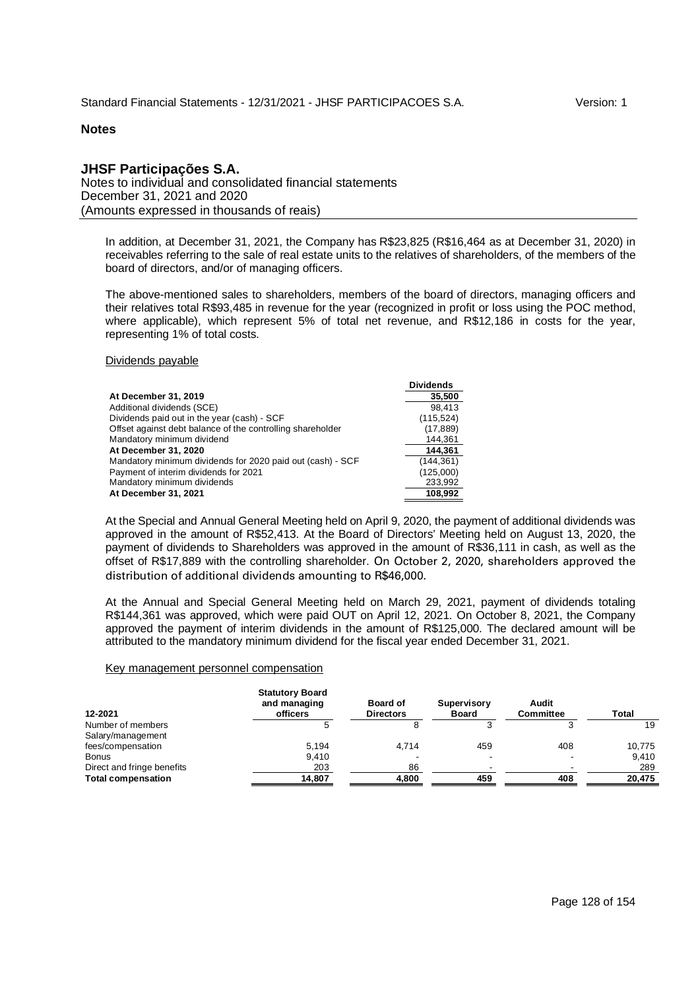## **JHSF Participações S.A.**

Notes to individual and consolidated financial statements December 31, 2021 and 2020 (Amounts expressed in thousands of reais)

In addition, at December 31, 2021, the Company has R\$23,825 (R\$16,464 as at December 31, 2020) in receivables referring to the sale of real estate units to the relatives of shareholders, of the members of the board of directors, and/or of managing officers.

The above-mentioned sales to shareholders, members of the board of directors, managing officers and their relatives total R\$93,485 in revenue for the year (recognized in profit or loss using the POC method, where applicable), which represent 5% of total net revenue, and R\$12,186 in costs for the year, representing 1% of total costs.

#### Dividends payable

|                                                            | <b>Dividends</b> |
|------------------------------------------------------------|------------------|
| At December 31, 2019                                       | 35,500           |
| Additional dividends (SCE)                                 | 98.413           |
| Dividends paid out in the year (cash) - SCF                | (115, 524)       |
| Offset against debt balance of the controlling shareholder | (17, 889)        |
| Mandatory minimum dividend                                 | 144.361          |
| At December 31, 2020                                       | 144.361          |
| Mandatory minimum dividends for 2020 paid out (cash) - SCF | (144, 361)       |
| Payment of interim dividends for 2021                      | (125,000)        |
| Mandatory minimum dividends                                | 233,992          |
| At December 31, 2021                                       | 108.992          |

At the Special and Annual General Meeting held on April 9, 2020, the payment of additional dividends was approved in the amount of R\$52,413. At the Board of Directors' Meeting held on August 13, 2020, the payment of dividends to Shareholders was approved in the amount of R\$36,111 in cash, as well as the offset of R\$17,889 with the controlling shareholder. On October 2, 2020, shareholders approved the distribution of additional dividends amounting to R\$46,000.

At the Annual and Special General Meeting held on March 29, 2021, payment of dividends totaling R\$144,361 was approved, which were paid OUT on April 12, 2021. On October 8, 2021, the Company approved the payment of interim dividends in the amount of R\$125,000. The declared amount will be attributed to the mandatory minimum dividend for the fiscal year ended December 31, 2021.

#### Key management personnel compensation

| 12-2021                    | <b>Statutory Board</b><br>and managing<br>officers | <b>Board of</b><br><b>Directors</b> | Supervisory<br><b>Board</b> | Audit<br><b>Committee</b> | Total  |
|----------------------------|----------------------------------------------------|-------------------------------------|-----------------------------|---------------------------|--------|
| Number of members          |                                                    |                                     |                             |                           | 19     |
| Salary/management          |                                                    |                                     |                             |                           |        |
| fees/compensation          | 5.194                                              | 4.714                               | 459                         | 408                       | 10.775 |
| <b>Bonus</b>               | 9.410                                              |                                     |                             |                           | 9.410  |
| Direct and fringe benefits | 203                                                | 86                                  |                             |                           | 289    |
| <b>Total compensation</b>  | 14,807                                             | 4.800                               | 459                         | 408                       | 20.475 |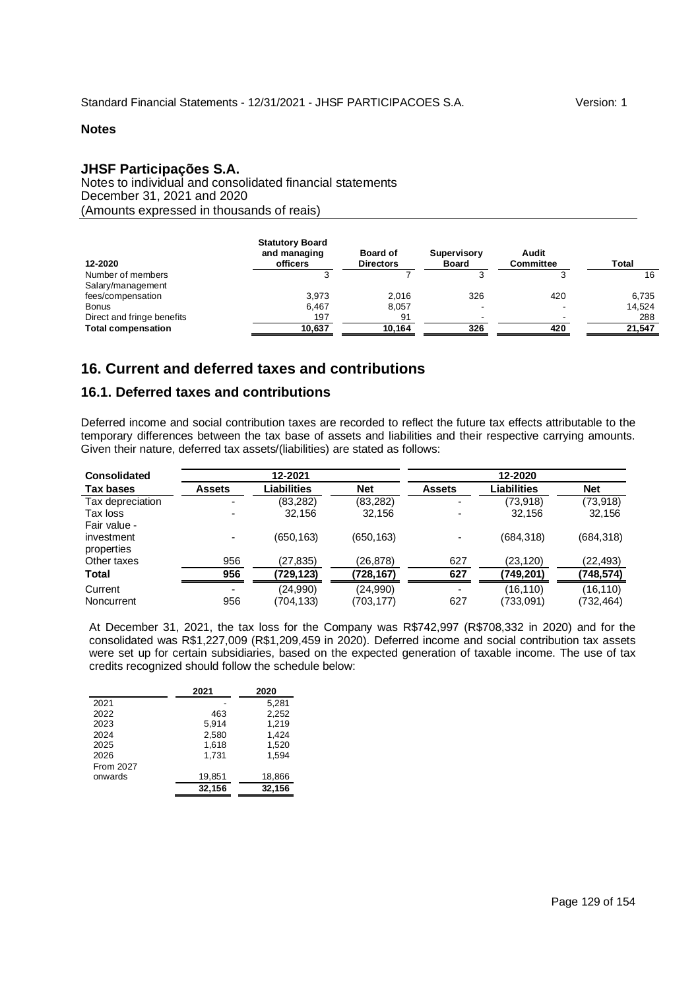# **JHSF Participações S.A.**

Notes to individual and consolidated financial statements December 31, 2021 and 2020 (Amounts expressed in thousands of reais)

| 12-2020                    | <b>Statutory Board</b><br>and managing<br>officers | <b>Board of</b><br><b>Directors</b> | Supervisory<br><b>Board</b> | Audit<br><b>Committee</b> | <b>Total</b> |
|----------------------------|----------------------------------------------------|-------------------------------------|-----------------------------|---------------------------|--------------|
| Number of members          |                                                    |                                     |                             |                           | 16           |
| Salary/management          |                                                    |                                     |                             |                           |              |
| fees/compensation          | 3.973                                              | 2.016                               | 326                         | 420                       | 6,735        |
| Bonus                      | 6.467                                              | 8.057                               |                             |                           | 14,524       |
| Direct and fringe benefits | 197                                                | 91                                  |                             |                           | 288          |
| <b>Total compensation</b>  | 10.637                                             | 10.164                              | 326                         | 420                       | 21,547       |

# **16. Current and deferred taxes and contributions**

# **16.1. Deferred taxes and contributions**

Deferred income and social contribution taxes are recorded to reflect the future tax effects attributable to the temporary differences between the tax base of assets and liabilities and their respective carrying amounts. Given their nature, deferred tax assets/(liabilities) are stated as follows:

| <b>Consolidated</b> |                          | 12-2021     |            | 12-2020                  |             |            |
|---------------------|--------------------------|-------------|------------|--------------------------|-------------|------------|
| Tax bases           | Assets                   | Liabilities | <b>Net</b> | <b>Assets</b>            | Liabilities | <b>Net</b> |
| Tax depreciation    | ۰                        | (83,282)    | (83, 282)  | $\overline{\phantom{0}}$ | (73,918)    | (73, 918)  |
| Tax loss            |                          | 32,156      | 32,156     |                          | 32.156      | 32,156     |
| Fair value -        |                          |             |            |                          |             |            |
| investment          |                          | (650,163)   | (650, 163) |                          | (684, 318)  | (684, 318) |
| properties          |                          |             |            |                          |             |            |
| Other taxes         | 956                      | (27,835)    | (26,878)   | 627                      | (23,120)    | (22, 493)  |
| Total               | 956                      | (729,123)   | (728,167)  | 627                      | 749,201)    | (748,574)  |
| Current             | $\overline{\phantom{a}}$ | (24,990)    | (24,990)   |                          | (16, 110)   | (16,110)   |
| Noncurrent          | 956                      | (704,133)   | (703,177)  | 627                      | (733,091)   | (732,464)  |

At December 31, 2021, the tax loss for the Company was R\$742,997 (R\$708,332 in 2020) and for the consolidated was R\$1,227,009 (R\$1,209,459 in 2020). Deferred income and social contribution tax assets were set up for certain subsidiaries, based on the expected generation of taxable income. The use of tax credits recognized should follow the schedule below:

| 2021   | 2020   |
|--------|--------|
|        | 5,281  |
| 463    | 2,252  |
| 5,914  | 1,219  |
| 2.580  | 1.424  |
| 1,618  | 1,520  |
| 1.731  | 1.594  |
|        |        |
| 19,851 | 18,866 |
| 32,156 | 32,156 |
|        |        |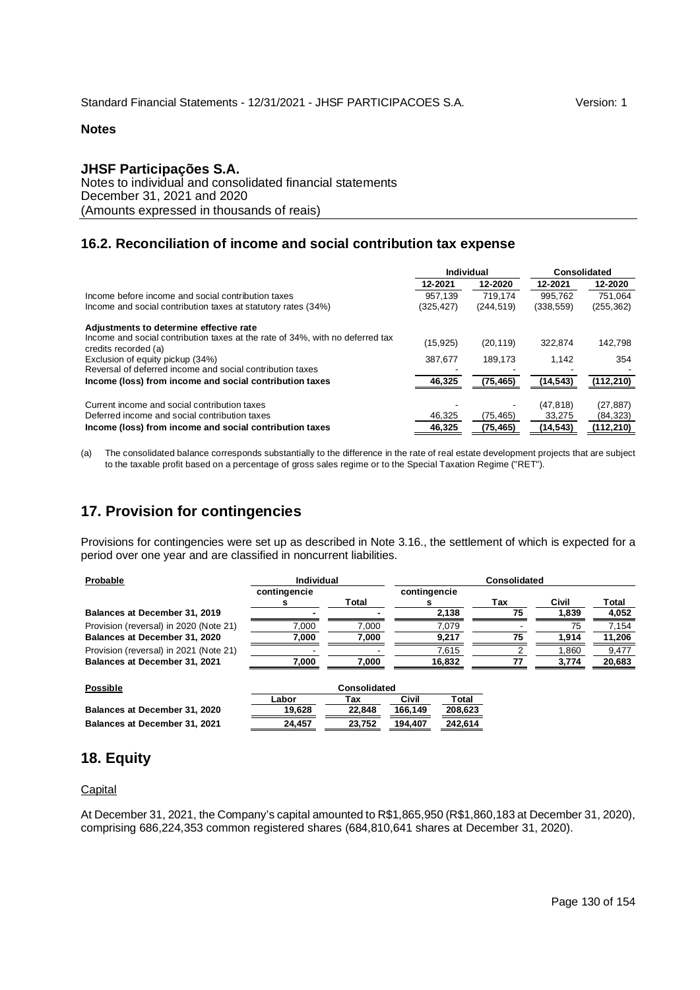## **JHSF Participações S.A.**

Notes to individual and consolidated financial statements December 31, 2021 and 2020 (Amounts expressed in thousands of reais)

# **16.2. Reconciliation of income and social contribution tax expense**

|                                                                                                       | Individual |            | Consolidated |            |
|-------------------------------------------------------------------------------------------------------|------------|------------|--------------|------------|
|                                                                                                       | 12-2021    | 12-2020    | 12-2021      | 12-2020    |
| Income before income and social contribution taxes                                                    | 957.139    | 719.174    | 995.762      | 751.064    |
| Income and social contribution taxes at statutory rates (34%)                                         | (325,427)  | (244, 519) | (338, 559)   | (255, 362) |
| Adjustments to determine effective rate                                                               |            |            |              |            |
| Income and social contribution taxes at the rate of 34%, with no deferred tax<br>credits recorded (a) | (15, 925)  | (20, 119)  | 322.874      | 142,798    |
| Exclusion of equity pickup (34%)                                                                      | 387.677    | 189.173    | 1.142        | 354        |
| Reversal of deferred income and social contribution taxes                                             |            |            |              |            |
| Income (loss) from income and social contribution taxes                                               | 46,325     | (75, 465)  | (14, 543)    | (112, 210) |
| Current income and social contribution taxes                                                          |            |            | (47, 818)    | (27, 887)  |
| Deferred income and social contribution taxes                                                         | 46,325     | (75, 465)  | 33,275       | (84, 323)  |
| Income (loss) from income and social contribution taxes                                               | 46,325     | (75, 465)  | (14, 543)    | (112, 210) |

(a) The consolidated balance corresponds substantially to the difference in the rate of real estate development projects that are subject to the taxable profit based on a percentage of gross sales regime or to the Special Taxation Regime ("RET").

# **17. Provision for contingencies**

Provisions for contingencies were set up as described in Note 3.16., the settlement of which is expected for a period over one year and are classified in noncurrent liabilities.

|              |       | <b>Consolidated</b> |    |       |        |
|--------------|-------|---------------------|----|-------|--------|
| contingencie |       | contingencie        |    |       |        |
|              |       |                     |    |       | Total  |
|              |       | 2,138               | 75 | 1.839 | 4,052  |
| 7.000        | 7.000 | 7.079               |    | 75    | 7.154  |
| 7.000        | 7.000 | 9.217               | 75 | 1.914 | 11,206 |
|              |       | 7,615               |    | .860  | 9,477  |
| 7.000        | 7.000 | 16,832              |    | 3.774 | 20,683 |
|              |       | Individual<br>Total |    | Tax   | Civil  |

| Possible                      |        | Consolidated |         |         |  |
|-------------------------------|--------|--------------|---------|---------|--|
|                               | Labor  | Tax          | Civil   | Total   |  |
| Balances at December 31, 2020 | 19.628 | 22.848       | 166.149 | 208,623 |  |
| Balances at December 31, 2021 | 24.457 | 23.752       | 194.407 | 242.614 |  |

# **18. Equity**

## **Capital**

At December 31, 2021, the Company's capital amounted to R\$1,865,950 (R\$1,860,183 at December 31, 2020), comprising 686,224,353 common registered shares (684,810,641 shares at December 31, 2020).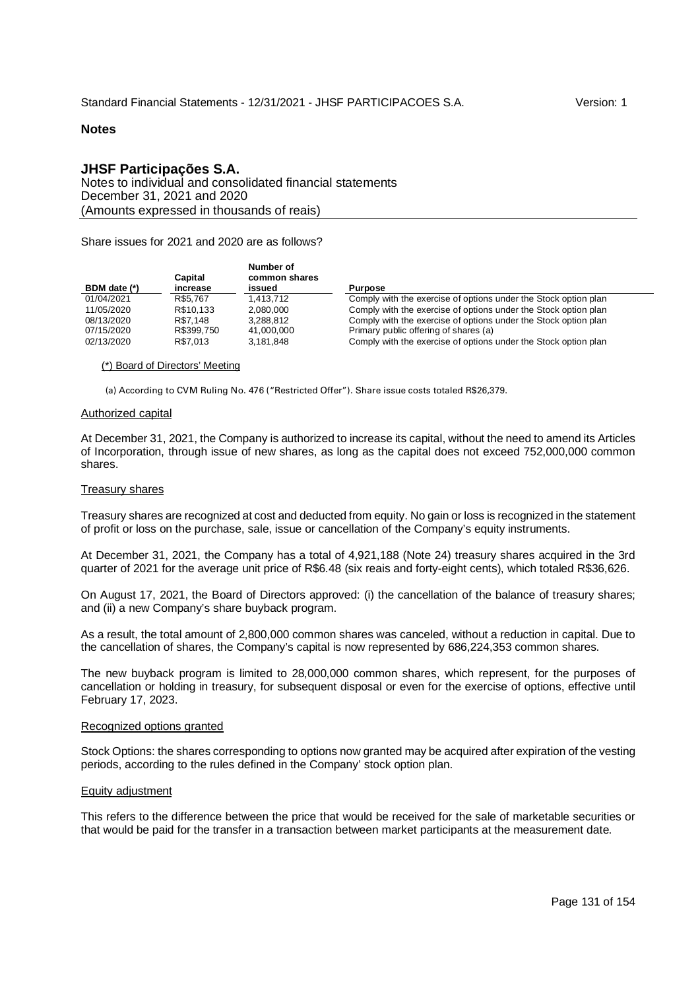## **JHSF Participações S.A.**

Notes to individual and consolidated financial statements December 31, 2021 and 2020 (Amounts expressed in thousands of reais)

Share issues for 2021 and 2020 are as follows?

| BDM date (*) | Capital<br>increase | Number of<br>common shares<br>issued | <b>Purpose</b>                                                  |
|--------------|---------------------|--------------------------------------|-----------------------------------------------------------------|
| 01/04/2021   | R\$5.767            | 1.413.712                            | Comply with the exercise of options under the Stock option plan |
| 11/05/2020   | R\$10.133           | 2.080.000                            | Comply with the exercise of options under the Stock option plan |
| 08/13/2020   | R\$7.148            | 3.288.812                            | Comply with the exercise of options under the Stock option plan |
| 07/15/2020   | R\$399.750          | 41.000.000                           | Primary public offering of shares (a)                           |
| 02/13/2020   | R\$7.013            | 3.181.848                            | Comply with the exercise of options under the Stock option plan |

### (\*) Board of Directors' Meeting

(a) According to CVM Ruling No. 476 ("Restricted Offer"). Share issue costs totaled R\$26,379.

#### Authorized capital

At December 31, 2021, the Company is authorized to increase its capital, without the need to amend its Articles of Incorporation, through issue of new shares, as long as the capital does not exceed 752,000,000 common shares.

#### Treasury shares

Treasury shares are recognized at cost and deducted from equity. No gain or loss is recognized in the statement of profit or loss on the purchase, sale, issue or cancellation of the Company's equity instruments.

At December 31, 2021, the Company has a total of 4,921,188 (Note 24) treasury shares acquired in the 3rd quarter of 2021 for the average unit price of R\$6.48 (six reais and forty-eight cents), which totaled R\$36,626.

On August 17, 2021, the Board of Directors approved: (i) the cancellation of the balance of treasury shares; and (ii) a new Company's share buyback program.

As a result, the total amount of 2,800,000 common shares was canceled, without a reduction in capital. Due to the cancellation of shares, the Company's capital is now represented by 686,224,353 common shares.

The new buyback program is limited to 28,000,000 common shares, which represent, for the purposes of cancellation or holding in treasury, for subsequent disposal or even for the exercise of options, effective until February 17, 2023.

## Recognized options granted

Stock Options: the shares corresponding to options now granted may be acquired after expiration of the vesting periods, according to the rules defined in the Company' stock option plan.

### Equity adjustment

This refers to the difference between the price that would be received for the sale of marketable securities or that would be paid for the transfer in a transaction between market participants at the measurement date.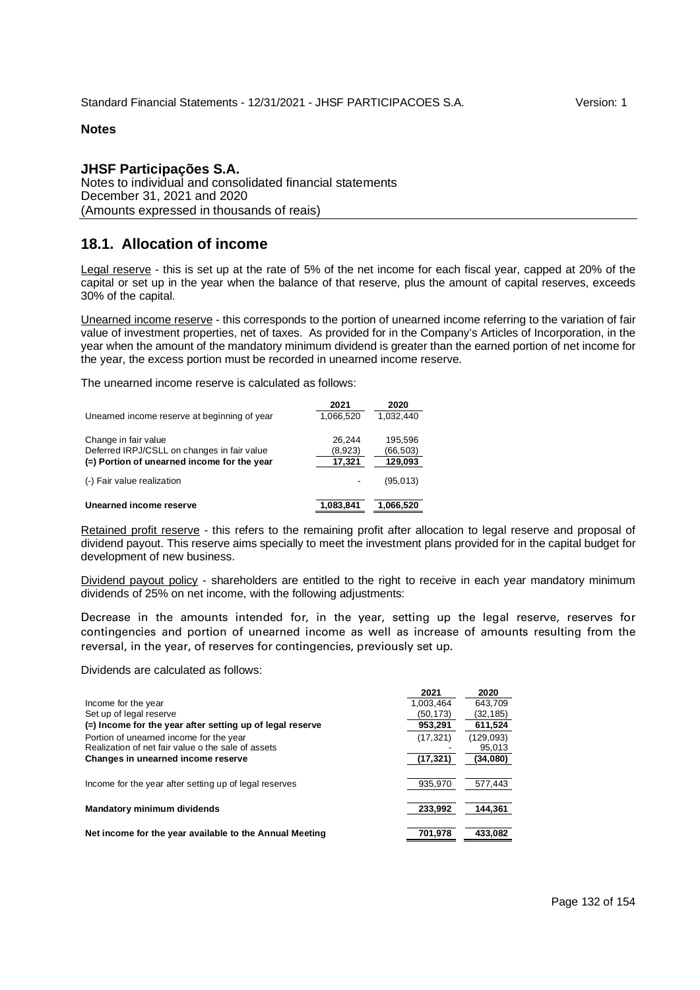# **JHSF Participações S.A.**

Notes to individual and consolidated financial statements December 31, 2021 and 2020 (Amounts expressed in thousands of reais)

# **18.1. Allocation of income**

Legal reserve - this is set up at the rate of 5% of the net income for each fiscal year, capped at 20% of the capital or set up in the year when the balance of that reserve, plus the amount of capital reserves, exceeds 30% of the capital.

Unearned income reserve - this corresponds to the portion of unearned income referring to the variation of fair value of investment properties, net of taxes. As provided for in the Company's Articles of Incorporation, in the year when the amount of the mandatory minimum dividend is greater than the earned portion of net income for the year, the excess portion must be recorded in unearned income reserve.

The unearned income reserve is calculated as follows:

|                                              | 2021      | 2020      |
|----------------------------------------------|-----------|-----------|
| Unearned income reserve at beginning of year | 1.066.520 | 1.032.440 |
|                                              |           |           |
| Change in fair value                         | 26.244    | 195,596   |
| Deferred IRPJ/CSLL on changes in fair value  | (8,923)   | (66, 503) |
| (=) Portion of unearned income for the year  | 17,321    | 129,093   |
| (-) Fair value realization                   |           | (95,013)  |
| Unearned income reserve                      | 1.083.841 | 1.066.520 |

Retained profit reserve - this refers to the remaining profit after allocation to legal reserve and proposal of dividend payout. This reserve aims specially to meet the investment plans provided for in the capital budget for development of new business.

Dividend payout policy - shareholders are entitled to the right to receive in each year mandatory minimum dividends of 25% on net income, with the following adjustments:

Decrease in the amounts intended for, in the year, setting up the legal reserve, reserves for contingencies and portion of unearned income as well as increase of amounts resulting from the reversal, in the year, of reserves for contingencies, previously set up.

Dividends are calculated as follows:

|                                                           | 2021      | 2020      |
|-----------------------------------------------------------|-----------|-----------|
| Income for the year                                       | 1.003.464 | 643.709   |
| Set up of legal reserve                                   | (50,173)  | (32,185)  |
| (=) Income for the year after setting up of legal reserve | 953.291   | 611,524   |
| Portion of unearned income for the year                   | (17, 321) | (129,093) |
| Realization of net fair value o the sale of assets        |           | 95,013    |
| Changes in unearned income reserve                        | (17,321)  | (34,080)  |
|                                                           |           |           |
| Income for the year after setting up of legal reserves    | 935.970   | 577.443   |
|                                                           |           |           |
| Mandatory minimum dividends                               | 233,992   | 144.361   |
|                                                           |           |           |
| Net income for the year available to the Annual Meeting   | 701.978   | 433.082   |
|                                                           |           |           |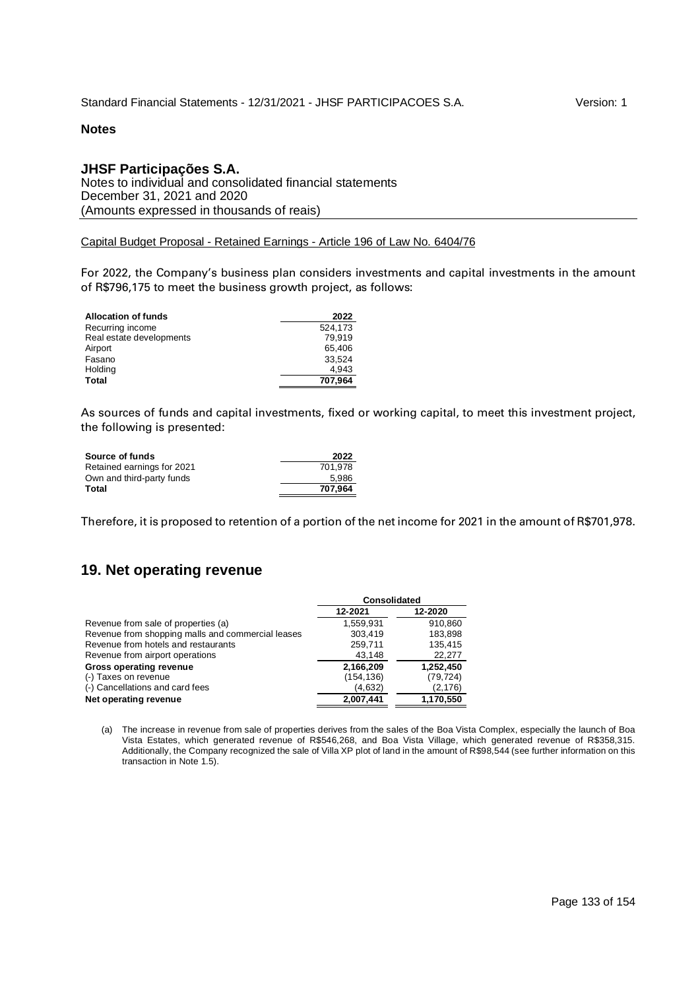## **JHSF Participações S.A.**

Notes to individual and consolidated financial statements December 31, 2021 and 2020 (Amounts expressed in thousands of reais)

Capital Budget Proposal - Retained Earnings - Article 196 of Law No. 6404/76

For 2022, the Company's business plan considers investments and capital investments in the amount of R\$796,175 to meet the business growth project, as follows:

| <b>Allocation of funds</b> | 2022    |
|----------------------------|---------|
| Recurring income           | 524.173 |
| Real estate developments   | 79.919  |
| Airport                    | 65.406  |
| Fasano                     | 33.524  |
| Holding                    | 4.943   |
| Total                      | 707.964 |

As sources of funds and capital investments, fixed or working capital, to meet this investment project, the following is presented:

| Source of funds            | 2022    |
|----------------------------|---------|
| Retained earnings for 2021 | 701.978 |
| Own and third-party funds  | 5.986   |
| Total                      | 707.964 |

Therefore, it is proposed to retention of a portion of the net income for 2021 in the amount of R\$701,978.

# **19. Net operating revenue**

|                                                   | <b>Consolidated</b> |           |  |
|---------------------------------------------------|---------------------|-----------|--|
|                                                   | 12-2021             | 12-2020   |  |
| Revenue from sale of properties (a)               | 1.559.931           | 910.860   |  |
| Revenue from shopping malls and commercial leases | 303.419             | 183,898   |  |
| Revenue from hotels and restaurants               | 259,711             | 135,415   |  |
| Revenue from airport operations                   | 43.148              | 22,277    |  |
| <b>Gross operating revenue</b>                    | 2,166,209           | 1,252,450 |  |
| (-) Taxes on revenue                              | (154, 136)          | (79, 724) |  |
| (-) Cancellations and card fees                   | (4,632)             | (2, 176)  |  |
| Net operating revenue                             | 2.007.441           | 1.170.550 |  |

(a) The increase in revenue from sale of properties derives from the sales of the Boa Vista Complex, especially the launch of Boa Vista Estates, which generated revenue of R\$546,268, and Boa Vista Village, which generated revenue of R\$358,315. Additionally, the Company recognized the sale of Villa XP plot of land in the amount of R\$98,544 (see further information on this transaction in Note 1.5).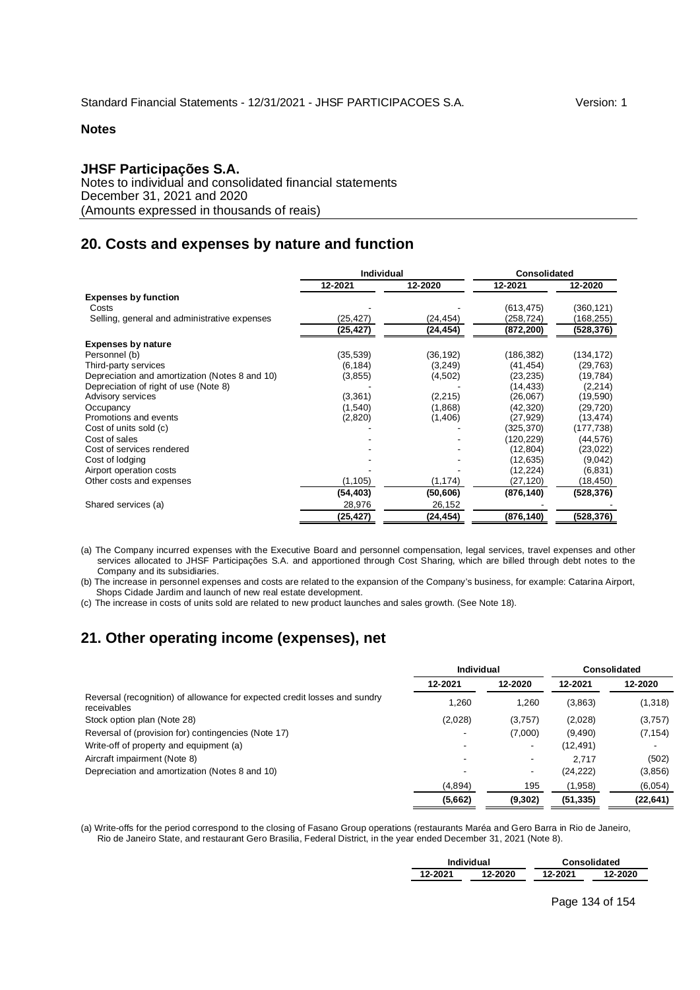## **JHSF Participações S.A.**

Notes to individual and consolidated financial statements December 31, 2021 and 2020 (Amounts expressed in thousands of reais)

# **20. Costs and expenses by nature and function**

|                                                | Individual |           | Consolidated |            |
|------------------------------------------------|------------|-----------|--------------|------------|
|                                                | 12-2021    | 12-2020   | 12-2021      | 12-2020    |
| <b>Expenses by function</b>                    |            |           |              |            |
| Costs                                          |            |           | (613, 475)   | (360,121)  |
| Selling, general and administrative expenses   | (25,427)   | (24, 454) | (258,724)    | (168, 255) |
|                                                | (25,427)   | (24,454)  | (872, 200)   | (528,376)  |
| <b>Expenses by nature</b>                      |            |           |              |            |
| Personnel (b)                                  | (35, 539)  | (36, 192) | (186, 382)   | (134, 172) |
| Third-party services                           | (6, 184)   | (3, 249)  | (41, 454)    | (29, 763)  |
| Depreciation and amortization (Notes 8 and 10) | (3, 855)   | (4,502)   | (23, 235)    | (19, 784)  |
| Depreciation of right of use (Note 8)          |            |           | (14, 433)    | (2,214)    |
| Advisory services                              | (3, 361)   | (2, 215)  | (26,067)     | (19,590)   |
| Occupancy                                      | (1,540)    | (1,868)   | (42, 320)    | (29, 720)  |
| Promotions and events                          | (2,820)    | (1,406)   | (27, 929)    | (13, 474)  |
| Cost of units sold (c)                         |            |           | (325, 370)   | (177,738)  |
| Cost of sales                                  |            |           | (120,229)    | (44,576)   |
| Cost of services rendered                      |            |           | (12, 804)    | (23, 022)  |
| Cost of Iodging                                |            |           | (12, 635)    | (9,042)    |
| Airport operation costs                        |            |           | (12, 224)    | (6,831)    |
| Other costs and expenses                       | (1, 105)   | (1, 174)  | (27, 120)    | (18,450)   |
|                                                | (54,403)   | (50, 606) | (876, 140)   | (528, 376) |
| Shared services (a)                            | 28,976     | 26,152    |              |            |
|                                                | (25,427)   | (24,454)  | (876,140)    | (528,376)  |

(a) The Company incurred expenses with the Executive Board and personnel compensation, legal services, travel expenses and other services allocated to JHSF Participações S.A. and apportioned through Cost Sharing, which are billed through debt notes to the Company and its subsidiaries.

(b) The increase in personnel expenses and costs are related to the expansion of the Company's business, for example: Catarina Airport, Shops Cidade Jardim and launch of new real estate development.

(c) The increase in costs of units sold are related to new product launches and sales growth. (See Note 18).

# **21. Other operating income (expenses), net**

|                          |         |                   | <b>Consolidated</b> |
|--------------------------|---------|-------------------|---------------------|
| 12-2021                  | 12-2020 | 12-2021           | 12-2020             |
| 1,260                    | 1,260   | (3,863)           | (1,318)             |
| (2,028)                  | (3,757) | (2,028)           | (3,757)             |
| $\overline{\phantom{a}}$ | (7,000) | (9,490)           | (7, 154)            |
| $\overline{\phantom{0}}$ |         | (12,491)          |                     |
| ٠                        |         | 2.717             | (502)               |
| -                        |         | (24, 222)         | (3,856)             |
| (4,894)                  | 195     | (1,958)           | (6,054)             |
| (5,662)                  | (9,302) | (51, 335)         | (22, 641)           |
|                          |         | <b>Individual</b> |                     |

(a) Write-offs for the period correspond to the closing of Fasano Group operations (restaurants Maréa and Gero Barra in Rio de Janeiro, Rio de Janeiro State, and restaurant Gero Brasilia, Federal District, in the year ended December 31, 2021 (Note 8).

|         | Individual | <b>Consolidated</b> |         |  |  |  |  |
|---------|------------|---------------------|---------|--|--|--|--|
| 12-2021 | 12-2020    | 12-2021             | 12-2020 |  |  |  |  |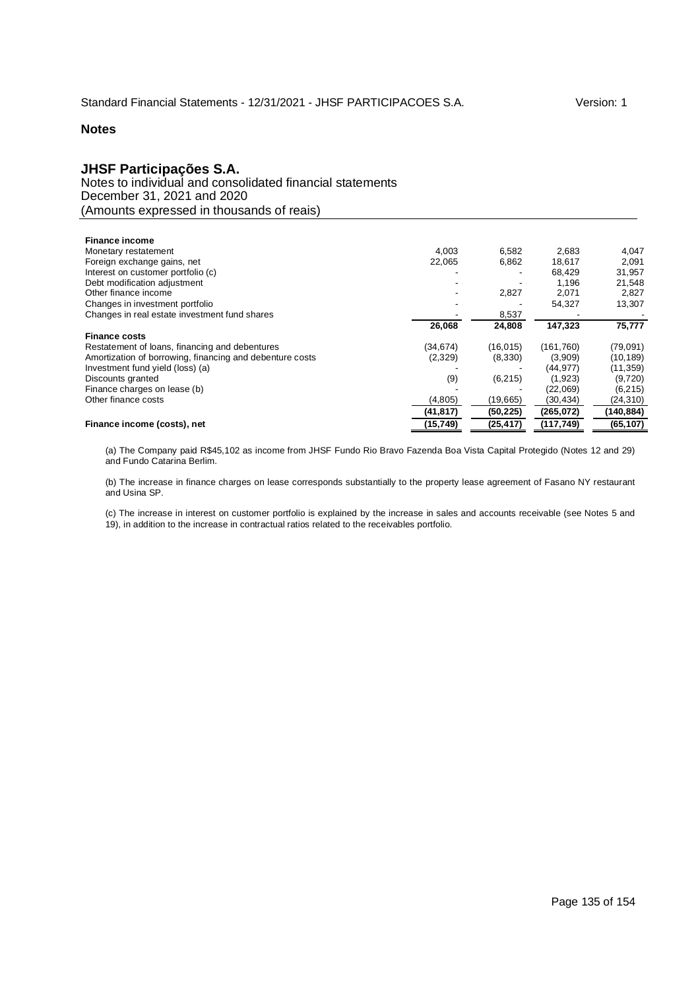# **JHSF Participações S.A.**

Notes to individual and consolidated financial statements December 31, 2021 and 2020 (Amounts expressed in thousands of reais)

| <b>Finance income</b>                                    |           |           |            |           |
|----------------------------------------------------------|-----------|-----------|------------|-----------|
| Monetary restatement                                     | 4.003     | 6,582     | 2.683      | 4,047     |
| Foreign exchange gains, net                              | 22.065    | 6,862     | 18.617     | 2,091     |
| Interest on customer portfolio (c)                       |           |           | 68.429     | 31,957    |
| Debt modification adjustment                             |           |           | 1.196      | 21,548    |
| Other finance income                                     |           | 2,827     | 2,071      | 2,827     |
| Changes in investment portfolio                          |           |           | 54.327     | 13,307    |
| Changes in real estate investment fund shares            |           | 8,537     |            |           |
|                                                          | 26.068    | 24,808    | 147,323    | 75,777    |
| <b>Finance costs</b>                                     |           |           |            |           |
| Restatement of loans, financing and debentures           | (34, 674) | (16, 015) | (161, 760) | (79,091)  |
| Amortization of borrowing, financing and debenture costs | (2,329)   | (8,330)   | (3,909)    | (10, 189) |
| Investment fund yield (loss) (a)                         |           |           | (44, 977)  | (11, 359) |
| Discounts granted                                        | (9)       | (6, 215)  | (1,923)    | (9,720)   |
| Finance charges on lease (b)                             |           |           | (22,069)   | (6,215)   |
| Other finance costs                                      | (4,805)   | (19,665)  | (30,434)   | (24,310)  |
|                                                          | (41, 817) | (50, 225) | (265, 072) | (140,884) |
| Finance income (costs), net                              | (15, 749) | (25, 417) | (117, 749) | (65, 107) |

(a) The Company paid R\$45,102 as income from JHSF Fundo Rio Bravo Fazenda Boa Vista Capital Protegido (Notes 12 and 29) and Fundo Catarina Berlim.

(b) The increase in finance charges on lease corresponds substantially to the property lease agreement of Fasano NY restaurant and Usina SP.

(c) The increase in interest on customer portfolio is explained by the increase in sales and accounts receivable (see Notes 5 and 19), in addition to the increase in contractual ratios related to the receivables portfolio.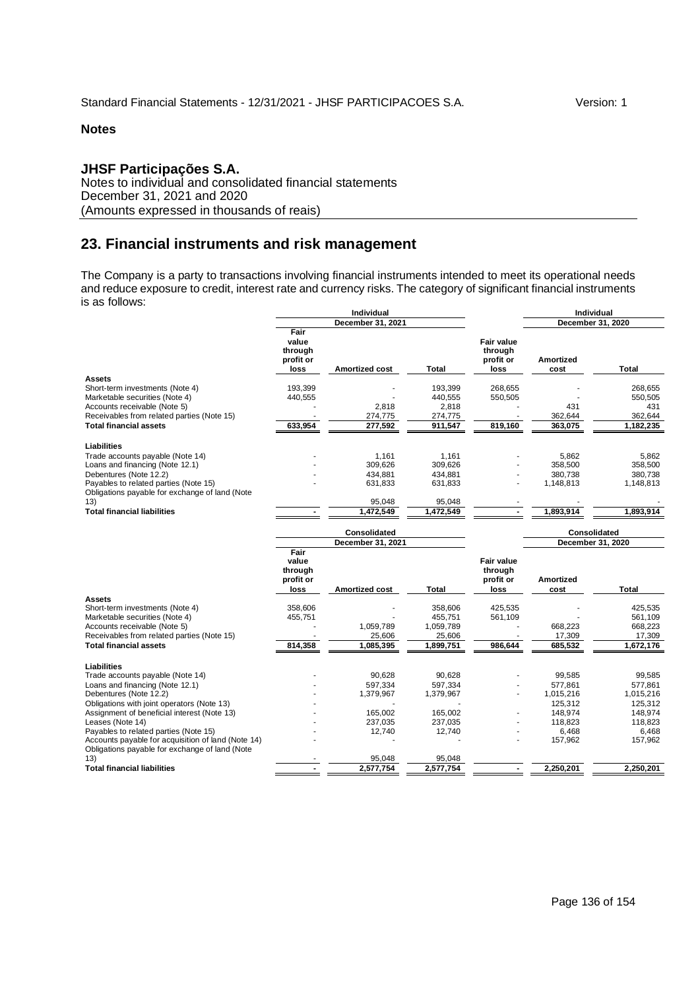# **JHSF Participações S.A.**

Notes to individual and consolidated financial statements December 31, 2021 and 2020 (Amounts expressed in thousands of reais)

# **23. Financial instruments and risk management**

The Company is a party to transactions involving financial instruments intended to meet its operational needs and reduce exposure to credit, interest rate and currency risks. The category of significant financial instruments is as follows:

|                                                                                                      |                                               | Individual            |           |                                                   | Individual               |              |  |
|------------------------------------------------------------------------------------------------------|-----------------------------------------------|-----------------------|-----------|---------------------------------------------------|--------------------------|--------------|--|
|                                                                                                      |                                               | December 31, 2021     |           |                                                   | December 31, 2020        |              |  |
|                                                                                                      | Fair<br>value<br>through<br>profit or<br>loss | Amortized cost        | Total     | <b>Fair value</b><br>through<br>profit or<br>loss | <b>Amortized</b><br>cost | <b>Total</b> |  |
| <b>Assets</b>                                                                                        |                                               |                       |           |                                                   |                          |              |  |
| Short-term investments (Note 4)                                                                      | 193,399                                       |                       | 193,399   | 268,655                                           |                          | 268,655      |  |
| Marketable securities (Note 4)                                                                       | 440,555                                       |                       | 440,555   | 550,505                                           |                          | 550,505      |  |
| Accounts receivable (Note 5)                                                                         |                                               | 2,818                 | 2,818     |                                                   | 431                      | 431          |  |
| Receivables from related parties (Note 15)                                                           |                                               | 274,775               | 274,775   |                                                   | 362,644                  | 362,644      |  |
| <b>Total financial assets</b>                                                                        | 633,954                                       | 277,592               | 911,547   | 819,160                                           | 363,075                  | 1,182,235    |  |
| <b>Liabilities</b>                                                                                   |                                               |                       |           |                                                   |                          |              |  |
| Trade accounts payable (Note 14)                                                                     |                                               | 1,161                 | 1,161     |                                                   | 5,862                    | 5,862        |  |
| Loans and financing (Note 12.1)                                                                      |                                               | 309,626               | 309,626   |                                                   | 358,500                  | 358,500      |  |
| Debentures (Note 12.2)                                                                               |                                               | 434.881               | 434.881   |                                                   | 380.738                  | 380.738      |  |
| Payables to related parties (Note 15)                                                                |                                               | 631,833               | 631,833   |                                                   | 1,148,813                | 1,148,813    |  |
| Obligations payable for exchange of land (Note                                                       |                                               |                       |           |                                                   |                          |              |  |
| 13)                                                                                                  |                                               | 95,048                | 95,048    |                                                   |                          |              |  |
| <b>Total financial liabilities</b>                                                                   |                                               | 1,472,549             | 1,472,549 | $\overline{a}$                                    | 1,893,914                | 1,893,914    |  |
|                                                                                                      |                                               | <b>Consolidated</b>   |           |                                                   | Consolidated             |              |  |
|                                                                                                      |                                               | December 31, 2021     |           |                                                   | December 31, 2020        |              |  |
|                                                                                                      | Fair<br>value<br>through<br>profit or<br>loss | <b>Amortized cost</b> | Total     | <b>Fair value</b><br>through<br>profit or<br>loss | <b>Amortized</b><br>cost | <b>Total</b> |  |
| <b>Assets</b>                                                                                        |                                               |                       |           |                                                   |                          |              |  |
| Short-term investments (Note 4)                                                                      | 358,606                                       |                       | 358,606   | 425,535                                           |                          | 425,535      |  |
| Marketable securities (Note 4)                                                                       | 455,751                                       |                       | 455,751   | 561,109                                           |                          | 561,109      |  |
| Accounts receivable (Note 5)                                                                         |                                               | 1,059,789             | 1,059,789 |                                                   | 668,223                  | 668,223      |  |
| Receivables from related parties (Note 15)                                                           |                                               | 25,606                | 25,606    |                                                   | 17,309                   | 17,309       |  |
| <b>Total financial assets</b>                                                                        | 814,358                                       | 1,085,395             | 1,899,751 | 986,644                                           | 685,532                  | 1,672,176    |  |
| <b>Liabilities</b>                                                                                   |                                               |                       |           |                                                   |                          |              |  |
| Trade accounts payable (Note 14)                                                                     |                                               | 90.628                | 90.628    |                                                   | 99.585                   | 99.585       |  |
| Loans and financing (Note 12.1)                                                                      |                                               | 597,334               | 597,334   |                                                   | 577.861                  | 577.861      |  |
| Debentures (Note 12.2)                                                                               |                                               | 1,379,967             | 1,379,967 |                                                   | 1,015,216                | 1,015,216    |  |
| Obligations with joint operators (Note 13)                                                           |                                               |                       |           |                                                   | 125.312                  | 125,312      |  |
| Assignment of beneficial interest (Note 13)                                                          |                                               | 165,002               | 165,002   |                                                   | 148,974                  | 148,974      |  |
| Leases (Note 14)                                                                                     |                                               | 237,035               | 237,035   |                                                   | 118,823                  | 118,823      |  |
| Payables to related parties (Note 15)                                                                |                                               | 12,740                | 12,740    |                                                   | 6,468                    | 6,468        |  |
| Accounts payable for acquisition of land (Note 14)<br>Obligations payable for exchange of land (Note |                                               |                       |           |                                                   | 157,962                  | 157,962      |  |
| 13)                                                                                                  |                                               | 95,048                | 95,048    |                                                   |                          |              |  |
| <b>Total financial liabilities</b>                                                                   |                                               | 2,577,754             | 2,577,754 | $\blacksquare$                                    | 2.250.201                | 2.250.201    |  |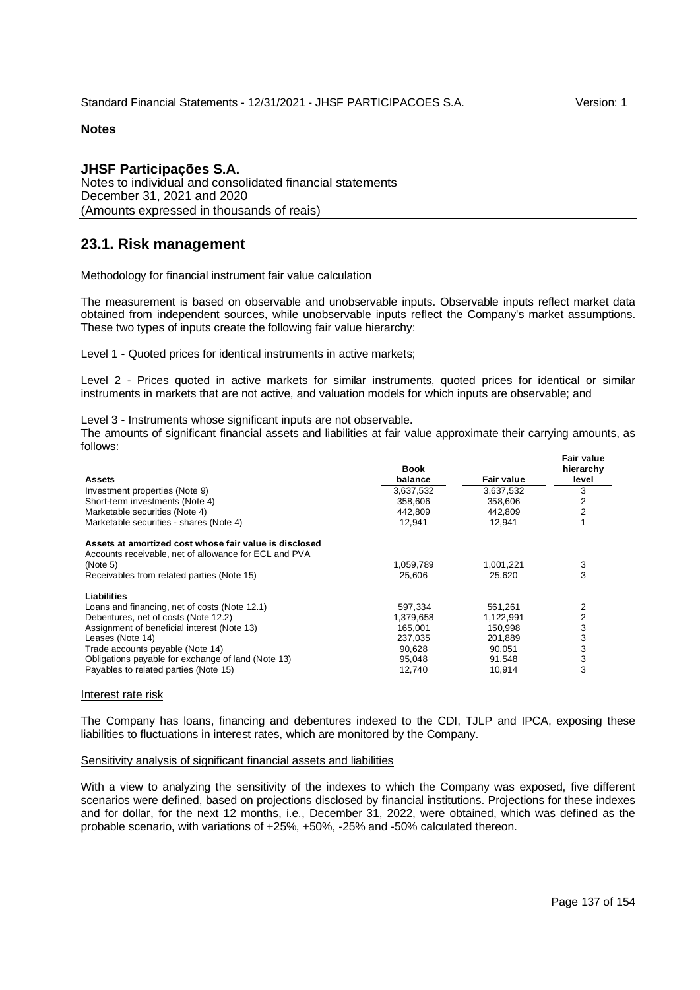## **JHSF Participações S.A.**

Notes to individual and consolidated financial statements December 31, 2021 and 2020 (Amounts expressed in thousands of reais)

# **23.1. Risk management**

### Methodology for financial instrument fair value calculation

The measurement is based on observable and unobservable inputs. Observable inputs reflect market data obtained from independent sources, while unobservable inputs reflect the Company's market assumptions. These two types of inputs create the following fair value hierarchy:

Level 1 - Quoted prices for identical instruments in active markets;

Level 2 - Prices quoted in active markets for similar instruments, quoted prices for identical or similar instruments in markets that are not active, and valuation models for which inputs are observable; and

Level 3 - Instruments whose significant inputs are not observable.

The amounts of significant financial assets and liabilities at fair value approximate their carrying amounts, as follows:

| <b>Assets</b>                                                                                                   | <b>Book</b><br>balance | <b>Fair value</b> | <b>Fair value</b><br>hierarchy<br>level |
|-----------------------------------------------------------------------------------------------------------------|------------------------|-------------------|-----------------------------------------|
| Investment properties (Note 9)                                                                                  | 3,637,532              | 3,637,532         | 3                                       |
| Short-term investments (Note 4)                                                                                 | 358,606                | 358,606           | $\overline{2}$                          |
| Marketable securities (Note 4)                                                                                  | 442,809                | 442,809           | $\overline{2}$                          |
| Marketable securities - shares (Note 4)                                                                         | 12,941                 | 12.941            |                                         |
| Assets at amortized cost whose fair value is disclosed<br>Accounts receivable, net of allowance for ECL and PVA |                        |                   |                                         |
| (Note 5)                                                                                                        | 1,059,789              | 1,001,221         | 3                                       |
| Receivables from related parties (Note 15)                                                                      | 25,606                 | 25,620            | 3                                       |
| Liabilities                                                                                                     |                        |                   |                                         |
| Loans and financing, net of costs (Note 12.1)                                                                   | 597,334                | 561,261           | 2                                       |
| Debentures, net of costs (Note 12.2)                                                                            | 1,379,658              | 1,122,991         | 2                                       |
| Assignment of beneficial interest (Note 13)                                                                     | 165.001                | 150,998           | 3                                       |
| Leases (Note 14)                                                                                                | 237,035                | 201,889           | 3                                       |
| Trade accounts payable (Note 14)                                                                                | 90.628                 | 90,051            | 3                                       |
| Obligations payable for exchange of land (Note 13)                                                              | 95,048                 | 91,548            | 3                                       |
| Payables to related parties (Note 15)                                                                           | 12,740                 | 10,914            | 3                                       |

#### Interest rate risk

The Company has loans, financing and debentures indexed to the CDI, TJLP and IPCA, exposing these liabilities to fluctuations in interest rates, which are monitored by the Company.

### Sensitivity analysis of significant financial assets and liabilities

With a view to analyzing the sensitivity of the indexes to which the Company was exposed, five different scenarios were defined, based on projections disclosed by financial institutions. Projections for these indexes and for dollar, for the next 12 months, i.e., December 31, 2022, were obtained, which was defined as the probable scenario, with variations of +25%, +50%, -25% and -50% calculated thereon.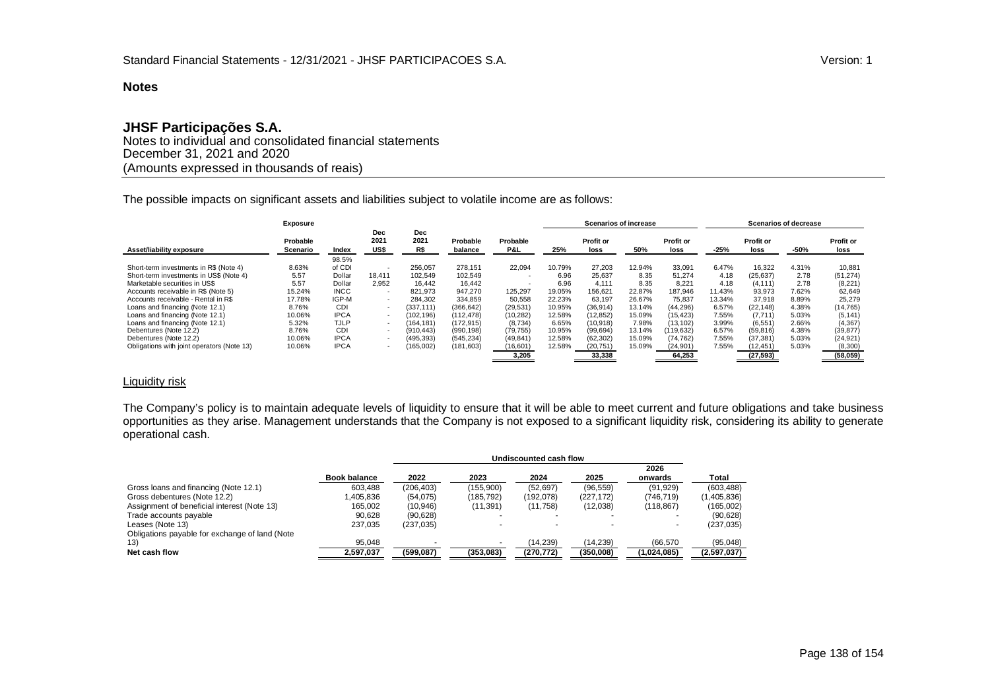# **JHSF Participações S.A.**

Notes to individual and consolidated financial statements December 31, 2021 and 2020 (Amounts expressed in thousands of reais)

The possible impacts on significant assets and liabilities subject to volatile income are as follows:

|                                            | Exposure             |             |                          |                           |                     |                          |        | <b>Scenarios of increase</b> |        |                   |        |                   | <b>Scenarios of decrease</b> |                   |
|--------------------------------------------|----------------------|-------------|--------------------------|---------------------------|---------------------|--------------------------|--------|------------------------------|--------|-------------------|--------|-------------------|------------------------------|-------------------|
| Asset/liability exposure                   | Probable<br>Scenario | Index       | Dec<br>2021<br>US\$      | <b>Dec</b><br>2021<br>R\$ | Probable<br>balance | Probable<br>P&L          | 25%    | <b>Profit or</b><br>loss     | 50%    | Profit or<br>loss | $-25%$ | Profit or<br>loss | -50%                         | Profit or<br>loss |
|                                            |                      | 98.5%       |                          |                           |                     |                          |        |                              |        |                   |        |                   |                              |                   |
| Short-term investments in R\$ (Note 4)     | 8.63%                | of CDI      |                          | 256.057                   | 278.151             | 22.094                   | 10.79% | 27.203                       | 12.94% | 33.091            | 6.47%  | 16.322            | 4.31%                        | 10,881            |
| Short-term investments in US\$ (Note 4)    | 5.57                 | Dollar      | 18.411                   | 102,549                   | 102,549             | $\overline{\phantom{a}}$ | 6.96   | 25,637                       | 8.35   | 51.274            | 4.18   | (25, 637)         | 2.78                         | (51, 274)         |
| Marketable securities in US\$              | 5.57                 | Dollar      | 2,952                    | 16.442                    | 16,442              |                          | 6.96   | 4,111                        | 8.35   | 8.221             | 4.18   | (4, 111)          | 2.78                         | (8, 221)          |
| Accounts receivable in R\$ (Note 5)        | 15.24%               | <b>INCC</b> | $\overline{\phantom{a}}$ | 821,973                   | 947.270             | 125,297                  | 19.05% | 156,621                      | 22.87% | 187,946           | 11.43% | 93,973            | 7.62%                        | 62,649            |
| Accounts receivable - Rental in R\$        | 17.78%               | IGP-M       | $\overline{\phantom{0}}$ | 284.302                   | 334.859             | 50.558                   | 22.23% | 63.197                       | 26.67% | 75.837            | 13.34% | 37.918            | 8.89%                        | 25,279            |
| Loans and financing (Note 12.1)            | 8.76%                | CDI         |                          | (337, 111)                | (366, 642)          | (29, 531)                | 10.95% | (36, 914)                    | 13.14% | (44, 296)         | 6.57%  | (22, 148)         | 4.38%                        | (14, 765)         |
| Loans and financing (Note 12.1)            | 10.06%               | <b>IPCA</b> | $\overline{\phantom{a}}$ | (102, 196)                | (112, 478)          | (10, 282)                | 12.58% | (12, 852)                    | 15.09% | (15, 423)         | 7.55%  | (7, 711)          | 5.03%                        | (5, 141)          |
| Loans and financing (Note 12.1)            | 5.32%                | <b>TJLP</b> | $\overline{\phantom{a}}$ | (164.181)                 | (172, 915)          | (8,734)                  | 6.65%  | (10, 918)                    | 7.98%  | (13.102)          | 3.99%  | (6, 551)          | 2.66%                        | (4, 367)          |
| Debentures (Note 12.2)                     | 8.76%                | CDI         | $\overline{\phantom{a}}$ | (910, 443)                | (990, 198)          | (79, 755)                | 10.95% | (99, 694)                    | 13.14% | (119.632)         | 6.57%  | (59, 816)         | 4.38%                        | (39, 877)         |
| Debentures (Note 12.2)                     | 10.06%               | <b>IPCA</b> | $\overline{\phantom{a}}$ | (495, 393)                | (545, 234)          | (49, 841)                | 12.58% | (62, 302)                    | 15.09% | (74, 762)         | 7.55%  | (37, 381)         | 5.03%                        | (24, 921)         |
| Obligations with joint operators (Note 13) | 10.06%               | <b>IPCA</b> | $\overline{\phantom{a}}$ | (165,002)                 | (181, 603)          | (16, 601)                | 12.58% | (20, 751)                    | 15.09% | (24, 901)         | 7.55%  | (12,451)          | 5.03%                        | (8,300)           |
|                                            |                      |             |                          |                           |                     | 3.205                    |        | 33.338                       |        | 64.253            |        | (27, 593)         |                              | (58,059)          |

## Liquidity risk

The Company's policy is to maintain adequate levels of liquidity to ensure that it will be able to meet current and future obligations and take business opportunities as they arise. Management understands that the Company is not exposed to a significant liquidity risk, considering its ability to generate operational cash.

|                                                |                     |            | Undiscounted cash flow |           |           |                 |             |  |  |  |  |  |
|------------------------------------------------|---------------------|------------|------------------------|-----------|-----------|-----------------|-------------|--|--|--|--|--|
|                                                | <b>Book balance</b> | 2022       | 2023                   | 2024      | 2025      | 2026<br>onwards | Total       |  |  |  |  |  |
| Gross loans and financing (Note 12.1)          | 603.488             | (206.403)  | (155.900)              | (52.697)  | (96, 559) | (91, 929)       | (603, 488)  |  |  |  |  |  |
| Gross debentures (Note 12.2)                   | 1.405.836           | (54, 075)  | (185.792)              | (192.078) | (227.172) | (746.719)       | (1,405,836) |  |  |  |  |  |
| Assignment of beneficial interest (Note 13)    | 165.002             | (10, 946)  | (11.391)               | (11.758)  | (12,038)  | (118, 867)      | (165,002)   |  |  |  |  |  |
| Trade accounts payable                         | 90,628              | (90, 628)  |                        |           |           |                 | (90, 628)   |  |  |  |  |  |
| Leases (Note 13)                               | 237,035             | (237, 035) |                        |           |           |                 | (237, 035)  |  |  |  |  |  |
| Obligations payable for exchange of land (Note |                     |            |                        |           |           |                 |             |  |  |  |  |  |
| 13)                                            | 95.048              |            |                        | (14,239)  | (14,239)  | (66, 570)       | (95,048)    |  |  |  |  |  |
| Net cash flow                                  | 2,597,037           | (599,087)  | (353,083)              | (270,772) | (350,008) | (1,024,085)     | (2,597,037) |  |  |  |  |  |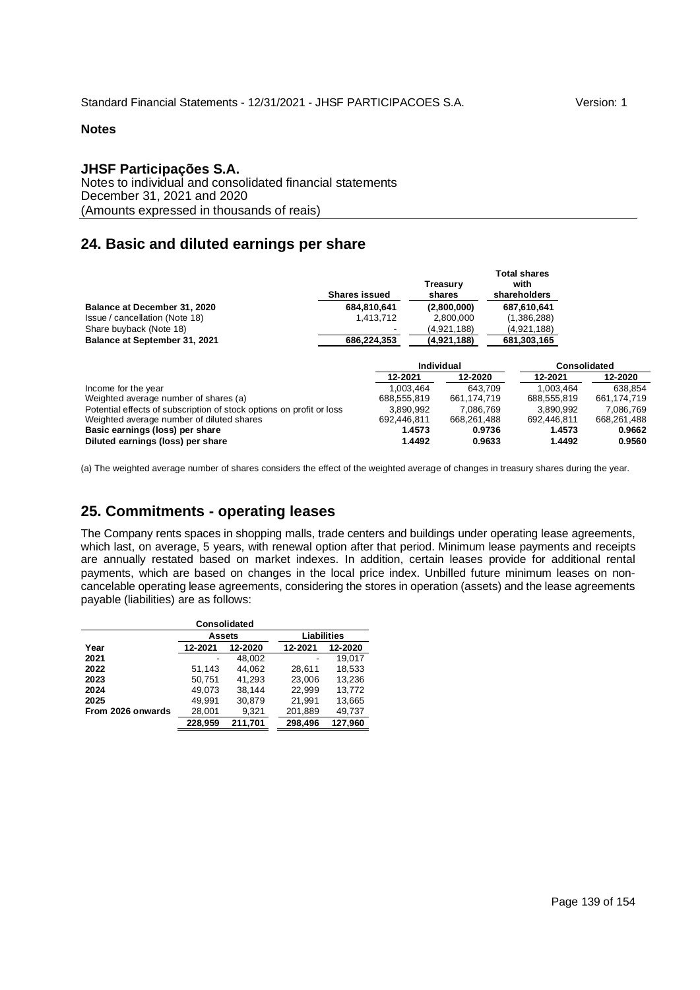## **JHSF Participações S.A.**

Notes to individual and consolidated financial statements December 31, 2021 and 2020 (Amounts expressed in thousands of reais)

# **24. Basic and diluted earnings per share**

|                                                                      | Treasury<br><b>Shares issued</b><br>shares |             |             |  | <b>Total shares</b><br>with<br>shareholders |              |
|----------------------------------------------------------------------|--------------------------------------------|-------------|-------------|--|---------------------------------------------|--------------|
| <b>Balance at December 31, 2020</b>                                  | 684.810.641                                |             | (2,800,000) |  | 687,610,641                                 |              |
| Issue / cancellation (Note 18)                                       | 1.413.712                                  |             | 2.800.000   |  | (1,386,288)                                 |              |
| Share buyback (Note 18)                                              |                                            |             | (4,921,188) |  | (4,921,188)                                 |              |
| Balance at September 31, 2021                                        | 686,224,353                                |             | (4,921,188) |  | 681,303,165                                 |              |
|                                                                      |                                            |             | Individual  |  |                                             | Consolidated |
|                                                                      |                                            | 12-2021     | 12-2020     |  | 12-2021                                     | 12-2020      |
| Income for the year                                                  |                                            | 1.003.464   | 643.709     |  | 1.003.464                                   | 638.854      |
| Weighted average number of shares (a)                                |                                            | 688,555,819 | 661.174.719 |  | 688.555.819                                 | 661,174,719  |
| Potential effects of subscription of stock options on profit or loss |                                            | 3.890.992   | 7.086.769   |  | 3.890.992                                   | 7,086,769    |
| Weighted average number of diluted shares                            |                                            | 692.446.811 | 668,261,488 |  | 692.446.811                                 | 668,261,488  |
| Basic earnings (loss) per share                                      |                                            | 1.4573      | 0.9736      |  | 1.4573                                      | 0.9662       |
| Diluted earnings (loss) per share                                    |                                            | 1.4492      | 0.9633      |  | 1.4492                                      | 0.9560       |

(a) The weighted average number of shares considers the effect of the weighted average of changes in treasury shares during the year.

# **25. Commitments - operating leases**

The Company rents spaces in shopping malls, trade centers and buildings under operating lease agreements, which last, on average, 5 years, with renewal option after that period. Minimum lease payments and receipts are annually restated based on market indexes. In addition, certain leases provide for additional rental payments, which are based on changes in the local price index. Unbilled future minimum leases on noncancelable operating lease agreements, considering the stores in operation (assets) and the lease agreements payable (liabilities) are as follows:

|                   | <b>Consolidated</b> |         |                    |         |  |  |  |  |  |  |  |  |
|-------------------|---------------------|---------|--------------------|---------|--|--|--|--|--|--|--|--|
|                   | Assets              |         | <b>Liabilities</b> |         |  |  |  |  |  |  |  |  |
| Year              | 12-2021             | 12-2020 | 12-2021            | 12-2020 |  |  |  |  |  |  |  |  |
| 2021              |                     | 48.002  |                    | 19.017  |  |  |  |  |  |  |  |  |
| 2022              | 51.143              | 44.062  | 28.611             | 18.533  |  |  |  |  |  |  |  |  |
| 2023              | 50.751              | 41.293  | 23.006             | 13.236  |  |  |  |  |  |  |  |  |
| 2024              | 49.073              | 38.144  | 22.999             | 13.772  |  |  |  |  |  |  |  |  |
| 2025              | 49.991              | 30.879  | 21.991             | 13.665  |  |  |  |  |  |  |  |  |
| From 2026 onwards | 28,001              | 9,321   | 201,889            | 49,737  |  |  |  |  |  |  |  |  |
|                   | 228.959             | 211.701 | 298.496            | 127,960 |  |  |  |  |  |  |  |  |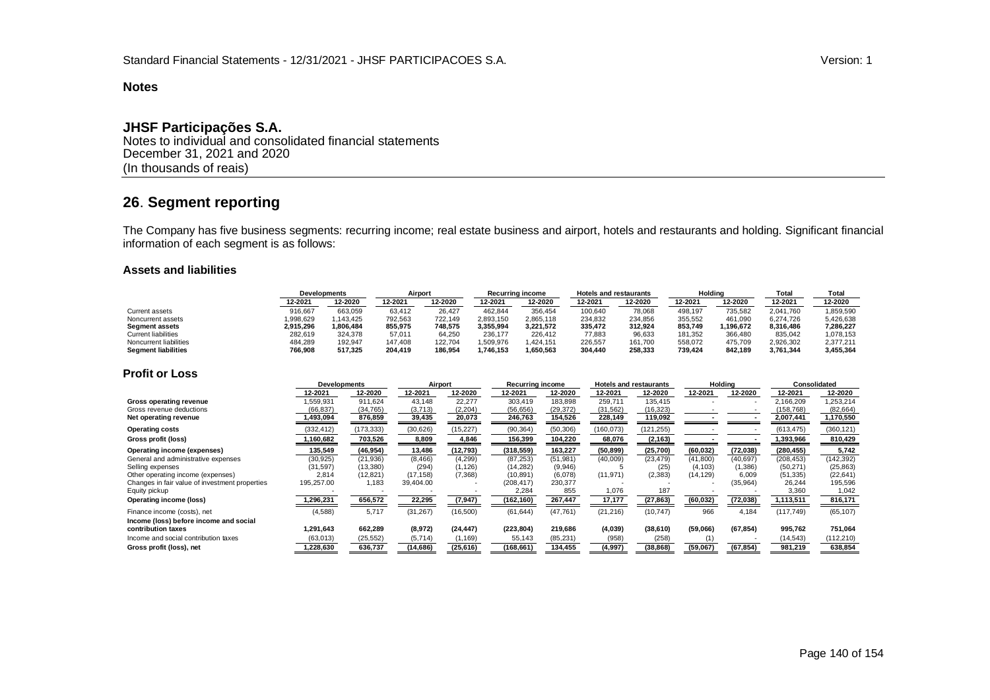# **JHSF Participações S.A.**

Notes to individual and consolidated financial statements December 31, 2021 and 2020 (In thousands of reais)

# **26**. **Segment reporting**

The Company has five business segments: recurring income; real estate business and airport, hotels and restaurants and holding. Significant financial information of each segment is as follows:

#### **Assets and liabilities**

|                            | <b>Developments</b> |           | Airport |         | <b>Recurring income</b> |           | <b>Hotels and restaurants</b> |         | Holdina |           | Total     | Total     |
|----------------------------|---------------------|-----------|---------|---------|-------------------------|-----------|-------------------------------|---------|---------|-----------|-----------|-----------|
|                            | 2--2021             | 12-2020   | 12-2021 | 12-2020 | 12-2021                 | 12-2020   | 12-2021                       | 12-2020 | 12-2021 | 12-2020   | 12-2021   | 12-2020   |
| Current assets             | 916.667             | 663,059   | 63,412  | 26.427  | 462.844                 | 356,454   | 100,640                       | 78,068  | 498.197 | 735,582   | 2.041.760 | 859,590   |
| Noncurrent assets          | ,998,629            | 1.143.425 | 792,563 | 722.149 | 2,893,150               | 2,865,118 | 234,832                       | 234.856 | 355,552 | 461,090   | 6,274,726 | 5,426,638 |
| Segment assets             | 2.915.296           | 1.806.484 | 855.975 | 748.575 | 3.355.994               | 3.221.572 | 335.472                       | 312.924 | 853.749 | 1.196.672 | 8.316.486 | 7,286,227 |
| <b>Current liabilities</b> | 282,619             | 324,378   | 57,011  | 64,250  | 236.177                 | 226.412   | 77,883                        | 96,633  | 181,352 | 366,480   | 835,042   | 1,078,153 |
| Noncurrent liabilities     | 484,289             | 192.947   | 147.408 | 122.704 | 1,509,976               | .424.151  | 226,557                       | 161,700 | 558,072 | 475.709   | 2,926,302 | 2,377,211 |
| <b>Segment liabilities</b> | 766,908             | 517.325   | 204.419 | 186.954 | 1.746.153               | 1.650.563 | 304.440                       | 258.333 | 739.424 | 842.189   | 3.761.344 | 3,455,364 |

## **Profit or Loss**

|                                                | Developments |            |           | Holding<br>Airport<br><b>Recurring income</b><br><b>Hotels and restaurants</b> |            | Consolidated |            |            |           |           |            |            |
|------------------------------------------------|--------------|------------|-----------|--------------------------------------------------------------------------------|------------|--------------|------------|------------|-----------|-----------|------------|------------|
|                                                | 12-2021      | 12-2020    | 12-2021   | 12-2020                                                                        | 12-2021    | 12-2020      | 12-2021    | 12-2020    | 12-2021   | 12-2020   | 12-2021    | 12-2020    |
| Gross operating revenue                        | .559,931     | 911,624    | 43,148    | 22,277                                                                         | 303,419    | 183,898      | 259,711    | 135,415    |           |           | 2,166,209  | ,253,214   |
| Gross revenue deductions                       | (66, 837)    | (34, 765)  | (3,713)   | (2, 204)                                                                       | (56, 656)  | (29, 372)    | (31, 562)  | (16, 323)  |           |           | (158, 768) | (82, 664)  |
| Net operating revenue                          | 1,493,094    | 876,859    | 39,435    | 20,073                                                                         | 246,763    | 154,526      | 228,149    | 119,092    |           |           | 2,007,441  | 1,170,550  |
| <b>Operating costs</b>                         | (332, 412)   | (173, 333) | (30,626)  | (15, 227)                                                                      | (90, 364)  | (50, 306)    | (160, 073) | (121, 255) |           |           | (613, 475) | (360, 121) |
| Gross profit (loss)                            | ,160,682     | 703,526    | 8,809     | 4,846                                                                          | 156,399    | 104,220      | 68,076     | (2, 163)   |           |           | 1,393,966  | 810,429    |
| Operating income (expenses)                    | 135,549      | (46, 954)  | 13,486    | (12, 793)                                                                      | (318, 559) | 163,227      | (50, 899)  | (25,700)   | (60, 032) | (72, 038) | (280, 455) | 5,742      |
| General and administrative expenses            | (30, 925)    | (21, 936)  | (8, 466)  | (4, 299)                                                                       | (87, 253)  | (51, 981)    | (40,009)   | (23, 479)  | (41, 800) | (40, 697) | (208, 453) | (142, 392) |
| Selling expenses                               | (31, 597)    | (13,380)   | (294)     | (1,126)                                                                        | (14, 282)  | (9,946)      |            | (25)       | (4, 103)  | (1,386)   | (50, 271)  | (25, 863)  |
| Other operating income (expenses)              | 2,814        | (12, 821)  | (17, 158) | (7, 368)                                                                       | (10, 891)  | (6,078)      | (11, 971)  | (2, 383)   | (14, 129) | 6,009     | (51, 335)  | (22, 641)  |
| Changes in fair value of investment properties | 195,257.00   | 1,183      | 39,404.00 |                                                                                | (208, 417) | 230,377      |            |            |           | (35,964)  | 26,244     | 195,596    |
| Equity pickup                                  |              |            |           |                                                                                | 2,284      | 855          | 1,076      | 187        |           |           | 3,360      | 1,042      |
| Operating income (loss)                        | 1,296,231    | 656,572    | 22,295    | (7, 947)                                                                       | (162,160)  | 267,447      | 17,177     | (27, 863)  | (60, 032) | (72, 038) | 1,113,511  | 816,171    |
| Finance income (costs), net                    | (4, 588)     | 5,717      | (31, 267) | (16, 500)                                                                      | (61, 644)  | (47, 761)    | (21, 216)  | (10, 747)  | 966       | 4,184     | (117, 749) | (65, 107)  |
| Income (loss) before income and social         |              |            |           |                                                                                |            |              |            |            |           |           |            |            |
| contribution taxes                             | 1,291,643    | 662,289    | (8,972)   | (24, 447)                                                                      | (223, 804) | 219,686      | (4,039)    | (38,610)   | (59,066)  | (67, 854) | 995,762    | 751,064    |
| Income and social contribution taxes           | (63, 013)    | (25, 552)  | (5, 714)  | (1, 169)                                                                       | 55,143     | (85, 231)    | (958)      | (258)      |           |           | (14, 543)  | (112, 210) |
| Gross profit (loss), net                       | 1,228,630    | 636,737    | (14,686)  | (25, 616)                                                                      | (168, 661) | 134,455      | (4,997)    | (38, 868)  | (59,067)  | (67, 854) | 981,219    | 638,854    |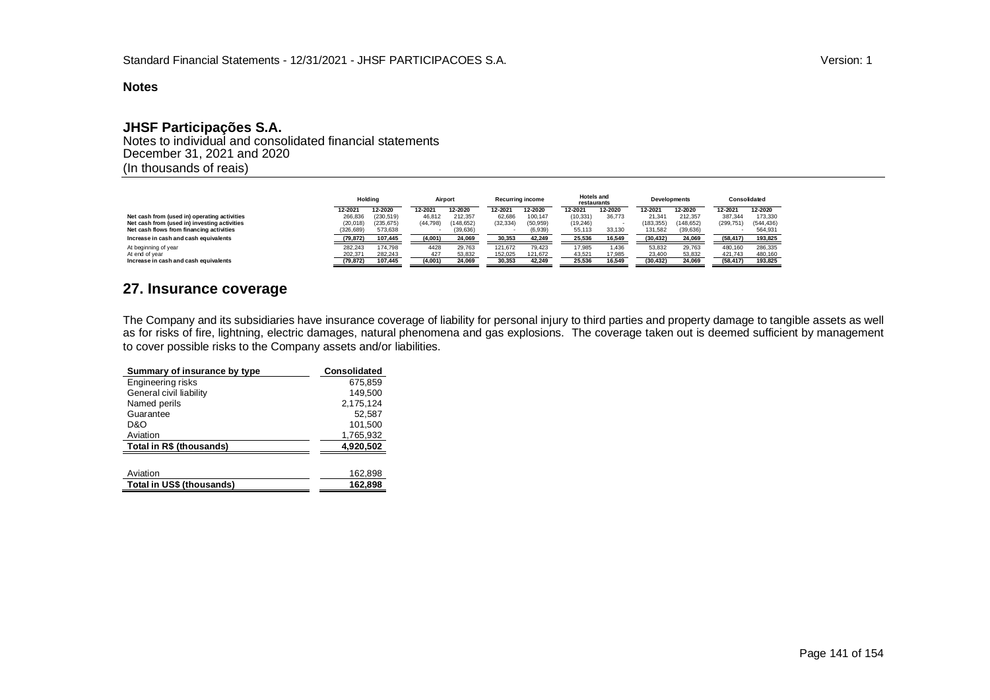# **JHSF Participações S.A.**

Notes to individual and consolidated financial statements December 31, 2021 and 2020 (In thousands of reais)

|                                              |           | Holdina   | Airport   |            | <b>Recurring income</b> |           | <b>Hotels and</b><br>restaurants |         |            | <b>Developments</b> | Consolidated |            |
|----------------------------------------------|-----------|-----------|-----------|------------|-------------------------|-----------|----------------------------------|---------|------------|---------------------|--------------|------------|
|                                              | 12-2021   | 12-2020   | 12-2021   | 12-2020    | 12-2021                 | 12-2020   | 12-2021                          | 12-2020 | 12-2021    | 12-2020             | 12-2021      | 12-2020    |
| Net cash from (used in) operating activities | 266.836   | (230.519) | 46.812    | 212.357    | 62.686                  | 100.147   | (10, 331)                        | 36,773  | 21.341     | 212.357             | 387.344      | 173.330    |
| Net cash from (used in) investing activities | (20, 018) | (235.675) | (44, 798) | (148, 652) | (32.334)                | (50, 959) | (19, 246)                        |         | (183, 355) | (148.652)           | (299.751)    | (544, 436) |
| Net cash flows from financing activities     | (326,689) | 573,638   |           | 39,636)    |                         | (6, 939)  | 55,113                           | 33,130  | 131.582    | (39, 636)           |              | 564,931    |
| Increase in cash and cash equivalents        | (79, 872) | 107.445   | (4,001)   | 24.069     | 30.353                  | 42.249    | 25,536                           | 16.549  | (30, 432)  | 24.069              | (58.417)     | 193.825    |
| At beginning of year                         | 282.243   | 174.798   | 4428      | 29.763     | 121.672                 | 79.423    | 17,985                           | 1,436   | 53.832     | 29.763              | 480.160      | 286,335    |
| At end of year                               | 202,371   | 282,243   | 427       | 53,832     | 152,025                 | 121,672   | 43,521                           | 17,985  | 23,400     | 53,832              | 421,743      | 480,160    |
| Increase in cash and cash equivalents        | (79, 872) | 107,445   | (4,001)   | 24,069     | 30,353                  | 42,249    | 25,536                           | 16,549  | (30, 432)  | 24,069              | (58.417)     | 193,825    |

# **27. Insurance coverage**

The Company and its subsidiaries have insurance coverage of liability for personal injury to third parties and property damage to tangible assets as well as for risks of fire, lightning, electric damages, natural phenomena and gas explosions. The coverage taken out is deemed sufficient by management to cover possible risks to the Company assets and/or liabilities.

| Summary of insurance by type | Consolidated |
|------------------------------|--------------|
| Engineering risks            | 675.859      |
| General civil liability      | 149.500      |
| Named perils                 | 2,175,124    |
| Guarantee                    | 52,587       |
| D&O                          | 101.500      |
| Aviation                     | 1,765,932    |
| Total in R\$ (thousands)     | 4,920,502    |
|                              |              |
| Aviation                     | 162,898      |
| Total in US\$ (thousands)    | 162.898      |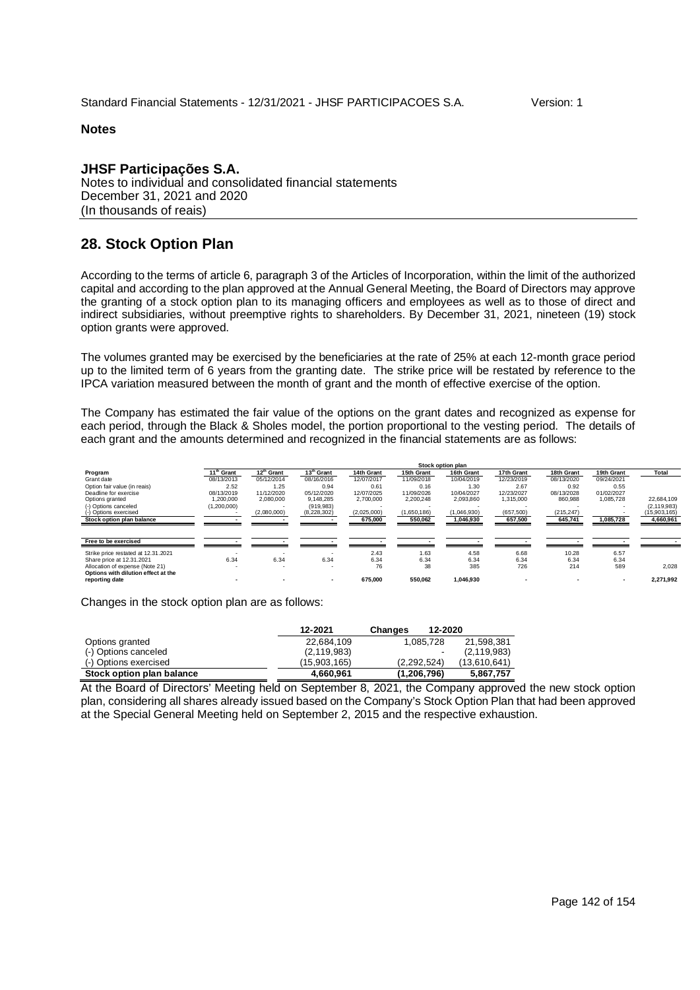## **JHSF Participações S.A.** Notes to individual and consolidated financial statements December 31, 2021 and 2020 (In thousands of reais)

# **28. Stock Option Plan**

According to the terms of article 6, paragraph 3 of the Articles of Incorporation, within the limit of the authorized capital and according to the plan approved at the Annual General Meeting, the Board of Directors may approve the granting of a stock option plan to its managing officers and employees as well as to those of direct and indirect subsidiaries, without preemptive rights to shareholders. By December 31, 2021, nineteen (19) stock option grants were approved.

The volumes granted may be exercised by the beneficiaries at the rate of 25% at each 12-month grace period up to the limited term of 6 years from the granting date. The strike price will be restated by reference to the IPCA variation measured between the month of grant and the month of effective exercise of the option.

The Company has estimated the fair value of the options on the grant dates and recognized as expense for each period, through the Black & Sholes model, the portion proportional to the vesting period. The details of each grant and the amounts determined and recognized in the financial statements are as follows:

|                                     |                        |                          |                        |             |             | Stock option plan |            |            |            |               |
|-------------------------------------|------------------------|--------------------------|------------------------|-------------|-------------|-------------------|------------|------------|------------|---------------|
| Program                             | 11 <sup>th</sup> Grant | 12 <sup>th</sup> Grant   | 13 <sup>th</sup> Grant | 14th Grant  | 15th Grant  | 16th Grant        | 17th Grant | 18th Grant | 19th Grant | Total         |
| Grant date                          | 08/13/2013             | 05/12/2014               | 08/16/2016             | 12/07/2017  | 11/09/2018  | 10/04/2019        | 12/23/2019 | 08/13/2020 | 09/24/2021 |               |
| Option fair value (in reais)        | 2.52                   | 1.25                     | 0.94                   | 0.61        | 0.16        | 1.30              | 2.67       | 0.92       | 0.55       |               |
| Deadline for exercise               | 08/13/2019             | 11/12/2020               | 05/12/2020             | 12/07/2025  | 11/09/2026  | 10/04/2027        | 12/23/2027 | 08/13/2028 | 01/02/2027 |               |
| Options granted                     | 1.200.000              | 2.080.000                | 9.148.285              | 2.700.000   | 2.200.248   | 2.093.860         | 1.315.000  | 860.988    | 1.085.728  | 22.684.109    |
| (-) Options canceled                | (1,200,000)            |                          | (919, 983)             |             |             |                   |            |            |            | (2, 119, 983) |
| (-) Options exercised               |                        | (2,080,000)              | (8,228,302)            | (2,025,000) | (1,650,186) | (1,046,930)       | (657, 500) | (215, 247) |            | (15,903,165)  |
| Stock option plan balance           |                        |                          |                        | 675,000     | 550,062     | 1,046,930         | 657,500    | 645,741    | 1,085,728  | 4,660,961     |
|                                     |                        |                          |                        |             |             |                   |            |            |            |               |
| Free to be exercised                |                        |                          |                        |             |             |                   |            |            |            |               |
| Strike price restated at 12.31.2021 |                        | $\overline{\phantom{0}}$ |                        | 2.43        | 1.63        | 4.58              | 6.68       | 10.28      | 6.57       |               |
| Share price at 12.31.2021           | 6.34                   | 6.34                     | 6.34                   | 6.34        | 6.34        | 6.34              | 6.34       | 6.34       | 6.34       |               |
| Allocation of expense (Note 21)     |                        |                          |                        | 76          | 38          | 385               | 726        | 214        | 589        | 2.028         |
| Options with dilution effect at the |                        |                          |                        |             |             |                   |            |            |            |               |
| reporting date                      |                        |                          |                        | 675.000     | 550,062     | 1,046,930         |            |            |            | 2,271,992     |

Changes in the stock option plan are as follows:

|                           | 12-2021       | 12-2020<br>Changes |               |
|---------------------------|---------------|--------------------|---------------|
| Options granted           | 22.684.109    | 1.085.728          | 21,598,381    |
| (-) Options canceled      | (2, 119, 983) | -                  | (2, 119, 983) |
| (-) Options exercised     | (15.903.165)  | (2.292.524)        | (13,610,641)  |
| Stock option plan balance | 4.660.961     | (1,206,796)        | 5,867,757     |

At the Board of Directors' Meeting held on September 8, 2021, the Company approved the new stock option plan, considering all shares already issued based on the Company's Stock Option Plan that had been approved at the Special General Meeting held on September 2, 2015 and the respective exhaustion.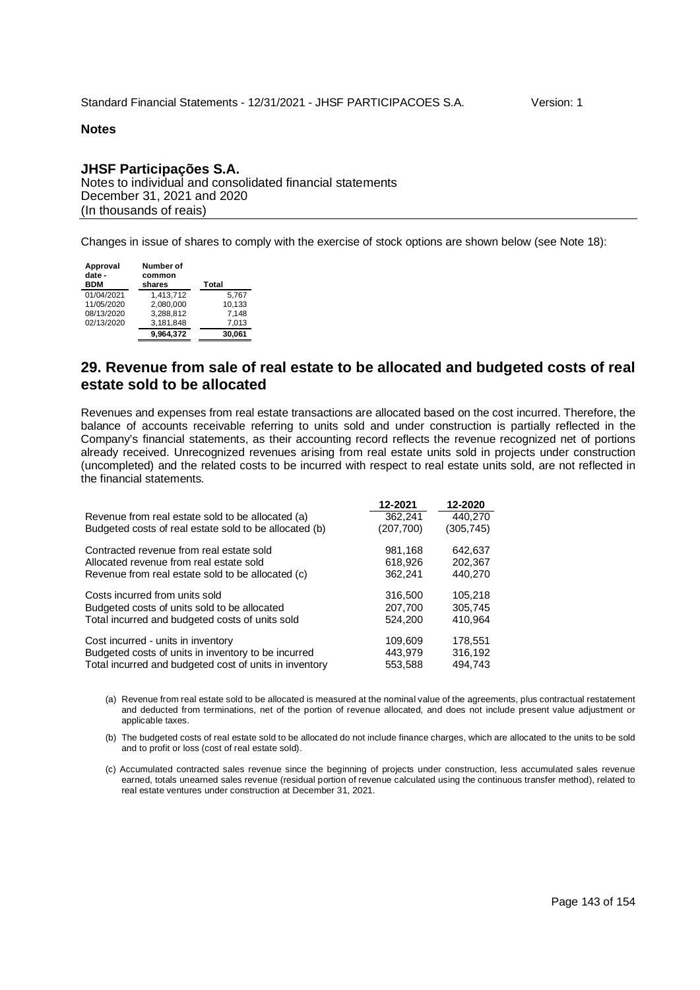# **JHSF Participações S.A.**

Notes to individual and consolidated financial statements December 31, 2021 and 2020 (In thousands of reais)

Changes in issue of shares to comply with the exercise of stock options are shown below (see Note 18):

| Approval<br>date -<br><b>BDM</b> | Number of<br>common<br>shares | Total  |
|----------------------------------|-------------------------------|--------|
| 01/04/2021                       | 1,413,712                     | 5,767  |
| 11/05/2020                       | 2,080,000                     | 10,133 |
| 08/13/2020                       | 3,288,812                     | 7.148  |
| 02/13/2020                       | 3,181,848                     | 7,013  |
|                                  | 9.964.372                     | 30.061 |

# **29. Revenue from sale of real estate to be allocated and budgeted costs of real estate sold to be allocated**

Revenues and expenses from real estate transactions are allocated based on the cost incurred. Therefore, the balance of accounts receivable referring to units sold and under construction is partially reflected in the Company's financial statements, as their accounting record reflects the revenue recognized net of portions already received. Unrecognized revenues arising from real estate units sold in projects under construction (uncompleted) and the related costs to be incurred with respect to real estate units sold, are not reflected in the financial statements.

|                                                        | 12-2021   | 12-2020   |
|--------------------------------------------------------|-----------|-----------|
| Revenue from real estate sold to be allocated (a)      | 362,241   | 440,270   |
| Budgeted costs of real estate sold to be allocated (b) | (207,700) | (305,745) |
| Contracted revenue from real estate sold               | 981,168   | 642.637   |
| Allocated revenue from real estate sold                | 618,926   | 202,367   |
| Revenue from real estate sold to be allocated (c)      | 362.241   | 440.270   |
| Costs incurred from units sold                         | 316,500   | 105.218   |
| Budgeted costs of units sold to be allocated           | 207,700   | 305.745   |
| Total incurred and budgeted costs of units sold        | 524.200   | 410,964   |
| Cost incurred - units in inventory                     | 109.609   | 178.551   |
| Budgeted costs of units in inventory to be incurred    | 443.979   | 316,192   |
| Total incurred and budgeted cost of units in inventory | 553,588   | 494.743   |

- (a) Revenue from real estate sold to be allocated is measured at the nominal value of the agreements, plus contractual restatement and deducted from terminations, net of the portion of revenue allocated, and does not include present value adjustment or applicable taxes.
- (b) The budgeted costs of real estate sold to be allocated do not include finance charges, which are allocated to the units to be sold and to profit or loss (cost of real estate sold).
- (c) Accumulated contracted sales revenue since the beginning of projects under construction, less accumulated sales revenue earned, totals unearned sales revenue (residual portion of revenue calculated using the continuous transfer method), related to real estate ventures under construction at December 31, 2021.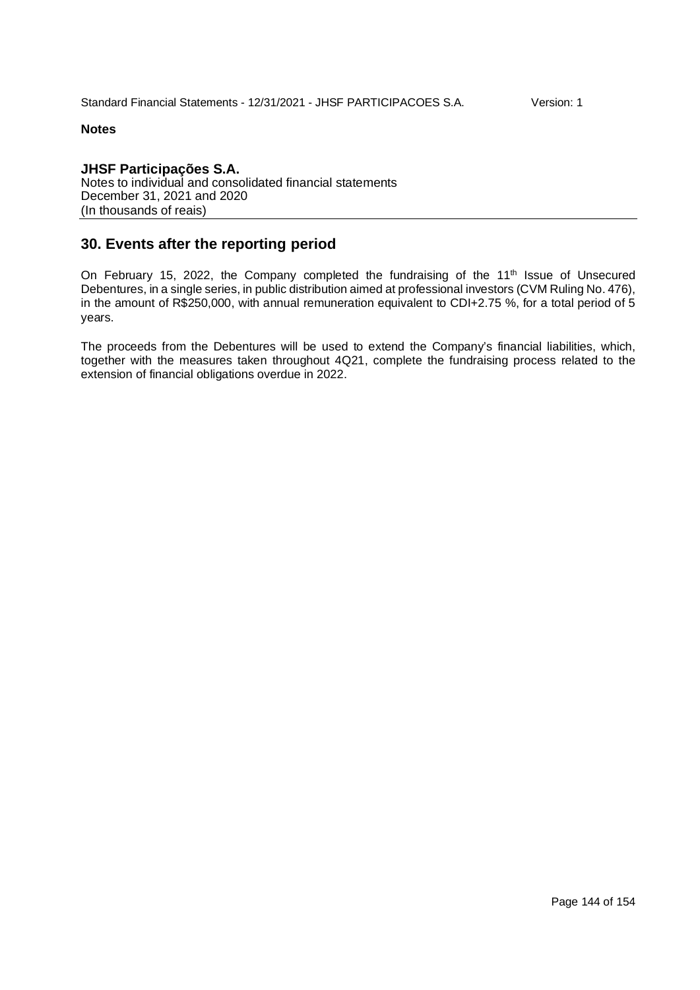**JHSF Participações S.A.** Notes to individual and consolidated financial statements December 31, 2021 and 2020 (In thousands of reais)

# **30. Events after the reporting period**

On February 15, 2022, the Company completed the fundraising of the 11<sup>th</sup> Issue of Unsecured Debentures, in a single series, in public distribution aimed at professional investors (CVM Ruling No. 476), in the amount of R\$250,000, with annual remuneration equivalent to CDI+2.75 %, for a total period of 5 years.

The proceeds from the Debentures will be used to extend the Company's financial liabilities, which, together with the measures taken throughout 4Q21, complete the fundraising process related to the extension of financial obligations overdue in 2022.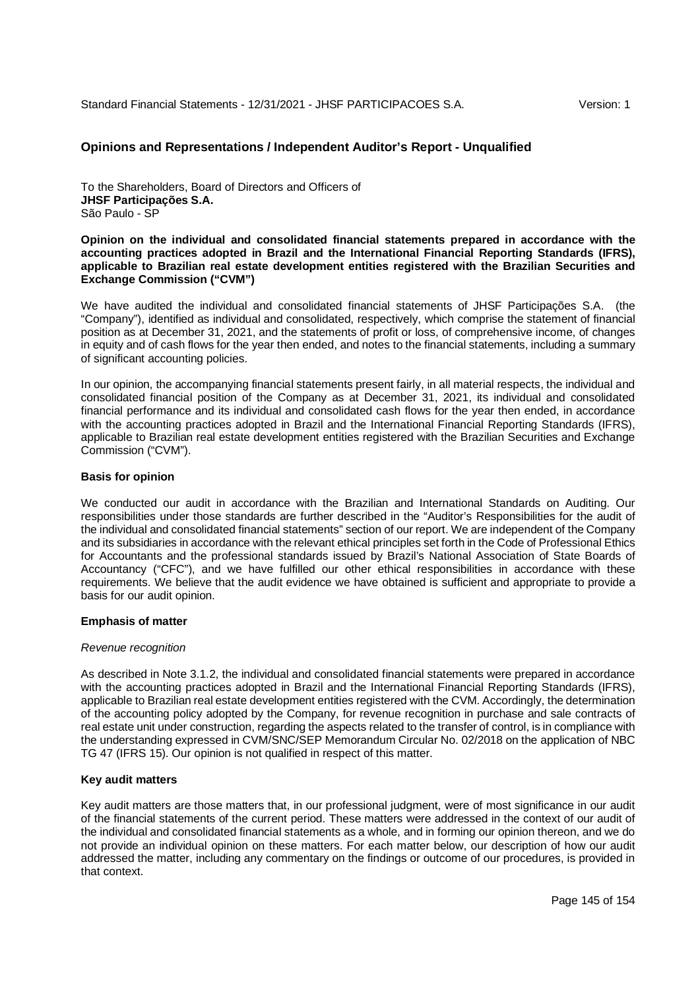## **Opinions and Representations / Independent Auditor's Report - Unqualified**

To the Shareholders, Board of Directors and Officers of **JHSF Participações S.A.** São Paulo - SP

**Opinion on the individual and consolidated financial statements prepared in accordance with the accounting practices adopted in Brazil and the International Financial Reporting Standards (IFRS), applicable to Brazilian real estate development entities registered with the Brazilian Securities and Exchange Commission ("CVM")**

We have audited the individual and consolidated financial statements of JHSF Participações S.A. (the "Company"), identified as individual and consolidated, respectively, which comprise the statement of financial position as at December 31, 2021, and the statements of profit or loss, of comprehensive income, of changes in equity and of cash flows for the year then ended, and notes to the financial statements, including a summary of significant accounting policies.

In our opinion, the accompanying financial statements present fairly, in all material respects, the individual and consolidated financial position of the Company as at December 31, 2021, its individual and consolidated financial performance and its individual and consolidated cash flows for the year then ended, in accordance with the accounting practices adopted in Brazil and the International Financial Reporting Standards (IFRS), applicable to Brazilian real estate development entities registered with the Brazilian Securities and Exchange Commission ("CVM").

## **Basis for opinion**

We conducted our audit in accordance with the Brazilian and International Standards on Auditing. Our responsibilities under those standards are further described in the "Auditor's Responsibilities for the audit of the individual and consolidated financial statements" section of our report. We are independent of the Company and its subsidiaries in accordance with the relevant ethical principles set forth in the Code of Professional Ethics for Accountants and the professional standards issued by Brazil's National Association of State Boards of Accountancy ("CFC"), and we have fulfilled our other ethical responsibilities in accordance with these requirements. We believe that the audit evidence we have obtained is sufficient and appropriate to provide a basis for our audit opinion.

### **Emphasis of matter**

### *Revenue recognition*

As described in Note 3.1.2, the individual and consolidated financial statements were prepared in accordance with the accounting practices adopted in Brazil and the International Financial Reporting Standards (IFRS), applicable to Brazilian real estate development entities registered with the CVM. Accordingly, the determination of the accounting policy adopted by the Company, for revenue recognition in purchase and sale contracts of real estate unit under construction, regarding the aspects related to the transfer of control, is in compliance with the understanding expressed in CVM/SNC/SEP Memorandum Circular No. 02/2018 on the application of NBC TG 47 (IFRS 15). Our opinion is not qualified in respect of this matter.

## **Key audit matters**

Key audit matters are those matters that, in our professional judgment, were of most significance in our audit of the financial statements of the current period. These matters were addressed in the context of our audit of the individual and consolidated financial statements as a whole, and in forming our opinion thereon, and we do not provide an individual opinion on these matters. For each matter below, our description of how our audit addressed the matter, including any commentary on the findings or outcome of our procedures, is provided in that context.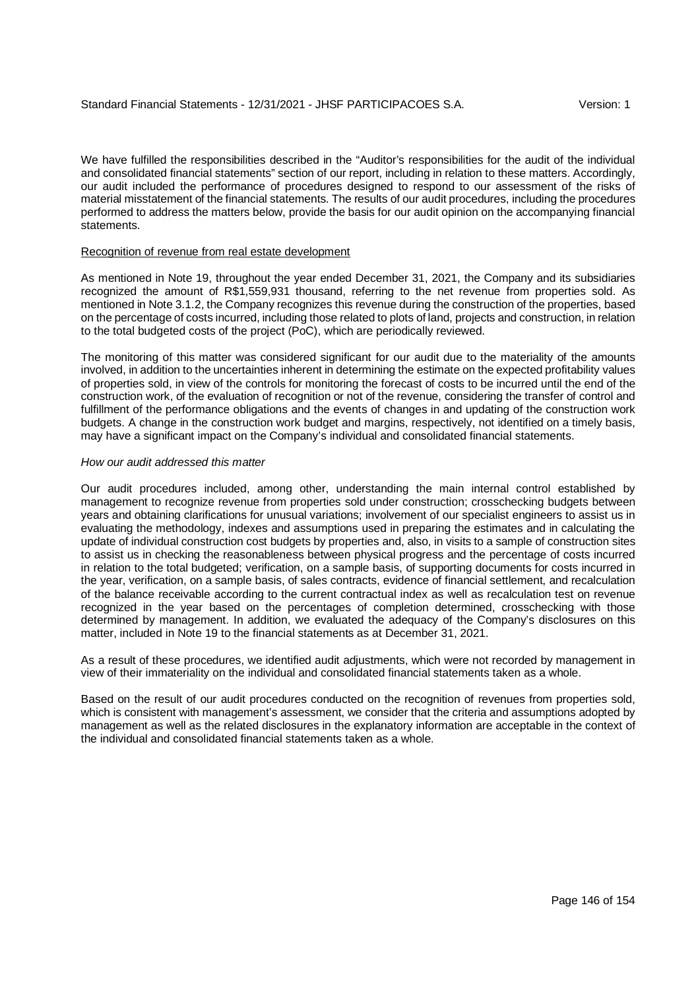We have fulfilled the responsibilities described in the "Auditor's responsibilities for the audit of the individual and consolidated financial statements" section of our report, including in relation to these matters. Accordingly, our audit included the performance of procedures designed to respond to our assessment of the risks of material misstatement of the financial statements. The results of our audit procedures, including the procedures performed to address the matters below, provide the basis for our audit opinion on the accompanying financial statements.

### Recognition of revenue from real estate development

As mentioned in Note 19, throughout the year ended December 31, 2021, the Company and its subsidiaries recognized the amount of R\$1,559,931 thousand, referring to the net revenue from properties sold. As mentioned in Note 3.1.2, the Company recognizes this revenue during the construction of the properties, based on the percentage of costs incurred, including those related to plots of land, projects and construction, in relation to the total budgeted costs of the project (PoC), which are periodically reviewed.

The monitoring of this matter was considered significant for our audit due to the materiality of the amounts involved, in addition to the uncertainties inherent in determining the estimate on the expected profitability values of properties sold, in view of the controls for monitoring the forecast of costs to be incurred until the end of the construction work, of the evaluation of recognition or not of the revenue, considering the transfer of control and fulfillment of the performance obligations and the events of changes in and updating of the construction work budgets. A change in the construction work budget and margins, respectively, not identified on a timely basis, may have a significant impact on the Company's individual and consolidated financial statements.

## *How our audit addressed this matter*

Our audit procedures included, among other, understanding the main internal control established by management to recognize revenue from properties sold under construction; crosschecking budgets between years and obtaining clarifications for unusual variations; involvement of our specialist engineers to assist us in evaluating the methodology, indexes and assumptions used in preparing the estimates and in calculating the update of individual construction cost budgets by properties and, also, in visits to a sample of construction sites to assist us in checking the reasonableness between physical progress and the percentage of costs incurred in relation to the total budgeted; verification, on a sample basis, of supporting documents for costs incurred in the year, verification, on a sample basis, of sales contracts, evidence of financial settlement, and recalculation of the balance receivable according to the current contractual index as well as recalculation test on revenue recognized in the year based on the percentages of completion determined, crosschecking with those determined by management. In addition, we evaluated the adequacy of the Company's disclosures on this matter, included in Note 19 to the financial statements as at December 31, 2021.

As a result of these procedures, we identified audit adjustments, which were not recorded by management in view of their immateriality on the individual and consolidated financial statements taken as a whole.

Based on the result of our audit procedures conducted on the recognition of revenues from properties sold, which is consistent with management's assessment, we consider that the criteria and assumptions adopted by management as well as the related disclosures in the explanatory information are acceptable in the context of the individual and consolidated financial statements taken as a whole.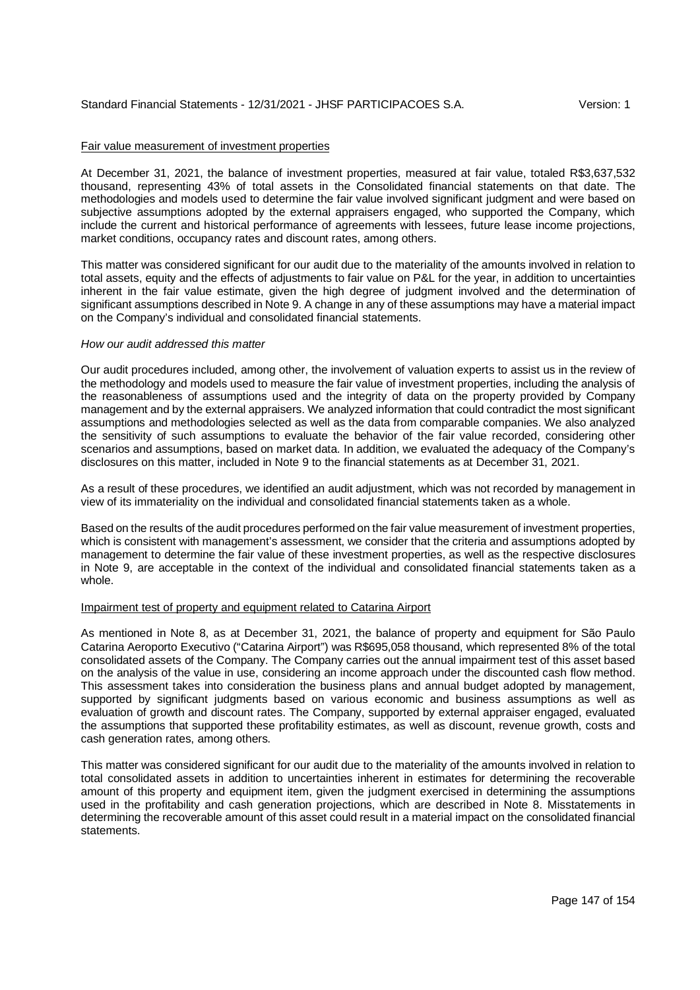## Fair value measurement of investment properties

At December 31, 2021, the balance of investment properties, measured at fair value, totaled R\$3,637,532 thousand, representing 43% of total assets in the Consolidated financial statements on that date. The methodologies and models used to determine the fair value involved significant judgment and were based on subjective assumptions adopted by the external appraisers engaged, who supported the Company, which include the current and historical performance of agreements with lessees, future lease income projections, market conditions, occupancy rates and discount rates, among others.

This matter was considered significant for our audit due to the materiality of the amounts involved in relation to total assets, equity and the effects of adjustments to fair value on P&L for the year, in addition to uncertainties inherent in the fair value estimate, given the high degree of judgment involved and the determination of significant assumptions described in Note 9. A change in any of these assumptions may have a material impact on the Company's individual and consolidated financial statements.

### *How our audit addressed this matter*

Our audit procedures included, among other, the involvement of valuation experts to assist us in the review of the methodology and models used to measure the fair value of investment properties, including the analysis of the reasonableness of assumptions used and the integrity of data on the property provided by Company management and by the external appraisers. We analyzed information that could contradict the most significant assumptions and methodologies selected as well as the data from comparable companies. We also analyzed the sensitivity of such assumptions to evaluate the behavior of the fair value recorded, considering other scenarios and assumptions, based on market data. In addition, we evaluated the adequacy of the Company's disclosures on this matter, included in Note 9 to the financial statements as at December 31, 2021.

As a result of these procedures, we identified an audit adjustment, which was not recorded by management in view of its immateriality on the individual and consolidated financial statements taken as a whole.

Based on the results of the audit procedures performed on the fair value measurement of investment properties, which is consistent with management's assessment, we consider that the criteria and assumptions adopted by management to determine the fair value of these investment properties, as well as the respective disclosures in Note 9, are acceptable in the context of the individual and consolidated financial statements taken as a whole.

### Impairment test of property and equipment related to Catarina Airport

As mentioned in Note 8, as at December 31, 2021, the balance of property and equipment for São Paulo Catarina Aeroporto Executivo ("Catarina Airport") was R\$695,058 thousand, which represented 8% of the total consolidated assets of the Company. The Company carries out the annual impairment test of this asset based on the analysis of the value in use, considering an income approach under the discounted cash flow method. This assessment takes into consideration the business plans and annual budget adopted by management, supported by significant judgments based on various economic and business assumptions as well as evaluation of growth and discount rates. The Company, supported by external appraiser engaged, evaluated the assumptions that supported these profitability estimates, as well as discount, revenue growth, costs and cash generation rates, among others.

This matter was considered significant for our audit due to the materiality of the amounts involved in relation to total consolidated assets in addition to uncertainties inherent in estimates for determining the recoverable amount of this property and equipment item, given the judgment exercised in determining the assumptions used in the profitability and cash generation projections, which are described in Note 8. Misstatements in determining the recoverable amount of this asset could result in a material impact on the consolidated financial statements.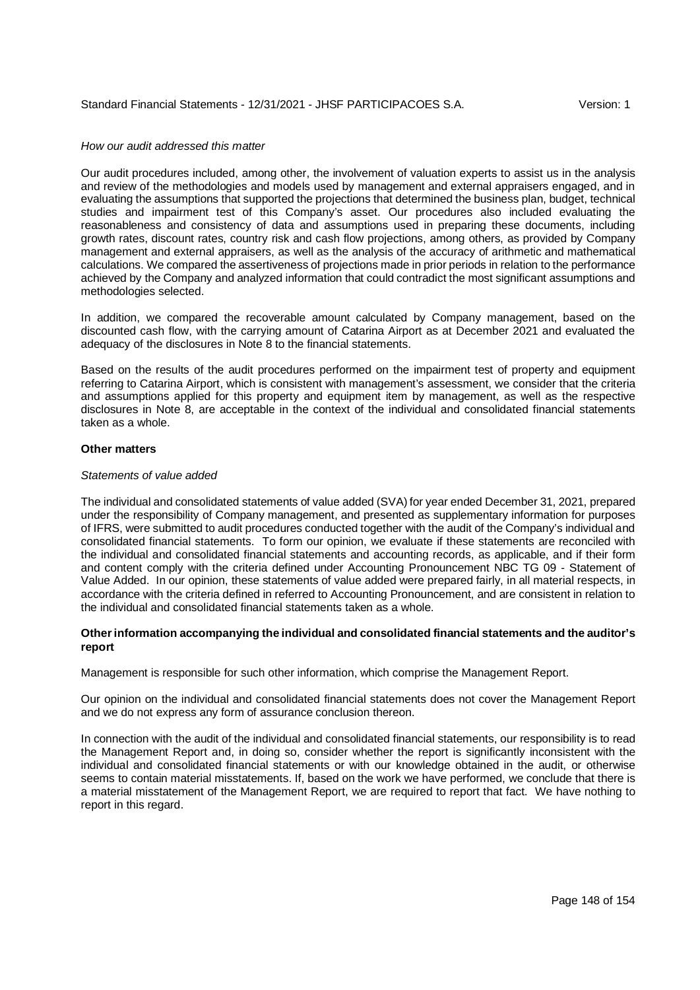## *How our audit addressed this matter*

Our audit procedures included, among other, the involvement of valuation experts to assist us in the analysis and review of the methodologies and models used by management and external appraisers engaged, and in evaluating the assumptions that supported the projections that determined the business plan, budget, technical studies and impairment test of this Company's asset. Our procedures also included evaluating the reasonableness and consistency of data and assumptions used in preparing these documents, including growth rates, discount rates, country risk and cash flow projections, among others, as provided by Company management and external appraisers, as well as the analysis of the accuracy of arithmetic and mathematical calculations. We compared the assertiveness of projections made in prior periods in relation to the performance achieved by the Company and analyzed information that could contradict the most significant assumptions and methodologies selected.

In addition, we compared the recoverable amount calculated by Company management, based on the discounted cash flow, with the carrying amount of Catarina Airport as at December 2021 and evaluated the adequacy of the disclosures in Note 8 to the financial statements.

Based on the results of the audit procedures performed on the impairment test of property and equipment referring to Catarina Airport, which is consistent with management's assessment, we consider that the criteria and assumptions applied for this property and equipment item by management, as well as the respective disclosures in Note 8, are acceptable in the context of the individual and consolidated financial statements taken as a whole.

## **Other matters**

## *Statements of value added*

The individual and consolidated statements of value added (SVA) for year ended December 31, 2021, prepared under the responsibility of Company management, and presented as supplementary information for purposes of IFRS, were submitted to audit procedures conducted together with the audit of the Company's individual and consolidated financial statements. To form our opinion, we evaluate if these statements are reconciled with the individual and consolidated financial statements and accounting records, as applicable, and if their form and content comply with the criteria defined under Accounting Pronouncement NBC TG 09 - Statement of Value Added. In our opinion, these statements of value added were prepared fairly, in all material respects, in accordance with the criteria defined in referred to Accounting Pronouncement, and are consistent in relation to the individual and consolidated financial statements taken as a whole.

## **Other information accompanying the individual and consolidated financial statements and the auditor's report**

Management is responsible for such other information, which comprise the Management Report.

Our opinion on the individual and consolidated financial statements does not cover the Management Report and we do not express any form of assurance conclusion thereon.

In connection with the audit of the individual and consolidated financial statements, our responsibility is to read the Management Report and, in doing so, consider whether the report is significantly inconsistent with the individual and consolidated financial statements or with our knowledge obtained in the audit, or otherwise seems to contain material misstatements. If, based on the work we have performed, we conclude that there is a material misstatement of the Management Report, we are required to report that fact. We have nothing to report in this regard.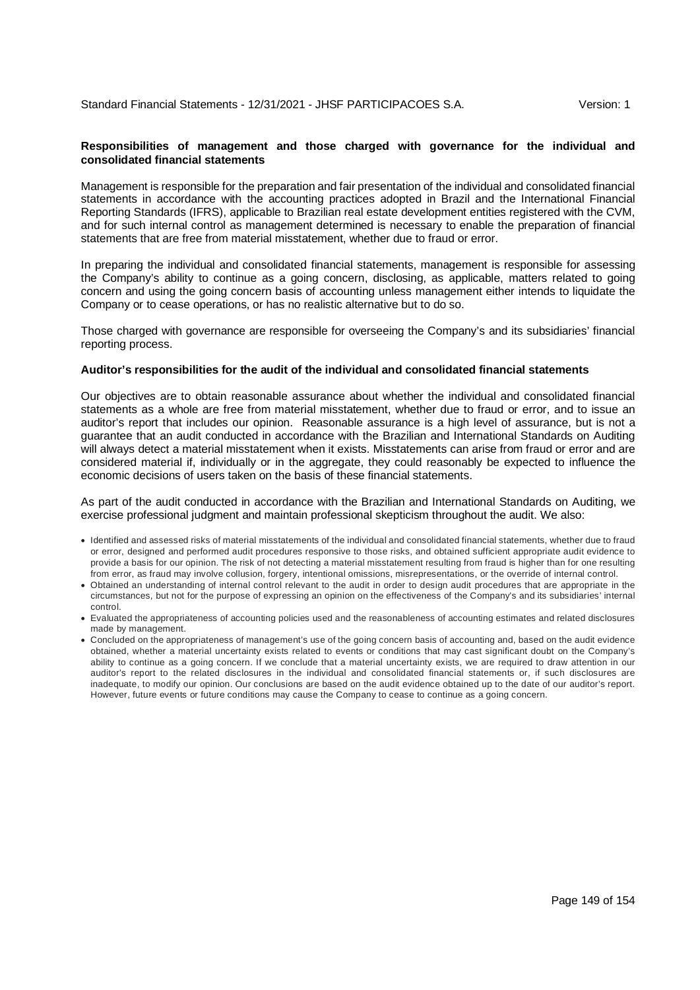## **Responsibilities of management and those charged with governance for the individual and consolidated financial statements**

Management is responsible for the preparation and fair presentation of the individual and consolidated financial statements in accordance with the accounting practices adopted in Brazil and the International Financial Reporting Standards (IFRS), applicable to Brazilian real estate development entities registered with the CVM, and for such internal control as management determined is necessary to enable the preparation of financial statements that are free from material misstatement, whether due to fraud or error.

In preparing the individual and consolidated financial statements, management is responsible for assessing the Company's ability to continue as a going concern, disclosing, as applicable, matters related to going concern and using the going concern basis of accounting unless management either intends to liquidate the Company or to cease operations, or has no realistic alternative but to do so.

Those charged with governance are responsible for overseeing the Company's and its subsidiaries' financial reporting process.

#### **Auditor's responsibilities for the audit of the individual and consolidated financial statements**

Our objectives are to obtain reasonable assurance about whether the individual and consolidated financial statements as a whole are free from material misstatement, whether due to fraud or error, and to issue an auditor's report that includes our opinion. Reasonable assurance is a high level of assurance, but is not a guarantee that an audit conducted in accordance with the Brazilian and International Standards on Auditing will always detect a material misstatement when it exists. Misstatements can arise from fraud or error and are considered material if, individually or in the aggregate, they could reasonably be expected to influence the economic decisions of users taken on the basis of these financial statements.

## As part of the audit conducted in accordance with the Brazilian and International Standards on Auditing, we exercise professional judgment and maintain professional skepticism throughout the audit. We also:

- Identified and assessed risks of material misstatements of the individual and consolidated financial statements, whether due to fraud or error, designed and performed audit procedures responsive to those risks, and obtained sufficient appropriate audit evidence to provide a basis for our opinion. The risk of not detecting a material misstatement resulting from fraud is higher than for one resulting from error, as fraud may involve collusion, forgery, intentional omissions, misrepresentations, or the override of internal control.
- Obtained an understanding of internal control relevant to the audit in order to design audit procedures that are appropriate in the circumstances, but not for the purpose of expressing an opinion on the effectiveness of the Company's and its subsidiaries' internal control.
- Evaluated the appropriateness of accounting policies used and the reasonableness of accounting estimates and related disclosures made by management.
- Concluded on the appropriateness of management's use of the going concern basis of accounting and, based on the audit evidence obtained, whether a material uncertainty exists related to events or conditions that may cast significant doubt on the Company's ability to continue as a going concern. If we conclude that a material uncertainty exists, we are required to draw attention in our auditor's report to the related disclosures in the individual and consolidated financial statements or, if such disclosures are inadequate, to modify our opinion. Our conclusions are based on the audit evidence obtained up to the date of our auditor's report. However, future events or future conditions may cause the Company to cease to continue as a going concern.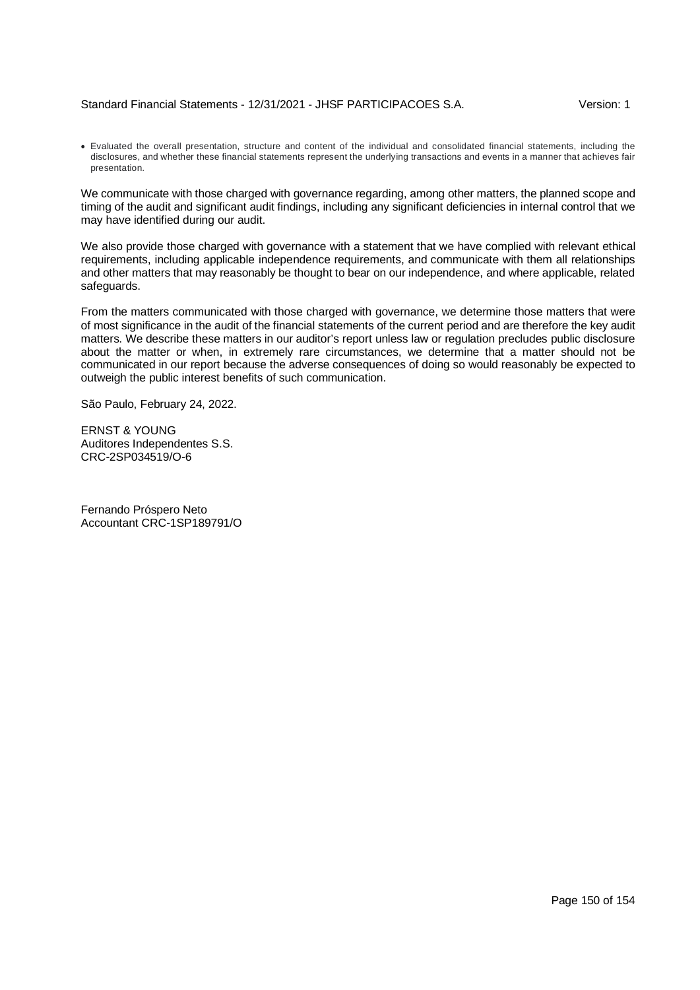## Standard Financial Statements - 12/31/2021 - JHSF PARTICIPACOES S.A. Version: 1

 Evaluated the overall presentation, structure and content of the individual and consolidated financial statements, including the disclosures, and whether these financial statements represent the underlying transactions and events in a manner that achieves fair presentation.

We communicate with those charged with governance regarding, among other matters, the planned scope and timing of the audit and significant audit findings, including any significant deficiencies in internal control that we may have identified during our audit.

We also provide those charged with governance with a statement that we have complied with relevant ethical requirements, including applicable independence requirements, and communicate with them all relationships and other matters that may reasonably be thought to bear on our independence, and where applicable, related safeguards.

From the matters communicated with those charged with governance, we determine those matters that were of most significance in the audit of the financial statements of the current period and are therefore the key audit matters. We describe these matters in our auditor's report unless law or regulation precludes public disclosure about the matter or when, in extremely rare circumstances, we determine that a matter should not be communicated in our report because the adverse consequences of doing so would reasonably be expected to outweigh the public interest benefits of such communication.

São Paulo, February 24, 2022.

ERNST & YOUNG Auditores Independentes S.S. CRC-2SP034519/O-6

Fernando Próspero Neto Accountant CRC-1SP189791/O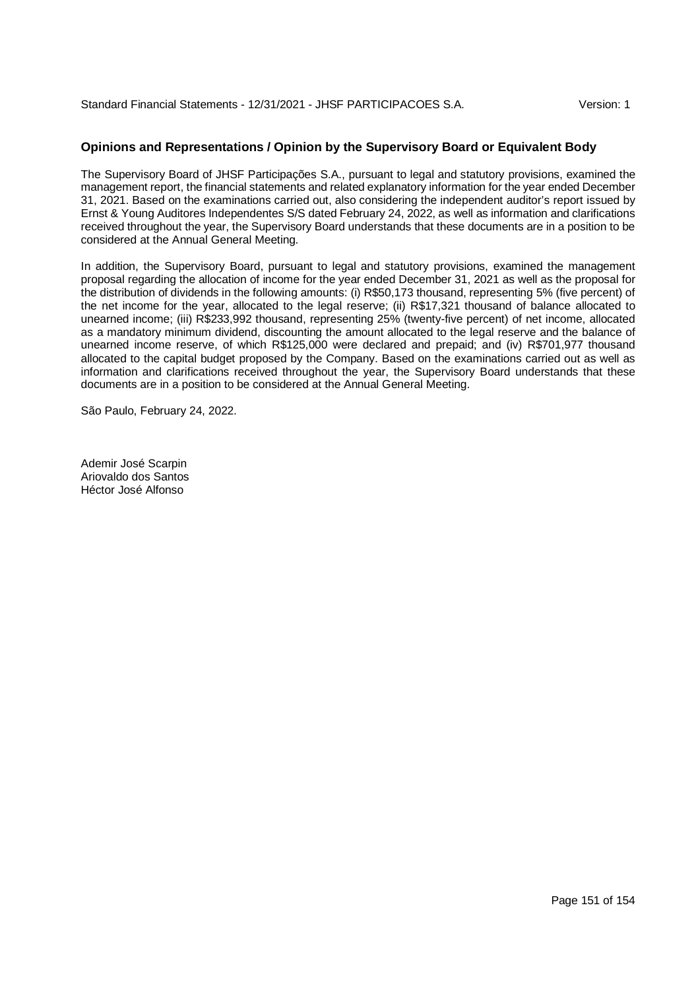# **Opinions and Representations / Opinion by the Supervisory Board or Equivalent Body**

The Supervisory Board of JHSF Participações S.A., pursuant to legal and statutory provisions, examined the management report, the financial statements and related explanatory information for the year ended December 31, 2021. Based on the examinations carried out, also considering the independent auditor's report issued by Ernst & Young Auditores Independentes S/S dated February 24, 2022, as well as information and clarifications received throughout the year, the Supervisory Board understands that these documents are in a position to be considered at the Annual General Meeting.

In addition, the Supervisory Board, pursuant to legal and statutory provisions, examined the management proposal regarding the allocation of income for the year ended December 31, 2021 as well as the proposal for the distribution of dividends in the following amounts: (i) R\$50,173 thousand, representing 5% (five percent) of the net income for the year, allocated to the legal reserve; (ii) R\$17,321 thousand of balance allocated to unearned income; (iii) R\$233,992 thousand, representing 25% (twenty-five percent) of net income, allocated as a mandatory minimum dividend, discounting the amount allocated to the legal reserve and the balance of unearned income reserve, of which R\$125,000 were declared and prepaid; and (iv) R\$701,977 thousand allocated to the capital budget proposed by the Company. Based on the examinations carried out as well as information and clarifications received throughout the year, the Supervisory Board understands that these documents are in a position to be considered at the Annual General Meeting.

São Paulo, February 24, 2022.

Ademir José Scarpin Ariovaldo dos Santos Héctor José Alfonso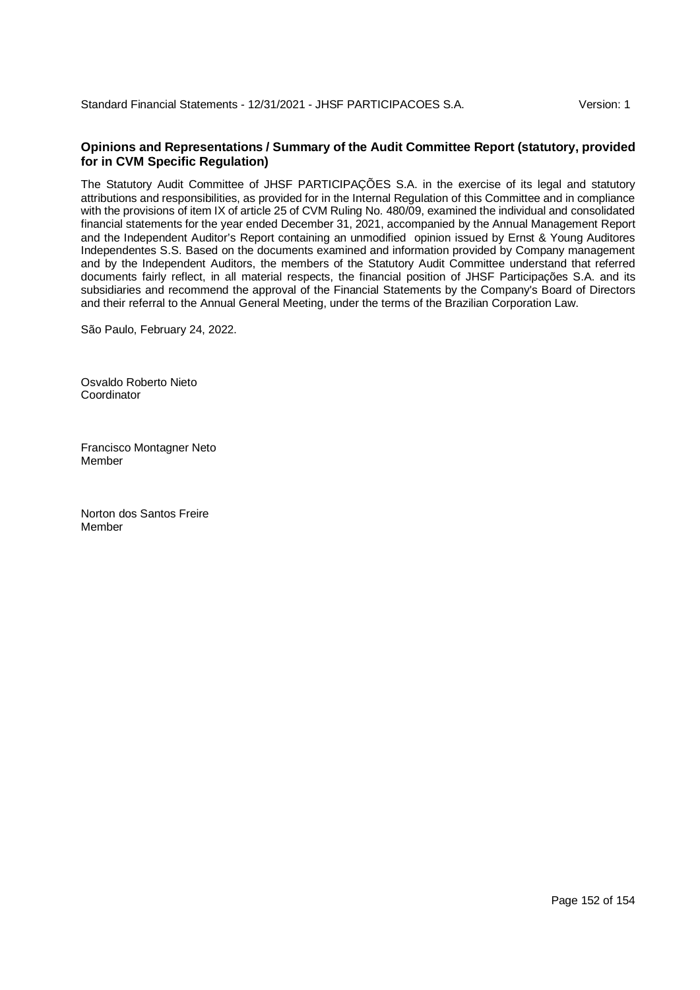# **Opinions and Representations / Summary of the Audit Committee Report (statutory, provided for in CVM Specific Regulation)**

The Statutory Audit Committee of JHSF PARTICIPAÇÕES S.A. in the exercise of its legal and statutory attributions and responsibilities, as provided for in the Internal Regulation of this Committee and in compliance with the provisions of item IX of article 25 of CVM Ruling No. 480/09, examined the individual and consolidated financial statements for the year ended December 31, 2021, accompanied by the Annual Management Report and the Independent Auditor's Report containing an unmodified opinion issued by Ernst & Young Auditores Independentes S.S. Based on the documents examined and information provided by Company management and by the Independent Auditors, the members of the Statutory Audit Committee understand that referred documents fairly reflect, in all material respects, the financial position of JHSF Participações S.A. and its subsidiaries and recommend the approval of the Financial Statements by the Company's Board of Directors and their referral to the Annual General Meeting, under the terms of the Brazilian Corporation Law.

São Paulo, February 24, 2022.

Osvaldo Roberto Nieto Coordinator

Francisco Montagner Neto Member

Norton dos Santos Freire Member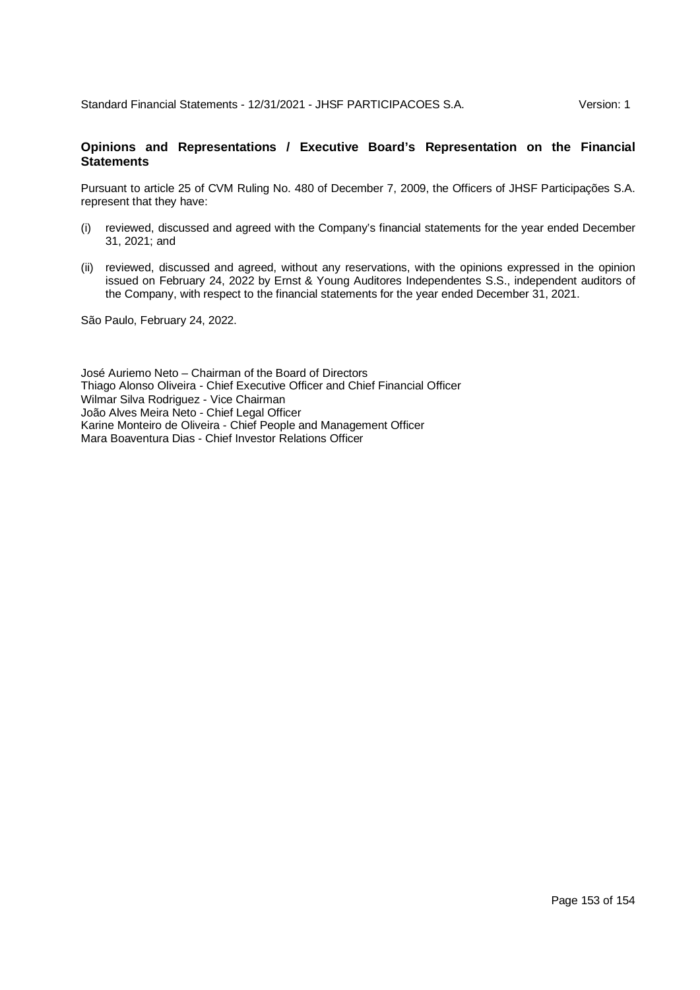# **Opinions and Representations / Executive Board's Representation on the Financial Statements**

Pursuant to article 25 of CVM Ruling No. 480 of December 7, 2009, the Officers of JHSF Participações S.A. represent that they have:

- (i) reviewed, discussed and agreed with the Company's financial statements for the year ended December 31, 2021; and
- (ii) reviewed, discussed and agreed, without any reservations, with the opinions expressed in the opinion issued on February 24, 2022 by Ernst & Young Auditores Independentes S.S., independent auditors of the Company, with respect to the financial statements for the year ended December 31, 2021.

São Paulo, February 24, 2022.

José Auriemo Neto – Chairman of the Board of Directors Thiago Alonso Oliveira - Chief Executive Officer and Chief Financial Officer Wilmar Silva Rodriguez - Vice Chairman João Alves Meira Neto - Chief Legal Officer Karine Monteiro de Oliveira - Chief People and Management Officer Mara Boaventura Dias - Chief Investor Relations Officer